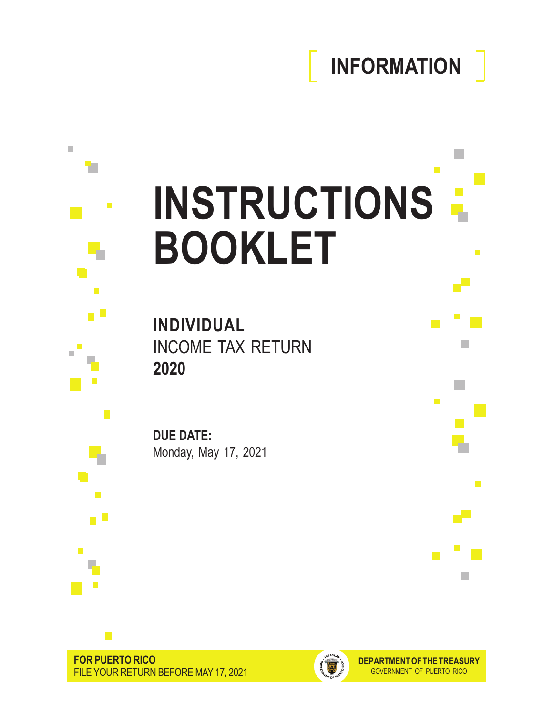# **INFORMATION**

m.

p.

 $\blacksquare$ 

الماري

П

 $\mathbb{R}^n$ 

 $\mathcal{L}_{\mathcal{A}}$ 

# $\mathbb{R}^n$  $\blacksquare$ **INSTRUCTIONS BOOKLET**

**INDIVIDUAL** INCOME TAX RETURN **2020**

**DUE DATE:** Monday, May 17, 2021



 $\mathbb{R}^d$ 

÷

п

n L

 $\mathcal{L}_{\mathcal{A}}$ 

 $\mathcal{C}$ 

 $\overline{\mathcal{A}}$ 

n O

 $\blacksquare$ 

Ļ.

F

 $\mathbb{R}^2$ 

П  $\overline{\phantom{a}}$ 

 $\mathcal{C}^{\mathcal{A}}$ 



**DEPARTMENT OF THE TREASURY** GOVERNMENT OF PUERTO RICO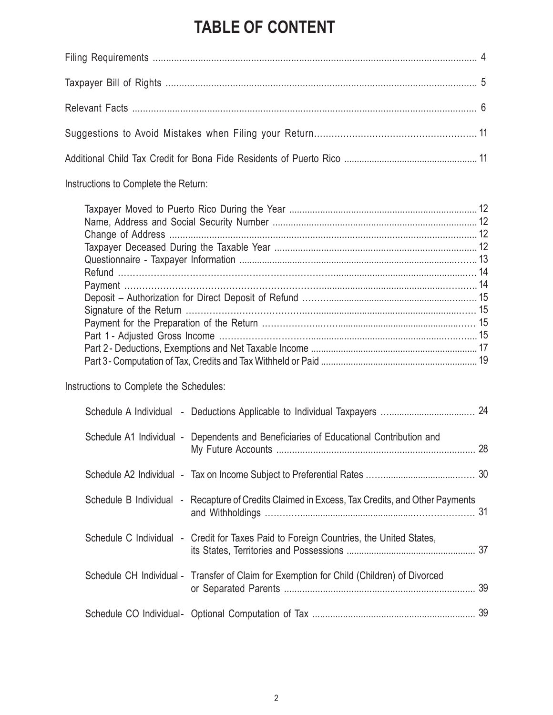# **TABLE OF CONTENT**

| Instructions to Complete the Return:                                                            |  |
|-------------------------------------------------------------------------------------------------|--|
| Instructions to Complete the Schedules:                                                         |  |
|                                                                                                 |  |
| Schedule A1 Individual - Dependents and Beneficiaries of Educational Contribution and           |  |
|                                                                                                 |  |
| Schedule B Individual - Recapture of Credits Claimed in Excess, Tax Credits, and Other Payments |  |
| Schedule C Individual - Credit for Taxes Paid to Foreign Countries, the United States,          |  |
| Schedule CH Individual - Transfer of Claim for Exemption for Child (Children) of Divorced       |  |
|                                                                                                 |  |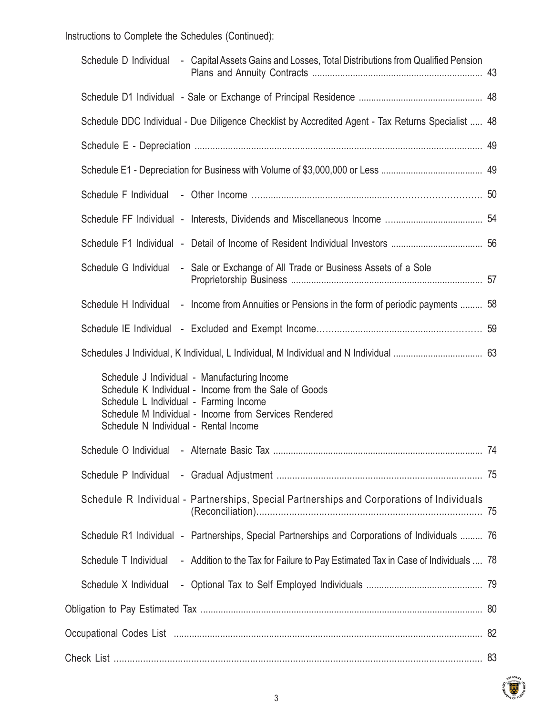Instructions to Complete the Schedules (Continued):

| - Capital Assets Gains and Losses, Total Distributions from Qualified Pension<br>Schedule D Individual                                                                                                                                            |  |
|---------------------------------------------------------------------------------------------------------------------------------------------------------------------------------------------------------------------------------------------------|--|
|                                                                                                                                                                                                                                                   |  |
| Schedule DDC Individual - Due Diligence Checklist by Accredited Agent - Tax Returns Specialist  48                                                                                                                                                |  |
|                                                                                                                                                                                                                                                   |  |
|                                                                                                                                                                                                                                                   |  |
|                                                                                                                                                                                                                                                   |  |
|                                                                                                                                                                                                                                                   |  |
|                                                                                                                                                                                                                                                   |  |
| Schedule G Individual<br>- Sale or Exchange of All Trade or Business Assets of a Sole                                                                                                                                                             |  |
| Schedule H Individual - Income from Annuities or Pensions in the form of periodic payments  58                                                                                                                                                    |  |
|                                                                                                                                                                                                                                                   |  |
|                                                                                                                                                                                                                                                   |  |
| Schedule J Individual - Manufacturing Income<br>Schedule K Individual - Income from the Sale of Goods<br>Schedule L Individual - Farming Income<br>Schedule M Individual - Income from Services Rendered<br>Schedule N Individual - Rental Income |  |
|                                                                                                                                                                                                                                                   |  |
|                                                                                                                                                                                                                                                   |  |
| Schedule R Individual - Partnerships, Special Partnerships and Corporations of Individuals                                                                                                                                                        |  |
| Schedule R1 Individual - Partnerships, Special Partnerships and Corporations of Individuals  76                                                                                                                                                   |  |
| Schedule T Individual<br>- Addition to the Tax for Failure to Pay Estimated Tax in Case of Individuals  78                                                                                                                                        |  |
| Schedule X Individual                                                                                                                                                                                                                             |  |
|                                                                                                                                                                                                                                                   |  |
|                                                                                                                                                                                                                                                   |  |
|                                                                                                                                                                                                                                                   |  |

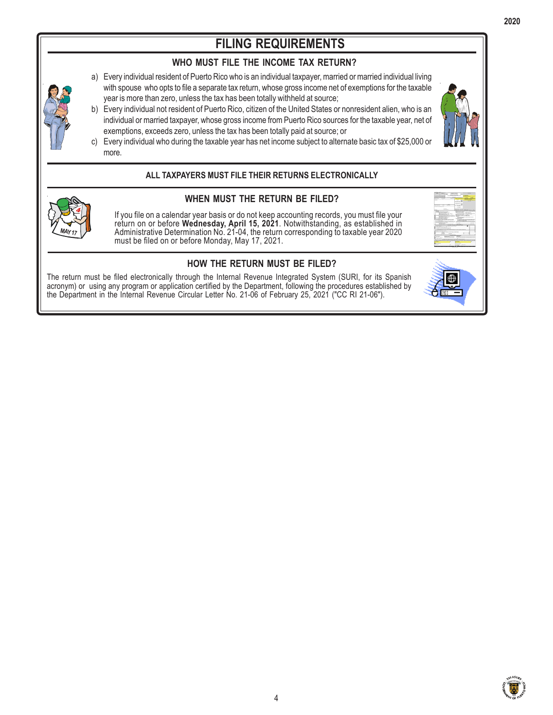# **FILING REQUIREMENTS**

# **WHO MUST FILE THE INCOME TAX RETURN?**

- a) Every individual resident of Puerto Rico who is an individual taxpayer, married or married individual living with spouse who opts to file a separate tax return, whose gross income net of exemptions for the taxable year is more than zero, unless the tax has been totally withheld at source;
- b) Every individual not resident of Puerto Rico, citizen of the United States or nonresident alien, who is an individual or married taxpayer, whose gross income from Puerto Rico sources for the taxable year, net of exemptions, exceeds zero, unless the tax has been totally paid at source; or



c) Every individual who during the taxable year has net income subject to alternate basic tax of \$25,000 or more.

# **ALL TAXPAYERS MUST FILE THEIR RETURNS ELECTRONICALLY**



# **WHEN MUST THE RETURN BE FILED?**

If you file on a calendar year basis or do not keep accounting records, you must file your return on or before **Wednesday, April 15, 2021**. Notwithstanding, as established in Administrative Determination No. 21-04, the return corresponding to taxable year 2020 must be filed on or before Monday, May 17, 2021.

# **HOW THE RETURN MUST BE FILED?**

The return must be filed electronically through the Internal Revenue Integrated System (SURI, for its Spanish acronym) or using any program or application certified by the Department, following the procedures established by the Department in the Internal Revenue Circular Letter No. 21-06 of February 25, 2021 ("CC RI 21-06").

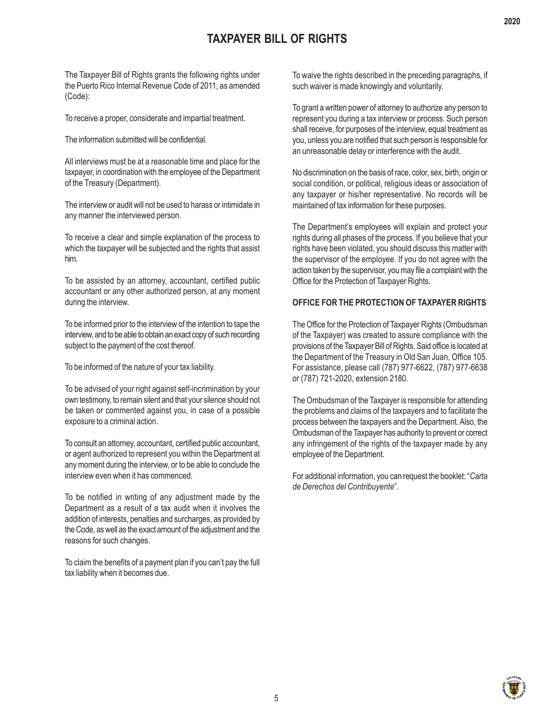# **TAXPAYER BILL OF RIGHTS**

The Taxpayer Bill of Rights grants the following rights under the Puerto Rico Internal Revenue Code of 2011, as amended (Code):

To receive a proper, considerate and impartial treatment.

The information submitted will be confidential.

All interviews must be at a reasonable time and place for the taxpayer, in coordination with the employee of the Department of the Treasury (Department).

The interview or audit will not be used to harass or intimidate in any manner the interviewed person.

To receive a clear and simple explanation of the process to which the taxpayer will be subjected and the rights that assist him.

To be assisted by an attorney, accountant, certified public accountant or any other authorized person, at any moment during the interview.

To be informed prior to the interview of the intention to tape the interview, and to be able to obtain an exact copy of such recording subject to the payment of the cost thereof.

To be informed of the nature of your tax liability.

To be advised of your right against self-incrimination by your own testimony, to remain silent and that your silence should not be taken or commented against you, in case of a possible exposure to a criminal action.

To consult an attorney, accountant, certified public accountant, or agent authorized to represent you within the Department at any moment during the interview, or to be able to conclude the interview even when it has commenced.

To be notified in writing of any adjustment made by the Department as a result of a tax audit when it involves the addition of interests, penalties and surcharges, as provided by the Code, as well as the exact amount of the adjustment and the reasons for such changes.

To claim the benefits of a payment plan if you can't pay the full tax liability when it becomes due.

To waive the rights described in the preceding paragraphs, if such waiver is made knowingly and voluntarily.

To grant a written power of attorney to authorize any person to represent you during a tax interview or process. Such person shall receive, for purposes of the interview, equal treatment as you, unless you are notified that such person is responsible for an unreasonable delay or interference with the audit.

No discrimination on the basis of race, color, sex, birth, origin or social condition, or political, religious ideas or association of any taxpayer or his/her representative. No records will be maintained of tax information for these purposes.

The Department's employees will explain and protect your rights during all phases of the process. If you believe that your rights have been violated, you should discuss this matter with the supervisor of the employee. If you do not agree with the action taken by the supervisor, you may file a complaint with the Office for the Protection of Taxpayer Rights.

# **OFFICE FOR THE PROTECTION OF TAXPAYER RIGHTS**

The Office for the Protection of Taxpayer Rights (Ombudsman of the Taxpayer) was created to assure compliance with the provisions of the Taxpayer Bill of Rights. Said office is located at the Department of the Treasury in Old San Juan, Office 105. For assistance, please call (787) 977-6622, (787) 977-6638 or (787) 721-2020, extension 2180.

The Ombudsman of the Taxpayer is responsible for attending the problems and claims of the taxpayers and to facilitate the process between the taxpayers and the Department. Also, the Ombudsman of the Taxpayer has authority to prevent or correct any infringement of the rights of the taxpayer made by any employee of the Department.

For additional information, you can request the booklet: "*Carta de Derechos del Contribuyente*".

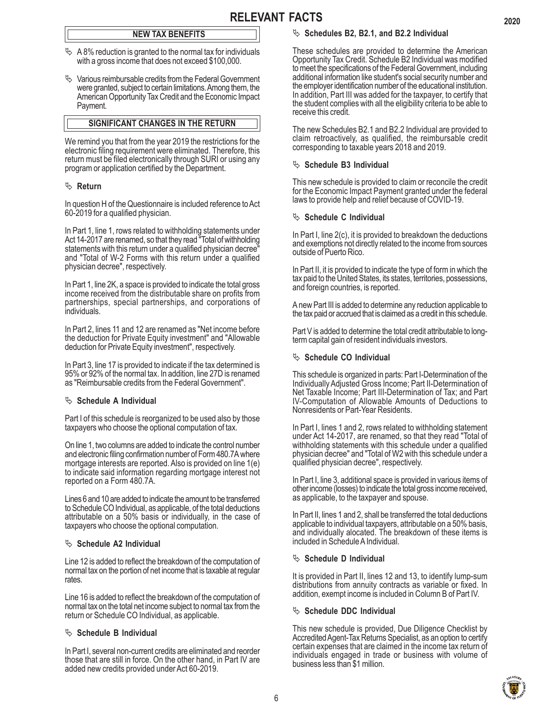# **NEW TAX BENEFITS**

- $\%$  A 8% reduction is granted to the normal tax for individuals with a gross income that does not exceed \$100,000.
- $\%$  Various reimbursable credits from the Federal Government were granted, subject to certain limitations. Among them, the American Opportunity Tax Credit and the Economic Impact Payment.

# **SIGNIFICANT CHANGES IN THE RETURN**

We remind you that from the year 2019 the restrictions for the electronic filing requirement were eliminated. Therefore, this return must be filed electronically through SURI or using any program or application certified by the Department.

# ª **Return**

In question H of the Questionnaire is included reference to Act 60-2019 for a qualified physician.

In Part 1, line 1, rows related to withholding statements under Act 14-2017 are renamed, so that they read "Total of withholding statements with this return under a qualified physician decree" and "Total of W-2 Forms with this return under a qualified physician decree", respectively.

In Part 1, line 2K, a space is provided to indicate the total gross income received from the distributable share on profits from partnerships, special partnerships, and corporations of individuals.

In Part 2, lines 11 and 12 are renamed as "Net income before the deduction for Private Equity investment" and "Allowable deduction for Private Equity investment", respectively.

In Part 3, line 17 is provided to indicate if the tax determined is 95% or 92% of the normal tax. In addition, line 27D is renamed as "Reimbursable credits from the Federal Government".

# $\%$  Schedule A Individual

Part I of this schedule is reorganized to be used also by those taxpayers who choose the optional computation of tax.

On line 1, two columns are added to indicate the control number and electronic filing confirmation number of Form 480.7A where mortgage interests are reported. Also is provided on line 1(e) to indicate said information regarding mortgage interest not reported on a Form 480.7A.

Lines 6 and 10 are added to indicate the amount to be transferred to Schedule CO Individual, as applicable, of the total deductions attributable on a 50% basis or individually, in the case of taxpayers who choose the optional computation.

# $\%$  Schedule A2 Individual

Line 12 is added to reflect the breakdown of the computation of normal tax on the portion of net income that is taxable at regular rates.

Line 16 is added to reflect the breakdown of the computation of normal tax on the total net income subject to normal tax from the return or Schedule CO Individual, as applicable.

# $\%$  Schedule B Individual

In Part I, several non-current credits are eliminated and reorder those that are still in force. On the other hand, in Part IV are added new credits provided under Act 60-2019.

# <sup> $\&$ </sup> Schedules B2, B2.1, and B2.2 Individual

These schedules are provided to determine the American Opportunity Tax Credit. Schedule B2 Individual was modified to meet the specifications of the Federal Government, including additional information like student's social security number and the employer identification number of the educational institution. In addition, Part III was added for the taxpayer, to certify that the student complies with all the eligibility criteria to be able to receive this credit.

The new Schedules B2.1 and B2.2 Individual are provided to claim retroactively, as qualified, the reimbursable credit corresponding to taxable years 2018 and 2019.

#### $\%$  Schedule B3 Individual

This new schedule is provided to claim or reconcile the credit for the Economic Impact Payment granted under the federal laws to provide help and relief because of COVID-19.

# $\%$  Schedule C Individual

In Part I, line 2(c), it is provided to breakdown the deductions and exemptions not directly related to the income from sources outside of Puerto Rico.

In Part II, it is provided to indicate the type of form in which the tax paid to the United States, its states, territories, possessions, and foreign countries, is reported.

A new Part III is added to determine any reduction applicable to the tax paid or accrued that is claimed as a credit in this schedule.

Part V is added to determine the total credit attributable to longterm capital gain of resident individuals investors.

#### $\%$  Schedule CO Individual

This schedule is organized in parts: Part I-Determination of the Individually Adjusted Gross Income; Part II-Determination of Net Taxable Income; Part III-Determination of Tax; and Part IV-Computation of Allowable Amounts of Deductions to Nonresidents or Part-Year Residents.

In Part I, lines 1 and 2, rows related to withholding statement under Act 14-2017, are renamed, so that they read "Total of withholding statements with this schedule under a qualified physician decree" and "Total of W2 with this schedule under a qualified physician decree", respectively.

In Part I, line 3, additional space is provided in various items of other income (losses) to indicate the total gross income received, as applicable, to the taxpayer and spouse.

In Part II, lines 1 and 2, shall be transferred the total deductions applicable to individual taxpayers, attributable on a 50% basis, and individually alocated. The breakdown of these items is included in Schedule A Individual.

# $\%$  Schedule D Individual

It is provided in Part II, lines 12 and 13, to identify lump-sum distributions from annuity contracts as variable or fixed. In addition, exempt income is included in Column B of Part IV.

#### $\%$  Schedule DDC Individual

This new schedule is provided, Due Diligence Checklist by Accredited Agent-Tax Returns Specialist, as an option to certify certain expenses that are claimed in the income tax return of individuals engaged in trade or business with volume of business less than \$1 million.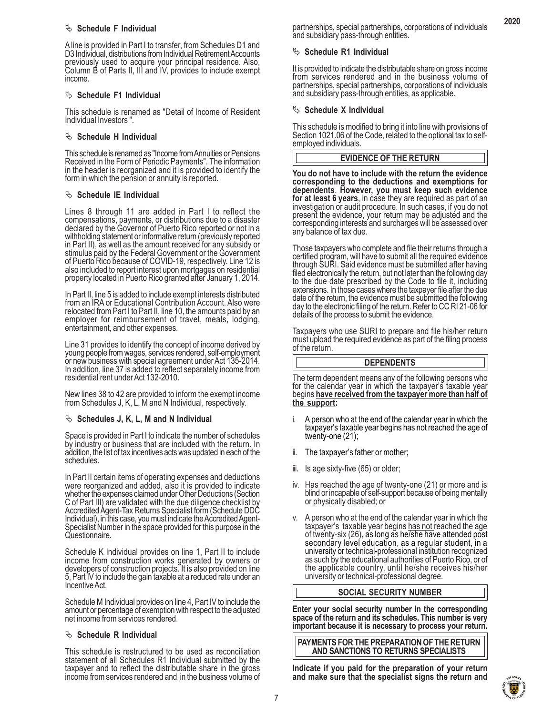#### $\%$  Schedule F Individual

A line is provided in Part I to transfer, from Schedules D1 and D3 Individual, distributions from Individual Retirement Accounts previously used to acquire your principal residence. Also, Column B of Parts II, III and IV, provides to include exempt income.

# $\%$  Schedule F1 Individual

This schedule is renamed as "Detail of Income of Resident Individual Investors ".

# <sup> $\&$ </sup> Schedule H Individual

This schedule is renamed as "Income from Annuities or Pensions Received in the Form of Periodic Payments". The information in the header is reorganized and it is provided to identify the form in which the pension or annuity is reported.

# $\%$  Schedule IE Individual

Lines 8 through 11 are added in Part I to reflect the compensations, payments, or distributions due to a disaster declared by the Governor of Puerto Rico reported or not in a withholding statement or informative return (previously reported in Part II), as well as the amount received for any subsidy or stimulus paid by the Federal Government or the Government of Puerto Rico because of COVID-19, respectively. Line 12 is also included to report interest upon mortgages on residential property located in Puerto Rico granted after January 1, 2014.

In Part II, line 5 is added to include exempt interests distributed from an IRA or Educational Contribution Account. Also were relocated from Part I to Part II, line 10, the amounts paid by an employer for reimbursement of travel, meals, lodging, entertainment, and other expenses.

Line 31 provides to identify the concept of income derived by young people from wages, services rendered, self-employment or new business with special agreement under Act 135-2014. In addition, line 37 is added to reflect separately income from residential rent under Act 132-2010.

New lines 38 to 42 are provided to inform the exempt income from Schedules J, K, L, M and N Individual, respectively.

# ª **Schedules J, K, L, M and N Individual**

Space is provided in Part I to indicate the number of schedules by industry or business that are included with the return. In addition, the list of tax incentives acts was updated in each of the schedules.

In Part II certain items of operating expenses and deductions were reorganized and added, also it is provided to indicate whether the expenses claimed under Other Deductions (Section C of Part III) are validated with the due diligence checklist by Accredited Agent-Tax Returns Specialist form (Schedule DDC Individual), in this case, you must indicate the Accredited Agent-Specialist Number in the space provided for this purpose in the Questionnaire.

Schedule K Individual provides on line 1, Part II to include income from construction works generated by owners or developers of construction projects. It is also provided on line 5, Part IV to include the gain taxable at a reduced rate under an Incentive Act.

Schedule M Individual provides on line 4, Part IV to include the amount or percentage of exemption with respect to the adjusted net income from services rendered.

# $\%$  Schedule R Individual

This schedule is restructured to be used as reconciliation statement of all Schedules R1 Individual submitted by the taxpayer and to reflect the distributable share in the gross income from services rendered and in the business volume of

**2020**

# $\%$  Schedule R1 Individual

It is provided to indicate the distributable share on gross income from services rendered and in the business volume of partnerships, special partnerships, corporations of individuals and subsidiary pass-through entities, as applicable.

# $\%$  Schedule X Individual

This schedule is modified to bring it into line with provisions of Section 1021.06 of the Code, related to the optional tax to selfemployed individuals.

# **EVIDENCE OF THE RETURN**

**You do not have to include with the return the evidence corresponding to the deductions and exemptions for for at least 6 years**, in case they are required as part of an investigation or audit procedure. In such cases, if you do not present the evidence, your return may be adjusted and the corresponding interests and surcharges will be assessed over any balance of tax due.

Those taxpayers who complete and file their returns through a certified program, will have to submit all the required evidence through SURI. Said evidence must be submitted after having filed electronically the return, but not later than the following day to the due date prescribed by the Code to file it, including extensions. In those cases where the taxpayer file after the due date of the return, the evidence must be submitted the following day to the electronic filing of the return. Refer to CC RI 21-06 for details of the process to submit the evidence.

Taxpayers who use SURI to prepare and file his/her return must upload the required evidence as part of the filing process of the return.

#### **DEPENDENTS**

The term dependent means any of the following persons who for the calendar year in which the taxpayer's taxable year begins **have received from the taxpayer more than half of the support:**

- i. A person who at the end of the calendar year in which the taxpayer's taxable year begins has not reached the age of twenty-one (21);
- ii. The taxpayer's father or mother;
- iii. Is age sixty-five (65) or older;
- iv. Has reached the age of twenty-one (21) or more and is blind or incapable of self-support because of being mentally or physically disabled; or
- v. A person who at the end of the calendar year in which the taxpayer's taxable year begins has not reached the age of twenty-six (26), as long as he/she have attended post secondary level education, as a regular student, university or technical**-**professional institution recognized as such by the educational authorities of Puerto Rico, or of the applicable country, until he/she receives his/her university or technical-professional degree.

# **SOCIAL SECURITY NUMBER**

**Enter your social security number in the corresponding space of the return and its schedules. This number is very important because it is necessary to process your return.**

**PAYMENTS FOR THE PREPARATION OF THE RETURN AND SANCTIONS TO RETURNS SPECIALISTS**

**Indicate if you paid for the preparation of your return and make sure that the specialist signs the return and**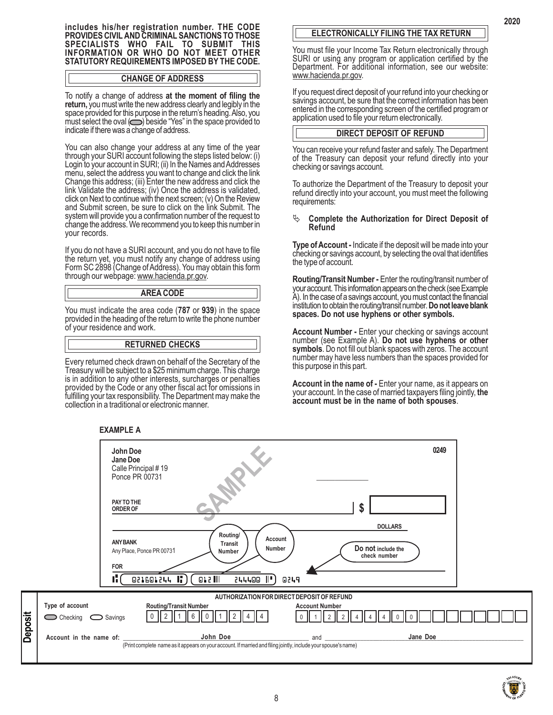**includes his/her registration number. THE CODE PROVIDES CIVIL AND CRIMINAL SANCTIONS TO THOSE SPECIALISTS WHO FAIL TO SUBMIT THIS INFORMATION OR WHO DO NOT MEET OTHER STATUTORY REQUIREMENTS IMPOSED BY THE CODE.**

#### **CHANGE OF ADDRESS**

To notify a change of address **at the moment of filing the return,** youmust write the new address clearly and legibly in the space provided for this purpose in the return's heading. Also, you must select the oval  $\circled{O}$  beside "Yes" in the space provided to indicate if there was a change of address.

You can also change your address at any time of the year through your SURI account following the steps listed below: (i) Login to your account in SURI; (ii) In the Names and Addresses menu, select the address you want to change and click the link Change this address; (iii) Enter the new address and click the link Validate the address; (iv) Once the address is validated, click on Next to continue with the next screen; (v) On the Review and Submit screen, be sure to click on the link Submit. The system will provide you a confirmation number of the request to change the address. We recommend you to keep this number in your records.

If you do not have a SURI account, and you do not have to file the return yet, you must notify any change of address using Form SC 2898 (Change of Address). You may obtain this form through our webpage: www.hacienda.pr.gov.

#### **AREA CODE**

You must indicate the area code (**787** or **939**) in the space provided in the heading of the return to write the phone number of your residence and work.

# **RETURNED CHECKS**

Every returned check drawn on behalf of the Secretary of the Treasury will be subject to a \$25 minimum charge. This charge is in addition to any other interests, surcharges or penalties provided by the Code or any other fiscal act for omissions in fulfilling your tax responsibility. The Department may make the collection in a traditional or electronic manner.

**EXAMPLE A**

#### **John Doe** SAMPLE **0249 Jane Doe** Calle Principal # 19 Ponce PR 00731 **PAY TO THE \$ ORDER OF DOLLARS Routing/ Account ANY BANK Transit Number Do not include the** Any Place, Ponce PR 00731 **Number check number FOR**  $\blacktriangle$ ı¦  $012$   $||$ 244400 ∥"` 0249 **AUTHORIZATION FOR DIRECT DEPOSIT OF REFUND Type of account Routing/Transit Number Account Number** Account Number **Deposit** 0 || 2 || 1 || 6 || 0 || 1 || 2 || 4 || 4 | | 0 || 1 || 2 || 2 || 4 || 4 || 4 || 0 || 0  $\bigcirc$  Checking  $\bigcirc$  Savings **John Doe Account in the name of: \_\_\_\_\_\_\_\_\_\_\_\_\_\_\_\_\_\_\_\_\_\_\_\_\_\_\_\_\_\_\_\_\_\_\_\_\_\_\_\_\_\_\_\_\_\_\_\_\_\_\_\_\_\_\_\_\_\_** and **\_\_\_\_\_\_\_\_\_\_\_\_\_\_\_\_\_\_\_\_\_\_\_\_\_\_\_\_\_\_\_\_\_\_\_\_\_\_\_\_\_\_\_\_\_\_\_\_\_\_\_\_\_\_\_\_\_\_\_\_\_\_**

# **ELECTRONICALLY FILING THE TAX RETURN**

You must file your Income Tax Return electronically through SURI or using any program or application certified by the Department. For additional information, see our website: www.hacienda.pr.gov.

If you request direct deposit of your refund into your checking or savings account, be sure that the correct information has been entered in the corresponding screen of the certified program or application used to file your return electronically.

#### **DIRECT DEPOSIT OF REFUND**

You can receive your refund faster and safely. The Department of the Treasury can deposit your refund directly into your checking or savings account.

To authorize the Department of the Treasury to deposit your refund directly into your account, you must meet the following requirements:

#### <sup> $\psi$ </sup> Complete the Authorization for Direct Deposit of **Refund**

**Type of Account -** Indicate if the deposit will be made into your checking or savings account, by selecting the oval that identifies the type of account.

**Routing/Transit Number -** Enter the routing/transit number of your account. This information appears on the check (see Example A). In the case of a savings account, you must contact the financial institution to obtain the routing/transit number. **Do not leave blank spaces. Do not use hyphens or other symbols.**

**Account Number -** Enter your checking or savings account number (see Example A). **Do not use hyphens or other symbols**. Do not fill out blank spaces with zeros. The account number may have less numbers than the spaces provided for this purpose in this part.

**Account in the name of -** Enter your name, as it appears on your account. In the case of married taxpayers filing jointly, **the account must be in the name of both spouses**.



(Print complete name as it appears on your account. If married and filing jointly, include your spouse's name)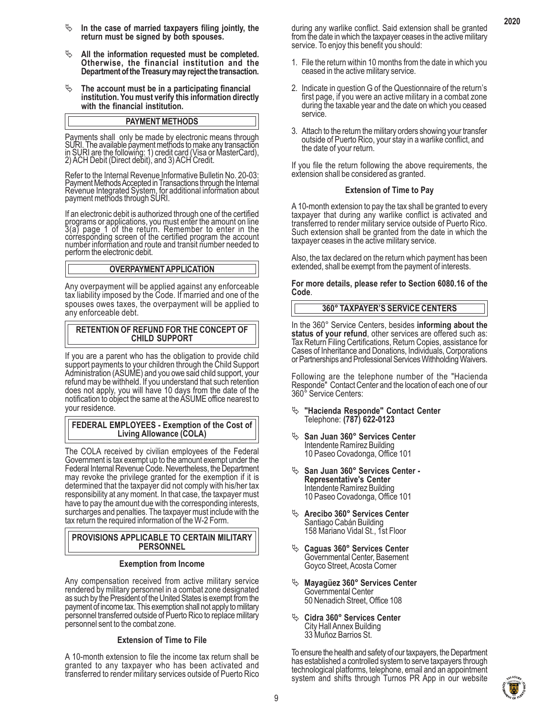- $\psi$  In the case of married taxpayers filing jointly, the **return must be signed by both spouses.**
- <sup> $\psi$ </sup> All the information requested must be completed. **Otherwise, the financial institution and the Department of the Treasury may reject the transaction.**
- <sup> $\&$ </sup> The account must be in a participating financial **institution. You must verify this information directly with the financial institution.**

#### **PAYMENT METHODS**

Payments shall only be made by electronic means through SURI. The available payment methods to make any transaction in SURI are the following: 1) credit card (Visa or MasterCard), 2) ACH Debit (Direct debit), and 3) ACH Credit.

Refer to the Internal Revenue Informative Bulletin No. 20-03: Payment Methods Accepted in Transactions through the Internal Revenue Integrated System, for additional information about payment methods through SURI.

If an electronic debit is authorized through one of the certified programs or applications, you must enter the amount on line 3(a) page 1 of the return. Remember to enter in the corresponding screen of the certified program the account number information and route and transit number needed to perform the electronic debit.

#### **OVERPAYMENT APPLICATION**

Any overpayment will be applied against any enforceable tax liability imposed by the Code. If married and one of the spouses owes taxes, the overpayment will be applied to any enforceable debt.

#### **RETENTION OF REFUND FOR THE CONCEPT OF CHILD SUPPORT**

If you are a parent who has the obligation to provide child support payments to your children through the Child Support Administration (ASUME) and you owe said child support, your refund may be withheld. If you understand that such retention does not apply, you will have 10 days from the date of the notification to object the same at the ASUME office nearest to your residence.

#### **FEDERAL EMPLOYEES - Exemption of the Cost of Living Allowance (COLA)**

The COLA received by civilian employees of the Federal Government is tax exempt up to the amount exempt under the Federal Internal Revenue Code. Nevertheless, the Department may revoke the privilege granted for the exemption if it is determined that the taxpayer did not comply with his/her tax responsibility at any moment. In that case, the taxpayer must have to pay the amount due with the corresponding interests, surcharges and penalties. The taxpayer must include with the tax return the required information of the W-2 Form.

#### **PROVISIONS APPLICABLE TO CERTAIN MILITARY PERSONNEL**

#### **Exemption from Income**

Any compensation received from active military service rendered by military personnel in a combat zone designated as such by the President of the United States is exempt from the payment of income tax. This exemption shall not apply to military personnel transferred outside of Puerto Rico to replace military personnel sent to the combat zone.

#### **Extension of Time to File**

A 10-month extension to file the income tax return shall be granted to any taxpayer who has been activated and transferred to render military services outside of Puerto Rico during any warlike conflict. Said extension shall be granted from the date in which the taxpayer ceases in the active military service. To enjoy this benefit you should:

**2020**

- 1. File the return within 10 months from the date in which you ceased in the active military service.
- 2. Indicate in question G of the Questionnaire of the return's first page, if you were an active military in a combat zone during the taxable year and the date on which you ceased service.
- 3. Attach to the return the military orders showing your transfer outside of Puerto Rico, your stay in a warlike conflict, and the date of your return.

If you file the return following the above requirements, the extension shall be considered as granted.

#### **Extension of Time to Pay**

A 10-month extension to pay the tax shall be granted to every taxpayer that during any warlike conflict is activated and transferred to render military service outside of Puerto Rico. Such extension shall be granted from the date in which the taxpayer ceases in the active military service.

Also, the tax declared on the return which payment has been extended, shall be exempt from the payment of interests.

**For more details, please refer to Section 6080.16 of the Code**.

# **360° TAXPAYER'S SERVICE CENTERS**

In the 360° Service Centers, besides **informing about the status of your refund**, other services are offered such as: Tax Return Filing Certifications, Return Copies, assistance for Cases of Inheritance and Donations, Individuals, Corporations or Partnerships and Professional Services Withholding Waivers.

Following are the telephone number of the "Hacienda Responde" Contact Center and the location of each one of our 360° Service Centers:

- ª **"Hacienda Responde" Contact Center** Telephone: **(787) 622-0123**
- <sup> $\&$ </sup> San Juan 360° Services Center Intendente Ramírez Building 10 Paseo Covadonga, Office 101
- ª **San Juan 360° Services Center - Representative's Center** Intendente Ramírez Building 10 Paseo Covadonga, Office 101
- <sup> $\&$ </sup> Arecibo 360° Services Center Santiago Cabán Building 158 Mariano Vidal St., 1st Floor
- ª **Caguas 360° Services Center** Governmental Center, Basement Goyco Street, Acosta Corner
- <sup> $\%$ </sup> Mayagüez 360° Services Center Governmental Center 50 Nenadich Street, Office 108
- <sup> $\&$ </sup> Cidra 360° Services Center City Hall Annex Building 33 Muñoz Barrios St.

To ensure the health and safety of our taxpayers, the Department has established a controlled system to serve taxpayers through technological platforms, telephone, email and an appointment system and shifts through Turnos PR App in our website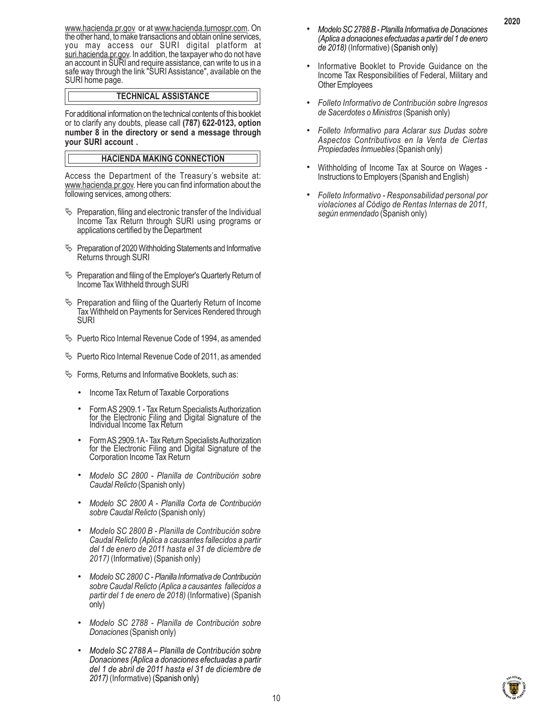www.hacienda.pr.gov or at www.hacienda.turnospr.com. On the other hand, to make transactions and obtain online services, you may access our SURI digital platform at suri.hacienda.pr.gov. In addition, the taxpayer who do not have an account in SURI and require assistance, can write to us in a safe way through the link "SURI Assistance", available on the SURI home page.

# **TECHNICAL ASSISTANCE**

For additional information on the technical contents of this booklet or to clarify any doubts, please call **(787) 622-0123, option number 8 in the directory or send a message through your SURI account .**

# **HACIENDA MAKING CONNECTION**

Access the Department of the Treasury's website at: www.hacienda.pr.gov. Here you can find information about the following services, among others:

- $\%$  Preparation, filing and electronic transfer of the Individual Income Tax Return through SURI using programs or applications certified by the Department
- $\%$  Preparation of 2020 Withholding Statements and Informative Returns through SURI
- $\%$  Preparation and filing of the Employer's Quarterly Return of Income Tax Withheld through SURI
- $\%$  Preparation and filing of the Quarterly Return of Income Tax Withheld on Payments for Services Rendered through SURI
- $\%$  Puerto Rico Internal Revenue Code of 1994, as amended
- $\%$  Puerto Rico Internal Revenue Code of 2011, as amended
- $\%$  Forms, Returns and Informative Booklets, such as:
	- . Income Tax Return of Taxable Corporations
	- . Form AS 2909.1 Tax Return Specialists Authorization for the Electronic Filing and Digital Signature of the Individual Income Tax Return
	- . Form AS 2909.1A Tax Return Specialists Authorization for the Electronic Filing and Digital Signature of the Corporation Income Tax Return
	- . *Modelo SC 2800 Planilla de Contribución sobre Caudal Relicto* (Spanish only)
	- . *Modelo SC 2800 A Planilla Corta de Contribución sobre Caudal Relicto* (Spanish only)
	- . *Modelo SC 2800 B Planilla de Contribución sobre Caudal Relicto (Aplica a causantes fallecidos a partir del 1 de enero de 2011 hasta el 31 de diciembre de 2017)* (Informative) (Spanish only)
	- . *Modelo SC 2800 C Planilla Informativa de Contribución sobre Caudal Relicto (Aplica a causantes fallecidos a partir del 1 de enero de 2018)* (Informative) (Spanish only)
	- . *Modelo SC 2788 Planilla de Contribución sobre Donaciones* (Spanish only)
	- . *Modelo SC 2788 A Planilla de Contribución sobre Donaciones (Aplica a donaciones efectuadas a partir del 1 de abril de 2011 hasta el 31 de diciembre de 2017)* (Informative) (Spanish only)
- . *Modelo SC 2788 B Planilla Informativa de Donaciones (Aplica a donaciones efectuadas a partir del 1 de enero de 2018)* (Informative) (Spanish only)
- . Informative Booklet to Provide Guidance on the Income Tax Responsibilities of Federal, Military and Other Employees
- . *Folleto Informativo de Contribución sobre Ingresos de Sacerdotes o Ministros* (Spanish only)
- . *Folleto Informativo para Aclarar sus Dudas sobre Aspectos Contributivos en la Venta de Ciertas Propiedades Inmuebles* (Spanish only)
- . Withholding of Income Tax at Source on Wages Instructions to Employers (Spanish and English)
- . *Folleto Informativo Responsabilidad personal por violaciones al Código de Rentas Internas de 2011, según enmendado* (Spanish only)

10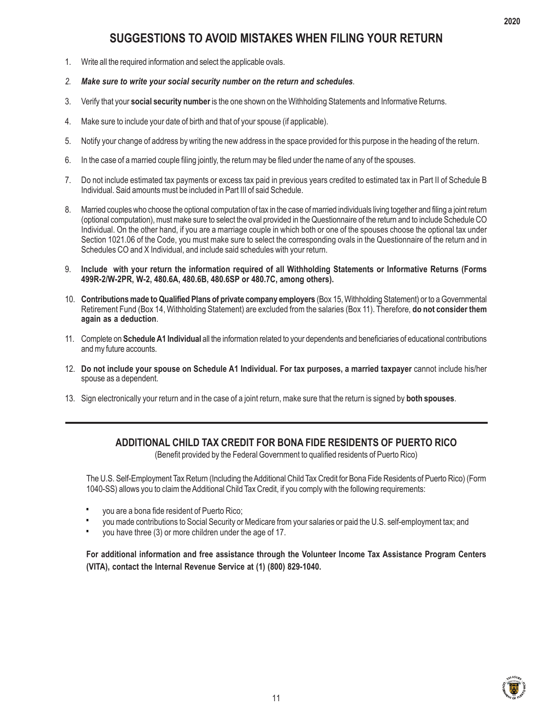# **SUGGESTIONS TO AVOID MISTAKES WHEN FILING YOUR RETURN**

- 1. Write all the required information and select the applicable ovals.
- *2. Make sure to write your social security number on the return and schedules.*
- 3. Verify that your **social security number** is the one shown on the Withholding Statements and Informative Returns.
- 4. Make sure to include your date of birth and that of your spouse (if applicable).
- 5. Notify your change of address by writing the new address in the space provided for this purpose in the heading of the return.
- 6. In the case of a married couple filing jointly, the return may be filed under the name of any of the spouses.
- 7. Do not include estimated tax payments or excess tax paid in previous years credited to estimated tax in Part II of Schedule B Individual. Said amounts must be included in Part III of said Schedule.
- 8. Married couples who choose the optional computation of tax in the case of married individuals living together and filing a joint return (optional computation), must make sure to select the oval provided in the Questionnaire of the return and to include Schedule CO Individual. On the other hand, if you are a marriage couple in which both or one of the spouses choose the optional tax under Section 1021.06 of the Code, you must make sure to select the corresponding ovals in the Questionnaire of the return and in Schedules CO and X Individual, and include said schedules with your return.
- 9. **Include with your return the information required of all Withholding Statements or Informative Returns (Forms 499R-2/W-2PR, W-2, 480.6A, 480.6B, 480.6SP or 480.7C, among others).**
- 10. **Contributions made to Qualified Plans of private company employers** (Box 15, Withholding Statement) or to a Governmental Retirement Fund (Box 14, Withholding Statement) are excluded from the salaries (Box 11). Therefore, **do not consider them again as a deduction**.
- 11. Complete on **Schedule A1 Individual** all the information related to your dependents and beneficiaries of educational contributions and my future accounts.
- 12. **Do not include your spouse on Schedule A1 Individual. For tax purposes, a married taxpayer** cannot include his/her spouse as a dependent.
- 13. Sign electronically your return and in the case of a joint return, make sure that the return is signed by **both spouses**.

# **ADDITIONAL CHILD TAX CREDIT FOR BONA FIDE RESIDENTS OF PUERTO RICO**

(Benefit provided by the Federal Government to qualified residents of Puerto Rico)

The U.S. Self-Employment Tax Return (Including the Additional Child Tax Credit for Bona Fide Residents of Puerto Rico) (Form 1040-SS) allows you to claim the Additional Child Tax Credit, if you comply with the following requirements:

- you are a bona fide resident of Puerto Rico; **·**
- you made contributions to Social Security or Medicare from your salaries or paid the U.S. self-employment tax; and **·**
- you have three (3) or more children under the age of 17. **·**

**For additional information and free assistance through the Volunteer Income Tax Assistance Program Centers (VITA), contact the Internal Revenue Service at (1) (800) 829-1040.**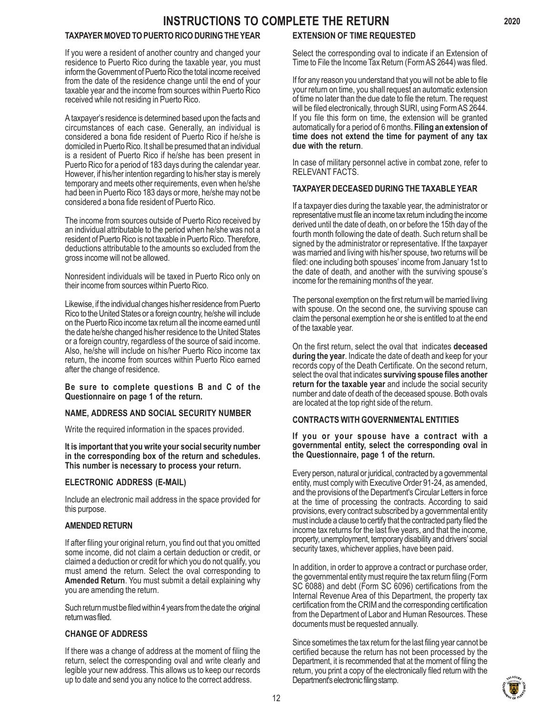# **INSTRUCTIONS TO COMPLETE THE RETURN**

# **TAXPAYER MOVED TO PUERTO RICO DURING THE YEAR**

If you were a resident of another country and changed your residence to Puerto Rico during the taxable year, you must inform the Government of Puerto Rico the total income received from the date of the residence change until the end of your taxable year and the income from sources within Puerto Rico received while not residing in Puerto Rico.

A taxpayer's residence is determined based upon the facts and circumstances of each case. Generally, an individual is considered a bona fide resident of Puerto Rico if he/she is domiciled in Puerto Rico. It shall be presumed that an individual is a resident of Puerto Rico if he/she has been present in Puerto Rico for a period of 183 days during the calendar year. However, if his/her intention regarding to his/her stay is merely temporary and meets other requirements, even when he/she had been in Puerto Rico 183 days or more, he/she may not be considered a bona fide resident of Puerto Rico.

The income from sources outside of Puerto Rico received by an individual attributable to the period when he/she was not a resident of Puerto Rico is not taxable in Puerto Rico. Therefore, deductions attributable to the amounts so excluded from the gross income will not be allowed.

Nonresident individuals will be taxed in Puerto Rico only on their income from sources within Puerto Rico.

Likewise, if the individual changes his/her residence from Puerto Rico to the United States or a foreign country, he/she will include on the Puerto Rico income tax return all the income earned until the date he/she changed his/her residence to the United States or a foreign country, regardless of the source of said income. Also, he/she will include on his/her Puerto Rico income tax return, the income from sources within Puerto Rico earned after the change of residence.

**Be sure to complete questions B and C of the Questionnaire on page 1 of the return.**

# **NAME, ADDRESS AND SOCIAL SECURITY NUMBER**

Write the required information in the spaces provided.

**It is important that you write your social security number in the corresponding box of the return and schedules. This number is necessary to process your return.**

# **ELECTRONIC ADDRESS (E-MAIL)**

Include an electronic mail address in the space provided for this purpose.

#### **AMENDED RETURN**

If after filing your original return, you find out that you omitted some income, did not claim a certain deduction or credit, or claimed a deduction or credit for which you do not qualify, you must amend the return. Select the oval corresponding to **Amended Return**. You must submit a detail explaining why you are amending the return.

Such return must be filed within 4 years from the date the original return was filed.

# **CHANGE OF ADDRESS**

If there was a change of address at the moment of filing the return, select the corresponding oval and write clearly and legible your new address. This allows us to keep our records up to date and send you any notice to the correct address.

# **EXTENSION OF TIME REQUESTED**

Select the corresponding oval to indicate if an Extension of Time to File the Income Tax Return (Form AS 2644) was filed.

If for any reason you understand that you will not be able to file your return on time, you shall request an automatic extension of time no later than the due date to file the return. The request will be filed electronically, through SURI, using Form AS 2644. If you file this form on time, the extension will be granted automatically for a period of 6 months. **Filing an extension of time does not extend the time for payment of any tax due with the return**.

In case of military personnel active in combat zone, refer to RELEVANT FACTS.

# **TAXPAYER DECEASED DURING THE TAXABLE YEAR**

If a taxpayer dies during the taxable year, the administrator or representative must file an income tax return including the income derived until the date of death, on or before the 15th day of the fourth month following the date of death. Such return shall be signed by the administrator or representative. If the taxpayer was married and living with his/her spouse, two returns will be filed: one including both spouses' income from January 1st to the date of death, and another with the surviving spouse's income for the remaining months of the year.

The personal exemption on the first return will be married living with spouse. On the second one, the surviving spouse can claim the personal exemption he or she is entitled to at the end of the taxable year.

On the first return, select the oval that indicates **deceased during the year**. Indicate the date of death and keep for your records copy of the Death Certificate. On the second return, select the oval that indicates **surviving spouse files another return for the taxable year** and include the social security number and date of death of the deceased spouse. Both ovals are located at the top right side of the return.

# **CONTRACTS WITH GOVERNMENTAL ENTITIES**

#### **If you or your spouse have a contract with a governmental entity, select the corresponding oval in the Questionnaire, page 1 of the return.**

Every person, natural or juridical, contracted by a governmental entity, must comply with Executive Order 91-24, as amended, and the provisions of the Department's Circular Letters in force at the time of processing the contracts. According to said provisions, every contract subscribed by a governmental entity must include a clause to certify that the contracted party filed the income tax returns for the last five years, and that the income, property, unemployment, temporary disability and drivers' social security taxes, whichever applies, have been paid.

In addition, in order to approve a contract or purchase order, the governmental entity must require the tax return filing (Form SC 6088) and debt (Form SC 6096) certifications from the Internal Revenue Area of this Department, the property tax certification from the CRIM and the corresponding certification from the Department of Labor and Human Resources. These documents must be requested annually.

Since sometimes the tax return for the last filing year cannot be certified because the return has not been processed by the Department, it is recommended that at the moment of filing the return, you print a copy of the electronically filed return with the Department's electronic filing stamp.

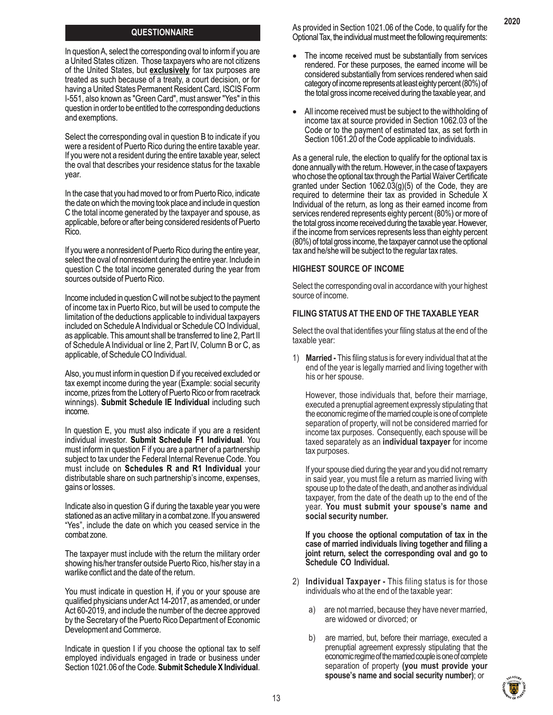# **QUESTIONNAIRE**

In question A, select the corresponding oval to inform if you are a United States citizen. Those taxpayers who are not citizens of the United States, but **exclusively** for tax purposes are treated as such because of a treaty, a court decision, or for having a United States Permanent Resident Card, ISCIS Form I-551, also known as "Green Card", must answer "Yes" in this question in order to be entitled to the corresponding deductions and exemptions.

Select the corresponding oval in question B to indicate if you were a resident of Puerto Rico during the entire taxable year. If you were not a resident during the entire taxable year, select the oval that describes your residence status for the taxable year.

In the case that you had moved to or from Puerto Rico, indicate the date on which the moving took place and include in question C the total income generated by the taxpayer and spouse, as applicable, before or after being considered residents of Puerto Rico.

If you were a nonresident of Puerto Rico during the entire year, select the oval of nonresident during the entire year. Include in question C the total income generated during the year from sources outside of Puerto Rico.

Income included in question C will not be subject to the payment of income tax in Puerto Rico, but will be used to compute the limitation of the deductions applicable to individual taxpayers included on Schedule A Individual or Schedule CO Individual, as applicable. This amount shall be transferred to line 2, Part II of Schedule A Individual or line 2, Part IV, Column B or C, as applicable, of Schedule CO Individual.

Also, you must inform in question D if you received excluded or tax exempt income during the year (Example: social security income, prizes from the Lottery of Puerto Rico or from racetrack winnings). **Submit Schedule IE Individual** including such income.

In question E, you must also indicate if you are a resident individual investor. **Submit Schedule F1 Individual**. You must inform in question F if you are a partner of a partnership subject to tax under the Federal Internal Revenue Code. You must include on **Schedules R and R1 Individual** your distributable share on such partnership's income, expenses, gains or losses.

Indicate also in question G if during the taxable year you were stationed as an active military in a combat zone. If you answered "Yes", include the date on which you ceased service in the combat zone.

The taxpayer must include with the return the military order showing his/her transfer outside Puerto Rico, his/her stay in a warlike conflict and the date of the return.

You must indicate in question H, if you or your spouse are qualified physicians under Act 14-2017, as amended, or under Act 60-2019, and include the number of the decree approved by the Secretary of the Puerto Rico Department of Economic Development and Commerce.

Indicate in question I if you choose the optional tax to self employed individuals engaged in trade or business under Section 1021.06 of the Code. **Submit Schedule X Individual**.

As provided in Section 1021.06 of the Code, to qualify for the Optional Tax, the individual must meet the following requirements:

- The income received must be substantially from services rendered. For these purposes, the earned income will be considered substantially from services rendered when said category of income represents at least eighty percent (80%) of the total gross income received during the taxable year, and
- All income received must be subject to the withholding of income tax at source provided in Section 1062.03 of the Code or to the payment of estimated tax, as set forth in Section 1061.20 of the Code applicable to individuals.

As a general rule, the election to qualify for the optional tax is done annually with the return. However, in the case of taxpayers who chose the optional tax through the Partial Waiver Certificate granted under Section 1062.03(g)(5) of the Code, they are required to determine their tax as provided in Schedule X Individual of the return, as long as their earned income from services rendered represents eighty percent (80%) or more of the total gross income received during the taxable year. However, if the income from services represents less than eighty percent (80%) of total gross income, the taxpayer cannot use the optional tax and he/she will be subject to the regular tax rates.

#### **HIGHEST SOURCE OF INCOME**

Select the corresponding oval in accordance with your highest source of income.

# **FILING STATUS AT THE END OF THE TAXABLE YEAR**

Select the oval that identifies your filing status at the end of the taxable year:

1) **Married -** This filing status is for every individual that at the end of the year is legally married and living together with his or her spouse.

However, those individuals that, before their marriage, executed a prenuptial agreement expressly stipulating that the economic regime of the married couple is one of complete separation of property, will not be considered married for income tax purposes. Consequently, each spouse will be taxed separately as an **individual taxpayer** for income tax purposes.

If your spouse died during the year and you did not remarry in said year, you must file a return as married living with spouse up to the date of the death, and another as individual taxpayer, from the date of the death up to the end of the year. **You must submit your spouse's name and social security number.**

**If you choose the optional computation of tax in the case of married individuals living together and filing a joint return, select the corresponding oval and go to Schedule CO Individual.**

- 2) **Individual Taxpayer** This filing status is for those individuals who at the end of the taxable year:
	- a) are not married, because they have never married, are widowed or divorced; or
	- b) are married, but, before their marriage, executed a prenuptial agreement expressly stipulating that the economic regime of the married couple is one of complete separation of property **(you must provide your spouse's name and social security number)**; or

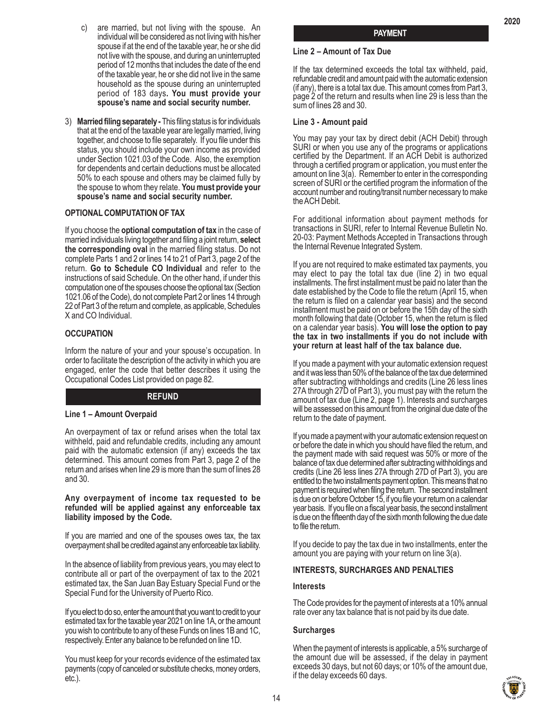- c) are married, but not living with the spouse. An individual will be considered as not living with his/her spouse if at the end of the taxable year, he or she did not live with the spouse, and during an uninterrupted period of 12 months that includes the date of the end of the taxable year, he or she did not live in the same household as the spouse during an uninterrupted period of 183 days**. You must provide your spouse's name and social security number.**
- 3) **Married filing separately** This filing status is for individuals that at the end of the taxable year are legally married, living together, and choose to file separately. If you file under this status, you should include your own income as provided under Section 1021.03 of the Code. Also, the exemption for dependents and certain deductions must be allocated 50% to each spouse and others may be claimed fully by the spouse to whom they relate. **You must provide your spouse's name and social security number.**

# **OPTIONAL COMPUTATION OF TAX**

If you choose the **optional computation of tax** in the case of married individuals living together and filing a joint return, **select the corresponding oval** in the married filing status. Do not complete Parts 1 and 2 or lines 14 to 21 of Part 3, page 2 of the return. **Go to Schedule CO Individual** and refer to the instructions of said Schedule. On the other hand, if under this computation one of the spouses choose the optional tax (Section 1021.06 of the Code), do not complete Part 2 or lines 14 through 22 of Part 3 of the return and complete, as applicable, Schedules X and CO Individual.

# **OCCUPATION**

Inform the nature of your and your spouse's occupation. In order to facilitate the description of the activity in which you are engaged, enter the code that better describes it using the Occupational Codes List provided on page 82.

# **REFUND**

#### **Line 1 – Amount Overpaid**

An overpayment of tax or refund arises when the total tax withheld, paid and refundable credits, including any amount paid with the automatic extension (if any) exceeds the tax determined. This amount comes from Part 3, page 2 of the return and arises when line 29 is more than the sum of lines 28 and 30.

#### **Any overpayment of income tax requested to be refunded will be applied against any enforceable tax liability imposed by the Code.**

If you are married and one of the spouses owes tax, the tax overpayment shall be credited against any enforceable tax liability.

In the absence of liability from previous years, you may elect to contribute all or part of the overpayment of tax to the 2021 estimated tax, the San Juan Bay Estuary Special Fund or the Special Fund for the University of Puerto Rico.

If you elect to do so, enter the amount that you want to credit to your estimated tax for the taxable year 2021 on line 1A, or the amount you wish to contribute to any of these Funds on lines 1B and 1C, respectively. Enter any balance to be refunded on line 1D.

You must keep for your records evidence of the estimated tax payments (copy of canceled or substitute checks, money orders, etc.).

**2020**

# **Line 2 – Amount of Tax Due**

If the tax determined exceeds the total tax withheld, paid, refundable credit and amount paid with the automatic extension (if any), there is a total tax due. This amount comes from Part 3, page 2 of the return and results when line 29 is less than the sum of lines 28 and 30.

#### **Line 3 - Amount paid**

You may pay your tax by direct debit (ACH Debit) through SURI or when you use any of the programs or applications certified by the Department. If an ACH Debit is authorized through a certified program or application, you must enter the amount on line 3(a). Remember to enter in the corresponding screen of SURI or the certified program the information of the account number and routing/transit number necessary to make the ACH Debit.

For additional information about payment methods for transactions in SURI, refer to Internal Revenue Bulletin No. 20-03: Payment Methods Accepted in Transactions through the Internal Revenue Integrated System.

If you are not required to make estimated tax payments, you may elect to pay the total tax due (line 2) in two equal installments. The first installment must be paid no later than the date established by the Code to file the return (April 15, when the return is filed on a calendar year basis) and the second installment must be paid on or before the 15th day of the sixth month following that date (October 15, when the return is filed on a calendar year basis). **You will lose the option to pay the tax in two installments if you do not include with your return at least half of the tax balance due.**

If you made a payment with your automatic extension request and it was less than 50% of the balance of the tax due determined after subtracting withholdings and credits (Line 26 less lines 27A through 27D of Part 3), you must pay with the return the amount of tax due (Line 2, page 1). Interests and surcharges will be assessed on this amount from the original due date of the return to the date of payment.

If you made a payment with your automatic extension request on or before the date in which you should have filed the return, and the payment made with said request was 50% or more of the balance of tax due determined after subtracting withholdings and credits (Line 26 less lines 27A through 27D of Part 3), you are entitled to the two installments payment option. This means that no payment is required when filing the return. The second installment is due on or before October 15, if you file your return on a calendar year basis. If you file on a fiscal year basis, the second installment is due on the fifteenth day of the sixth month following the due date to file the return.

If you decide to pay the tax due in two installments, enter the amount you are paying with your return on line 3(a).

#### **INTERESTS, SURCHARGES AND PENALTIES**

#### **Interests**

The Code provides for the payment of interests at a 10% annual rate over any tax balance that is not paid by its due date.

#### **Surcharges**

When the payment of interests is applicable, a 5% surcharge of the amount due will be assessed, if the delay in payment exceeds 30 days, but not 60 days; or 10% of the amount due, if the delay exceeds 60 days.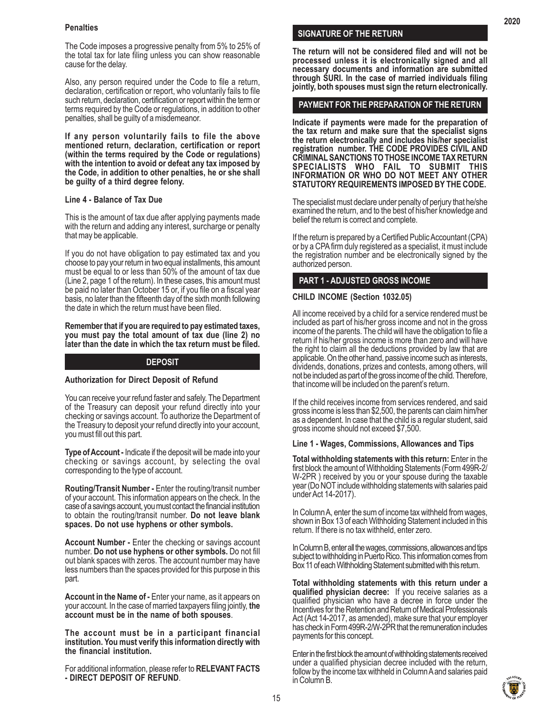# **Penalties**

The Code imposes a progressive penalty from 5% to 25% of the total tax for late filing unless you can show reasonable cause for the delay.

Also, any person required under the Code to file a return, declaration, certification or report, who voluntarily fails to file such return, declaration, certification or report within the term or terms required by the Code or regulations, in addition to other penalties, shall be guilty of a misdemeanor.

**If any person voluntarily fails to file the above mentioned return, declaration, certification or report (within the terms required by the Code or regulations) with the intention to avoid or defeat any tax imposed by the Code, in addition to other penalties, he or she shall be guilty of a third degree felony.**

#### **Line 4 - Balance of Tax Due**

This is the amount of tax due after applying payments made with the return and adding any interest, surcharge or penalty that may be applicable.

If you do not have obligation to pay estimated tax and you choose to pay your return in two equal installments, this amount must be equal to or less than 50% of the amount of tax due (Line 2, page 1 of the return). In these cases, this amount must be paid no later than October 15 or, if you file on a fiscal year basis, no later than the fifteenth day of the sixth month following the date in which the return must have been filed.

**Remember that if you are required to pay estimated taxes, you must pay the total amount of tax due (line 2) no later than the date in which the tax return must be filed.**

#### **DEPOSIT**

#### **Authorization for Direct Deposit of Refund**

You can receive your refund faster and safely. The Department of the Treasury can deposit your refund directly into your checking or savings account. To authorize the Department of the Treasury to deposit your refund directly into your account, you must fill out this part.

**Type of Account -** Indicate if the deposit will be made into your checking or savings account, by selecting the oval corresponding to the type of account.

**Routing/Transit Number -** Enter the routing/transit number of your account. This information appears on the check. In the case of a savings account, you must contact the financial institution to obtain the routing/transit number. **Do not leave blank spaces. Do not use hyphens or other symbols.**

**Account Number -** Enter the checking or savings account number. **Do not use hyphens or other symbols.** Do not fill out blank spaces with zeros. The account number may have less numbers than the spaces provided for this purpose in this part.

**Account in the Name of -** Enter your name, as it appears on your account. In the case of married taxpayers filing jointly, **the account must be in the name of both spouses**.

**The account must be in a participant financial institution. You must verify this information directly with the financial institution.**

For additional information, please refer to **RELEVANT FACTS - DIRECT DEPOSIT OF REFUND**.

#### **SIGNATURE OF THE RETURN**

**The return will not be considered filed and will not be processed unless it is electronically signed and all necessary documents and information are submitted through SURI. In the case of married individuals filing jointly, both spouses must sign the return electronically.**

# **PAYMENT FOR THE PREPARATION OF THE RETURN**

**Indicate if payments were made for the preparation of the tax return and make sure that the specialist signs the return electronically and includes his/her specialist registration number. THE CODE PROVIDES CIVIL AND CRIMINAL SANCTIONS TO THOSE INCOME TAX RETURN SPECIALISTS WHO FAIL TO SUBMIT THIS INFORMATION OR WHO DO NOT MEET ANY OTHER STATUTORY REQUIREMENTS IMPOSED BY THE CODE.**

The specialist must declare under penalty of perjury that he/she examined the return, and to the best of his/her knowledge and belief the return is correct and complete.

If the return is prepared by a Certified Public Accountant (CPA) or by a CPA firm duly registered as a specialist, it must include the registration number and be electronically signed by the authorized person.

# **PART 1 - ADJUSTED GROSS INCOME**

#### **CHILD INCOME (Section 1032.05)**

All income received by a child for a service rendered must be included as part of his/her gross income and not in the gross income of the parents. The child will have the obligation to file a return if his/her gross income is more than zero and will have the right to claim all the deductions provided by law that are applicable. On the other hand, passive income such as interests, dividends, donations, prizes and contests, among others, will not be included as part of the gross income of the child. Therefore, that income will be included on the parent's return.

If the child receives income from services rendered, and said gross income is less than \$2,500, the parents can claim him/her as a dependent. In case that the child is a regular student, said gross income should not exceed \$7,500.

#### **Line 1 - Wages, Commissions, Allowances and Tips**

**Total withholding statements with this return:** Enter in the first block the amount of Withholding Statements (Form 499R-2/ W-2PR ) received by you or your spouse during the taxable year (Do NOT include withholding statements with salaries paid under Act 14-2017).

In Column A, enter the sum of income tax withheld from wages, shown in Box 13 of each Withholding Statement included in this return. If there is no tax withheld, enter zero.

In Column B, enter all the wages, commissions, allowances and tips subject to withholding in Puerto Rico. This information comes from Box 11 of each Withholding Statement submitted with this return.

**Total withholding statements with this return under a qualified physician decree:** If you receive salaries as a qualified physician who have a decree in force under the Incentives for the Retention and Return of Medical Professionals Act (Act 14-2017, as amended), make sure that your employer has check in Form 499R-2/W-2PR that the remuneration includes payments for this concept.

Enter in the first block the amount of withholding statements received under a qualified physician decree included with the return, follow by the income tax withheld in Column A and salaries paid in Column B.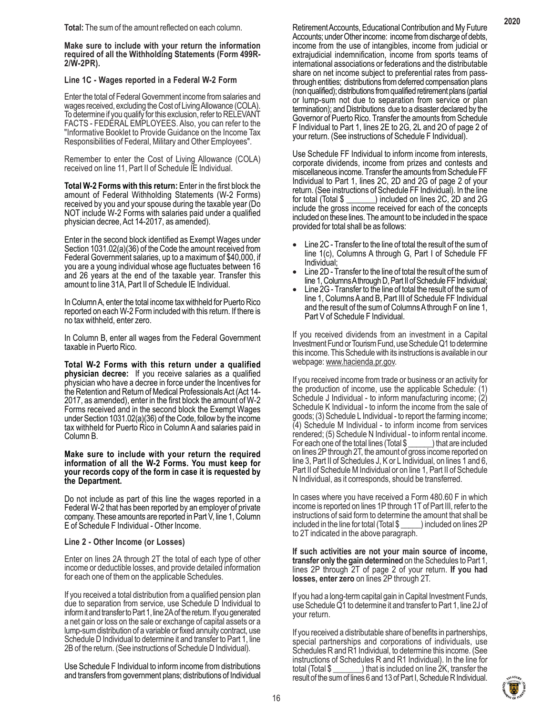**Make sure to include with your return the information required of all the Withholding Statements (Form 499R-2/W-2PR).**

#### **Line 1C - Wages reported in a Federal W-2 Form**

Enter the total of Federal Government income from salaries and wages received, excluding the Cost of Living Allowance (COLA). To determine if you qualify for this exclusion, refer to RELEVANT FACTS - FEDERAL EMPLOYEES. Also, you can refer to the "Informative Booklet to Provide Guidance on the Income Tax Responsibilities of Federal, Military and Other Employees".

Remember to enter the Cost of Living Allowance (COLA) received on line 11, Part II of Schedule IE Individual.

**Total W-2 Forms with this return:** Enter in the first block the amount of Federal Withholding Statements (W-2 Forms) received by you and your spouse during the taxable year (Do NOT include W-2 Forms with salaries paid under a qualified physician decree, Act 14-2017, as amended).

Enter in the second block identified as Exempt Wages under Section 1031.02(a)(36) of the Code the amount received from Federal Government salaries, up to a maximum of \$40,000, if you are a young individual whose age fluctuates between 16 and 26 years at the end of the taxable year. Transfer this amount to line 31A, Part II of Schedule IE Individual.

In Column A, enter the total income tax withheld for Puerto Rico reported on each W-2 Form included with this return. If there is no tax withheld, enter zero.

In Column B, enter all wages from the Federal Government taxable in Puerto Rico.

**Total W-2 Forms with this return under a qualified physician decree:** If you receive salaries as a qualified physician who have a decree in force under the Incentives for the Retention and Return of Medical Professionals Act (Act 14- 2017, as amended), enter in the first block the amount of W-2 Forms received and in the second block the Exempt Wages under Section 1031.02(a)(36) of the Code, follow by the income tax withheld for Puerto Rico in Column A and salaries paid in Column B.

#### **Make sure to include with your return the required information of all the W-2 Forms. You must keep for your records copy of the form in case it is requested by the Department.**

Do not include as part of this line the wages reported in a Federal W-2 that has been reported by an employer of private company. These amounts are reported in Part V, line 1, Column E of Schedule F Individual - Other Income.

# **Line 2 - Other Income (or Losses)**

Enter on lines 2A through 2T the total of each type of other income or deductible losses, and provide detailed information for each one of them on the applicable Schedules.

If you received a total distribution from a qualified pension plan due to separation from service, use Schedule D Individual to inform it and transfer to Part 1, line 2A of the return. If you generated a net gain or loss on the sale or exchange of capital assets or a lump-sum distribution of a variable or fixed annuity contract, use Schedule D Individual to determine it and transfer to Part 1, line 2B of the return. (See instructions of Schedule D Individual).

Use Schedule F Individual to inform income from distributions and transfers from government plans; distributions of Individual Retirement Accounts, Educational Contribution and My Future Accounts; under Other income: income from discharge of debts, income from the use of intangibles, income from judicial or extrajudicial indemnification, income from sports teams of international associations or federations and the distributable share on net income subject to preferential rates from passthrough entities; distributions from deferred compensation plans (non qualified); distributions from qualified retirement plans (partial or lump-sum not due to separation from service or plan termination); and Distributions due to a disaster declared by the Governor of Puerto Rico. Transfer the amounts from Schedule F Individual to Part 1, lines 2E to 2G, 2L and 2O of page 2 of your return. (See instructions of Schedule F Individual).

Use Schedule FF Individual to inform income from interests, corporate dividends, income from prizes and contests and miscellaneous income. Transfer the amounts from Schedule FF Individual to Part 1, lines 2C, 2D and 2G of page 2 of your return. (See instructions of Schedule FF Individual). In the line ) included on lines 2C, 2D and 2G include the gross income received for each of the concepts included on these lines. The amount to be included in the space provided for total shall be as follows:

- Line 2C Transfer to the line of total the result of the sum of line 1(c), Columns A through G, Part I of Schedule FF Individual;
- Line 2D Transfer to the line of total the result of the sum of line 1, Columns A through D, Part II of Schedule FF Individual; • Line 2G - Transfer to the line of total the result of the sum of
- line 1, Columns A and B, Part III of Schedule FF Individual and the result of the sum of Columns A through F on line 1, Part V of Schedule F Individual.

If you received dividends from an investment in a Capital Investment Fund or Tourism Fund, use Schedule Q1 to determine this income. This Schedule with its instructions is available in our webpage: www.hacienda.pr.gov.

If you received income from trade or business or an activity for the production of income, use the applicable Schedule: (1) Schedule J Individual - to inform manufacturing income; (2) Schedule K Individual - to inform the income from the sale of goods; (3) Schedule L Individual - to report the farming income; (4) Schedule M Individual - to inform income from services rendered; (5) Schedule N Individual - to inform rental income.<br>For each one of the total lines (Total \$) that are included For each one of the total lines (Total \$ on lines 2P through 2T, the amount of gross income reported on line 3, Part II of Schedules J, K or L Individual, on lines 1 and 6, Part II of Schedule M Individual or on line 1, Part II of Schedule N Individual, as it corresponds, should be transferred.

In cases where you have received a Form 480.60 F in which income is reported on lines 1P through 1T of Part III, refer to the instructions of said form to determine the amount that shall be included in the line for total (Total \$ \_\_\_\_\_) included on lines 2P to 2T indicated in the above paragraph.

**If such activities are not your main source of income, transfer only the gain determined** on the Schedules to Part 1, lines 2P through 2T of page 2 of your return. **If you had losses, enter zero** on lines 2P through 2T.

If you had a long-term capital gain in Capital Investment Funds, use Schedule Q1 to determine it and transfer to Part 1, line 2J of your return.

If you received a distributable share of benefits in partnerships, special partnerships and corporations of individuals, use Schedules R and R1 Individual, to determine this income. (See instructions of Schedules R and R1 Individual). In the line for total (Total \$ \_\_\_\_\_\_\_) that is included on line 2K, transfer the result of the sum of lines 6 and 13 of Part I, Schedule R Individual.

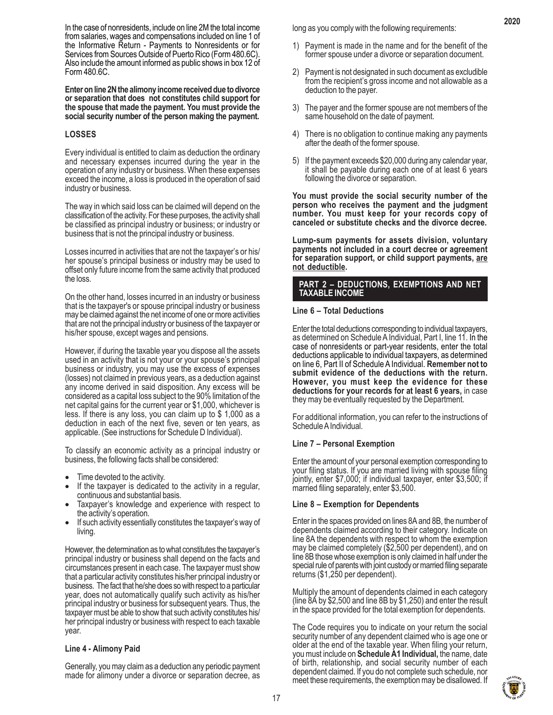In the case of nonresidents, include on line 2M the total income from salaries, wages and compensations included on line 1 of the Informative Return - Payments to Nonresidents or for Services from Sources Outside of Puerto Rico (Form 480.6C). Also include the amount informed as public shows in box 12 of Form 480.6C.

**Enter on line 2N the alimony income received due to divorce or separation that does not constitutes child support for the spouse that made the payment. You must provide the social security number of the person making the payment.**

# **LOSSES**

Every individual is entitled to claim as deduction the ordinary and necessary expenses incurred during the year in the operation of any industry or business. When these expenses exceed the income, a loss is produced in the operation of said industry or business.

The way in which said loss can be claimed will depend on the classification of the activity. For these purposes, the activity shall be classified as principal industry or business; or industry or business that is not the principal industry or business.

Losses incurred in activities that are not the taxpayer's or his/ her spouse's principal business or industry may be used to offset only future income from the same activity that produced the loss.

On the other hand, losses incurred in an industry or business that is the taxpayer's or spouse principal industry or business may be claimed against the net income of one or more activities that are not the principal industry or business of the taxpayer or his/her spouse, except wages and pensions.

However, if during the taxable year you dispose all the assets used in an activity that is not your or your spouse's principal business or industry, you may use the excess of expenses (losses) not claimed in previous years, as a deduction against any income derived in said disposition. Any excess will be considered as a capital loss subject to the 90% limitation of the net capital gains for the current year or \$1,000, whichever is less. If there is any loss, you can claim up to \$ 1,000 as a deduction in each of the next five, seven or ten years, as applicable. (See instructions for Schedule D Individual).

To classify an economic activity as a principal industry or business, the following facts shall be considered:

- Time devoted to the activity.
- If the taxpayer is dedicated to the activity in a regular, continuous and substantial basis.
- Taxpayer's knowledge and experience with respect to
- the activity's operation.<br>If such activity essentially constitutes the taxpayer's way of living.

However, the determination as to what constitutes the taxpayer's principal industry or business shall depend on the facts and circumstances present in each case. The taxpayer must show that a particular activity constitutes his/her principal industry or business. The fact that he/she does so with respect to a particular year, does not automatically qualify such activity as his/her principal industry or business for subsequent years. Thus, the taxpayer must be able to show that such activity constitutes his/ her principal industry or business with respect to each taxable year.

#### **Line 4 - Alimony Paid**

Generally, you may claim as a deduction any periodic payment made for alimony under a divorce or separation decree, as long as you comply with the following requirements:

1) Payment is made in the name and for the benefit of the former spouse under a divorce or separation document.

**2020**

- 2) Payment is not designated in such document as excludible from the recipient's gross income and not allowable as a deduction to the payer.
- 3) The payer and the former spouse are not members of the same household on the date of payment.
- 4) There is no obligation to continue making any payments after the death of the former spouse.
- 5) If the payment exceeds \$20,000 during any calendar year, it shall be payable during each one of at least 6 years following the divorce or separation.

**You must provide the social security number of the person who receives the payment and the judgment number. You must keep for your records copy of canceled or substitute checks and the divorce decree.**

**Lump-sum payments for assets division, voluntary payments not included in a court decree or agreement for separation support, or child support payments, are not deductible.**

#### **PART 2 – DEDUCTIONS, EXEMPTIONS AND NET TAXABLE INCOME**

#### **Line 6 – Total Deductions**

Enter the total deductions corresponding to individual taxpayers, as determined on Schedule A Individual, Part I, line 11. In the case of nonresidents or part-year residents, enter the total deductions applicable to individual taxpayers, as determined on line 6, Part II of Schedule A Individual. **Remember not to submit evidence of the deductions with the return. However, you must keep the evidence for these deductions for your records for at least 6 years,** in case they may be eventually requested by the Department.

For additional information, you can refer to the instructions of Schedule A Individual.

#### **Line 7 – Personal Exemption**

Enter the amount of your personal exemption corresponding to your filing status. If you are married living with spouse filing jointly, enter \$7,000; if individual taxpayer, enter \$3,500; if married filing separately, enter \$3,500.

#### **Line 8 – Exemption for Dependents**

Enter in the spaces provided on lines 8A and 8B, the number of dependents claimed according to their category. Indicate on line 8A the dependents with respect to whom the exemption may be claimed completely (\$2,500 per dependent), and on line 8B those whose exemption is only claimed in half under the special rule of parents with joint custody or married filing separate returns (\$1,250 per dependent).

Multiply the amount of dependents claimed in each category (line 8A by \$2,500 and line 8B by \$1,250) and enter the result in the space provided for the total exemption for dependents.

The Code requires you to indicate on your return the social security number of any dependent claimed who is age one or older at the end of the taxable year. When filing your return, you must include on **Schedule A1 Individual,** the name, date of birth, relationship, and social security number of each dependent claimed. If you do not complete such schedule, nor meet these requirements, the exemption may be disallowed. If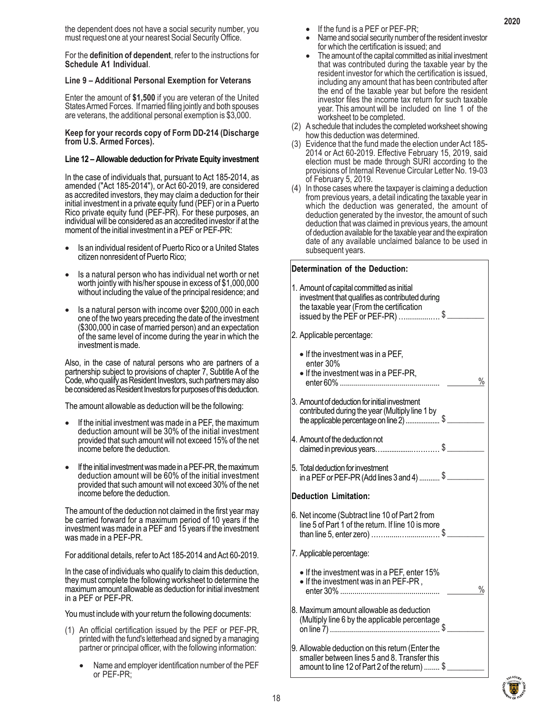the dependent does not have a social security number, you must request one at your nearest Social Security Office.

For the **definition of dependent**, refer to the instructions for **Schedule A1 Individual**.

#### **Line 9 – Additional Personal Exemption for Veterans**

Enter the amount of **\$1,500** if you are veteran of the United States Armed Forces. If married filing jointly and both spouses are veterans, the additional personal exemption is \$3,000.

**Keep for your records copy of Form DD-214 (Discharge from U.S. Armed Forces).**

#### **Line 12 – Allowable deduction for Private Equity investment**

In the case of individuals that, pursuant to Act 185-2014, as amended ("Act 185-2014"), or Act 60-2019, are considered as accredited investors, they may claim a deduction for their initial investment in a private equity fund (PEF) or in a Puerto Rico private equity fund (PEF-PR). For these purposes, an individual will be considered as an accredited investor if at the moment of the initial investment in a PEF or PEF-PR:

- Is an individual resident of Puerto Rico or a United States citizen nonresident of Puerto Rico;
- Is a natural person who has individual net worth or net worth jointly with his/her spouse in excess of \$1,000,000 without including the value of the principal residence; and
- Is a natural person with income over \$200,000 in each one of the two years preceding the date of the investment (\$300,000 in case of married person) and an expectation of the same level of income during the year in which the investment is made.

Also, in the case of natural persons who are partners of a partnership subject to provisions of chapter 7, Subtitle A of the Code, who qualify as Resident Investors, such partners may also be considered as Resident Investors for purposes of this deduction.

The amount allowable as deduction will be the following:

- If the initial investment was made in a PEF, the maximum deduction amount will be 30% of the initial investment provided that such amount will not exceed 15% of the net income before the deduction.
- If the initial investment was made in a PEF-PR, the maximum deduction amount will be 60% of the initial investment provided that such amount will not exceed 30% of the net income before the deduction.

The amount of the deduction not claimed in the first year may be carried forward for a maximum period of 10 years if the investment was made in a PEF and 15 years if the investment was made in a PEF-PR.

For additional details, refer to Act 185-2014 and Act 60-2019.

In the case of individuals who qualify to claim this deduction, they must complete the following worksheet to determine the maximum amount allowable as deduction for initial investment in a PEF or PEF-PR.

You must include with your return the following documents:

- (1) An official certification issued by the PEF or PEF-PR, printed with the fund's letterhead and signed by a managing partner or principal officer, with the following information:
	- Name and employer identification number of the PEF or PEF-PR;
- 
- If the fund is a PEF or PEF-PR; Name and social security number of the resident investor
- for which the certification is issued; and<br>The amount of the capital committed as initial investment that was contributed during the taxable year by the resident investor for which the certification is issued, including any amount that has been contributed after the end of the taxable year but before the resident investor files the income tax return for such taxable year. This amount will be included on line 1 of the worksheet to be completed.
- (2) A schedule that includes the completed worksheet showing how this deduction was determined.
- (3) Evidence that the fund made the election under Act 185- 2014 or Act 60-2019. Effective February 15, 2019, said election must be made through SURI according to the provisions of Internal Revenue Circular Letter No. 19-03 of February 5, 2019.
- (4) In those cases where the taxpayer is claiming a deduction from previous years, a detail indicating the taxable year in which the deduction was generated, the amount of deduction generated by the investor, the amount of such deduction that was claimed in previous years, the amount of deduction available for the taxable year and the expiration date of any available unclaimed balance to be used in subsequent years.

#### **Determination of the Deduction:**

| 1. Amount of capital committed as initial<br>investment that qualifies as contributed during<br>the taxable year (From the certification<br>issued by the PEF or PEF-PR) \$ |      |
|-----------------------------------------------------------------------------------------------------------------------------------------------------------------------------|------|
| 2. Applicable percentage:                                                                                                                                                   |      |
| • If the investment was in a PEF,<br>enter 30%<br>• If the investment was in a PEF-PR,                                                                                      | $\%$ |
| 3. Amount of deduction for initial investment<br>contributed during the year (Multiply line 1 by<br>the applicable percentage on line 2) \$                                 |      |
| 4. Amount of the deduction not<br>claimed in previous years\$                                                                                                               |      |
| 5. Total deduction for investment                                                                                                                                           |      |
| <b>Deduction Limitation:</b>                                                                                                                                                |      |
| 6. Net income (Subtract line 10 of Part 2 from<br>line 5 of Part 1 of the return. If line 10 is more                                                                        |      |
| 7. Applicable percentage:                                                                                                                                                   |      |
| • If the investment was in a PEF, enter 15%<br>• If the investment was in an PEF-PR,                                                                                        | $\%$ |
| 8. Maximum amount allowable as deduction<br>Maximum directiveness<br>(Multiply line 6 by the applicable percentage                                                          |      |
| 9. Allowable deduction on this return (Enter the<br>smaller between lines 5 and 8. Transfer this                                                                            |      |

amount to line 12 of Part 2 of the return) ........ \$ \_\_\_\_\_\_\_\_\_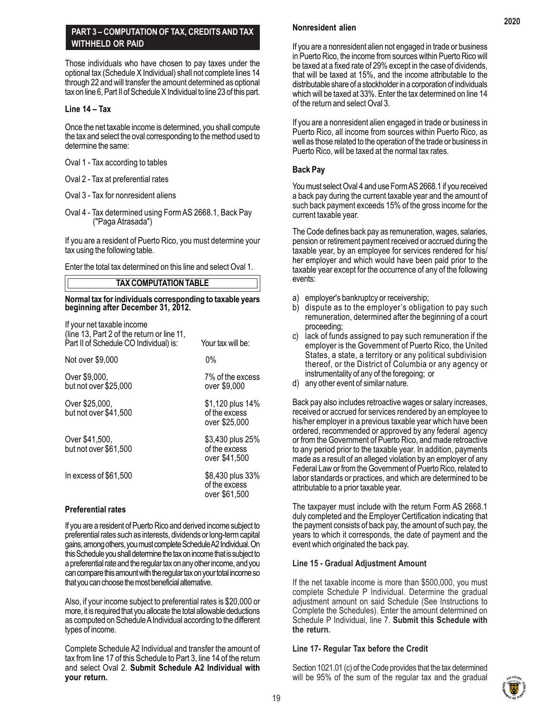# **PART 3 – COMPUTATION OF TAX, CREDITS AND TAX WITHHELD OR PAID**

Those individuals who have chosen to pay taxes under the optional tax (Schedule X Individual) shall not complete lines 14 through 22 and will transfer the amount determined as optional tax on line 6, Part II of Schedule X Individual to line 23 of this part.

# **Line 14 – Tax**

Once the net taxable income is determined, you shall compute the tax and select the oval corresponding to the method used to determine the same:

- Oval 1 Tax according to tables
- Oval 2 Tax at preferential rates
- Oval 3 Tax for nonresident aliens
- Oval 4 Tax determined using Form AS 2668.1, Back Pay ("Paga Atrasada")

If you are a resident of Puerto Rico, you must determine your tax using the following table.

Enter the total tax determined on this line and select Oval 1.

# **TAX COMPUTATION TABLE**

#### **Normal tax for individuals corresponding to taxable years beginning after December 31, 2012.**

| If your net taxable income<br>(line 13, Part 2 of the return or line 11,<br>Part II of Schedule CO Individual) is: | Your tax will be:                                  |
|--------------------------------------------------------------------------------------------------------------------|----------------------------------------------------|
| Not over \$9,000                                                                                                   | $0\%$                                              |
| Over \$9,000,<br>but not over \$25,000                                                                             | 7% of the excess<br>over \$9,000                   |
| Over \$25,000,<br>but not over \$41,500                                                                            | \$1,120 plus 14%<br>of the excess<br>over \$25,000 |
| Over \$41,500,<br>but not over \$61,500                                                                            | \$3,430 plus 25%<br>of the excess<br>over \$41,500 |
| In excess of \$61,500                                                                                              | \$8,430 plus 33%<br>of the excess<br>over \$61,500 |

# **Preferential rates**

If you are a resident of Puerto Rico and derived income subject to preferential rates such as interests, dividends or long-term capital gains, among others, you must complete Schedule A2 Individual. On this Schedule you shall determine the tax on income that is subject to a preferential rate and the regular tax on any other income, and you can compare this amount with the regular tax on your total income so that you can choose the most beneficial alternative.

Also, if your income subject to preferential rates is \$20,000 or more, it is required that you allocate the total allowable deductions as computed on Schedule A Individual according to the different types of income.

Complete Schedule A2 Individual and transfer the amount of tax from line 17 of this Schedule to Part 3, line 14 of the return and select Oval 2. **Submit Schedule A2 Individual with your return.**

# **Nonresident alien**

If you are a nonresident alien not engaged in trade or business in Puerto Rico, the income from sources within Puerto Rico will be taxed at a fixed rate of 29% except in the case of dividends, that will be taxed at 15%, and the income attributable to the distributable share of a stockholder in a corporation of individuals which will be taxed at 33%. Enter the tax determined on line 14 of the return and select Oval 3.

If you are a nonresident alien engaged in trade or business in Puerto Rico, all income from sources within Puerto Rico, as well as those related to the operation of the trade or business in Puerto Rico, will be taxed at the normal tax rates.

# **Back Pay**

You must select Oval 4 and use Form AS 2668.1 if you received a back pay during the current taxable year and the amount of such back payment exceeds 15% of the gross income for the current taxable year.

The Code defines back pay as remuneration, wages, salaries, pension or retirement payment received or accrued during the taxable year, by an employee for services rendered for his/ her employer and which would have been paid prior to the taxable year except for the occurrence of any of the following events:

- a) employer's bankruptcy or receivership;
- b) dispute as to the employer's obligation to pay such remuneration, determined after the beginning of a court proceeding;
- c) lack of funds assigned to pay such remuneration if the employer is the Government of Puerto Rico, the United States, a state, a territory or any political subdivision thereof, or the District of Columbia or any agency or instrumentality of any of the foregoing; or
- d) any other event of similar nature.

Back pay also includes retroactive wages or salary increases, received or accrued for services rendered by an employee to his/her employer in a previous taxable year which have been ordered, recommended or approved by any federal agency or from the Government of Puerto Rico, and made retroactive to any period prior to the taxable year. In addition, payments made as a result of an alleged violation by an employer of any Federal Law or from the Government of Puerto Rico, related to labor standards or practices, and which are determined to be attributable to a prior taxable year.

The taxpayer must include with the return Form AS 2668.1 duly completed and the Employer Certification indicating that the payment consists of back pay, the amount of such pay, the years to which it corresponds, the date of payment and the event which originated the back pay.

# **Line 15 - Gradual Adjustment Amount**

If the net taxable income is more than \$500,000, you must complete Schedule P Individual. Determine the gradual adjustment amount on said Schedule (See Instructions to Complete the Schedules). Enter the amount determined on Schedule P Individual, line 7. **Submit this Schedule with the return.**

# **Line 17- Regular Tax before the Credit**

Section 1021.01 (c) of the Code provides that the tax determined will be 95% of the sum of the regular tax and the gradual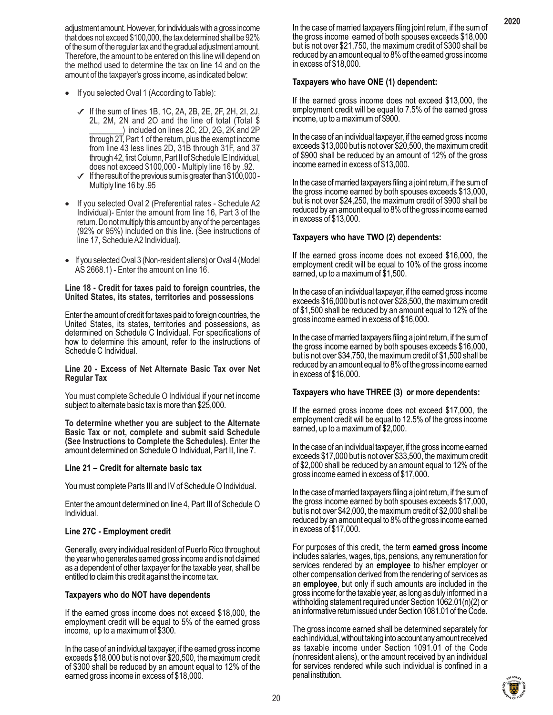adjustment amount. However, for individuals with a gross income that does not exceed \$100,000, the tax determined shall be 92% of the sum of the regular tax and the gradual adjustment amount. Therefore, the amount to be entered on this line will depend on the method used to determine the tax on line 14 and on the amount of the taxpayer's gross income, as indicated below:

- If you selected Oval 1 (According to Table):
	- $\checkmark$  If the sum of lines 1B, 1C, 2A, 2B, 2E, 2F, 2H, 2I, 2J, 2L, 2M, 2N and 2O and the line of total (Total \$ \_\_\_\_\_\_\_\_) included on lines 2C, 2D, 2G, 2K and 2P through 2T, Part 1 of the return, plus the exempt income from line 43 less lines 2D, 31B through 31F, and 37 through 42, first Column, Part II of Schedule IE Individual, does not exceed \$100,000 - Multiply line 16 by .92.
	- $\checkmark$  If the result of the previous sum is greater than \$100,000 -Multiply line 16 by .95
- If you selected Oval 2 (Preferential rates Schedule A2 Individual)- Enter the amount from line 16, Part 3 of the return. Do not multiply this amount by any of the percentages (92% or 95%) included on this line. (See instructions of line 17, Schedule A2 Individual).
- If you selected Oval 3 (Non-resident aliens) or Oval 4 (Model AS 2668.1) - Enter the amount on line 16.

#### **Line 18 - Credit for taxes paid to foreign countries, the United States, its states, territories and possessions**

Enter the amount of credit for taxes paid to foreign countries, the United States, its states, territories and possessions, as determined on Schedule C Individual. For specifications of how to determine this amount, refer to the instructions of Schedule C Individual.

#### **Line 20 - Excess of Net Alternate Basic Tax over Net Regular Tax**

You must complete Schedule O Individual if your net income subject to alternate basic tax is more than \$25,000.

**To determine whether you are subject to the Alternate Basic Tax or not, complete and submit said Schedule (See Instructions to Complete the Schedules).** Enter the amount determined on Schedule O Individual, Part II, line 7.

#### **Line 21 – Credit for alternate basic tax**

You must complete Parts III and IV of Schedule O Individual.

Enter the amount determined on line 4, Part III of Schedule O Individual.

# **Line 27C - Employment credit**

Generally, every individual resident of Puerto Rico throughout the year who generates earned gross income and is not claimed as a dependent of other taxpayer for the taxable year, shall be entitled to claim this credit against the income tax.

#### **Taxpayers who do NOT have dependents**

If the earned gross income does not exceed \$18,000, the employment credit will be equal to 5% of the earned gross income, up to a maximum of \$300.

In the case of an individual taxpayer, if the earned gross income exceeds \$18,000 but is not over \$20,500, the maximum credit of \$300 shall be reduced by an amount equal to 12% of the earned gross income in excess of \$18,000.

In the case of married taxpayers filing joint return, if the sum of the gross income earned of both spouses exceeds \$18,000 but is not over \$21,750, the maximum credit of \$300 shall be reduced by an amount equal to 8% of the earned gross income in excess of \$18,000.

# **Taxpayers who have ONE (1) dependent:**

If the earned gross income does not exceed \$13,000, the employment credit will be equal to 7.5% of the earned gross income, up to a maximum of \$900.

In the case of an individual taxpayer, if the earned gross income exceeds \$13,000 but is not over \$20,500, the maximum credit of \$900 shall be reduced by an amount of 12% of the gross income earned in excess of \$13,000.

In the case of married taxpayers filing a joint return, if the sum of the gross income earned by both spouses exceeds \$13,000, but is not over \$24,250, the maximum credit of \$900 shall be reduced by an amount equal to 8% of the gross income earned in excess of \$13,000.

# **Taxpayers who have TWO (2) dependents:**

If the earned gross income does not exceed \$16,000, the employment credit will be equal to 10% of the gross income earned, up to a maximum of \$1,500.

In the case of an individual taxpayer, if the earned gross income exceeds \$16,000 but is not over \$28,500, the maximum credit of \$1,500 shall be reduced by an amount equal to 12% of the gross income earned in excess of \$16,000.

In the case of married taxpayers filing a joint return, if the sum of the gross income earned by both spouses exceeds \$16,000, but is not over \$34,750, the maximum credit of \$1,500 shall be reduced by an amount equal to 8% of the gross income earned in excess of \$16,000.

#### **Taxpayers who have THREE (3) or more dependents:**

If the earned gross income does not exceed \$17,000, the employment credit will be equal to 12.5% of the gross income earned, up to a maximum of \$2,000.

In the case of an individual taxpayer, if the gross income earned exceeds \$17,000 but is not over \$33,500, the maximum credit of \$2,000 shall be reduced by an amount equal to 12% of the gross income earned in excess of \$17,000.

In the case of married taxpayers filing a joint return, if the sum of the gross income earned by both spouses exceeds \$17,000, but is not over \$42,000, the maximum credit of \$2,000 shall be reduced by an amount equal to 8% of the gross income earned in excess of \$17,000.

For purposes of this credit, the term **earned gross income** includes salaries, wages, tips, pensions, any remuneration for services rendered by an **employee** to his/her employer or other compensation derived from the rendering of services as an **employee**, but only if such amounts are included in the gross income for the taxable year, as long as duly informed in a withholding statement required under Section 1062.01(n)(2) or an informative return issued under Section 1081.01 of the Code.

The gross income earned shall be determined separately for each individual, without taking into account any amount received as taxable income under Section 1091.01 of the Code (nonresident aliens), or the amount received by an individual for services rendered while such individual is confined in a penal institution.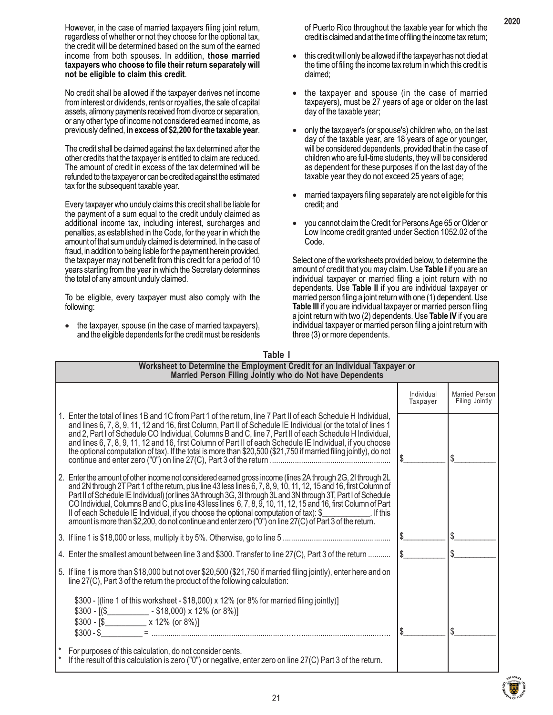However, in the case of married taxpayers filing joint return, regardless of whether or not they choose for the optional tax, the credit will be determined based on the sum of the earned income from both spouses. In addition, **those married taxpayers who choose to file their return separately will not be eligible to claim this credit**.

No credit shall be allowed if the taxpayer derives net income from interest or dividends, rents or royalties, the sale of capital assets, alimony payments received from divorce or separation, or any other type of income not considered earned income, as previously defined, **in excess of \$2,200 for the taxable year**.

The credit shall be claimed against the tax determined after the other credits that the taxpayer is entitled to claim are reduced. The amount of credit in excess of the tax determined will be refunded to the taxpayer or can be credited against the estimated tax for the subsequent taxable year.

Every taxpayer who unduly claims this credit shall be liable for the payment of a sum equal to the credit unduly claimed as additional income tax, including interest, surcharges and penalties, as established in the Code, for the year in which the amount of that sum unduly claimed is determined. In the case of fraud, in addition to being liable for the payment herein provided, the taxpayer may not benefit from this credit for a period of 10 years starting from the year in which the Secretary determines the total of any amount unduly claimed.

To be eligible, every taxpayer must also comply with the following:

• the taxpayer, spouse (in the case of married taxpayers), and the eligible dependents for the credit must be residents of Puerto Rico throughout the taxable year for which the credit is claimed and at the time of filing the income tax return;

- this credit will only be allowed if the taxpayer has not died at the time of filing the income tax return in which this credit is claimed;
- the taxpayer and spouse (in the case of married taxpayers), must be 27 years of age or older on the last day of the taxable year;
- only the taxpayer's (or spouse's) children who, on the last day of the taxable year, are 18 years of age or younger, will be considered dependents, provided that in the case of children who are full-time students, they will be considered as dependent for these purposes if on the last day of the taxable year they do not exceed 25 years of age;
- married taxpayers filing separately are not eligible for this credit; and
- you cannot claim the Credit for Persons Age 65 or Older or Low Income credit granted under Section 1052.02 of the Code.

Select one of the worksheets provided below, to determine the amount of credit that you may claim. Use **Table I** if you are an individual taxpayer or married filing a joint return with no dependents. Use **Table II** if you are individual taxpayer or married person filing a joint return with one (1) dependent. Use **Table III** if you are individual taxpayer or married person filing a joint return with two (2) dependents. Use **Table IV** if you are individual taxpayer or married person filing a joint return with three (3) or more dependents.

| Table I                                                                                                                                                                                                                                                                                                                                                                                                                                                                                                                                                                            |                        |                                  |
|------------------------------------------------------------------------------------------------------------------------------------------------------------------------------------------------------------------------------------------------------------------------------------------------------------------------------------------------------------------------------------------------------------------------------------------------------------------------------------------------------------------------------------------------------------------------------------|------------------------|----------------------------------|
| Worksheet to Determine the Employment Credit for an Individual Taxpayer or<br>Married Person Filing Jointly who do Not have Dependents                                                                                                                                                                                                                                                                                                                                                                                                                                             |                        |                                  |
|                                                                                                                                                                                                                                                                                                                                                                                                                                                                                                                                                                                    | Individual<br>Taxpayer | Married Person<br>Filing Jointly |
| 1. Enter the total of lines 1B and 1C from Part 1 of the return, line 7 Part II of each Schedule H Individual,<br>and lines 6, 7, 8, 9, 11, 12 and 16, first Column, Part II of Schedule IE Individual (or the total of lines 1<br>and 2, Part I of Schedule CO Individual, Columns B and C, line 7, Part II of each Schedule H Individual,<br>and lines 6, 7, 8, 9, 11, 12 and 16, first Column of Part II of each Schedule IE Individual, if you choose<br>the optional computation of tax). If the total is more than \$20,500 (\$21,750 if married filing jointly), do not     |                        | S                                |
| 2. Enter the amount of other income not considered earned gross income (lines 2A through 2G, 2I through 2L<br>and 2N through 2T Part 1 of the return, plus line 43 less lines 6, 7, 8, 9, 10, 11, 12, 15 and 16, first Column of<br>Part II of Schedule IE Individual) (or lines 3A through 3G, 3I through 3L and 3N through 3T, Part I of Schedule<br>CO Individual, Columns B and C, plus line 43 less lines 6, 7, 8, 9, 10, 11, 12, 15 and 16, first Column of Part<br>amount is more than \$2,200, do not continue and enter zero ("0") on line 27(C) of Part 3 of the return. |                        |                                  |
|                                                                                                                                                                                                                                                                                                                                                                                                                                                                                                                                                                                    | \$_                    |                                  |
| 4. Enter the smallest amount between line 3 and \$300. Transfer to line 27(C), Part 3 of the return                                                                                                                                                                                                                                                                                                                                                                                                                                                                                | 1\$                    |                                  |
| 5. If line 1 is more than \$18,000 but not over \$20,500 (\$21,750 if married filing jointly), enter here and on<br>line 27(C), Part 3 of the return the product of the following calculation:                                                                                                                                                                                                                                                                                                                                                                                     |                        |                                  |
| \$300 - [(line 1 of this worksheet - \$18,000) x 12% (or 8% for married filing jointly)]<br>$$300 - [($__________ - $18,000) \times 12\% (or 8\%)]$                                                                                                                                                                                                                                                                                                                                                                                                                                |                        | \$                               |
| For purposes of this calculation, do not consider cents.<br>If the result of this calculation is zero ("0") or negative, enter zero on line 27(C) Part 3 of the return.                                                                                                                                                                                                                                                                                                                                                                                                            |                        |                                  |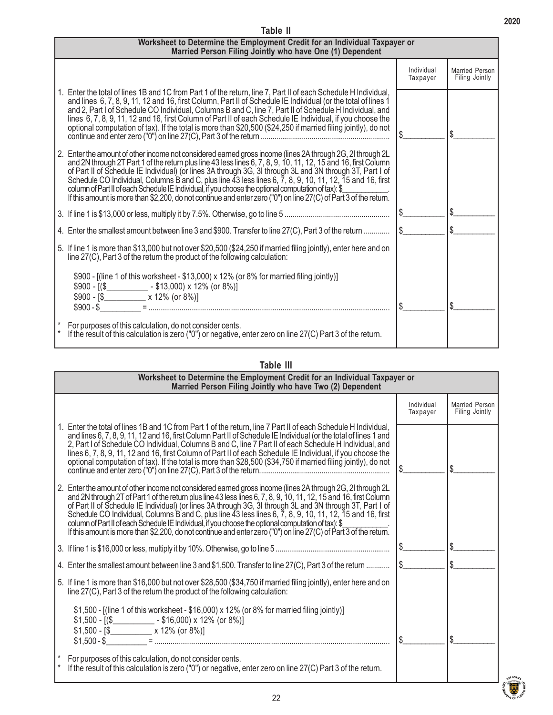#### $\frac{1}{2}$  $\frac{1}{2}$  $\frac{1}{2}$  $\frac{1}{2}$ **Worksheet to Determine the Employment Credit for an Individual Taxpayer or Married Person Filing Jointly who have One (1) Dependent** Married Person Filing Jointly  $\frac{1}{2}$  $\frac{1}{2}$  $\frac{1}{2}$  $\frac{1}{2}$ Individual Taxpayer 1. Enter the total of lines 1B and 1C from Part 1 of the return, line 7, Part II of each Schedule H Individual, and lines 6, 7, 8, 9, 11, 12 and 16, first Column, Part II of Schedule IE Individual (or the total of lines 1 and 2, Part I of Schedule CO Individual, Columns B and C, line 7, Part II of Schedule H Individual, and lines 6, 7, 8, 9, 11, 12 and 16, first Column of Part II of each Schedule IE Individual, if you choose the optional computation of tax). If the total is more than \$20,500 (\$24,250 if married filing jointly), do not continue and enter zero ("0") on line 27(C), Part 3 of the return .................................................................. 2. Enter the amount of other income not considered earned gross income (lines 2A through 2G, 2I through 2L and 2N through 2T Part 1 of the return plus line 43 less lines 6, 7, 8, 9, 10, 11, 12, 15 and 16, first Column of Part II of Schedule IE Individual) (or lines 3A through 3G, 3I through 3L and 3N through 3T, Part I of Schedule CO Individual, Columns B and C, plus line 43 less lines 6, 7, 8, 9, 10, 11, 12, 15 and 16, first column of Part II of each Schedule IE Individual, if you choose the optional computation of tax): \$\_\_\_\_\_\_\_\_\_\_\_\_. If this amount is more than \$2,200, do not continue and enter zero ("0") on line 27(C) of Part 3 of the return. 3. If line 1 is \$13,000 or less, multiply it by 7.5%. Otherwise, go to line 5 .................................................... 4. Enter the smallest amount between line 3 and \$900. Transfer to line 27(C), Part 3 of the return ............ 5. If line 1 is more than \$13,000 but not over \$20,500 (\$24,250 if married filing jointly), enter here and on line 27(C), Part 3 of the return the product of the following calculation: \$900 - [(line 1 of this worksheet - \$13,000) x 12% (or 8% for married filing jointly)]  $$900 - [($  [(\$\_\_\_\_\_\_\_\_\_\_\_\_\_\_\_\_\_\_\_\_\_ - \$13,000) x 12% (or 8%)]  $$900 - [$ \$ $\times 12\%$  (or 8%)] \$900 - \$\_\_\_\_\_\_\_\_\_\_ = ..................................................................................................................... For purposes of this calculation, do not consider cents. If the result of this calculation is zero ("0") or negative, enter zero on line 27(C) Part 3 of the return.

**Table II**

# **Table III**

| Worksheet to Determine the Employment Credit for an Individual Taxpayer or<br>Married Person Filing Jointly who have Two (2) Dependent                                                                                                                                                                                                                                                                                                                                                                                                                                                                                                                                                                           |                        |                                         |
|------------------------------------------------------------------------------------------------------------------------------------------------------------------------------------------------------------------------------------------------------------------------------------------------------------------------------------------------------------------------------------------------------------------------------------------------------------------------------------------------------------------------------------------------------------------------------------------------------------------------------------------------------------------------------------------------------------------|------------------------|-----------------------------------------|
|                                                                                                                                                                                                                                                                                                                                                                                                                                                                                                                                                                                                                                                                                                                  | Individual<br>Taxpayer | <b>Married Person</b><br>Filing Jointly |
| 1. Enter the total of lines 1B and 1C from Part 1 of the return, line 7 Part II of each Schedule H Individual,<br>and lines 6, 7, 8, 9, 11, 12 and 16, first Column Part II of Schedule IE Individual (or the total of lines 1 and<br>2, Part I of Schedule CO Individual, Columns B and C, line 7 Part II of each Schedule H Individual, and<br>lines 6, 7, 8, 9, 11, 12 and 16, first Column of Part II of each Schedule IE Individual, if you choose the<br>optional computation of tax). If the total is more than \$28,500 (\$34,750 if married filing jointly), do not                                                                                                                                     |                        | S                                       |
| 2. Enter the amount of other income not considered earned gross income (lines 2A through 2G, 2I through 2L<br>and 2N through 2T of Part 1 of the return plus line 43 less lines 6, 7, 8, 9, 10, 11, 12, 15 and 16, first Column<br>of Part II of Schedule IE Individual) (or lines 3A through 3G, 3I through 3L and 3N through 3T, Part I of<br>Schedule CO Individual, Columns B and C, plus line $\overline{4}3$ less lines 6, $\overline{7}$ , 8, 9, 10, 11, 12, 15 and 16, first<br>column of Part II of each Schedule IE Individual, if you choose the optional computation of tax): \$<br>If this amount is more than \$2,200, do not continue and enter zero ("0") on line 27(C) of Part 3 of the return. |                        |                                         |
|                                                                                                                                                                                                                                                                                                                                                                                                                                                                                                                                                                                                                                                                                                                  | \$                     |                                         |
| 4. Enter the smallest amount between line 3 and \$1,500. Transfer to line 27(C), Part 3 of the return  [\$                                                                                                                                                                                                                                                                                                                                                                                                                                                                                                                                                                                                       |                        |                                         |
| 5. If line 1 is more than \$16,000 but not over \$28,500 (\$34,750 if married filing jointly), enter here and on<br>line 27(C), Part 3 of the return the product of the following calculation:                                                                                                                                                                                                                                                                                                                                                                                                                                                                                                                   |                        |                                         |
| \$1,500 - [(line 1 of this worksheet - \$16,000) x 12% (or 8% for married filing jointly)]                                                                                                                                                                                                                                                                                                                                                                                                                                                                                                                                                                                                                       |                        |                                         |
| For purposes of this calculation, do not consider cents.<br>If the result of this calculation is zero ("0") or negative, enter zero on line 27(C) Part 3 of the return.                                                                                                                                                                                                                                                                                                                                                                                                                                                                                                                                          |                        |                                         |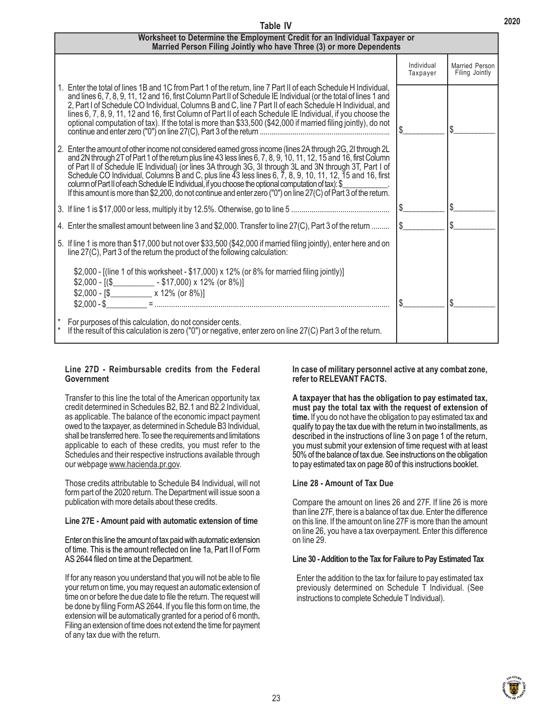| Worksheet to Determine the Employment Credit for an Individual Taxpayer or<br>Married Person Filing Jointly who have Three (3) or more Dependents                                                                                                                                                                                                                                                                                                                                                                                                                                                                                                                                     |                        |                                         |
|---------------------------------------------------------------------------------------------------------------------------------------------------------------------------------------------------------------------------------------------------------------------------------------------------------------------------------------------------------------------------------------------------------------------------------------------------------------------------------------------------------------------------------------------------------------------------------------------------------------------------------------------------------------------------------------|------------------------|-----------------------------------------|
|                                                                                                                                                                                                                                                                                                                                                                                                                                                                                                                                                                                                                                                                                       | Individual<br>Taxpayer | <b>Married Person</b><br>Filing Jointly |
| 1. Enter the total of lines 1B and 1C from Part 1 of the return, line 7 Part II of each Schedule H Individual,<br>and lines 6, 7, 8, 9, 11, 12 and 16, first Column Part II of Schedule IE Individual (or the total of lines 1 and<br>2, Part I of Schedule CO Individual, Columns B and C, line 7 Part II of each Schedule H Individual, and<br>lines 6, 7, 8, 9, 11, 12 and 16, first Column of Part II of each Schedule IE Individual, if you choose the<br>optional computation of tax). If the total is more than \$33,500 (\$42,000 if married filing jointly), do not                                                                                                          |                        | \$.                                     |
| 2. Enter the amount of other income not considered earned gross income (lines 2A through 2G, 2I through 2L<br>and 2N through 2T of Part 1 of the return plus line 43 less lines 6, 7, 8, 9, 10, 11, 12, 15 and 16, first Column<br>of Part II of Schedule IE Individual) (or lines 3A through 3G, 3I through 3L and 3N through 3T, Part I of<br>Schedule CO Individual, Columns B and C, plus line 43 less lines 6, 7, 8, 9, 10, 11, 12, 15 and 16, first<br>column of Part II of each Schedule IE Individual, if you choose the optional computation of tax): \$<br>If this amount is more than \$2,200, do not continue and enter zero ("0") on line 27(C) of Part 3 of the return. |                        |                                         |
|                                                                                                                                                                                                                                                                                                                                                                                                                                                                                                                                                                                                                                                                                       | $\frac{1}{2}$          |                                         |
| 4. Enter the smallest amount between line 3 and \$2,000. Transfer to line 27(C), Part 3 of the return                                                                                                                                                                                                                                                                                                                                                                                                                                                                                                                                                                                 | 1\$                    |                                         |
| 5. If line 1 is more than \$17,000 but not over \$33,500 (\$42,000 if married filing jointly), enter here and on<br>line 27(C), Part 3 of the return the product of the following calculation:                                                                                                                                                                                                                                                                                                                                                                                                                                                                                        |                        |                                         |
| \$2,000 - [(line 1 of this worksheet - \$17,000) x 12% (or 8% for married filing jointly)]                                                                                                                                                                                                                                                                                                                                                                                                                                                                                                                                                                                            |                        |                                         |
| For purposes of this calculation, do not consider cents.<br>If the result of this calculation is zero ("0") or negative, enter zero on line 27(C) Part 3 of the return.                                                                                                                                                                                                                                                                                                                                                                                                                                                                                                               |                        |                                         |

**Table IV**

# **Line 27D - Reimbursable credits from the Federal Government**

Transfer to this line the total of the American opportunity tax credit determined in Schedules B2, B2.1 and B2.2 Individual, as applicable. The balance of the economic impact payment owed to the taxpayer, as determined in Schedule B3 Individual, shall be transferred here. To see the requirements and limitations applicable to each of these credits, you must refer to the Schedules and their respective instructions available through our webpage www.hacienda.pr.gov.

Those credits attributable to Schedule B4 Individual, will not form part of the 2020 return. The Department will issue soon a publication with more details about these credits.

#### **Line 27E - Amount paid with automatic extension of time**

Enter on this line the amount of tax paid with automatic extension of time. This is the amount reflected on line 1a, Part II of Form AS 2644 filed on time at the Department.

If for any reason you understand that you will not be able to file your return on time, you may request an automatic extension of time on or before the due date to file the return. The request will be done by filing Form AS 2644. If you file this form on time, the extension will be automatically granted for a period of 6 month**.** Filing an extension of time does not extend the time for payment of any tax due with the return.

#### **In case of military personnel active at any combat zone, refer to RELEVANT FACTS.**

**A taxpayer that has the obligation to pay estimated tax, must pay the total tax with the request of extension of time.** If you do not have the obligation to pay estimated tax and qualify to pay the tax due with the return in two installments, as described in the instructions of line 3 on page 1 of the return, you must submit your extension of time request with at least 50% of the balance of tax due. See instructions on the obligation to pay estimated tax on page 80 of this instructions booklet.

# **Line 28 - Amount of Tax Due**

Compare the amount on lines 26 and 27F. If line 26 is more than line 27F, there is a balance of tax due. Enter the difference on this line. If the amount on line 27F is more than the amount on line 26, you have a tax overpayment. Enter this difference on line 29.

#### **Line 30 - Addition to the Tax for Failure to Pay Estimated Tax**

Enter the addition to the tax for failure to pay estimated tax previously determined on Schedule T Individual. (See instructions to complete Schedule T Individual).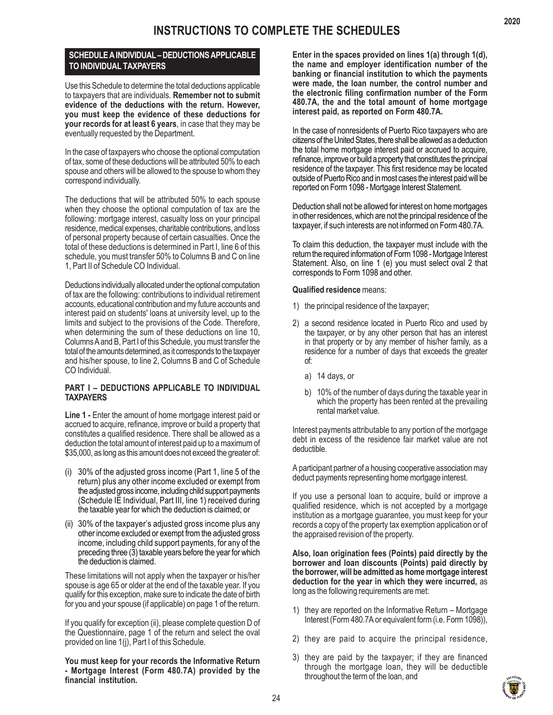# **SCHEDULE A INDIVIDUAL – DEDUCTIONS APPLICABLE TO INDIVIDUAL TAXPAYERS**

Use this Schedule to determine the total deductions applicable to taxpayers that are individuals. **Remember not to submit evidence of the deductions with the return. However, you must keep the evidence of these deductions for your records for at least 6 years**, in case that they may be eventually requested by the Department.

In the case of taxpayers who choose the optional computation of tax, some of these deductions will be attributed 50% to each spouse and others will be allowed to the spouse to whom they correspond individually.

The deductions that will be attributed 50% to each spouse when they choose the optional computation of tax are the following: mortgage interest, casualty loss on your principal residence, medical expenses, charitable contributions, and loss of personal property because of certain casualties. Once the total of these deductions is determined in Part I, line 6 of this schedule, you must transfer 50% to Columns B and C on line 1, Part II of Schedule CO Individual.

Deductions individually allocated under the optional computation of tax are the following: contributions to individual retirement accounts, educational contribution and my future accounts and interest paid on students' loans at university level, up to the limits and subject to the provisions of the Code. Therefore, when determining the sum of these deductions on line 10, Columns A and B, Part I of this Schedule, you must transfer the total of the amounts determined, as it corresponds to the taxpayer and his/her spouse, to line 2, Columns B and C of Schedule CO Individual.

# **PART I – DEDUCTIONS APPLICABLE TO INDIVIDUAL TAXPAYERS**

**Line 1 -** Enter the amount of home mortgage interest paid or accrued to acquire, refinance, improve or build a property that constitutes a qualified residence. There shall be allowed as a deduction the total amount of interest paid up to a maximum of \$35,000, as long as this amount does not exceed the greater of:

- (i) 30% of the adjusted gross income (Part 1, line 5 of the return) plus any other income excluded or exempt from the adjusted gross income, including child support payments (Schedule IE Individual, Part III, line 1) received during the taxable year for which the deduction is claimed; or
- (ii) 30% of the taxpayer's adjusted gross income plus any other income excluded or exempt from the adjusted gross income, including child support payments, for any of the preceding three (3) taxable years before the year for which the deduction is claimed.

These limitations will not apply when the taxpayer or his/her spouse is age 65 or older at the end of the taxable year. If you qualify for this exception, make sure to indicate the date of birth for you and your spouse (if applicable) on page 1 of the return.

If you qualify for exception (ii), please complete question D of the Questionnaire, page 1 of the return and select the oval provided on line 1(j), Part I of this Schedule.

**You must keep for your records the Informative Return - Mortgage Interest (Form 480.7A) provided by the financial institution.**

**Enter in the spaces provided on lines 1(a) through 1(d), the name and employer identification number of the banking or financial institution to which the payments were made, the loan number, the control number and the electronic filing confirmation number of the Form 480.7A, the and the total amount of home mortgage interest paid, as reported on Form 480.7A.**

In the case of nonresidents of Puerto Rico taxpayers who are citizens of the United States, there shall be allowed as a deduction the total home mortgage interest paid or accrued to acquire, refinance, improve or build a property that constitutes the principal residence of the taxpayer. This first residence may be located outside of Puerto Rico and in most cases the interest paid will be reported on Form 1098 - Mortgage Interest Statement.

Deduction shall not be allowed for interest on home mortgages in other residences, which are not the principal residence of the taxpayer, if such interests are not informed on Form 480.7A.

To claim this deduction, the taxpayer must include with the return the required information of Form 1098 - Mortgage Interest Statement. Also, on line 1 (e) you must select oval 2 that corresponds to Form 1098 and other.

# **Qualified residence** means:

- 1) the principal residence of the taxpayer;
- 2) a second residence located in Puerto Rico and used by the taxpayer, or by any other person that has an interest in that property or by any member of his/her family, as a residence for a number of days that exceeds the greater of:
	- a) 14 days, or
	- b) 10% of the number of days during the taxable year in which the property has been rented at the prevailing rental market value.

Interest payments attributable to any portion of the mortgage debt in excess of the residence fair market value are not deductible.

A participant partner of a housing cooperative association may deduct payments representing home mortgage interest.

If you use a personal loan to acquire, build or improve a qualified residence, which is not accepted by a mortgage institution as a mortgage guarantee, you must keep for your records a copy of the property tax exemption application or of the appraised revision of the property.

**Also, loan origination fees (Points) paid directly by the borrower and loan discounts (Points) paid directly by the borrower, will be admitted as home mortgage interest deduction for the year in which they were incurred,** as long as the following requirements are met:

- 1) they are reported on the Informative Return Mortgage Interest (Form 480.7A or equivalent form (i.e. Form 1098)),
- 2) they are paid to acquire the principal residence,
- 3) they are paid by the taxpayer; if they are financed through the mortgage loan, they will be deductible throughout the term of the loan, and



24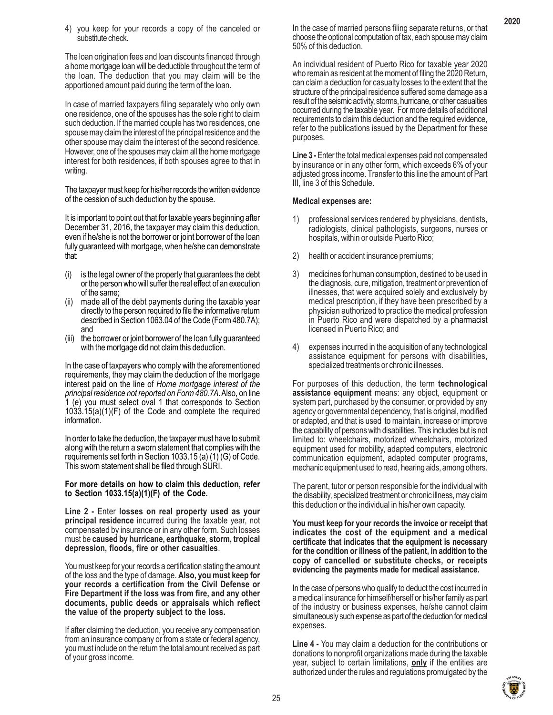4) you keep for your records a copy of the canceled or substitute check.

The loan origination fees and loan discounts financed through a home mortgage loan will be deductible throughout the term of the loan. The deduction that you may claim will be the apportioned amount paid during the term of the loan.

In case of married taxpayers filing separately who only own one residence, one of the spouses has the sole right to claim such deduction. If the married couple has two residences, one spouse may claim the interest of the principal residence and the other spouse may claim the interest of the second residence. However, one of the spouses may claim all the home mortgage interest for both residences, if both spouses agree to that in writing.

The taxpayer must keep for his/her records the written evidence of the cession of such deduction by the spouse.

It is important to point out that for taxable years beginning after December 31, 2016, the taxpayer may claim this deduction, even if he/she is not the borrower or joint borrower of the loan fully guaranteed with mortgage, when he/she can demonstrate that:

- (i) is the legal owner of the property that guarantees the debt or the person who will suffer the real effect of an execution of the same;
- (ii) made all of the debt payments during the taxable year directly to the person required to file the informative return described in Section 1063.04 of the Code (Form 480.7A); and
- (iii) the borrower or joint borrower of the loan fully guaranteed with the mortgage did not claim this deduction.

In the case of taxpayers who comply with the aforementioned requirements, they may claim the deduction of the mortgage interest paid on the line of *Home mortgage interest of the principal residence not reported on Form 480.7A*. Also, on line 1 (e) you must select oval 1 that corresponds to Section 1033.15(a)(1)(F) of the Code and complete the required information.

In order to take the deduction, the taxpayer must have to submit along with the return a sworn statement that complies with the requirements set forth in Section 1033.15 (a) (1) (G) of Code. This sworn statement shall be filed through SURI.

#### **For more details on how to claim this deduction, refer to Section 1033.15(a)(1)(F) of the Code.**

**Line 2 -** Enter **losses on real property used as your principal residence** incurred during the taxable year, not compensated by insurance or in any other form. Such losses must be **caused by hurricane, earthquake**, **storm, tropical depression, floods, fire or other casualties**.

You must keep for your records a certification stating the amount of the loss and the type of damage. **Also, you must keep for your records a certification from the Civil Defense or Fire Department if the loss was from fire, and any other documents, public deeds or appraisals which reflect the value of the property subject to the loss.**

If after claiming the deduction, you receive any compensation from an insurance company or from a state or federal agency, you must include on the return the total amount received as part of your gross income.

In the case of married persons filing separate returns, or that choose the optional computation of tax, each spouse may claim 50% of this deduction.

An individual resident of Puerto Rico for taxable year 2020 who remain as resident at the moment of filing the 2020 Return, can claim a deduction for casualty losses to the extent that the structure of the principal residence suffered some damage as a result of the seismic activity, storms, hurricane, or other casualties occurred during the taxable year. For more details of additional requirements to claim this deduction and the required evidence, refer to the publications issued by the Department for these purposes.

**Line 3 -** Enter the total medical expenses paid not compensated by insurance or in any other form, which exceeds 6% of your adjusted gross income. Transfer to this line the amount of Part III, line 3 of this Schedule.

#### **Medical expenses are:**

- 1) professional services rendered by physicians, dentists, radiologists, clinical pathologists, surgeons, nurses or hospitals, within or outside Puerto Rico;
- 2) health or accident insurance premiums;
- 3) medicines for human consumption, destined to be used in the diagnosis, cure, mitigation, treatment or prevention of illnesses, that were acquired solely and exclusively by medical prescription, if they have been prescribed by a physician authorized to practice the medical profession in Puerto Rico and were dispatched by a pharmacist licensed in Puerto Rico; and
- 4) expenses incurred in the acquisition of any technological assistance equipment for persons with disabilities, specialized treatments or chronic illnesses.

For purposes of this deduction, the term **technological assistance equipment** means: any object, equipment or system part, purchased by the consumer, or provided by any agency or governmental dependency, that is original, modified or adapted, and that is used to maintain, increase or improve the capability of persons with disabilities. This includes but is not limited to: wheelchairs, motorized wheelchairs, motorized equipment used for mobility, adapted computers, electronic communication equipment, adapted computer programs, mechanic equipment used to read, hearing aids, among others.

The parent, tutor or person responsible for the individual with the disability, specialized treatment or chronic illness, may claim this deduction or the individual in his/her own capacity.

**You must keep for your records the invoice or receipt that indicates the cost of the equipment and a medical certificate that indicates that the equipment is necessary for the condition or illness of the patient, in addition to the copy of cancelled or substitute checks, or receipts evidencing the payments made for medical assistance.**

In the case of persons who qualify to deduct the cost incurred in a medical insurance for himself/herself or his/her family as part of the industry or business expenses, he/she cannot claim simultaneously such expense as part of the deduction for medical expenses.

**Line 4 -** You may claim a deduction for the contributions or donations to nonprofit organizations made during the taxable year, subject to certain limitations, **only** if the entities are authorized under the rules and regulations promulgated by the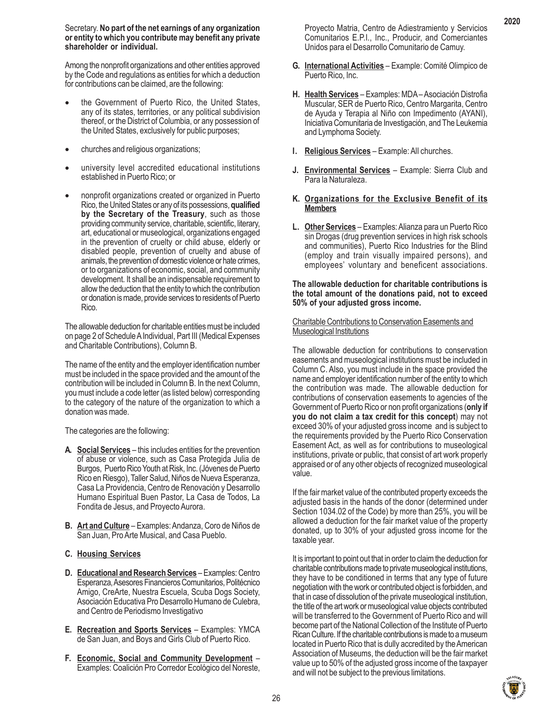Secretary. **No part of the net earnings of any organization or entity to which you contribute may benefit any private shareholder or individual.**

Among the nonprofit organizations and other entities approved by the Code and regulations as entities for which a deduction for contributions can be claimed, are the following:

- the Government of Puerto Rico, the United States, any of its states, territories, or any political subdivision thereof, or the District of Columbia, or any possession of the United States, exclusively for public purposes;
- churches and religious organizations;
- university level accredited educational institutions established in Puerto Rico; or
- nonprofit organizations created or organized in Puerto Rico, the United States or any of its possessions, **qualified by the Secretary of the Treasury**, such as those providing community service, charitable, scientific, literary, art, educational or museological, organizations engaged in the prevention of cruelty or child abuse, elderly or disabled people, prevention of cruelty and abuse of animals, the prevention of domestic violence or hate crimes, or to organizations of economic, social, and community development. It shall be an indispensable requirement to allow the deduction that the entity to which the contribution or donation is made, provide services to residents of Puerto Rico.

The allowable deduction for charitable entities must be included on page 2 of Schedule A Individual, Part III (Medical Expenses and Charitable Contributions), Column B.

The name of the entity and the employer identification number must be included in the space provided and the amount of the contribution will be included in Column B. In the next Column, you must include a code letter (as listed below) corresponding to the category of the nature of the organization to which a donation was made.

The categories are the following:

- **A. Social Services** this includes entities for the prevention of abuse or violence, such as Casa Protegida Julia de Burgos, Puerto Rico Youth at Risk, Inc. (Jóvenes de Puerto Rico en Riesgo), Taller Salud, Niños de Nueva Esperanza, Casa La Providencia, Centro de Renovación y Desarrollo Humano Espiritual Buen Pastor, La Casa de Todos, La Fondita de Jesus, and Proyecto Aurora.
- **B. Art and Culture** Examples: Andanza, Coro de Niños de San Juan, Pro Arte Musical, and Casa Pueblo.
- **C. Housing Services**
- **D. Educational and Research Services** Examples: Centro Esperanza, Asesores Financieros Comunitarios, Politécnico Amigo, CreArte, Nuestra Escuela, Scuba Dogs Society, Asociación Educativa Pro Desarrollo Humano de Culebra, and Centro de Periodismo Investigativo
- **E. Recreation and Sports Services** Examples: YMCA de San Juan, and Boys and Girls Club of Puerto Rico.
- **F. Economic, Social and Community Development** Examples: Coalición Pro Corredor Ecológico del Noreste,

Proyecto Matria, Centro de Adiestramiento y Servicios Comunitarios E.P.I., Inc., Producir, and Comerciantes Unidos para el Desarrollo Comunitario de Camuy.

- **G. International Activities** Example: Comité Olimpico de Puerto Rico, Inc.
- **H. Health Services** Examples: MDA Asociación Distrofia Muscular, SER de Puerto Rico, Centro Margarita, Centro de Ayuda y Terapia al Niño con Impedimento (AYANI), Iniciativa Comunitaria de Investigación, and The Leukemia and Lymphoma Society.
- **I. Religious Services** Example: All churches.
- **J. Environmental Services** Example: Sierra Club and Para la Naturaleza.
- **K. Organizations for the Exclusive Benefit of its Members**
- **L. Other Services** Examples: Alianza para un Puerto Rico sin Drogas (drug prevention services in high risk schools and communities), Puerto Rico Industries for the Blind (employ and train visually impaired persons), and employees' voluntary and beneficent associations.

#### **The allowable deduction for charitable contributions is the total amount of the donations paid, not to exceed 50% of your adjusted gross income.**

#### Charitable Contributions to Conservation Easements and **Museological Institutions**

The allowable deduction for contributions to conservation easements and museological institutions must be included in Column C. Also, you must include in the space provided the name and employer identification number of the entity to which the contribution was made. The allowable deduction for contributions of conservation easements to agencies of the Government of Puerto Rico or non profit organizations (**only if you do not claim a tax credit for this concept**) may not exceed 30% of your adjusted gross income and is subject to the requirements provided by the Puerto Rico Conservation Easement Act, as well as for contributions to museological institutions, private or public, that consist of art work properly appraised or of any other objects of recognized museological value.

If the fair market value of the contributed property exceeds the adjusted basis in the hands of the donor (determined under Section 1034.02 of the Code) by more than 25%, you will be allowed a deduction for the fair market value of the property donated, up to 30% of your adjusted gross income for the taxable year.

It is important to point out that in order to claim the deduction for charitable contributions made to private museological institutions, they have to be conditioned in terms that any type of future negotiation with the work or contributed object is forbidden, and that in case of dissolution of the private museological institution, the title of the art work or museological value objects contributed will be transferred to the Government of Puerto Rico and will become part of the National Collection of the Institute of Puerto Rican Culture. If the charitable contributions is made to a museum located in Puerto Rico that is dully accredited by the American Association of Museums, the deduction will be the fair market value up to 50% of the adjusted gross income of the taxpayer and will not be subject to the previous limitations.

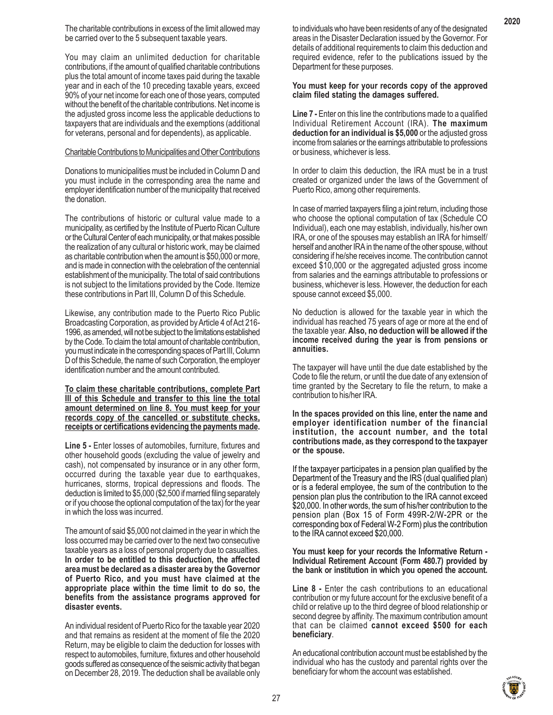The charitable contributions in excess of the limit allowed may be carried over to the 5 subsequent taxable years.

You may claim an unlimited deduction for charitable contributions, if the amount of qualified charitable contributions plus the total amount of income taxes paid during the taxable year and in each of the 10 preceding taxable years, exceed 90% of your net income for each one of those years, computed without the benefit of the charitable contributions. Net income is the adjusted gross income less the applicable deductions to taxpayers that are individuals and the exemptions (additional for veterans, personal and for dependents), as applicable.

#### Charitable Contributions to Municipalities and Other Contributions

Donations to municipalities must be included in Column D and you must include in the corresponding area the name and employer identification number of the municipality that received the donation.

The contributions of historic or cultural value made to a municipality, as certified by the Institute of Puerto Rican Culture or the Cultural Center of each municipality, or that makes possible the realization of any cultural or historic work, may be claimed as charitable contribution when the amount is \$50,000 or more, and is made in connection with the celebration of the centennial establishment of the municipality. The total of said contributions is not subject to the limitations provided by the Code. Itemize these contributions in Part III, Column D of this Schedule.

Likewise, any contribution made to the Puerto Rico Public Broadcasting Corporation, as provided by Article 4 of Act 216- 1996, as amended, will not be subject to the limitations established by the Code. To claim the total amount of charitable contribution, you must indicate in the corresponding spaces of Part III, Column D of this Schedule, the name of such Corporation, the employer identification number and the amount contributed.

**To claim these charitable contributions, complete Part III of this Schedule and transfer to this line the total amount determined on line 8. You must keep for your records copy of the cancelled or substitute checks, receipts or certifications evidencing the payments made.**

**Line 5 -** Enter losses of automobiles, furniture, fixtures and other household goods (excluding the value of jewelry and cash), not compensated by insurance or in any other form, occurred during the taxable year due to earthquakes, hurricanes, storms, tropical depressions and floods. The deduction is limited to \$5,000 (\$2,500 if married filing separately or if you choose the optional computation of the tax) for the year in which the loss was incurred.

The amount of said \$5,000 not claimed in the year in which the loss occurred may be carried over to the next two consecutive taxable years as a loss of personal property due to casualties. **In order to be entitled to this deduction, the affected area must be declared as a disaster area by the Governor of Puerto Rico, and you must have claimed at the appropriate place within the time limit to do so, the benefits from the assistance programs approved for disaster events.**

An individual resident of Puerto Rico for the taxable year 2020 and that remains as resident at the moment of file the 2020 Return, may be eligible to claim the deduction for losses with respect to automobiles, furniture, fixtures and other household goods suffered as consequence of the seismic activity that began on December 28, 2019. The deduction shall be available only to individuals who have been residents of any of the designated areas in the Disaster Declaration issued by the Governor. For details of additional requirements to claim this deduction and required evidence, refer to the publications issued by the Department for these purposes.

#### **You must keep for your records copy of the approved claim filed stating the damages suffered.**

**Line 7 -** Enter on this line the contributions made to a qualified Individual Retirement Account (IRA). **The maximum deduction for an individual is \$5,000** or the adjusted gross income from salaries or the earnings attributable to professions or business, whichever is less.

In order to claim this deduction, the IRA must be in a trust created or organized under the laws of the Government of Puerto Rico, among other requirements.

In case of married taxpayers filing a joint return, including those who choose the optional computation of tax (Schedule CO Individual), each one may establish, individually, his/her own IRA, or one of the spouses may establish an IRA for himself/ herself and another IRA in the name of the other spouse, without considering if he/she receives income. The contribution cannot exceed \$10,000 or the aggregated adjusted gross income from salaries and the earnings attributable to professions or business, whichever is less. However, the deduction for each spouse cannot exceed \$5,000.

No deduction is allowed for the taxable year in which the individual has reached 75 years of age or more at the end of the taxable year. **Also, no deduction will be allowed if the income received during the year is from pensions or annuities.**

The taxpayer will have until the due date established by the Code to file the return, or until the due date of any extension of time granted by the Secretary to file the return, to make a contribution to his/her IRA.

**In the spaces provided on this line, enter the name and employer identification number of the financial institution, the account number, and the total contributions made, as they correspond to the taxpayer or the spouse.**

If the taxpayer participates in a pension plan qualified by the Department of the Treasury and the IRS (dual qualified plan) or is a federal employee, the sum of the contribution to the pension plan plus the contribution to the IRA cannot exceed \$20,000. In other words, the sum of his/her contribution to the pension plan (Box 15 of Form 499R-2/W-2PR or the corresponding box of Federal W-2 Form) plus the contribution to the IRA cannot exceed \$20,000.

#### **You must keep for your records the Informative Return - Individual Retirement Account (Form 480.7) provided by the bank or institution in which you opened the account.**

**Line 8 -** Enter the cash contributions to an educational contribution or my future account for the exclusive benefit of a child or relative up to the third degree of blood relationship or second degree by affinity. The maximum contribution amount that can be claimed **cannot exceed \$500 for each beneficiary**.

An educational contribution account must be established by the individual who has the custody and parental rights over the beneficiary for whom the account was established.

27

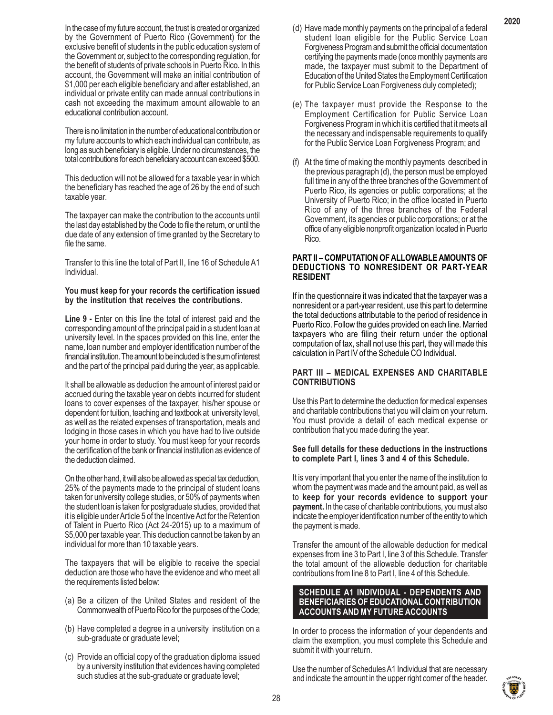In the case of my future account, the trust is created or organized by the Government of Puerto Rico (Government) for the exclusive benefit of students in the public education system of the Government or, subject to the corresponding regulation, for the benefit of students of private schools in Puerto Rico. In this account, the Government will make an initial contribution of \$1,000 per each eligible beneficiary and after established, an individual or private entity can made annual contributions in cash not exceeding the maximum amount allowable to an educational contribution account.

There is no limitation in the number of educational contribution or my future accounts to which each individual can contribute, as long as such beneficiary is eligible. Under no circumstances, the total contributions for each beneficiary account can exceed \$500.

This deduction will not be allowed for a taxable year in which the beneficiary has reached the age of 26 by the end of such taxable year.

The taxpayer can make the contribution to the accounts until the last day established by the Code to file the return, or until the due date of any extension of time granted by the Secretary to file the same.

Transfer to this line the total of Part II, line 16 of Schedule A1 Individual.

#### **You must keep for your records the certification issued by the institution that receives the contributions.**

**Line 9 -** Enter on this line the total of interest paid and the corresponding amount of the principal paid in a student loan at university level. In the spaces provided on this line, enter the name, loan number and employer identification number of the financial institution. The amount to be included is the sum of interest and the part of the principal paid during the year, as applicable.

It shall be allowable as deduction the amount of interest paid or accrued during the taxable year on debts incurred for student loans to cover expenses of the taxpayer, his/her spouse or dependent for tuition, teaching and textbook at university level, as well as the related expenses of transportation, meals and lodging in those cases in which you have had to live outside your home in order to study. You must keep for your records the certification of the bank or financial institution as evidence of the deduction claimed.

On the other hand, it will also be allowed as special tax deduction, 25% of the payments made to the principal of student loans taken for university college studies, or 50% of payments when the student loan is taken for postgraduate studies, provided that it is eligible under Article 5 of the Incentive Act for the Retention of Talent in Puerto Rico (Act 24-2015) up to a maximum of \$5,000 per taxable year. This deduction cannot be taken by an individual for more than 10 taxable years.

The taxpayers that will be eligible to receive the special deduction are those who have the evidence and who meet all the requirements listed below:

- (a) Be a citizen of the United States and resident of the Commonwealth of Puerto Rico for the purposes of the Code;
- (b) Have completed a degree in a university institution on a sub-graduate or graduate level;
- (c) Provide an official copy of the graduation diploma issued by a university institution that evidences having completed such studies at the sub-graduate or graduate level;
- (d) Have made monthly payments on the principal of a federal student loan eligible for the Public Service Loan Forgiveness Program and submit the official documentation certifying the payments made (once monthly payments are made, the taxpayer must submit to the Department of Education of the United States the Employment Certification for Public Service Loan Forgiveness duly completed);
- (e) The taxpayer must provide the Response to the Employment Certification for Public Service Loan Forgiveness Program in which it is certified that it meets all the necessary and indispensable requirements to qualify for the Public Service Loan Forgiveness Program; and
- (f) At the time of making the monthly payments described in the previous paragraph (d), the person must be employed full time in any of the three branches of the Government of Puerto Rico, its agencies or public corporations; at the University of Puerto Rico; in the office located in Puerto Rico of any of the three branches of the Federal Government, its agencies or public corporations; or at the office of any eligible nonprofit organization located in Puerto Rico.

#### **PART II – COMPUTATION OF ALLOWABLE AMOUNTS OF DEDUCTIONS TO NONRESIDENT OR PART-YEAR RESIDENT**

If in the questionnaire it was indicated that the taxpayer was a nonresident or a part-year resident, use this part to determine the total deductions attributable to the period of residence in Puerto Rico. Follow the guides provided on each line. Married taxpayers who are filing their return under the optional computation of tax, shall not use this part, they will made this calculation in Part IV of the Schedule CO Individual.

# **PART III – MEDICAL EXPENSES AND CHARITABLE CONTRIBUTIONS**

Use this Part to determine the deduction for medical expenses and charitable contributions that you will claim on your return. You must provide a detail of each medical expense or contribution that you made during the year.

#### **See full details for these deductions in the instructions to complete Part I, lines 3 and 4 of this Schedule.**

It is very important that you enter the name of the institution to whom the payment was made and the amount paid, as well as to **keep for your records evidence to support your payment.** In the case of charitable contributions, you must also indicate the employer identification number of the entity to which the payment is made.

Transfer the amount of the allowable deduction for medical expenses from line 3 to Part I, line 3 of this Schedule. Transfer the total amount of the allowable deduction for charitable contributions from line 8 to Part I, line 4 of this Schedule.

#### **SCHEDULE A1 INDIVIDUAL - DEPENDENTS AND BENEFICIARIES OF EDUCATIONAL CONTRIBUTION ACCOUNTS AND MY FUTURE ACCOUNTS**

In order to process the information of your dependents and claim the exemption, you must complete this Schedule and submit it with your return.

Use the number of Schedules A1 Individual that are necessary and indicate the amount in the upper right corner of the header.

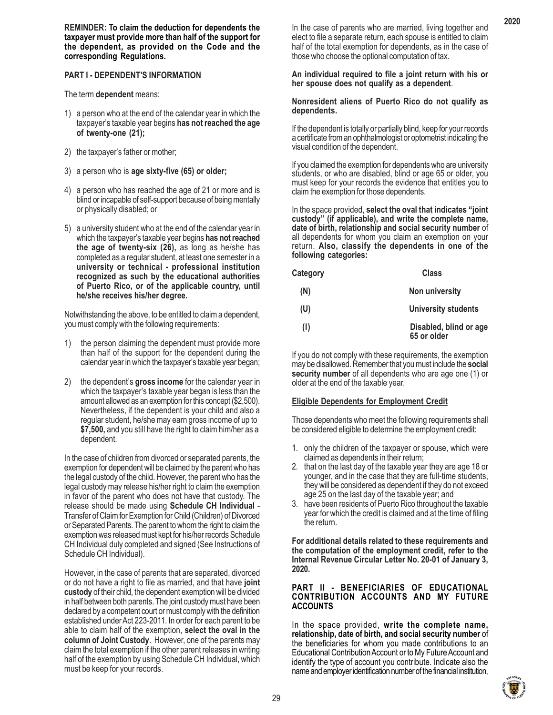**REMINDER: To claim the deduction for dependents the taxpayer must provide more than half of the support for the dependent, as provided on the Code and the corresponding Regulations.**

# **PART I - DEPENDENT'S INFORMATION**

The term **dependent** means:

- 1) a person who at the end of the calendar year in which the taxpayer's taxable year begins **has not reached the age of twenty-one (21);**
- 2) the taxpayer's father or mother;
- 3) a person who is **age sixty-five (65) or older;**
- 4) a person who has reached the age of 21 or more and is blind or incapable of self-support because of being mentally or physically disabled; or
- 5) a university student who at the end of the calendar year in which the taxpayer's taxable year begins **has not reached the age of twenty-six (26),** as long as he/she has completed as a regular student, at least one semester in a **university or technical - professional institution recognized as such by the educational authorities of Puerto Rico, or of the applicable country, until he/she receives his/her degree.**

Notwithstanding the above, to be entitled to claim a dependent, you must comply with the following requirements:

- 1) the person claiming the dependent must provide more than half of the support for the dependent during the calendar year in which the taxpayer's taxable year began;
- 2) the dependent's **gross income** for the calendar year in which the taxpayer's taxable year began is less than the amount allowed as an exemption for this concept (\$2,500). Nevertheless, if the dependent is your child and also a regular student, he/she may earn gross income of up to **\$7,500,** and you still have the right to claim him/her as a dependent.

In the case of children from divorced or separated parents, the exemption for dependent will be claimed by the parent who has the legal custody of the child. However, the parent who has the legal custody may release his/her right to claim the exemption in favor of the parent who does not have that custody. The release should be made using **Schedule CH Individual** - Transfer of Claim for Exemption for Child (Children) of Divorced or Separated Parents. The parent to whom the right to claim the exemption was released must kept for his/her records Schedule CH Individual duly completed and signed (See Instructions of Schedule CH Individual).

However, in the case of parents that are separated, divorced or do not have a right to file as married, and that have **joint custody** of their child, the dependent exemption will be divided in half between both parents. The joint custody must have been declared by a competent court or must comply with the definition established under Act 223-2011. In order for each parent to be able to claim half of the exemption, **select the oval in the column of Joint Custody**. However, one of the parents may claim the total exemption if the other parent releases in writing half of the exemption by using Schedule CH Individual, which must be keep for your records.

In the case of parents who are married, living together and elect to file a separate return, each spouse is entitled to claim half of the total exemption for dependents, as in the case of those who choose the optional computation of tax.

**An individual required to file a joint return with his or her spouse does not qualify as a dependent**.

**Nonresident aliens of Puerto Rico do not qualify as dependents.**

If the dependent is totally or partially blind, keep for your records a certificate from an ophthalmologist or optometrist indicating the visual condition of the dependent.

If you claimed the exemption for dependents who are university students, or who are disabled, blind or age 65 or older, you must keep for your records the evidence that entitles you to claim the exemption for those dependents.

In the space provided, **select the oval that indicates "joint custody" (if applicable), and write the complete name, date of birth, relationship and social security number** of all dependents for whom you claim an exemption on your return. **Also, classify the dependents in one of the following categories:**

| <b>Category</b> | Class                                 |
|-----------------|---------------------------------------|
| (N)             | Non university                        |
| (U)             | University students                   |
| (1)             | Disabled, blind or age<br>65 or older |

If you do not comply with these requirements, the exemption may be disallowed. Remember that you must include the **social security number** of all dependents who are age one (1) or older at the end of the taxable year.

# **Eligible Dependents for Employment Credit**

Those dependents who meet the following requirements shall be considered eligible to determine the employment credit:

- 1. only the children of the taxpayer or spouse, which were claimed as dependents in their return;
- 2. that on the last day of the taxable year they are age 18 or younger, and in the case that they are full-time students, they will be considered as dependent if they do not exceed age 25 on the last day of the taxable year; and
- 3. have been residents of Puerto Rico throughout the taxable year for which the credit is claimed and at the time of filing the return.

**For additional details related to these requirements and the computation of the employment credit, refer to the Internal Revenue Circular Letter No. 20-01 of January 3, 2020.**

#### **PART II - BENEFICIARIES OF EDUCATIONAL CONTRIBUTION ACCOUNTS AND MY FUTURE ACCOUNTS**

In the space provided, **write the complete name, relationship, date of birth, and social security number** of the beneficiaries for whom you made contributions to an Educational Contribution Account or to My Future Account and identify the type of account you contribute. Indicate also the name and employer identification number of the financial institution,

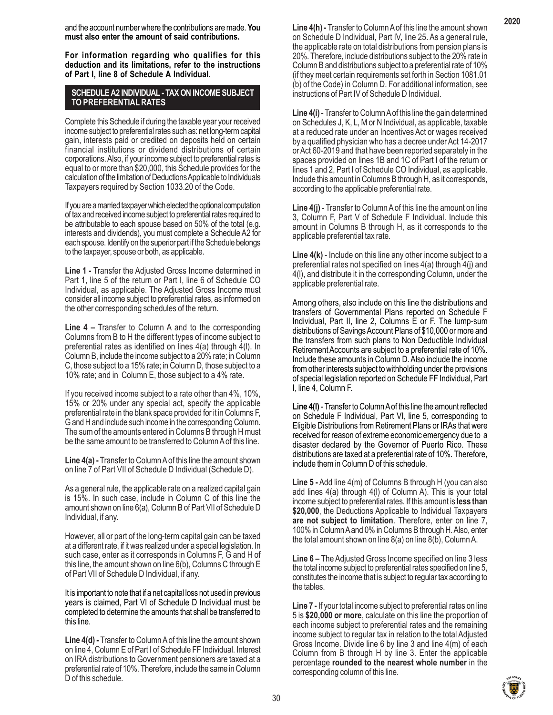and the account number where the contributions are made. **You must also enter the amount of said contributions.**

**For information regarding who qualifies for this deduction and its limitations, refer to the instructions of Part I, line 8 of Schedule A Individual**.

#### **SCHEDULE A2 INDIVIDUAL - TAX ON INCOME SUBJECT TO PREFERENTIAL RATES**

Complete this Schedule if during the taxable year your received income subject to preferential rates such as: net long-term capital gain, interests paid or credited on deposits held on certain financial institutions or dividend distributions of certain corporations. Also, if your income subject to preferential rates is equal to or more than \$20,000, this Schedule provides for the calculation of the limitation of Deductions Applicable to Individuals Taxpayers required by Section 1033.20 of the Code.

If you are a married taxpayer which elected the optional computation of tax and received income subject to preferential rates required to be attributable to each spouse based on 50% of the total (e.g. interests and dividends), you must complete a Schedule A2 for each spouse. Identify on the superior part if the Schedule belongs to the taxpayer, spouse or both, as applicable.

**Line 1 -** Transfer the Adjusted Gross Income determined in Part 1, line 5 of the return or Part I, line 6 of Schedule CO Individual, as applicable. The Adjusted Gross Income must consider all income subject to preferential rates, as informed on the other corresponding schedules of the return.

**Line 4 –** Transfer to Column A and to the corresponding Columns from B to H the different types of income subject to preferential rates as identified on lines  $4(a)$  through  $4(1)$ . In Column B, include the income subject to a 20% rate; in Column C, those subject to a 15% rate; in Column D, those subject to a 10% rate; and in Column E, those subject to a 4% rate.

If you received income subject to a rate other than 4%, 10%, 15% or 20% under any special act, specify the applicable preferential rate in the blank space provided for it in Columns F, G and H and include such income in the corresponding Column. The sum of the amounts entered in Columns B through H must be the same amount to be transferred to Column A of this line.

**Line 4(a) -** Transfer to Column A of this line the amount shown on line 7 of Part VII of Schedule D Individual (Schedule D).

As a general rule, the applicable rate on a realized capital gain is 15%. In such case, include in Column C of this line the amount shown on line 6(a), Column B of Part VII of Schedule D Individual, if any.

However, all or part of the long-term capital gain can be taxed at a different rate, if it was realized under a special legislation. In such case, enter as it corresponds in Columns F, G and H of this line, the amount shown on line 6(b), Columns C through E of Part VII of Schedule D Individual, if any.

It is important to note that if a net capital loss not used in previous years is claimed, Part VI of Schedule D Individual must be completed to determine the amounts that shall be transferred to this line.

**Line 4(d) -** Transfer to Column A of this line the amount shown on line 4, Column E of Part I of Schedule FF Individual. Interest on IRA distributions to Government pensioners are taxed at a preferential rate of 10%. Therefore, include the same in Column D of this schedule.

**Line 4(h) -** Transfer to Column A of this line the amount shown on Schedule D Individual, Part IV, line 25. As a general rule, the applicable rate on total distributions from pension plans is 20%. Therefore, include distributions subject to the 20% rate in Column B and distributions subject to a preferential rate of 10% (if they meet certain requirements set forth in Section 1081.01 (b) of the Code) in Column D. For additional information, see instructions of Part IV of Schedule D Individual.

**Line 4(i)** - Transfer to Column A of this line the gain determined on Schedules J, K, L, M or N Individual, as applicable, taxable at a reduced rate under an Incentives Act or wages received by a qualified physician who has a decree under Act 14-2017 or Act 60-2019 and that have been reported separately in the spaces provided on lines 1B and 1C of Part I of the return or lines 1 and 2, Part I of Schedule CO Individual, as applicable. Include this amount in Columns B through H, as it corresponds, according to the applicable preferential rate.

**Line 4(j)** - Transfer to Column A of this line the amount on line 3, Column F, Part V of Schedule F Individual. Include this amount in Columns B through H, as it corresponds to the applicable preferential tax rate.

**Line 4(k)** - Include on this line any other income subject to a preferential rates not specified on lines 4(a) through 4(j) and 4(l), and distribute it in the corresponding Column, under the applicable preferential rate.

Among others, also include on this line the distributions and transfers of Governmental Plans reported on Schedule F Individual, Part II, line 2, Columns E or F. The lump-sum distributions of Savings Account Plans of \$10,000 or more and the transfers from such plans to Non Deductible Individual Retirement Accounts are subject to a preferential rate of 10%. Include these amounts in Column D. Also include the income from other interests subject to withholding under the provisions of special legislation reported on Schedule FF Individual, Part I, line 4, Column F.

**Line 4(l)** - Transfer to Column A of this line the amount reflected on Schedule F Individual, Part VI, line 5, corresponding to Eligible Distributions from Retirement Plans or IRAs that were received for reason of extreme economic emergency due to a disaster declared by the Governor of Puerto Rico. These distributions are taxed at a preferential rate of 10%. Therefore, include them in Column D of this schedule.

**Line 5 -** Add line 4(m) of Columns B through H (you can also add lines 4(a) through 4(l) of Column A). This is your total income subject to preferential rates. If this amount is **less than \$20,000**, the Deductions Applicable to Individual Taxpayers **are not subject to limitation**. Therefore, enter on line 7, 100% in Column A and 0% in Columns B through H. Also, enter the total amount shown on line  $8(a)$  on line  $8(b)$ , Column A.

**Line 6 –** The Adjusted Gross Income specified on line 3 less the total income subject to preferential rates specified on line 5, constitutes the income that is subject to regular tax according to the tables.

**Line 7 -** If your total income subject to preferential rates on line 5 is **\$20,000 or more**, calculate on this line the proportion of each income subject to preferential rates and the remaining income subject to regular tax in relation to the total Adjusted Gross Income. Divide line 6 by line 3 and line 4(m) of each Column from B through H by line 3. Enter the applicable percentage **rounded to the nearest whole number** in the corresponding column of this line.

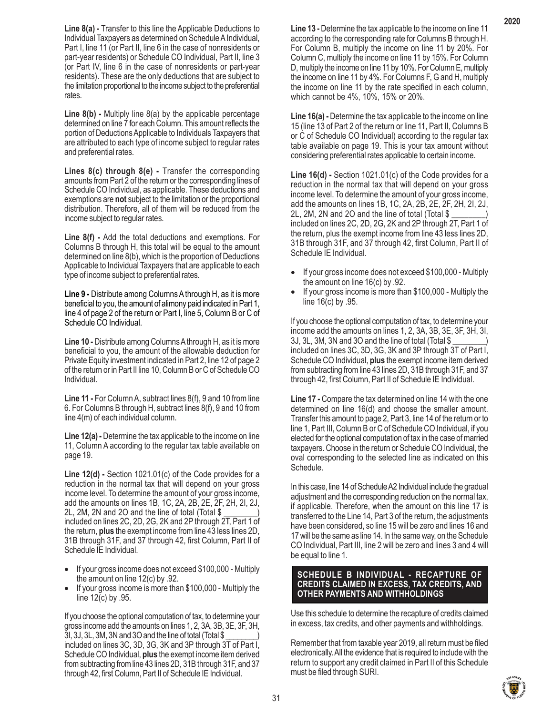**Line 8(a) -** Transfer to this line the Applicable Deductions to Individual Taxpayers as determined on Schedule A Individual, Part I, line 11 (or Part II, line 6 in the case of nonresidents or part-year residents) or Schedule CO Individual, Part II, line 3 (or Part IV, line 6 in the case of nonresidents or part-year residents). These are the only deductions that are subject to the limitation proportional to the income subject to the preferential rates.

**Line 8(b) -** Multiply line 8(a) by the applicable percentage determined on line 7 for each Column. This amount reflects the portion of Deductions Applicable to Individuals Taxpayers that are attributed to each type of income subject to regular rates and preferential rates.

**Lines 8(c) through 8(e) -** Transfer the corresponding amounts from Part 2 of the return or the corresponding lines of Schedule CO Individual, as applicable. These deductions and exemptions are **not** subject to the limitation or the proportional distribution. Therefore, all of them will be reduced from the income subject to regular rates.

**Line 8(f) -** Add the total deductions and exemptions. For Columns B through H, this total will be equal to the amount determined on line 8(b), which is the proportion of Deductions Applicable to Individual Taxpayers that are applicable to each type of income subject to preferential rates.

**Line 9 -** Distribute among Columns A through H, as it is more beneficial to you, the amount of alimony paid indicated in Part 1, line 4 of page 2 of the return or Part I, line 5, Column B or C of Schedule CO Individual.

**Line 10 -** Distribute among Columns A through H, as it is more beneficial to you, the amount of the allowable deduction for Private Equity investment indicated in Part 2, line 12 of page 2 of the return or in Part II line 10, Column B or C of Schedule CO Individual.

**Line 11 -** For Column A, subtract lines 8(f), 9 and 10 from line 6. For Columns B through H, subtract lines 8(f), 9 and 10 from line 4(m) of each individual column.

**Line 12(a) -** Determine the tax applicable to the income on line 11, Column A according to the regular tax table available on page 19.

**Line 12(d) -** Section 1021.01(c) of the Code provides for a reduction in the normal tax that will depend on your gross income level. To determine the amount of your gross income, add the amounts on lines 1B, 1C, 2A, 2B, 2E, 2F, 2H, 2I, 2J, 2L, 2M, 2N and 2O and the line of total (Total \$ \_\_\_\_\_\_\_\_) included on lines 2C, 2D, 2G, 2K and 2P through 2T, Part 1 of the return, **plus** the exempt income from line 43 less lines 2D, 31B through 31F, and 37 through 42, first Column, Part II of Schedule IE Individual.

- If your gross income does not exceed \$100,000 Multiply the amount on line 12(c) by .92.
- If your gross income is more than \$100,000 Multiply the line 12(c) by .95.

If you choose the optional computation of tax, to determine your gross income add the amounts on lines 1, 2, 3A, 3B, 3E, 3F, 3H, 3I, 3J, 3L, 3M, 3N and 3O and the line of total (Total \$ \_\_\_\_\_\_\_\_) included on lines 3C, 3D, 3G, 3K and 3P through 3T of Part I, Schedule CO Individual, **plus** the exempt income item derived from subtracting from line 43 lines 2D, 31B through 31F, and 37 through 42, first Column, Part II of Schedule IE Individual.

**Line 13 -** Determine the tax applicable to the income on line 11 according to the corresponding rate for Columns B through H. For Column B, multiply the income on line 11 by 20%. For Column C, multiply the income on line 11 by 15%. For Column D, multiply the income on line 11 by 10%. For Column E, multiply the income on line 11 by 4%. For Columns F, G and H, multiply the income on line 11 by the rate specified in each column, which cannot be 4%, 10%, 15% or 20%.

**Line 16(a) -** Determine the tax applicable to the income on line 15 (line 13 of Part 2 of the return or line 11, Part II, Columns B or C of Schedule CO Individual) according to the regular tax table available on page 19. This is your tax amount without considering preferential rates applicable to certain income.

**Line 16(d) -** Section 1021.01(c) of the Code provides for a reduction in the normal tax that will depend on your gross income level. To determine the amount of your gross income, add the amounts on lines 1B, 1C, 2A, 2B, 2E, 2F, 2H, 2I, 2J, 2L, 2M, 2N and 2O and the line of total (Total \$ included on lines 2C, 2D, 2G, 2K and 2P through 2T, Part 1 of the return, plus the exempt income from line 43 less lines 2D, 31B through 31F, and 37 through 42, first Column, Part II of Schedule IE Individual.

- If your gross income does not exceed \$100,000 Multiply the amount on line 16(c) by .92.
- If your gross income is more than \$100,000 Multiply the line 16(c) by .95.

If you choose the optional computation of tax, to determine your income add the amounts on lines 1, 2, 3A, 3B, 3E, 3F, 3H, 3I, 3J, 3L, 3M, 3N and 3O and the line of total (Total \$ \_\_\_\_\_\_\_\_) included on lines 3C, 3D, 3G, 3K and 3P through 3T of Part I, Schedule CO Individual, **plus** the exempt income item derived from subtracting from line 43 lines 2D, 31B through 31F, and 37 through 42, first Column, Part II of Schedule IE Individual.

**Line 17 -** Compare the tax determined on line 14 with the one determined on line 16(d) and choose the smaller amount. Transfer this amount to page 2, Part 3, line 14 of the return or to line 1, Part III, Column B or C of Schedule CO Individual, if you elected for the optional computation of tax in the case of married taxpayers. Choose in the return or Schedule CO Individual, the oval corresponding to the selected line as indicated on this Schedule.

In this case, line 14 of Schedule A2 Individual include the gradual adjustment and the corresponding reduction on the normal tax, if applicable. Therefore, when the amount on this line 17 is transferred to the Line 14, Part 3 of the return, the adjustments have been considered, so line 15 will be zero and lines 16 and 17 will be the same as line 14. In the same way, on the Schedule CO Individual, Part III, line 2 will be zero and lines 3 and 4 will be equal to line 1.

# **SCHEDULE B INDIVIDUAL - RECAPTURE OF CREDITS CLAIMED IN EXCESS, TAX CREDITS, AND OTHER PAYMENTS AND WITHHOLDINGS**

Use this schedule to determine the recapture of credits claimed in excess, tax credits, and other payments and withholdings.

Remember that from taxable year 2019, all return must be filed electronically. All the evidence that is required to include with the return to support any credit claimed in Part II of this Schedule must be filed through SURI.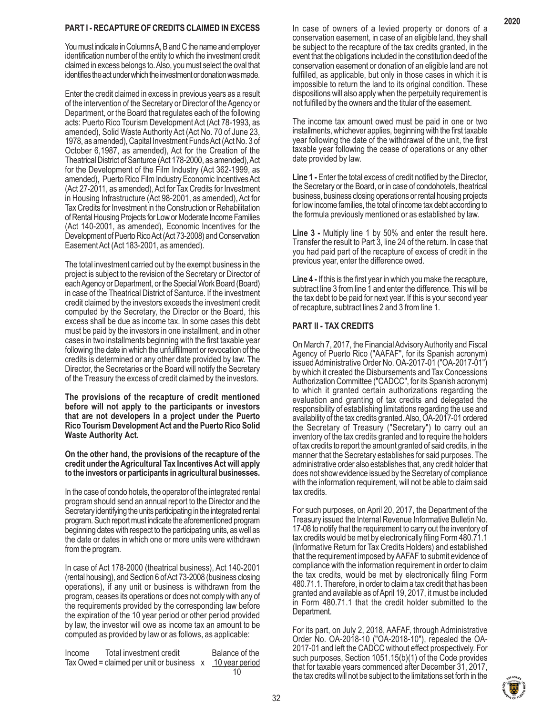# **PART I - RECAPTURE OF CREDITS CLAIMED IN EXCESS**

You must indicate in Columns A, B and C the name and employer identification number of the entity to which the investment credit claimed in excess belongs to. Also, you must select the oval that identifies the act under which the investment or donation was made.

Enter the credit claimed in excess in previous years as a result of the intervention of the Secretary or Director of the Agency or Department, or the Board that regulates each of the following acts: Puerto Rico Tourism Development Act (Act 78-1993, as amended), Solid Waste Authority Act (Act No. 70 of June 23, 1978, as amended), Capital Investment Funds Act (Act No. 3 of October 6,1987, as amended), Act for the Creation of the Theatrical District of Santurce (Act 178-2000, as amended), Act for the Development of the Film Industry (Act 362-1999, as amended), Puerto Rico Film Industry Economic Incentives Act (Act 27-2011, as amended), Act for Tax Credits for Investment in Housing Infrastructure (Act 98-2001, as amended), Act for Tax Credits for Investment in the Construction or Rehabilitation of Rental Housing Projects for Low or Moderate Income Families (Act 140-2001, as amended), Economic Incentives for the Development of Puerto Rico Act (Act 73-2008) and Conservation Easement Act (Act 183-2001, as amended).

The total investment carried out by the exempt business in the project is subject to the revision of the Secretary or Director of each Agency or Department, or the Special Work Board (Board) in case of the Theatrical District of Santurce. If the investment credit claimed by the investors exceeds the investment credit computed by the Secretary, the Director or the Board, this excess shall be due as income tax. In some cases this debt must be paid by the investors in one installment, and in other cases in two installments beginning with the first taxable year following the date in which the unfulfillment or revocation of the credits is determined or any other date provided by law. The Director, the Secretaries or the Board will notify the Secretary of the Treasury the excess of credit claimed by the investors.

**The provisions of the recapture of credit mentioned before will not apply to the participants or investors that are not developers in a project under the Puerto Rico Tourism Development Act and the Puerto Rico Solid Waste Authority Act.**

**On the other hand, the provisions of the recapture of the credit under the Agricultural Tax Incentives Act will apply to the investors or participants in agricultural businesses.**

In the case of condo hotels, the operator of the integrated rental program should send an annual report to the Director and the Secretary identifying the units participating in the integrated rental program. Such report must indicate the aforementioned program beginning dates with respect to the participating units, as well as the date or dates in which one or more units were withdrawn from the program.

In case of Act 178-2000 (theatrical business), Act 140-2001 (rental housing), and Section 6 of Act 73-2008 (business closing operations), if any unit or business is withdrawn from the program, ceases its operations or does not comply with any of the requirements provided by the corresponding law before the expiration of the 10 year period or other period provided by law, the investor will owe as income tax an amount to be computed as provided by law or as follows, as applicable:

Income Total investment credit Balance of the Tax Owed = claimed per unit or business  $x = 10$  year period  $10$ 

In case of owners of a levied property or donors of a conservation easement, in case of an eligible land, they shall be subject to the recapture of the tax credits granted, in the event that the obligations included in the constitution deed of the conservation easement or donation of an eligible land are not fulfilled, as applicable, but only in those cases in which it is impossible to return the land to its original condition. These dispositions will also apply when the perpetuity requirement is not fulfilled by the owners and the titular of the easement.

The income tax amount owed must be paid in one or two installments, whichever applies, beginning with the first taxable year following the date of the withdrawal of the unit, the first taxable year following the cease of operations or any other date provided by law.

**Line 1 -** Enter the total excess of credit notified by the Director, the Secretary or the Board, or in case of condohotels, theatrical business, business closing operations or rental housing projects for low income families, the total of income tax debt according to the formula previously mentioned or as established by law.

**Line 3 -** Multiply line 1 by 50% and enter the result here. Transfer the result to Part 3, line 24 of the return. In case that you had paid part of the recapture of excess of credit in the previous year, enter the difference owed.

**Line 4 -** If this is the first year in which you make the recapture, subtract line 3 from line 1 and enter the difference. This will be the tax debt to be paid for next year. If this is your second year of recapture, subtract lines 2 and 3 from line 1.

# **PART II - TAX CREDITS**

On March 7, 2017, the Financial Advisory Authority and Fiscal Agency of Puerto Rico ("AAFAF", for its Spanish acronym) issued Administrative Order No. OA-2017-01 ("OA-2017-01") by which it created the Disbursements and Tax Concessions Authorization Committee ("CADCC", for its Spanish acronym) to which it granted certain authorizations regarding the evaluation and granting of tax credits and delegated the responsibility of establishing limitations regarding the use and availability of the tax credits granted. Also, OA-2017-01 ordered the Secretary of Treasury ("Secretary") to carry out an inventory of the tax credits granted and to require the holders of tax credits to report the amount granted of said credits, in the manner that the Secretary establishes for said purposes. The administrative order also establishes that, any credit holder that does not show evidence issued by the Secretary of compliance with the information requirement, will not be able to claim said tax credits.

For such purposes, on April 20, 2017, the Department of the Treasury issued the Internal Revenue Informative Bulletin No. 17-08 to notify that the requirement to carry out the inventory of tax credits would be met by electronically filing Form 480.71.1 (Informative Return for Tax Credits Holders) and established that the requirement imposed by AAFAF to submit evidence of compliance with the information requirement in order to claim the tax credits, would be met by electronically filing Form 480.71.1. Therefore, in order to claim a tax credit that has been granted and available as of April 19, 2017, it must be included in Form 480.71.1 that the credit holder submitted to the Department.

For its part, on July 2, 2018, AAFAF, through Administrative Order No. OA-2018-10 ("OA-2018-10"), repealed the OA-2017-01 and left the CADCC without effect prospectively. For such purposes, Section 1051.15(b)(1) of the Code provides that for taxable years commenced after December 31, 2017, the tax credits will not be subject to the limitations set forth in the

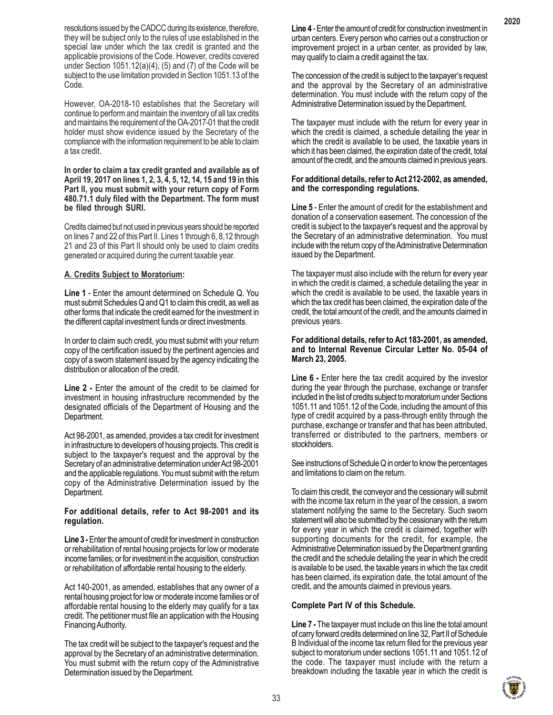resolutions issued by the CADCC during its existence, therefore, they will be subject only to the rules of use established in the special law under which the tax credit is granted and the applicable provisions of the Code. However, credits covered under Section 1051.12(a)(4), (5) and (7) of the Code will be subject to the use limitation provided in Section 1051.13 of the Code.

However, OA-2018-10 establishes that the Secretary will continue to perform and maintain the inventory of all tax credits and maintains the requirement of the OA-2017-01 that the credit holder must show evidence issued by the Secretary of the compliance with the information requirement to be able to claim a tax credit.

**In order to claim a tax credit granted and available as of April 19, 2017 on lines 1, 2, 3, 4, 5, 12, 14, 15 and 19 in this Part II, you must submit with your return copy of Form 480.71.1 duly filed with the Department. The form must be filed through SURI.**

Credits claimed but not used in previous years should be reported on lines 7 and 22 of this Part II. Lines 1 through 6, 8,12 through 21 and 23 of this Part II should only be used to claim credits generated or acquired during the current taxable year.

# **A. Credits Subject to Moratorium:**

**Line 1** - Enter the amount determined on Schedule Q. You must submit Schedules Q and Q1 to claim this credit, as well as other forms that indicate the credit earned for the investment in the different capital investment funds or direct investments.

In order to claim such credit, you must submit with your return copy of the certification issued by the pertinent agencies and copy of a sworn statement issued by the agency indicating the distribution or allocation of the credit.

**Line 2 -** Enter the amount of the credit to be claimed for investment in housing infrastructure recommended by the designated officials of the Department of Housing and the Department.

Act 98-2001, as amended, provides a tax credit for investment in infrastructure to developers of housing projects. This credit is subject to the taxpayer's request and the approval by the Secretary of an administrative determination under Act 98-2001 and the applicable regulations. You must submit with the return copy of the Administrative Determination issued by the Department.

#### **For additional details, refer to Act 98-2001 and its regulation.**

**Line 3 -** Enter the amount of credit for investment in construction or rehabilitation of rental housing projects for low or moderate income families; or for investment in the acquisition, construction or rehabilitation of affordable rental housing to the elderly.

Act 140-2001, as amended, establishes that any owner of a rental housing project for low or moderate income families or of affordable rental housing to the elderly may qualify for a tax credit. The petitioner must file an application with the Housing Financing Authority.

The tax credit will be subject to the taxpayer's request and the approval by the Secretary of an administrative determination. You must submit with the return copy of the Administrative Determination issued by the Department.

**Line 4** - Enter the amount of credit for construction investment in urban centers. Every person who carries out a construction or improvement project in a urban center, as provided by law, may qualify to claim a credit against the tax.

The concession of the credit is subject to the taxpayer's request and the approval by the Secretary of an administrative determination. You must include with the return copy of the Administrative Determination issued by the Department.

The taxpayer must include with the return for every year in which the credit is claimed, a schedule detailing the year in which the credit is available to be used, the taxable years in which it has been claimed, the expiration date of the credit, total amount of the credit, and the amounts claimed in previous years.

#### **For additional details, refer to Act 212-2002, as amended, and the corresponding regulations.**

**Line 5** - Enter the amount of credit for the establishment and donation of a conservation easement. The concession of the credit is subject to the taxpayer's request and the approval by the Secretary of an administrative determination. You must include with the return copy of the Administrative Determination issued by the Department.

The taxpayer must also include with the return for every year in which the credit is claimed, a schedule detailing the year in which the credit is available to be used, the taxable years in which the tax credit has been claimed, the expiration date of the credit, the total amount of the credit, and the amounts claimed in previous years.

#### **For additional details, refer to Act 183-2001, as amended, and to Internal Revenue Circular Letter No. 05-04 of March 23, 2005.**

Line 6 - Enter here the tax credit acquired by the investor during the year through the purchase, exchange or transfer included in the list of credits subject to moratorium under Sections 1051.11 and 1051.12 of the Code, including the amount of this type of credit acquired by a pass-through entity through the purchase, exchange or transfer and that has been attributed, transferred or distributed to the partners, members or stockholders.

See instructions of Schedule Q in order to know the percentages and limitations to claim on the return.

To claim this credit, the conveyor and the cessionary will submit with the income tax return in the year of the cession, a sworn statement notifying the same to the Secretary. Such sworn statement will also be submitted by the cessionary with the return for every year in which the credit is claimed, together with supporting documents for the credit, for example, the Administrative Determination issued by the Department granting the credit and the schedule detailing the year in which the credit is available to be used, the taxable years in which the tax credit has been claimed, its expiration date, the total amount of the credit, and the amounts claimed in previous years.

# **Complete Part IV of this Schedule.**

**Line 7 -** The taxpayer must include on this line the total amount of carry forward credits determined on line 32, Part II of Schedule B Individual of the income tax return filed for the previous year subject to moratorium under sections 1051.11 and 1051.12 of the code. The taxpayer must include with the return a breakdown including the taxable year in which the credit is

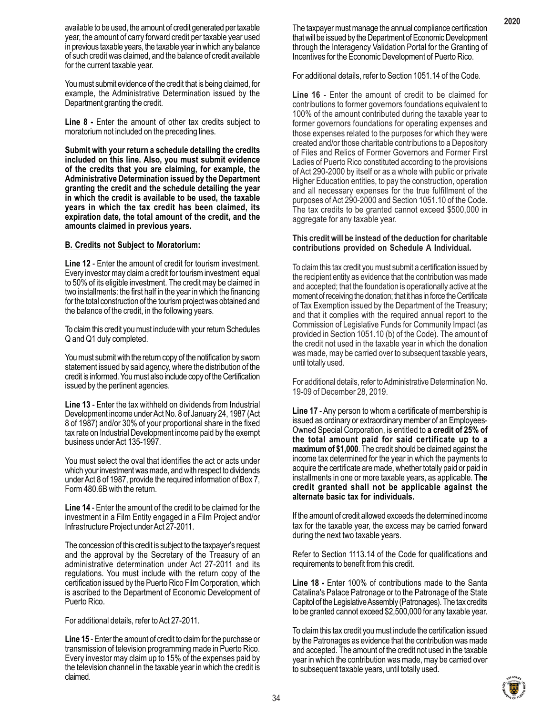available to be used, the amount of credit generated per taxable year, the amount of carry forward credit per taxable year used in previous taxable years, the taxable year in which any balance of such credit was claimed, and the balance of credit available for the current taxable year.

You must submit evidence of the credit that is being claimed, for example, the Administrative Determination issued by the Department granting the credit.

**Line 8 -** Enter the amount of other tax credits subject to moratorium not included on the preceding lines.

**Submit with your return a schedule detailing the credits included on this line. Also, you must submit evidence of the credits that you are claiming, for example, the Administrative Determination issued by the Department granting the credit and the schedule detailing the year in which the credit is available to be used, the taxable years in which the tax credit has been claimed, its expiration date, the total amount of the credit, and the amounts claimed in previous years.**

#### **B. Credits not Subject to Moratorium:**

**Line 12** - Enter the amount of credit for tourism investment. Every investor may claim a credit for tourism investment equal to 50% of its eligible investment. The credit may be claimed in two installments: the first half in the year in which the financing for the total construction of the tourism project was obtained and the balance of the credit, in the following years.

To claim this credit you must include with your return Schedules Q and Q1 duly completed.

You must submit with the return copy of the notification by sworn statement issued by said agency, where the distribution of the credit is informed. You must also include copy of the Certification issued by the pertinent agencies.

**Line 13** - Enter the tax withheld on dividends from Industrial Development income under Act No. 8 of January 24, 1987 (Act 8 of 1987) and/or 30% of your proportional share in the fixed tax rate on Industrial Development income paid by the exempt business under Act 135-1997.

You must select the oval that identifies the act or acts under which your investment was made, and with respect to dividends under Act 8 of 1987, provide the required information of Box 7, Form 480.6B with the return.

**Line 14** - Enter the amount of the credit to be claimed for the investment in a Film Entity engaged in a Film Project and/or Infrastructure Project under Act 27-2011.

The concession of this credit is subject to the taxpayer's request and the approval by the Secretary of the Treasury of an administrative determination under Act 27-2011 and its regulations. You must include with the return copy of the certification issued by the Puerto Rico Film Corporation, which is ascribed to the Department of Economic Development of Puerto Rico.

For additional details, refer to Act 27-2011.

**Line 15** - Enter the amount of credit to claim for the purchase or transmission of television programming made in Puerto Rico. Every investor may claim up to 15% of the expenses paid by the television channel in the taxable year in which the credit is claimed.

The taxpayer must manage the annual compliance certification that will be issued by the Department of Economic Development through the Interagency Validation Portal for the Granting of Incentives for the Economic Development of Puerto Rico.

For additional details, refer to Section 1051.14 of the Code.

**Line 16** - Enter the amount of credit to be claimed for contributions to former governors foundations equivalent to 100% of the amount contributed during the taxable year to former governors foundations for operating expenses and those expenses related to the purposes for which they were created and/or those charitable contributions to a Depository of Files and Relics of Former Governors and Former First Ladies of Puerto Rico constituted according to the provisions of Act 290-2000 by itself or as a whole with public or private Higher Education entities, to pay the construction, operation and all necessary expenses for the true fulfillment of the purposes of Act 290-2000 and Section 1051.10 of the Code. The tax credits to be granted cannot exceed \$500,000 in aggregate for any taxable year.

#### **This credit will be instead of the deduction for charitable contributions provided on Schedule A Individual.**

To claim this tax credit you must submit a certification issued by the recipient entity as evidence that the contribution was made and accepted; that the foundation is operationally active at the moment of receiving the donation; that it has in force the Certificate of Tax Exemption issued by the Department of the Treasury; and that it complies with the required annual report to the Commission of Legislative Funds for Community Impact (as provided in Section 1051.10 (b) of the Code). The amount of the credit not used in the taxable year in which the donation was made, may be carried over to subsequent taxable years, until totally used.

For additional details, refer to Administrative Determination No. 19-09 of December 28, 2019.

**Line 17** - Any person to whom a certificate of membership is issued as ordinary or extraordinary member of an Employees-Owned Special Corporation, is entitled to **a credit of 25% of the total amount paid for said certificate up to a maximum of \$1,000**. The credit should be claimed against the income tax determined for the year in which the payments to acquire the certificate are made, whether totally paid or paid in installments in one or more taxable years, as applicable. **The credit granted shall not be applicable against the alternate basic tax for individuals.**

If the amount of credit allowed exceeds the determined income tax for the taxable year, the excess may be carried forward during the next two taxable years.

Refer to Section 1113.14 of the Code for qualifications and requirements to benefit from this credit.

**Line 18 -** Enter 100% of contributions made to the Santa Catalina's Palace Patronage or to the Patronage of the State Capitol of the Legislative Assembly (Patronages). The tax credits to be granted cannot exceed \$2,500,000 for any taxable year.

To claim this tax credit you must include the certification issued by the Patronages as evidence that the contribution was made and accepted. The amount of the credit not used in the taxable year in which the contribution was made, may be carried over to subsequent taxable years, until totally used.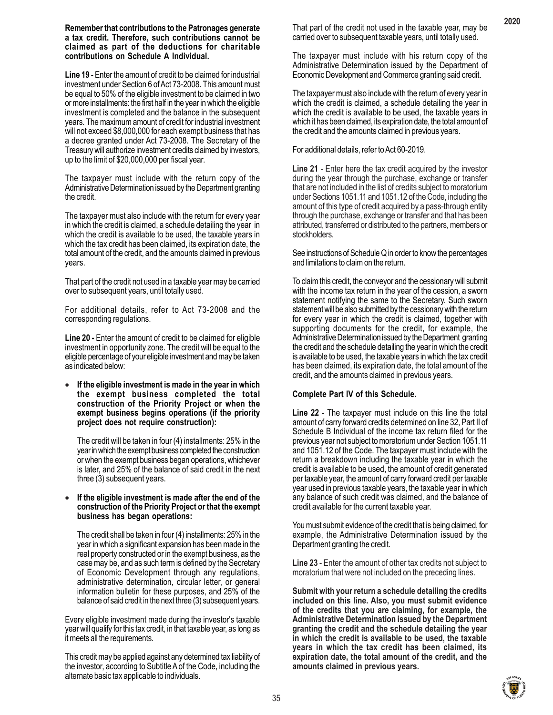#### **Remember that contributions to the Patronages generate a tax credit. Therefore, such contributions cannot be claimed as part of the deductions for charitable contributions on Schedule A Individual.**

**Line 19** - Enter the amount of credit to be claimed for industrial investment under Section 6 of Act 73-2008. This amount must be equal to 50% of the eligible investment to be claimed in two or more installments: the first half in the year in which the eligible investment is completed and the balance in the subsequent years. The maximum amount of credit for industrial investment will not exceed \$8,000,000 for each exempt business that has a decree granted under Act 73-2008. The Secretary of the Treasury will authorize investment credits claimed by investors, up to the limit of \$20,000,000 per fiscal year.

The taxpayer must include with the return copy of the Administrative Determination issued by the Department granting the credit.

The taxpayer must also include with the return for every year in which the credit is claimed, a schedule detailing the year in which the credit is available to be used, the taxable years in which the tax credit has been claimed, its expiration date, the total amount of the credit, and the amounts claimed in previous years.

That part of the credit not used in a taxable year may be carried over to subsequent years, until totally used.

For additional details, refer to Act 73-2008 and the corresponding regulations.

**Line 20 -** Enter the amount of credit to be claimed for eligible investment in opportunity zone. The credit will be equal to the eligible percentage of your eligible investment and may be taken as indicated below:

• **If the eligible investment is made in the year in which the exempt business completed the total construction of the Priority Project or when the exempt business begins operations (if the priority project does not require construction):**

The credit will be taken in four (4) installments: 25% in the year in which the exempt business completed the construction or when the exempt business began operations, whichever is later, and 25% of the balance of said credit in the next three (3) subsequent years.

#### • **If the eligible investment is made after the end of the construction of the Priority Project or that the exempt business has began operations:**

The credit shall be taken in four (4) installments: 25% in the year in which a significant expansion has been made in the real property constructed or in the exempt business, as the case may be, and as such term is defined by the Secretary of Economic Development through any regulations, administrative determination, circular letter, or general information bulletin for these purposes, and 25% of the balance of said credit in the next three (3) subsequent years.

Every eligible investment made during the investor's taxable year will qualify for this tax credit, in that taxable year, as long as it meets all the requirements.

This credit may be applied against any determined tax liability of the investor, according to Subtitle A of the Code, including the alternate basic tax applicable to individuals.

That part of the credit not used in the taxable year, may be carried over to subsequent taxable years, until totally used.

The taxpayer must include with his return copy of the Administrative Determination issued by the Department of Economic Development and Commerce granting said credit.

The taxpayer must also include with the return of every year in which the credit is claimed, a schedule detailing the year in which the credit is available to be used, the taxable years in which it has been claimed, its expiration date, the total amount of the credit and the amounts claimed in previous years.

# For additional details, refer to Act 60-2019.

**Line 21** - Enter here the tax credit acquired by the investor during the year through the purchase, exchange or transfer that are not included in the list of credits subject to moratorium under Sections 1051.11 and 1051.12 of the Code, including the amount of this type of credit acquired by a pass-through entity through the purchase, exchange or transfer and that has been attributed, transferred or distributed to the partners, members or stockholders.

See instructions of Schedule Q in order to know the percentages and limitations to claim on the return.

To claim this credit, the conveyor and the cessionary will submit with the income tax return in the year of the cession, a sworn statement notifying the same to the Secretary. Such sworn statement will be also submitted by the cessionary with the return for every year in which the credit is claimed, together with supporting documents for the credit, for example, the Administrative Determination issued by the Department granting the credit and the schedule detailing the year in which the credit is available to be used, the taxable years in which the tax credit has been claimed, its expiration date, the total amount of the credit, and the amounts claimed in previous years.

# **Complete Part IV of this Schedule.**

**Line 22** - The taxpayer must include on this line the total amount of carry forward credits determined on line 32, Part II of Schedule B Individual of the income tax return filed for the previous year not subject to moratorium under Section 1051.11 and 1051.12 of the Code. The taxpayer must include with the return a breakdown including the taxable year in which the credit is available to be used, the amount of credit generated per taxable year, the amount of carry forward credit per taxable year used in previous taxable years, the taxable year in which any balance of such credit was claimed, and the balance of credit available for the current taxable year.

You must submit evidence of the credit that is being claimed, for example, the Administrative Determination issued by the Department granting the credit.

**Line 23** - Enter the amount of other tax credits not subject to moratorium that were not included on the preceding lines.

**Submit with your return a schedule detailing the credits included on this line. Also, you must submit evidence of the credits that you are claiming, for example, the Administrative Determination issued by the Department granting the credit and the schedule detailing the year in which the credit is available to be used, the taxable years in which the tax credit has been claimed, its expiration date, the total amount of the credit, and the amounts claimed in previous years.**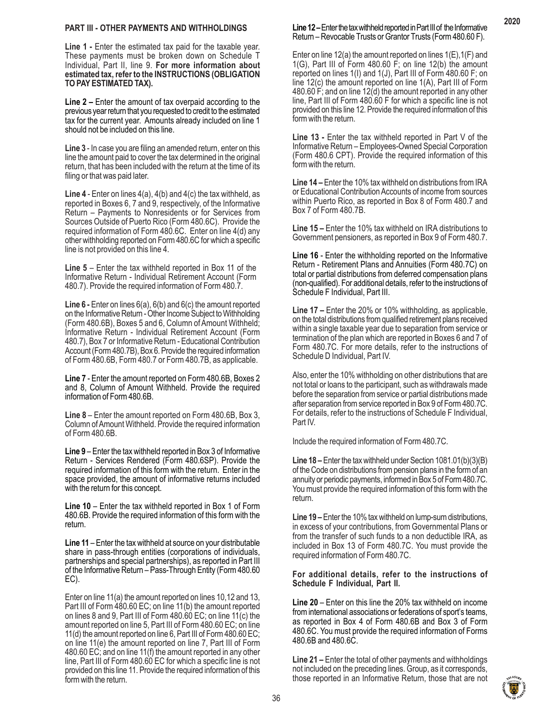#### **PART III - OTHER PAYMENTS AND WITHHOLDINGS**

**Line 1 -** Enter the estimated tax paid for the taxable year. These payments must be broken down on Schedule T Individual, Part II, line 9. **For more information about estimated tax, refer to the INSTRUCTIONS (OBLIGATION TO PAY ESTIMATED TAX).**

**Line 2 –** Enter the amount of tax overpaid according to the previous year return that you requested to credit to the estimated tax for the current year. Amounts already included on line 1 should not be included on this line.

**Line 3** - In case you are filing an amended return, enter on this line the amount paid to cover the tax determined in the original return, that has been included with the return at the time of its filing or that was paid later.

**Line 4** - Enter on lines 4(a), 4(b) and 4(c) the tax withheld, as reported in Boxes 6, 7 and 9, respectively, of the Informative Return – Payments to Nonresidents or for Services from Sources Outside of Puerto Rico (Form 480.6C). Provide the required information of Form 480.6C. Enter on line 4(d) any other withholding reported on Form 480.6C for which a specific line is not provided on this line 4.

**Line 5** – Enter the tax withheld reported in Box 11 of the Informative Return - Individual Retirement Account (Form 480.7). Provide the required information of Form 480.7.

**Line 6 -** Enter on lines 6(a), 6(b) and 6(c) the amount reported on the Informative Return - Other Income Subject to Withholding (Form 480.6B), Boxes 5 and 6, Column of Amount Withheld; Informative Return - Individual Retirement Account (Form 480.7), Box 7 or Informative Return - Educational Contribution Account (Form 480.7B), Box 6. Provide the required information of Form 480.6B, Form 480.7 or Form 480.7B, as applicable.

**Line 7** - Enter the amount reported on Form 480.6B, Boxes 2 and 8, Column of Amount Withheld. Provide the required information of Form 480.6B.

**Line 8** – Enter the amount reported on Form 480.6B, Box 3, Column of Amount Withheld. Provide the required information of Form 480.6B.

**Line 9** – Enter the tax withheld reported in Box 3 of Informative Return - Services Rendered (Form 480.6SP). Provide the required information of this form with the return. Enter in the space provided, the amount of informative returns included with the return for this concept.

**Line 10** – Enter the tax withheld reported in Box 1 of Form 480.6B. Provide the required information of this form with the return.

**Line 11** – Enter the tax withheld at source on your distributable share in pass-through entities (corporations of individuals, partnerships and special partnerships), as reported in Part III of the Informative Return – Pass-Through Entity (Form 480.60 EC).

Enter on line 11(a) the amount reported on lines 10,12 and 13, Part III of Form 480.60 EC; on line 11(b) the amount reported on lines 8 and 9, Part III of Form 480.60 EC; on line 11(c) the amount reported on line 5, Part III of Form 480.60 EC; on line 11(d) the amount reported on line 6, Part III of Form 480.60 EC; on line 11(e) the amount reported on line 7, Part III of Form 480.60 EC; and on line 11(f) the amount reported in any other line, Part III of Form 480.60 EC for which a specific line is not provided on this line 11. Provide the required information of this form with the return.

# **Line 12 –** Enter the tax withheld reported in Part III of the Informative Return – Revocable Trusts or Grantor Trusts (Form 480.60 F).

**2020**

Enter on line 12(a) the amount reported on lines  $1(E)$ ,  $1(F)$  and 1(G), Part III of Form 480.60 F; on line 12(b) the amount reported on lines 1(I) and 1(J), Part III of Form 480.60 F; on line 12(c) the amount reported on line 1(A), Part III of Form 480.60 F; and on line 12(d) the amount reported in any other line, Part III of Form 480.60 F for which a specific line is not provided on this line 12. Provide the required information of this form with the return.

**Line 13 -** Enter the tax withheld reported in Part V of the Informative Return – Employees-Owned Special Corporation (Form 480.6 CPT). Provide the required information of this form with the return.

**Line 14 –** Enter the 10% tax withheld on distributions from IRA or Educational Contribution Accounts of income from sources within Puerto Rico, as reported in Box 8 of Form 480.7 and Box 7 of Form 480.7B.

**Line 15 –** Enter the 10% tax withheld on IRA distributions to Government pensioners, as reported in Box 9 of Form 480.7.

**Line 16** - Enter the withholding reported on the Informative Return - Retirement Plans and Annuities (Form 480.7C) on total or partial distributions from deferred compensation plans (non-qualified). For additional details, refer to the instructions of Schedule F Individual, Part III.

**Line 17 –** Enter the 20% or 10% withholding, as applicable, on the total distributions from qualified retirement plans received within a single taxable year due to separation from service or termination of the plan which are reported in Boxes 6 and 7 of Form 480.7C. For more details, refer to the instructions of Schedule D Individual, Part IV.

Also, enter the 10% withholding on other distributions that are not total or loans to the participant, such as withdrawals made before the separation from service or partial distributions made after separation from service reported in Box 9 of Form 480.7C. For details, refer to the instructions of Schedule F Individual, Part IV.

Include the required information of Form 480.7C.

**Line 18 –** Enter the tax withheld under Section 1081.01(b)(3)(B) of the Code on distributions from pension plans in the form of an annuity or periodic payments, informed in Box 5 of Form 480.7C. You must provide the required information of this form with the return.

**Line 19 –** Enter the 10% tax withheld on lump-sum distributions, in excess of your contributions, from Governmental Plans or from the transfer of such funds to a non deductible IRA, as included in Box 13 of Form 480.7C. You must provide the required information of Form 480.7C.

#### **For additional details, refer to the instructions of Schedule F Individual, Part II.**

**Line 20** – Enter on this line the 20% tax withheld on income from international associations or federations of sport's teams, as reported in Box 4 of Form 480.6B and Box 3 of Form 480.6C. You must provide the required information of Forms 480.6B and 480.6C.

**Line 21 –** Enter the total of other payments and withholdings not included on the preceding lines. Group, as it corresponds, those reported in an Informative Return, those that are not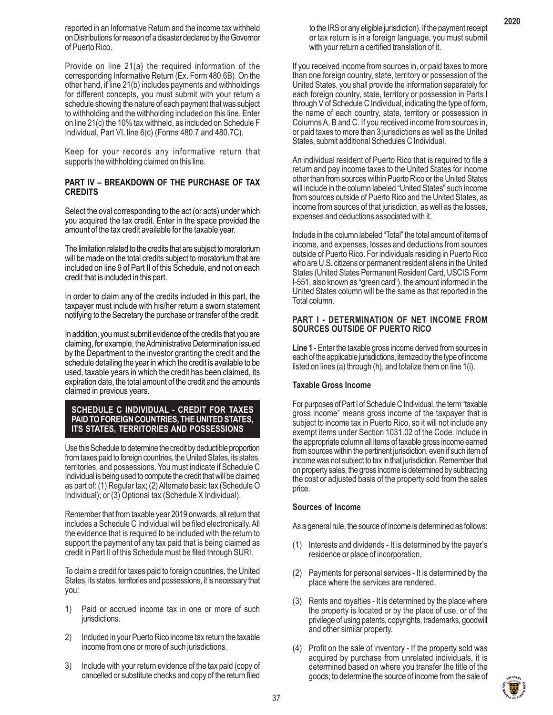reported in an Informative Return and the income tax withheld on Distributions for reason of a disaster declared by the Governor of Puerto Rico.

Provide on line 21(a) the required information of the corresponding Informative Return (Ex. Form 480.6B). On the other hand, if line 21(b) includes payments and withholdings for different concepts, you must submit with your return a schedule showing the nature of each payment that was subject to withholding and the withholding included on this line. Enter on line 21(c) the 10% tax withheld, as included on Schedule F Individual, Part VI, line 6(c) (Forms 480.7 and 480.7C).

Keep for your records any informative return that supports the withholding claimed on this line.

### **PART IV – BREAKDOWN OF THE PURCHASE OF TAX CREDITS**

Select the oval corresponding to the act (or acts) under which you acquired the tax credit. Enter in the space provided the amount of the tax credit available for the taxable year.

The limitation related to the credits that are subject to moratorium will be made on the total credits subject to moratorium that are included on line 9 of Part II of this Schedule, and not on each credit that is included in this part.

In order to claim any of the credits included in this part, the taxpayer must include with his/her return a sworn statement notifying to the Secretary the purchase or transfer of the credit.

In addition, you must submit evidence of the credits that you are claiming, for example, the Administrative Determination issued by the Department to the investor granting the credit and the schedule detailing the year in which the credit is available to be used, taxable years in which the credit has been claimed, its expiration date, the total amount of the credit and the amounts claimed in previous years.

### **SCHEDULE C INDIVIDUAL - CREDIT FOR TAXES PAID TO FOREIGN COUNTRIES, THE UNITED STATES, ITS STATES, TERRITORIES AND POSSESSIONS**

Use this Schedule to determine the credit by deductible proportion from taxes paid to foreign countries, the United States, its states, territories, and possessions. You must indicate if Schedule C Individual is being used to compute the credit that will be claimed as part of: (1) Regular tax; (2) Alternate basic tax (Schedule O Individual); or (3) Optional tax (Schedule X Individual).

Remember that from taxable year 2019 onwards, all return that includes a Schedule C Individual will be filed electronically. All the evidence that is required to be included with the return to support the payment of any tax paid that is being claimed as credit in Part II of this Schedule must be filed through SURI.

To claim a credit for taxes paid to foreign countries, the United States, its states, territories and possessions, it is necessary that you:

- 1) Paid or accrued income tax in one or more of such jurisdictions.
- 2) Included in your Puerto Rico income tax return the taxable income from one or more of such jurisdictions.
- 3) Include with your return evidence of the tax paid (copy of cancelled or substitute checks and copy of the return filed

to the IRS or any eligible jurisdiction). If the payment receipt or tax return is in a foreign language, you must submit with your return a certified translation of it.

If you received income from sources in, or paid taxes to more than one foreign country, state, territory or possession of the United States, you shall provide the information separately for each foreign country, state, territory or possession in Parts I through V of Schedule C Individual, indicating the type of form, the name of each country, state, territory or possession in Columns A, B and C. If you received income from sources in, or paid taxes to more than 3 jurisdictions as well as the United States, submit additional Schedules C Individual.

An individual resident of Puerto Rico that is required to file a return and pay income taxes to the United States for income other than from sources within Puerto Rico or the United States will include in the column labeled "United States" such income from sources outside of Puerto Rico and the United States, as income from sources of that jurisdiction, as well as the losses, expenses and deductions associated with it.

Include in the column labeled "Total" the total amount of items of income, and expenses, losses and deductions from sources outside of Puerto Rico. For individuals residing in Puerto Rico who are U.S. citizens or permanent resident aliens in the United States (United States Permanent Resident Card, USCIS Form I-551, also known as "green card"), the amount informed in the United States column will be the same as that reported in the Total column.

### **PART I - DETERMINATION OF NET INCOME FROM SOURCES OUTSIDE OF PUERTO RICO**

**Line 1** - Enter the taxable gross income derived from sources in each of the applicable jurisdictions, itemized by the type of income listed on lines (a) through (h), and totalize them on line 1(i).

# **Taxable Gross Income**

For purposes of Part I of Schedule C Individual, the term "taxable gross income" means gross income of the taxpayer that is subject to income tax in Puerto Rico, so it will not include any exempt items under Section 1031.02 of the Code. Include in the appropriate column all items of taxable gross income earned from sources within the pertinent jurisdiction, even if such item of income was not subject to tax in that jurisdiction. Remember that on property sales, the gross income is determined by subtracting the cost or adjusted basis of the property sold from the sales price.

# **Sources of Income**

As a general rule, the source of income is determined as follows:

- (1) Interests and dividends It is determined by the payer's residence or place of incorporation.
- (2) Payments for personal services It is determined by the place where the services are rendered.
- (3) Rents and royalties It is determined by the place where the property is located or by the place of use, or of the privilege of using patents, copyrights, trademarks, goodwill and other similar property.
- (4) Profit on the sale of inventory If the property sold was acquired by purchase from unrelated individuals, it is determined based on where you transfer the title of the goods; to determine the source of income from the sale of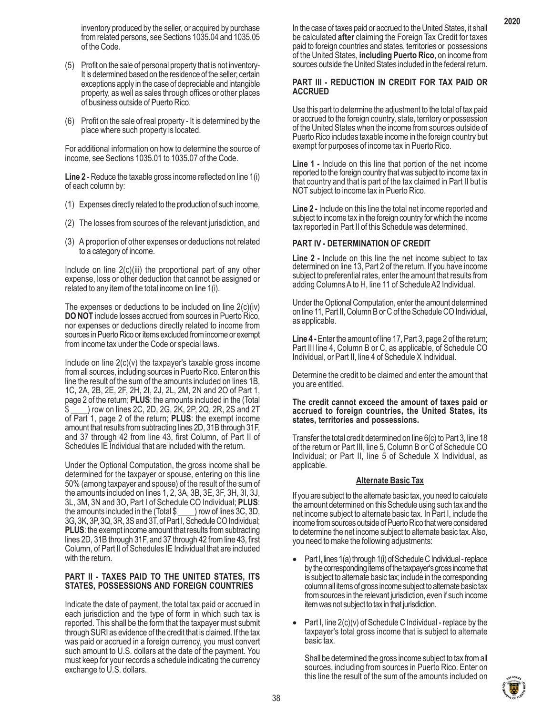- (5) Profit on the sale of personal property that is not inventory-It is determined based on the residence of the seller; certain exceptions apply in the case of depreciable and intangible property, as well as sales through offices or other places of business outside of Puerto Rico.
- (6) Profit on the sale of real property It is determined by the place where such property is located.

For additional information on how to determine the source of income, see Sections 1035.01 to 1035.07 of the Code.

**Line 2** - Reduce the taxable gross income reflected on line 1(i) of each column by:

- (1) Expenses directly related to the production of such income,
- (2) The losses from sources of the relevant jurisdiction, and
- (3) A proportion of other expenses or deductions not related to a category of income.

Include on line 2(c)(iii) the proportional part of any other expense, loss or other deduction that cannot be assigned or related to any item of the total income on line 1(i).

The expenses or deductions to be included on line 2(c)(iv) **DO NOT** include losses accrued from sources in Puerto Rico, nor expenses or deductions directly related to income from sources in Puerto Rico or items excluded from income or exempt from income tax under the Code or special laws.

Include on line  $2(c)(v)$  the taxpayer's taxable gross income from all sources, including sources in Puerto Rico. Enter on this line the result of the sum of the amounts included on lines 1B, 1C, 2A, 2B, 2E, 2F, 2H, 2I, 2J, 2L, 2M, 2N and 2O of Part 1, page 2 of the return; **PLUS**: the amounts included in the (Total ) row on lines 2C, 2D, 2G, 2K, 2P, 2Q, 2R, 2S and 2T of Part 1, page 2 of the return; **PLUS**: the exempt income amount that results from subtracting lines 2D, 31B through 31F, and 37 through 42 from line 43, first Column, of Part II of Schedules IE Individual that are included with the return.

Under the Optional Computation, the gross income shall be determined for the taxpayer or spouse, entering on this line 50% (among taxpayer and spouse) of the result of the sum of the amounts included on lines 1, 2, 3A, 3B, 3E, 3F, 3H, 3I, 3J, 3L, 3M, 3N and 3O, Part I of Schedule CO Individual; **PLUS**: the amounts included in the (Total \$ \_\_\_\_) row of lines 3C, 3D, 3G, 3K, 3P, 3Q, 3R, 3S and 3T, of Part I, Schedule CO Individual; **PLUS**: the exempt income amount that results from subtracting lines 2D, 31B through 31F, and 37 through 42 from line 43, first Column, of Part II of Schedules IE Individual that are included with the return.

# **PART II - TAXES PAID TO THE UNITED STATES, ITS STATES, POSSESSIONS AND FOREIGN COUNTRIES**

Indicate the date of payment, the total tax paid or accrued in each jurisdiction and the type of form in which such tax is reported. This shall be the form that the taxpayer must submit through SURI as evidence of the credit that is claimed. If the tax was paid or accrued in a foreign currency, you must convert such amount to U.S. dollars at the date of the payment. You must keep for your records a schedule indicating the currency exchange to U.S. dollars.

In the case of taxes paid or accrued to the United States, it shall be calculated **after** claiming the Foreign Tax Credit for taxes paid to foreign countries and states, territories or possessions of the United States, **including Puerto Rico**, on income from sources outside the United States included in the federal return.

**2020**

# **PART III - REDUCTION IN CREDIT FOR TAX PAID OR ACCRUED**

Use this part to determine the adjustment to the total of tax paid or accrued to the foreign country, state, territory or possession of the United States when the income from sources outside of Puerto Rico includes taxable income in the foreign country but exempt for purposes of income tax in Puerto Rico.

**Line 1 -** Include on this line that portion of the net income reported to the foreign country that was subject to income tax in that country and that is part of the tax claimed in Part II but is NOT subject to income tax in Puerto Rico.

**Line 2 -** Include on this line the total net income reported and subject to income tax in the foreign country for which the income tax reported in Part II of this Schedule was determined.

# **PART IV - DETERMINATION OF CREDIT**

**Line 2 -** Include on this line the net income subject to tax determined on line 13, Part 2 of the return. If you have income subject to preferential rates, enter the amount that results from adding Columns A to H, line 11 of Schedule A2 Individual.

Under the Optional Computation, enter the amount determined on line 11, Part II, Column B or C of the Schedule CO Individual, as applicable.

**Line 4 -** Enter the amount of line 17, Part 3, page 2 of the return; Part III line 4, Column B or C, as applicable, of Schedule CO Individual, or Part II, line 4 of Schedule X Individual.

Determine the credit to be claimed and enter the amount that you are entitled.

### **The credit cannot exceed the amount of taxes paid or accrued to foreign countries, the United States, its states, territories and possessions.**

Transfer the total credit determined on line 6(c) to Part 3, line 18 of the return or Part III, line 5, Column B or C of Schedule CO Individual; or Part II, line 5 of Schedule X Individual, as applicable.

# **Alternate Basic Tax**

If you are subject to the alternate basic tax, you need to calculate the amount determined on this Schedule using such tax and the net income subject to alternate basic tax. In Part I, include the income from sources outside of Puerto Rico that were considered to determine the net income subject to alternate basic tax. Also, you need to make the following adjustments:

- Part I, lines  $1(a)$  through  $1(i)$  of Schedule C Individual replace by the corresponding items of the taxpayer's gross income that is subject to alternate basic tax; include in the corresponding column all items of gross income subject to alternate basic tax from sources in the relevant jurisdiction, even if such income item was not subject to tax in that jurisdiction.
- Part I, line  $2(c)(v)$  of Schedule C Individual replace by the taxpayer's total gross income that is subject to alternate basic tax.

Shall be determined the gross income subject to tax from all sources, including from sources in Puerto Rico. Enter on this line the result of the sum of the amounts included on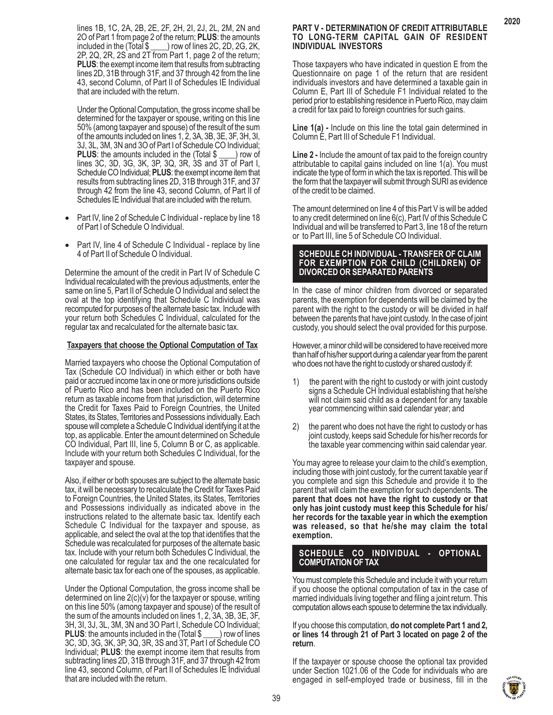lines 1B, 1C, 2A, 2B, 2E, 2F, 2H, 2I, 2J, 2L, 2M, 2N and 2O of Part 1 from page 2 of the return; **PLUS**: the amounts ) row of lines 2C, 2D, 2G, 2K, 2P, 2Q, 2R, 2S and 2T from Part 1, page 2 of the return; **PLUS**: the exempt income item that results from subtracting lines 2D, 31B through 31F, and 37 through 42 from the line 43, second Column, of Part II of Schedules IE Individual that are included with the return.

Under the Optional Computation, the gross income shall be determined for the taxpayer or spouse, writing on this line 50% (among taxpayer and spouse) of the result of the sum of the amounts included on lines 1, 2, 3A, 3B, 3E, 3F, 3H, 3I, 3J, 3L, 3M, 3N and 3O of Part I of Schedule CO Individual; **PLUS:** the amounts included in the (Total \$ ) row of lines 3C, 3D, 3G, 3K, 3P, 3Q, 3R, 3S and 3T of Part I, Schedule CO Individual; **PLUS**: the exempt income item that results from subtracting lines 2D, 31B through 31F, and 37 through 42 from the line 43, second Column, of Part II of Schedules IE Individual that are included with the return.

- Part IV, line 2 of Schedule C Individual replace by line 18 of Part I of Schedule O Individual.
- Part IV, line 4 of Schedule C Individual replace by line 4 of Part II of Schedule O Individual.

Determine the amount of the credit in Part IV of Schedule C Individual recalculated with the previous adjustments, enter the same on line 5, Part II of Schedule O Individual and select the oval at the top identifying that Schedule C Individual was recomputed for purposes of the alternate basic tax. Include with your return both Schedules C Individual, calculated for the regular tax and recalculated for the alternate basic tax.

#### **Taxpayers that choose the Optional Computation of Tax**

Married taxpayers who choose the Optional Computation of Tax (Schedule CO Individual) in which either or both have paid or accrued income tax in one or more jurisdictions outside of Puerto Rico and has been included on the Puerto Rico return as taxable income from that jurisdiction, will determine the Credit for Taxes Paid to Foreign Countries, the United States, its States, Territories and Possessions individually. Each spouse will complete a Schedule C Individual identifying it at the top, as applicable. Enter the amount determined on Schedule CO Individual, Part III, line 5, Column B or C, as applicable. Include with your return both Schedules C Individual, for the taxpayer and spouse.

Also, if either or both spouses are subject to the alternate basic tax, it will be necessary to recalculate the Credit for Taxes Paid to Foreign Countries, the United States, its States, Territories and Possessions individually as indicated above in the instructions related to the alternate basic tax. Identify each Schedule C Individual for the taxpayer and spouse, as applicable, and select the oval at the top that identifies that the Schedule was recalculated for purposes of the alternate basic tax. Include with your return both Schedules C Individual, the one calculated for regular tax and the one recalculated for alternate basic tax for each one of the spouses, as applicable.

Under the Optional Computation, the gross income shall be determined on line 2(c)(v) for the taxpayer or spouse, writing on this line 50% (among taxpayer and spouse) of the result of the sum of the amounts included on lines 1, 2, 3A, 3B, 3E, 3F, 3H, 3I, 3J, 3L, 3M, 3N and 3O Part I, Schedule CO Individual; **PLUS**: the amounts included in the (Total \$ \_\_\_\_) row of lines 3C, 3D, 3G, 3K, 3P, 3Q, 3R, 3S and 3T, Part I of Schedule CO Individual; **PLUS**: the exempt income item that results from subtracting lines 2D, 31B through 31F, and 37 through 42 from line 43, second Column, of Part II of Schedules IE Individual that are included with the return.

#### **PART V - DETERMINATION OF CREDIT ATTRIBUTABLE TO LONG-TERM CAPITAL GAIN OF RESIDENT INDIVIDUAL INVESTORS**

**2020**

Those taxpayers who have indicated in question E from the Questionnaire on page 1 of the return that are resident individuals investors and have determined a taxable gain in Column E, Part III of Schedule F1 Individual related to the period prior to establishing residence in Puerto Rico, may claim a credit for tax paid to foreign countries for such gains.

Line 1(a) - Include on this line the total gain determined in Column E, Part III of Schedule F1 Individual.

**Line 2 -** Include the amount of tax paid to the foreign country attributable to capital gains included on line 1(a). You must indicate the type of form in which the tax is reported. This will be the form that the taxpayer will submit through SURI as evidence of the credit to be claimed.

The amount determined on line 4 of this Part V is will be added to any credit determined on line 6(c), Part IV of this Schedule C Individual and will be transferred to Part 3, line 18 of the return or to Part III, line 5 of Schedule CO Individual.

#### **SCHEDULE CH INDIVIDUAL - TRANSFER OF CLAIM FOR EXEMPTION FOR CHILD (CHILDREN) OF DIVORCED OR SEPARATED PARENTS**

In the case of minor children from divorced or separated parents, the exemption for dependents will be claimed by the parent with the right to the custody or will be divided in half between the parents that have joint custody. In the case of joint custody, you should select the oval provided for this purpose.

However, a minor child will be considered to have received more than half of his/her support during a calendar year from the parent who does not have the right to custody or shared custody if:

- 1) the parent with the right to custody or with joint custody signs a Schedule CH Individual establishing that he/she will not claim said child as a dependent for any taxable year commencing within said calendar year; and
- 2) the parent who does not have the right to custody or has joint custody, keeps said Schedule for his/her records for the taxable year commencing within said calendar year.

You may agree to release your claim to the child's exemption, including those with joint custody, for the current taxable year if you complete and sign this Schedule and provide it to the parent that will claim the exemption for such dependents. **The parent that does not have the right to custody or that only has joint custody must keep this Schedule for his/ her records for the taxable year in which the exemption was released, so that he/she may claim the total exemption.**

# **SCHEDULE CO INDIVIDUAL - OPTIONAL COMPUTATION OF TAX**

You must complete this Schedule and include it with your return if you choose the optional computation of tax in the case of married individuals living together and filing a joint return. This computation allows each spouse to determine the tax individually.

If you choose this computation, **do not complete Part 1 and 2, or lines 14 through 21 of Part 3 located on page 2 of the return**.

If the taxpayer or spouse choose the optional tax provided under Section 1021.06 of the Code for individuals who are engaged in self-employed trade or business, fill in the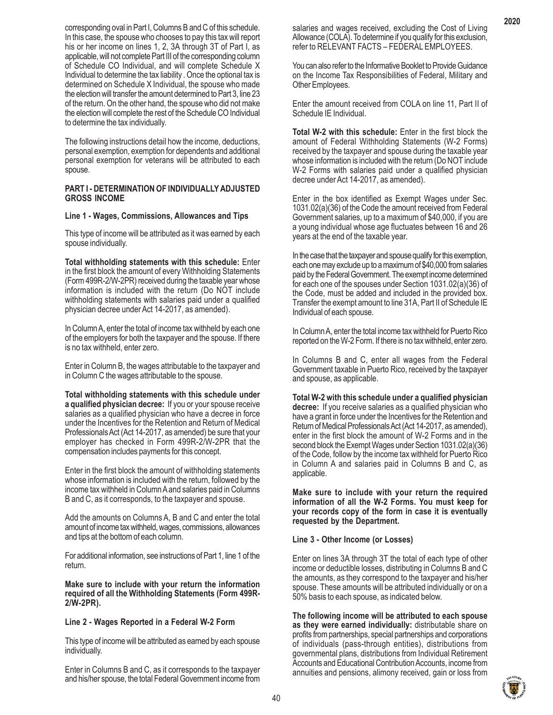corresponding oval in Part I, Columns B and C of this schedule. In this case, the spouse who chooses to pay this tax will report his or her income on lines 1, 2, 3A through 3T of Part I, as applicable, will not complete Part III of the corresponding column of Schedule CO Individual, and will complete Schedule X Individual to determine the tax liability . Once the optional tax is determined on Schedule X Individual, the spouse who made the election will transfer the amount determined to Part 3, line 23 of the return. On the other hand, the spouse who did not make the election will complete the rest of the Schedule CO Individual to determine the tax individually.

The following instructions detail how the income, deductions, personal exemption, exemption for dependents and additional personal exemption for veterans will be attributed to each spouse.

#### **PART I - DETERMINATION OF INDIVIDUALLY ADJUSTED GROSS INCOME**

#### **Line 1 - Wages, Commissions, Allowances and Tips**

This type of income will be attributed as it was earned by each spouse individually.

**Total withholding statements with this schedule:** Enter in the first block the amount of every Withholding Statements (Form 499R-2/W-2PR) received during the taxable year whose information is included with the return (Do NOT include withholding statements with salaries paid under a qualified physician decree under Act 14-2017, as amended).

In Column A, enter the total of income tax withheld by each one of the employers for both the taxpayer and the spouse. If there is no tax withheld, enter zero.

Enter in Column B, the wages attributable to the taxpayer and in Column C the wages attributable to the spouse.

**Total withholding statements with this schedule under a qualified physician decree:** If you or your spouse receive salaries as a qualified physician who have a decree in force under the Incentives for the Retention and Return of Medical Professionals Act (Act 14-2017, as amended) be sure that your employer has checked in Form 499R-2/W-2PR that the compensation includes payments for this concept.

Enter in the first block the amount of withholding statements whose information is included with the return, followed by the income tax withheld in Column A and salaries paid in Columns B and C, as it corresponds, to the taxpayer and spouse.

Add the amounts on Columns A, B and C and enter the total amount of income tax withheld, wages, commissions, allowances and tips at the bottom of each column.

For additional information, see instructions of Part 1, line 1 of the return.

**Make sure to include with your return the information required of all the Withholding Statements (Form 499R-2/W-2PR).**

# **Line 2 - Wages Reported in a Federal W-2 Form**

This type of income will be attributed as earned by each spouse individually.

Enter in Columns B and C, as it corresponds to the taxpayer and his/her spouse, the total Federal Government income from

salaries and wages received, excluding the Cost of Living Allowance (COLA). To determine if you qualify for this exclusion, refer to RELEVANT FACTS – FEDERAL EMPLOYEES.

You can also refer to the Informative Booklet to Provide Guidance on the Income Tax Responsibilities of Federal, Military and Other Employees.

Enter the amount received from COLA on line 11, Part II of Schedule IE Individual.

**Total W-2 with this schedule:** Enter in the first block the amount of Federal Withholding Statements (W-2 Forms) received by the taxpayer and spouse during the taxable year whose information is included with the return (Do NOT include W-2 Forms with salaries paid under a qualified physician decree under Act 14-2017, as amended).

Enter in the box identified as Exempt Wages under Sec. 1031.02(a)(36) of the Code the amount received from Federal Government salaries, up to a maximum of \$40,000, if you are a young individual whose age fluctuates between 16 and 26 years at the end of the taxable year.

In the case that the taxpayer and spouse qualify for this exemption, each one may exclude up to a maximum of \$40,000 from salaries paid by the Federal Government. The exempt income determined for each one of the spouses under Section 1031.02(a)(36) of the Code, must be added and included in the provided box. Transfer the exempt amount to line 31A, Part II of Schedule IE Individual of each spouse.

In Column A, enter the total income tax withheld for Puerto Rico reported on the W-2 Form. If there is no tax withheld, enter zero.

In Columns B and C, enter all wages from the Federal Government taxable in Puerto Rico, received by the taxpayer and spouse, as applicable.

**Total W-2 with this schedule under a qualified physician decree:** If you receive salaries as a qualified physician who have a grant in force under the Incentives for the Retention and Return of Medical Professionals Act (Act 14-2017, as amended), enter in the first block the amount of W-2 Forms and in the second block the Exempt Wages under Section 1031.02(a)(36) of the Code, follow by the income tax withheld for Puerto Rico in Column A and salaries paid in Columns B and C, as applicable.

**Make sure to include with your return the required information of all the W-2 Forms. You must keep for your records copy of the form in case it is eventually requested by the Department.**

#### **Line 3 - Other Income (or Losses)**

Enter on lines 3A through 3T the total of each type of other income or deductible losses, distributing in Columns B and C the amounts, as they correspond to the taxpayer and his/her spouse. These amounts will be attributed individually or on a 50% basis to each spouse, as indicated below.

**The following income will be attributed to each spouse as they were earned individually:** distributable share on profits from partnerships, special partnerships and corporations of individuals (pass-through entities), distributions from governmental plans, distributions from Individual Retirement Accounts and Educational Contribution Accounts, income from annuities and pensions, alimony received, gain or loss from

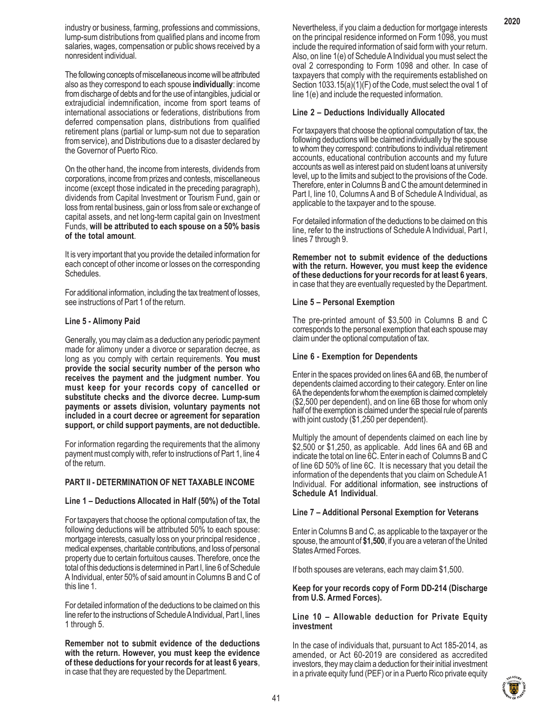industry or business, farming, professions and commissions, lump-sum distributions from qualified plans and income from salaries, wages, compensation or public shows received by a nonresident individual.

The following concepts of miscellaneous income will be attributed also as they correspond to each spouse **individually**: income from discharge of debts and for the use of intangibles, judicial or extrajudicial indemnification, income from sport teams of international associations or federations, distributions from deferred compensation plans, distributions from qualified retirement plans (partial or lump-sum not due to separation from service), and Distributions due to a disaster declared by the Governor of Puerto Rico.

On the other hand, the income from interests, dividends from corporations, income from prizes and contests, miscellaneous income (except those indicated in the preceding paragraph), dividends from Capital Investment or Tourism Fund, gain or loss from rental business, gain or loss from sale or exchange of capital assets, and net long-term capital gain on Investment Funds, **will be attributed to each spouse on a 50% basis of the total amount**.

It is very important that you provide the detailed information for each concept of other income or losses on the corresponding Schedules.

For additional information, including the tax treatment of losses, see instructions of Part 1 of the return.

#### **Line 5 - Alimony Paid**

Generally, you may claim as a deduction any periodic payment made for alimony under a divorce or separation decree, as long as you comply with certain requirements. **You must provide the social security number of the person who receives the payment and the judgment number**. **You must keep for your records copy of cancelled or substitute checks and the divorce decree. Lump-sum payments or assets division, voluntary payments not included in a court decree or agreement for separation support, or child support payments, are not deductible.**

For information regarding the requirements that the alimony payment must comply with, refer to instructions of Part 1, line 4 of the return.

# **PART II - DETERMINATION OF NET TAXABLE INCOME**

#### **Line 1 – Deductions Allocated in Half (50%) of the Total**

For taxpayers that choose the optional computation of tax, the following deductions will be attributed 50% to each spouse: mortgage interests, casualty loss on your principal residence , medical expenses, charitable contributions, and loss of personal property due to certain fortuitous causes. Therefore, once the total of this deductions is determined in Part I, line 6 of Schedule A Individual, enter 50% of said amount in Columns B and C of this line 1.

For detailed information of the deductions to be claimed on this line refer to the instructions of Schedule A Individual, Part I, lines 1 through 5.

**Remember not to submit evidence of the deductions with the return. However, you must keep the evidence of these deductions for your records for at least 6 years**, in case that they are requested by the Department.

Nevertheless, if you claim a deduction for mortgage interests on the principal residence informed on Form 1098, you must include the required information of said form with your return. Also, on line 1(e) of Schedule A Individual you must select the oval 2 corresponding to Form 1098 and other. In case of taxpayers that comply with the requirements established on Section 1033.15(a)(1)(F) of the Code, must select the oval 1 of line 1(e) and include the requested information.

# **Line 2 – Deductions Individually Allocated**

For taxpayers that choose the optional computation of tax, the following deductions will be claimed individually by the spouse to whom they correspond: contributions to individual retirement accounts, educational contribution accounts and my future accounts as well as interest paid on student loans at university level, up to the limits and subject to the provisions of the Code. Therefore, enter in Columns B and C the amount determined in Part I, line 10, Columns A and B of Schedule A Individual, as applicable to the taxpayer and to the spouse.

For detailed information of the deductions to be claimed on this line, refer to the instructions of Schedule A Individual, Part I, lines 7 through 9.

**Remember not to submit evidence of the deductions with the return. However, you must keep the evidence of these deductions for your records for at least 6 years**, in case that they are eventually requested by the Department.

# **Line 5 – Personal Exemption**

The pre-printed amount of \$3,500 in Columns B and C corresponds to the personal exemption that each spouse may claim under the optional computation of tax.

### **Line 6 - Exemption for Dependents**

Enter in the spaces provided on lines 6A and 6B, the number of dependents claimed according to their category. Enter on line 6A the dependents for whom the exemption is claimed completely (\$2,500 per dependent), and on line 6B those for whom only half of the exemption is claimed under the special rule of parents with joint custody (\$1,250 per dependent).

Multiply the amount of dependents claimed on each line by \$2,500 or \$1,250, as applicable. Add lines 6A and 6B and indicate the total on line 6C. Enter in each of Columns B and C of line 6D 50% of line 6C. It is necessary that you detail the information of the dependents that you claim on Schedule A1 Individual. For additional information, see instructions of **Schedule A1 Individual**.

# **Line 7 – Additional Personal Exemption for Veterans**

Enter in Columns B and C, as applicable to the taxpayer or the spouse, the amount of **\$1,500**, if you are a veteran of the United States Armed Forces.

If both spouses are veterans, each may claim \$1,500.

# **Keep for your records copy of Form DD-214 (Discharge from U.S. Armed Forces).**

# **Line 10 – Allowable deduction for Private Equity investment**

In the case of individuals that, pursuant to Act 185-2014, as amended, or Act 60-2019 are considered as accredited investors, they may claim a deduction for their initial investment in a private equity fund (PEF) or in a Puerto Rico private equity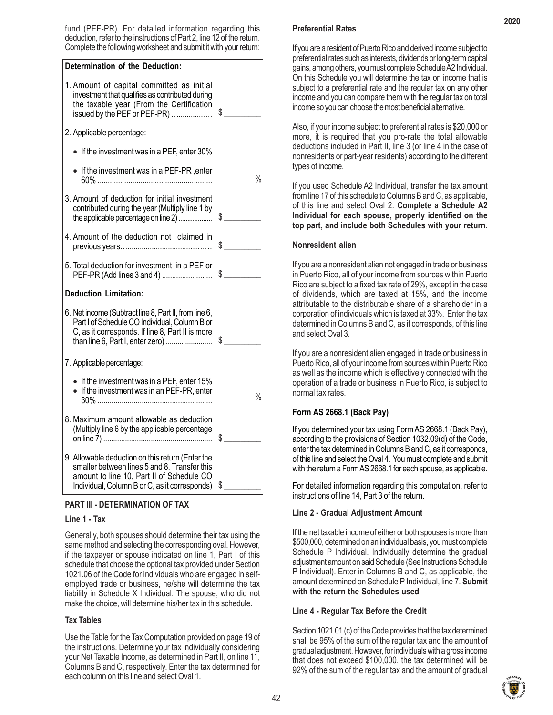fund (PEF-PR). For detailed information regarding this deduction, refer to the instructions of Part 2, line 12 of the return. Complete the following worksheet and submit it with your return:





# **Line 1 - Tax**

Generally, both spouses should determine their tax using the same method and selecting the corresponding oval. However, if the taxpayer or spouse indicated on line 1, Part I of this schedule that choose the optional tax provided under Section 1021.06 of the Code for individuals who are engaged in selfemployed trade or business, he/she will determine the tax liability in Schedule X Individual. The spouse, who did not make the choice, will determine his/her tax in this schedule.

# **Tax Tables**

Use the Table for the Tax Computation provided on page 19 of the instructions. Determine your tax individually considering your Net Taxable Income, as determined in Part II, on line 11, Columns B and C, respectively. Enter the tax determined for each column on this line and select Oval 1.

# **Preferential Rates**

If you are a resident of Puerto Rico and derived income subject to preferential rates such as interests, dividends or long-term capital gains, among others, you must complete Schedule A2 Individual. On this Schedule you will determine the tax on income that is subject to a preferential rate and the regular tax on any other income and you can compare them with the regular tax on total income so you can choose the most beneficial alternative.

Also, if your income subject to preferential rates is \$20,000 or more, it is required that you pro-rate the total allowable deductions included in Part II, line 3 (or line 4 in the case of nonresidents or part-year residents) according to the different types of income.

If you used Schedule A2 Individual, transfer the tax amount from line 17 of this schedule to Columns B and C, as applicable, of this line and select Oval 2. **Complete a Schedule A2 Individual for each spouse, properly identified on the top part, and include both Schedules with your return**.

# **Nonresident alien**

If you are a nonresident alien not engaged in trade or business in Puerto Rico, all of your income from sources within Puerto Rico are subject to a fixed tax rate of 29%, except in the case of dividends, which are taxed at 15%, and the income attributable to the distributable share of a shareholder in a corporation of individuals which is taxed at 33%. Enter the tax determined in Columns B and C, as it corresponds, of this line and select Oval 3.

If you are a nonresident alien engaged in trade or business in Puerto Rico, all of your income from sources within Puerto Rico as well as the income which is effectively connected with the operation of a trade or business in Puerto Rico, is subject to normal tax rates.

# **Form AS 2668.1 (Back Pay)**

If you determined your tax using Form AS 2668.1 (Back Pay), according to the provisions of Section 1032.09(d) of the Code, enter the tax determined in Columns B and C, as it corresponds, of this line and select the Oval 4. You must complete and submit with the return a Form AS 2668.1 for each spouse, as applicable.

For detailed information regarding this computation, refer to instructions of line 14, Part 3 of the return.

# **Line 2 - Gradual Adjustment Amount**

If the net taxable income of either or both spouses is more than \$500,000, determined on an individual basis, you must complete Schedule P Individual. Individually determine the gradual adjustment amount on said Schedule (See Instructions Schedule P Individual). Enter in Columns B and C, as applicable, the amount determined on Schedule P Individual, line 7. **Submit with the return the Schedules used**.

# **Line 4 - Regular Tax Before the Credit**

Section 1021.01 (c) of the Code provides that the tax determined shall be 95% of the sum of the regular tax and the amount of gradual adjustment. However, for individuals with a gross income that does not exceed \$100,000, the tax determined will be 92% of the sum of the regular tax and the amount of gradual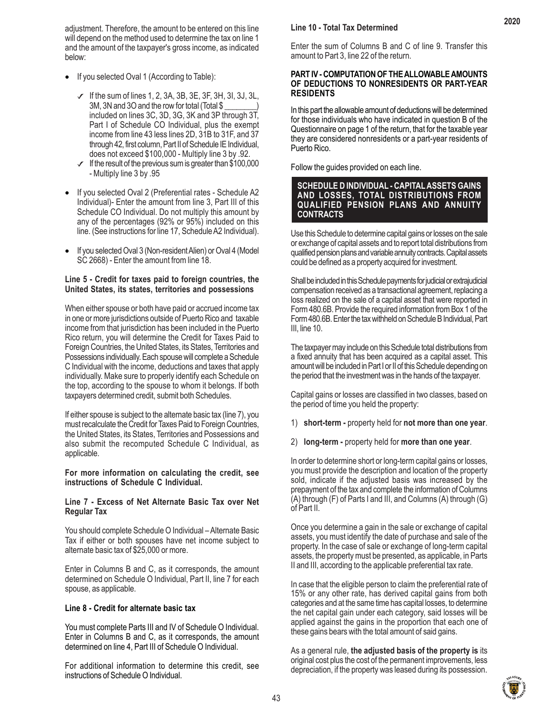adjustment. Therefore, the amount to be entered on this line will depend on the method used to determine the tax on line 1 and the amount of the taxpayer's gross income, as indicated below:

- If you selected Oval 1 (According to Table):
	- $\checkmark$  If the sum of lines 1, 2, 3A, 3B, 3E, 3F, 3H, 3I, 3J, 3L, 3M, 3N and 3O and the row for total (Total \$ included on lines 3C, 3D, 3G, 3K and 3P through 3T, Part I of Schedule CO Individual, plus the exempt income from line 43 less lines 2D, 31B to 31F, and 37 through 42, first column, Part II of Schedule IE Individual, does not exceed \$100,000 - Multiply line 3 by .92.
	- $\checkmark$  If the result of the previous sum is greater than \$100,000 - Multiply line 3 by .95
- If you selected Oval 2 (Preferential rates Schedule A2 Individual)- Enter the amount from line 3, Part III of this Schedule CO Individual. Do not multiply this amount by any of the percentages (92% or 95%) included on this line. (See instructions for line 17, Schedule A2 Individual).
- If you selected Oval 3 (Non-resident Alien) or Oval 4 (Model SC 2668) - Enter the amount from line 18.

# **Line 5 - Credit for taxes paid to foreign countries, the United States, its states, territories and possessions**

When either spouse or both have paid or accrued income tax in one or more jurisdictions outside of Puerto Rico and taxable income from that jurisdiction has been included in the Puerto Rico return, you will determine the Credit for Taxes Paid to Foreign Countries, the United States, its States, Territories and Possessions individually. Each spouse will complete a Schedule C Individual with the income, deductions and taxes that apply individually. Make sure to properly identify each Schedule on the top, according to the spouse to whom it belongs. If both taxpayers determined credit, submit both Schedules.

If either spouse is subject to the alternate basic tax (line 7), you must recalculate the Credit for Taxes Paid to Foreign Countries, the United States, its States, Territories and Possessions and also submit the recomputed Schedule C Individual, as applicable.

# **For more information on calculating the credit, see instructions of Schedule C Individual.**

# **Line 7 - Excess of Net Alternate Basic Tax over Net Regular Tax**

You should complete Schedule O Individual – Alternate Basic Tax if either or both spouses have net income subject to alternate basic tax of \$25,000 or more.

Enter in Columns B and C, as it corresponds, the amount determined on Schedule O Individual, Part II, line 7 for each spouse, as applicable.

# **Line 8 - Credit for alternate basic tax**

You must complete Parts III and IV of Schedule O Individual. Enter in Columns B and C, as it corresponds, the amount determined on line 4, Part III of Schedule O Individual.

For additional information to determine this credit, see instructions of Schedule O Individual.

# **Line 10 - Total Tax Determined**

Enter the sum of Columns B and C of line 9. Transfer this amount to Part 3, line 22 of the return.

# **PART IV - COMPUTATION OF THE ALLOWABLE AMOUNTS OF DEDUCTIONS TO NONRESIDENTS OR PART-YEAR RESIDENTS**

In this part the allowable amount of deductions will be determined for those individuals who have indicated in question B of the Questionnaire on page 1 of the return, that for the taxable year they are considered nonresidents or a part-year residents of Puerto Rico.

Follow the guides provided on each line.

### **SCHEDULE D INDIVIDUAL - CAPITAL ASSETS GAINS AND LOSSES, TOTAL DISTRIBUTIONS FROM QUALIFIED PENSION PLANS AND ANNUITY CONTRACTS**

Use this Schedule to determine capital gains or losses on the sale or exchange of capital assets and to report total distributions from qualified pension plans and variable annuity contracts. Capital assets could be defined as a property acquired for investment.

Shall be included in this Schedule payments for judicial or extrajudicial compensation received as a transactional agreement, replacing a loss realized on the sale of a capital asset that were reported in Form 480.6B. Provide the required information from Box 1 of the Form 480.6B. Enter the tax withheld on Schedule B Individual, Part III, line 10.

The taxpayer may include on this Schedule total distributions from a fixed annuity that has been acquired as a capital asset. This amount will be included in Part I or II of this Schedule depending on the period that the investment was in the hands of the taxpayer.

Capital gains or losses are classified in two classes, based on the period of time you held the property:

- 1) **short-term** property held for **not more than one year**.
- 2) **long-term -** property held for **more than one year**.

In order to determine short or long-term capital gains or losses, you must provide the description and location of the property sold, indicate if the adjusted basis was increased by the prepayment of the tax and complete the information of Columns (A) through (F) of Parts I and III, and Columns (A) through (G) of Part II.

Once you determine a gain in the sale or exchange of capital assets, you must identify the date of purchase and sale of the property. In the case of sale or exchange of long-term capital assets, the property must be presented, as applicable, in Parts II and III, according to the applicable preferential tax rate.

In case that the eligible person to claim the preferential rate of 15% or any other rate, has derived capital gains from both categories and at the same time has capital losses, to determine the net capital gain under each category, said losses will be applied against the gains in the proportion that each one of these gains bears with the total amount of said gains.

As a general rule, **the adjusted basis of the property is** its original cost plus the cost of the permanent improvements, less depreciation, if the property was leased during its possession.

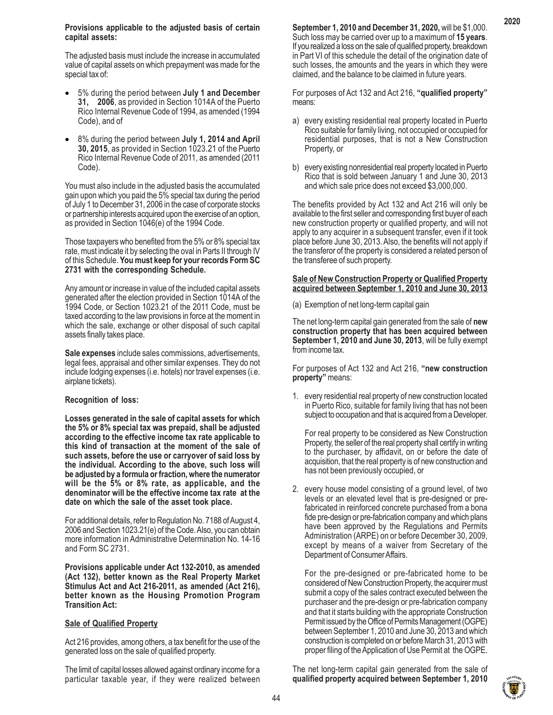#### **Provisions applicable to the adjusted basis of certain capital assets:**

The adjusted basis must include the increase in accumulated value of capital assets on which prepayment was made for the special tax of:

- 5% during the period between **July 1 and December 31, 2006**, as provided in Section 1014A of the Puerto Rico Internal Revenue Code of 1994, as amended (1994 Code), and of
- 8% during the period between **July 1, 2014 and April 30, 2015**, as provided in Section 1023.21 of the Puerto Rico Internal Revenue Code of 2011, as amended (2011 Code).

You must also include in the adjusted basis the accumulated gain upon which you paid the 5% special tax during the period of July 1 to December 31, 2006 in the case of corporate stocks or partnership interests acquired upon the exercise of an option, as provided in Section 1046(e) of the 1994 Code.

Those taxpayers who benefited from the 5% or 8% special tax rate, must indicate it by selecting the oval in Parts II through IV of this Schedule. **You must keep for your records Form SC 2731 with the corresponding Schedule.**

Any amount or increase in value of the included capital assets generated after the election provided in Section 1014A of the 1994 Code, or Section 1023.21 of the 2011 Code, must be taxed according to the law provisions in force at the moment in which the sale, exchange or other disposal of such capital assets finally takes place.

**Sale expenses** include sales commissions, advertisements, legal fees, appraisal and other similar expenses. They do not include lodging expenses (i.e. hotels) nor travel expenses (i.e. airplane tickets).

#### **Recognition of loss:**

**Losses generated in the sale of capital assets for which the 5% or 8% special tax was prepaid, shall be adjusted according to the effective income tax rate applicable to this kind of transaction at the moment of the sale of such assets, before the use or carryover of said loss by the individual. According to the above, such loss will be adjusted by a formula or fraction, where the numerator will be the 5% or 8% rate, as applicable, and the denominator will be the effective income tax rate at the date on which the sale of the asset took place.**

For additional details, refer to Regulation No. 7188 of August 4, 2006 and Section 1023.21(e) of the Code. Also, you can obtain more information in Administrative Determination No. 14-16 and Form SC 2731.

**Provisions applicable under Act 132-2010, as amended (Act 132), better known as the Real Property Market Stimulus Act and Act 216-2011, as amended (Act 216), better known as the Housing Promotion Program Transition Act:**

# **Sale of Qualified Property**

Act 216 provides, among others, a tax benefit for the use of the generated loss on the sale of qualified property.

The limit of capital losses allowed against ordinary income for a particular taxable year, if they were realized between **September 1, 2010 and December 31, 2020,** will be \$1,000. Such loss may be carried over up to a maximum of **15 years**. If you realized a loss on the sale of qualified property, breakdown in Part VI of this schedule the detail of the origination date of such losses, the amounts and the years in which they were claimed, and the balance to be claimed in future years.

For purposes of Act 132 and Act 216, **"qualified property"** means:

- a) every existing residential real property located in Puerto Rico suitable for family living, not occupied or occupied for residential purposes, that is not a New Construction Property, or
- b) every existing nonresidential real property located in Puerto Rico that is sold between January 1 and June 30, 2013 and which sale price does not exceed \$3,000,000.

The benefits provided by Act 132 and Act 216 will only be available to the first seller and corresponding first buyer of each new construction property or qualified property, and will not apply to any acquirer in a subsequent transfer, even if it took place before June 30, 2013. Also, the benefits will not apply if the transferor of the property is considered a related person of the transferee of such property.

### **Sale of New Construction Property or Qualified Property acquired between September 1, 2010 and June 30, 2013**

(a) Exemption of net long-term capital gain

The net long-term capital gain generated from the sale of **new construction property that has been acquired between September 1, 2010 and June 30, 2013**, will be fully exempt from income tax.

For purposes of Act 132 and Act 216, **"new construction property"** means:

1. every residential real property of new construction located in Puerto Rico, suitable for family living that has not been subject to occupation and that is acquired from a Developer.

For real property to be considered as New Construction Property, the seller of the real property shall certify in writing to the purchaser, by affidavit, on or before the date of acquisition, that the real property is of new construction and has not been previously occupied, or

2. every house model consisting of a ground level, of two levels or an elevated level that is pre-designed or prefabricated in reinforced concrete purchased from a bona fide pre-design or pre-fabrication company and which plans have been approved by the Regulations and Permits Administration (ARPE) on or before December 30, 2009, except by means of a waiver from Secretary of the Department of Consumer Affairs.

For the pre-designed or pre-fabricated home to be considered of New Construction Property, the acquirer must submit a copy of the sales contract executed between the purchaser and the pre-design or pre-fabrication company and that it starts building with the appropriate Construction Permit issued by the Office of Permits Management (OGPE) between September 1, 2010 and June 30, 2013 and which construction is completed on or before March 31, 2013 with proper filing of the Application of Use Permit at the OGPE.

The net long-term capital gain generated from the sale of **qualified property acquired between September 1, 2010**

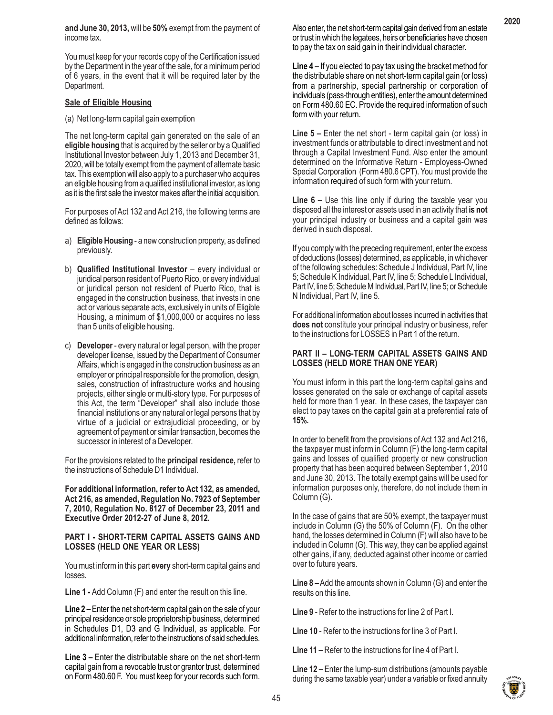**and June 30, 2013,** will be **50%** exempt from the payment of income tax.

You must keep for your records copy of the Certification issued by the Department in the year of the sale, for a minimum period of 6 years, in the event that it will be required later by the Department.

# **Sale of Eligible Housing**

(a) Net long-term capital gain exemption

The net long-term capital gain generated on the sale of an **eligible housing** that is acquired by the seller or by a Qualified Institutional Investor between July 1, 2013 and December 31, 2020, will be totally exempt from the payment of alternate basic tax. This exemption will also apply to a purchaser who acquires an eligible housing from a qualified institutional investor, as long as it is the first sale the investor makes after the initial acquisition.

For purposes of Act 132 and Act 216, the following terms are defined as follows:

- a) **Eligible Housing** a new construction property, as defined previously.
- b) **Qualified Institutional Investor** every individual or juridical person resident of Puerto Rico, or every individual or juridical person not resident of Puerto Rico, that is engaged in the construction business, that invests in one act or various separate acts, exclusively in units of Eligible Housing, a minimum of \$1,000,000 or acquires no less than 5 units of eligible housing.
- c) **Developer**  every natural or legal person, with the proper developer license, issued by the Department of Consumer Affairs, which is engaged in the construction business as an employer or principal responsible for the promotion, design, sales, construction of infrastructure works and housing projects, either single or multi-story type. For purposes of this Act, the term "Developer" shall also include those financial institutions or any natural or legal persons that by virtue of a judicial or extrajudicial proceeding, or by agreement of payment or similar transaction, becomes the successor in interest of a Developer.

For the provisions related to the **principal residence,** refer to the instructions of Schedule D1 Individual.

**For additional information, refer to Act 132, as amended, Act 216, as amended, Regulation No. 7923 of September 7, 2010, Regulation No. 8127 of December 23, 2011 and Executive Order 2012-27 of June 8, 2012.**

#### **PART I - SHORT-TERM CAPITAL ASSETS GAINS AND LOSSES (HELD ONE YEAR OR LESS)**

You must inform in this part **every** short-term capital gains and losses.

**Line 1 -** Add Column (F) and enter the result on this line.

**Line 2 –** Enter the net short-term capital gain on the sale of your principal residence or sole proprietorship business, determined in Schedules D1, D3 and G Individual, as applicable. For additional information, refer to the instructions of said schedules.

**Line 3 –** Enter the distributable share on the net short-term capital gain from a revocable trust or grantor trust, determined on Form 480.60 F. You must keep for your records such form. Also enter, the net short-term capital gain derived from an estate or trust in which the legatees, heirs or beneficiaries have chosen to pay the tax on said gain in their individual character.

**Line 4 –** If you elected to pay tax using the bracket method for the distributable share on net short-term capital gain (or loss) from a partnership, special partnership or corporation of individuals (pass-through entities), enter the amount determined on Form 480.60 EC. Provide the required information of such form with your return.

**Line 5 –** Enter the net short - term capital gain (or loss) in investment funds or attributable to direct investment and not through a Capital Investment Fund. Also enter the amount determined on the Informative Return - Employess-Owned Special Corporation (Form 480.6 CPT). You must provide the information required of such form with your return.

**Line 6 –** Use this line only if during the taxable year you disposed all the interest or assets used in an activity that **is not** your principal industry or business and a capital gain was derived in such disposal.

If you comply with the preceding requirement, enter the excess of deductions (losses) determined, as applicable, in whichever of the following schedules: Schedule J Individual, Part IV, line 5; Schedule K Individual, Part IV, line 5; Schedule L Individual, Part IV, line 5; Schedule M Individual, Part IV, line 5; or Schedule N Individual, Part IV, line 5.

For additional information about losses incurred in activities that **does not** constitute your principal industry or business, refer to the instructions for LOSSES in Part 1 of the return.

# **PART II – LONG-TERM CAPITAL ASSETS GAINS AND LOSSES (HELD MORE THAN ONE YEAR)**

You must inform in this part the long-term capital gains and losses generated on the sale or exchange of capital assets held for more than 1 year. In these cases, the taxpayer can elect to pay taxes on the capital gain at a preferential rate of **15%.**

In order to benefit from the provisions of Act 132 and Act 216, the taxpayer must inform in Column (F) the long-term capital gains and losses of qualified property or new construction property that has been acquired between September 1, 2010 and June 30, 2013. The totally exempt gains will be used for information purposes only, therefore, do not include them in Column (G).

In the case of gains that are 50% exempt, the taxpayer must include in Column (G) the 50% of Column (F). On the other hand, the losses determined in Column (F) will also have to be included in Column (G). This way, they can be applied against other gains, if any, deducted against other income or carried over to future years.

**Line 8 –** Add the amounts shown in Column (G) and enter the results on this line.

**Line 9** - Refer to the instructions for line 2 of Part I.

**Line 10** - Refer to the instructions for line 3 of Part I.

**Line 11 –** Refer to the instructions for line 4 of Part I.

**Line 12 –** Enter the lump-sum distributions (amounts payable during the same taxable year) under a variable or fixed annuity



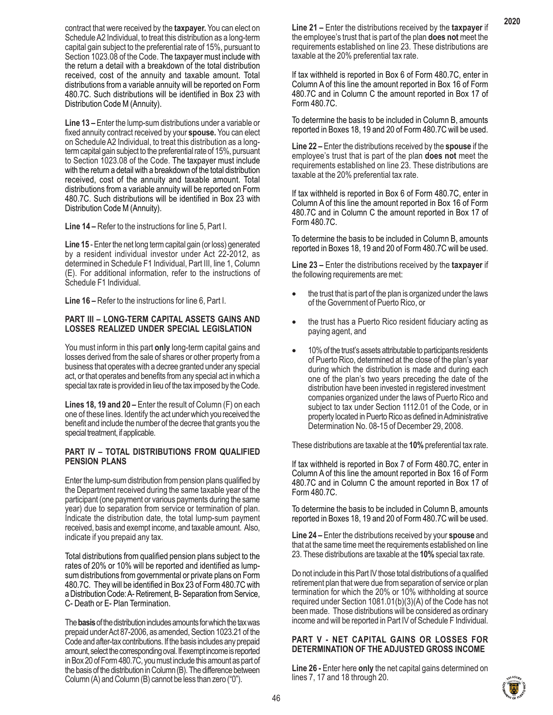contract that were received by the **taxpayer.** You can elect on Schedule A2 Individual, to treat this distribution as a long-term capital gain subject to the preferential rate of 15%, pursuant to Section 1023.08 of the Code. The taxpayer must include with the return a detail with a breakdown of the total distribution received, cost of the annuity and taxable amount. Total distributions from a variable annuity will be reported on Form 480.7C. Such distributions will be identified in Box 23 with Distribution Code M (Annuity).

**Line 13 –** Enter the lump-sum distributions under a variable or fixed annuity contract received by your **spouse.** You can elect on Schedule A2 Individual, to treat this distribution as a longterm capital gain subject to the preferential rate of 15%, pursuant to Section 1023.08 of the Code. The taxpayer must include with the return a detail with a breakdown of the total distribution received, cost of the annuity and taxable amount. Total distributions from a variable annuity will be reported on Form 480.7C. Such distributions will be identified in Box 23 with Distribution Code M (Annuity).

**Line 14 –** Refer to the instructions for line 5, Part I.

**Line 15** - Enter the net long term capital gain (or loss) generated by a resident individual investor under Act 22-2012, as determined in Schedule F1 Individual, Part III, line 1, Column (E). For additional information, refer to the instructions of Schedule F1 Individual.

**Line 16 –** Refer to the instructions for line 6, Part I.

#### **PART III – LONG-TERM CAPITAL ASSETS GAINS AND LOSSES REALIZED UNDER SPECIAL LEGISLATION**

You must inform in this part **only** long-term capital gains and losses derived from the sale of shares or other property from a business that operates with a decree granted under any special act, or that operates and benefits from any special act in which a special tax rate is provided in lieu of the tax imposed by the Code.

**Lines 18, 19 and 20 –** Enter the result of Column (F) on each one of these lines. Identify the act under which you received the benefit and include the number of the decree that grants you the special treatment, if applicable.

# **PART IV – TOTAL DISTRIBUTIONS FROM QUALIFIED PENSION PLANS**

Enter the lump-sum distribution from pension plans qualified by the Department received during the same taxable year of the participant (one payment or various payments during the same year) due to separation from service or termination of plan. Indicate the distribution date, the total lump-sum payment received, basis and exempt income, and taxable amount. Also, indicate if you prepaid any tax.

Total distributions from qualified pension plans subject to the rates of 20% or 10% will be reported and identified as lumpsum distributions from governmental or private plans on Form 480.7C. They will be identified in Box 23 of Form 480.7C with a Distribution Code: A- Retirement, B- Separation from Service, C- Death or E- Plan Termination.

The **basis** of the distribution includes amounts for which the tax was prepaid under Act 87-2006, as amended, Section 1023.21 of the Code and after-tax contributions. If the basis includes any prepaid amount, select the corresponding oval. If exempt income is reported in Box 20 of Form 480.7C, you must include this amount as part of the basis of the distribution in Column (B). The difference between Column (A) and Column (B) cannot be less than zero ("0").

**Line 21 –** Enter the distributions received by the **taxpayer** if the employee's trust that is part of the plan **does not** meet the requirements established on line 23. These distributions are taxable at the 20% preferential tax rate.

If tax withheld is reported in Box 6 of Form 480.7C, enter in Column A of this line the amount reported in Box 16 of Form 480.7C and in Column C the amount reported in Box 17 of Form 480.7C.

To determine the basis to be included in Column B, amounts reported in Boxes 18, 19 and 20 of Form 480.7C will be used.

**Line 22 –** Enter the distributions received by the **spouse** if the employee's trust that is part of the plan **does not** meet the requirements established on line 23. These distributions are taxable at the 20% preferential tax rate.

If tax withheld is reported in Box 6 of Form 480.7C, enter in Column A of this line the amount reported in Box 16 of Form 480.7C and in Column C the amount reported in Box 17 of Form 480.7C.

To determine the basis to be included in Column B, amounts reported in Boxes 18, 19 and 20 of Form 480.7C will be used.

**Line 23 –** Enter the distributions received by the **taxpayer** if the following requirements are met:

- the trust that is part of the plan is organized under the laws of the Government of Puerto Rico, or
- the trust has a Puerto Rico resident fiduciary acting as paying agent, and
- 10% of the trust's assets attributable to participants residents of Puerto Rico, determined at the close of the plan's year during which the distribution is made and during each one of the plan's two years preceding the date of the distribution have been invested in registered investment companies organized under the laws of Puerto Rico and subject to tax under Section 1112.01 of the Code, or in property located in Puerto Rico as defined in Administrative Determination No. 08-15 of December 29, 2008.

These distributions are taxable at the **10%** preferential tax rate.

If tax withheld is reported in Box 7 of Form 480.7C, enter in Column A of this line the amount reported in Box 16 of Form 480.7C and in Column C the amount reported in Box 17 of Form 480.7C.

To determine the basis to be included in Column B, amounts reported in Boxes 18, 19 and 20 of Form 480.7C will be used.

**Line 24 –** Enter the distributions received by your **spouse** and that at the same time meet the requirements established on line 23. These distributions are taxable at the **10%** special tax rate.

Do not include in this Part IV those total distributions of a qualified retirement plan that were due from separation of service or plan termination for which the 20% or 10% withholding at source required under Section 1081.01(b)(3)(A) of the Code has not been made. Those distributions will be considered as ordinary income and will be reported in Part IV of Schedule F Individual.

# **PART V - NET CAPITAL GAINS OR LOSSES FOR DETERMINATION OF THE ADJUSTED GROSS INCOME**

**Line 26 -** Enter here **only** the net capital gains determined on lines 7, 17 and 18 through 20.

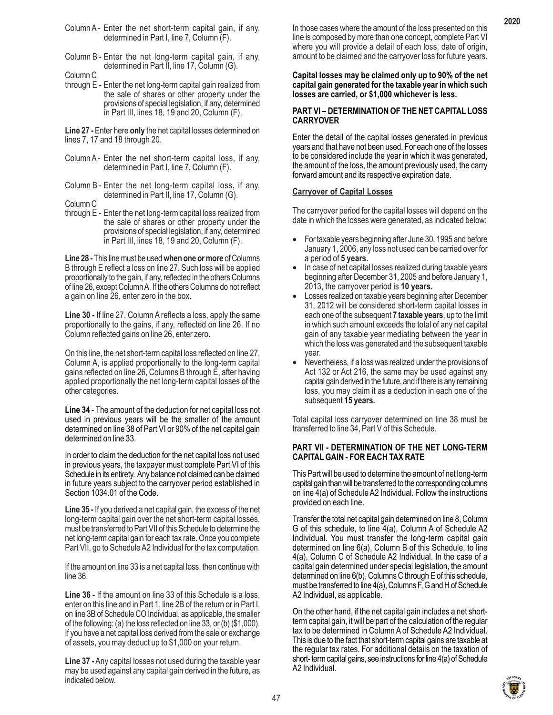- Column A Enter the net short-term capital gain, if any, determined in Part I, line 7, Column (F).
- Column B Enter the net long-term capital gain, if any, determined in Part II, line 17, Column (G).
- Column C
- through E Enter the net long-term capital gain realized from the sale of shares or other property under the provisions of special legislation, if any, determined in Part III, lines 18, 19 and 20, Column (F).

**Line 27 -** Enter here **only** the net capital losses determined on lines 7, 17 and 18 through 20.

- Column A Enter the net short-term capital loss, if any, determined in Part I, line 7, Column (F).
- Column B Enter the net long-term capital loss, if any, determined in Part II, line 17, Column (G).
- Column C
- through E Enter the net long-term capital loss realized from the sale of shares or other property under the provisions of special legislation, if any, determined in Part III, lines 18, 19 and 20, Column (F).

**Line 28 -** This line must be used **when one or more** of Columns B through E reflect a loss on line 27. Such loss will be applied proportionally to the gain, if any, reflected in the others Columns of line 26, except Column A. If the others Columns do not reflect a gain on line 26, enter zero in the box.

**Line 30 -** If line 27, Column A reflects a loss, apply the same proportionally to the gains, if any, reflected on line 26. If no Column reflected gains on line 26, enter zero.

On this line, the net short-term capital loss reflected on line 27, Column A, is applied proportionally to the long-term capital gains reflected on line 26, Columns B through E, after having applied proportionally the net long-term capital losses of the other categories.

**Line 34** - The amount of the deduction for net capital loss not used in previous years will be the smaller of the amount determined on line 38 of Part VI or 90% of the net capital gain determined on line 33.

In order to claim the deduction for the net capital loss not used in previous years, the taxpayer must complete Part VI of this Schedule in its entirety. Any balance not claimed can be claimed in future years subject to the carryover period established in Section 1034.01 of the Code.

**Line 35 -** If you derived a net capital gain, the excess of the net long-term capital gain over the net short-term capital losses, must be transferred to Part VII of this Schedule to determine the net long-term capital gain for each tax rate. Once you complete Part VII, go to Schedule A2 Individual for the tax computation.

If the amount on line 33 is a net capital loss, then continue with line 36.

**Line 36 -** If the amount on line 33 of this Schedule is a loss, enter on this line and in Part 1, line 2B of the return or in Part I, on line 3B of Schedule CO Individual, as applicable, the smaller of the following: (a) the loss reflected on line 33, or (b) (\$1,000). If you have a net capital loss derived from the sale or exchange of assets, you may deduct up to \$1,000 on your return.

**Line 37 -** Any capital losses not used during the taxable year may be used against any capital gain derived in the future, as indicated below.

In those cases where the amount of the loss presented on this line is composed by more than one concept, complete Part VI where you will provide a detail of each loss, date of origin, amount to be claimed and the carryover loss for future years.

#### **Capital losses may be claimed only up to 90% of the net capital gain generated for the taxable year in which such losses are carried, or \$1,000 whichever is less.**

# **PART VI – DETERMINATION OF THE NET CAPITAL LOSS CARRYOVER**

Enter the detail of the capital losses generated in previous years and that have not been used. For each one of the losses to be considered include the year in which it was generated, the amount of the loss, the amount previously used, the carry forward amount and its respective expiration date.

# **Carryover of Capital Losses**

The carryover period for the capital losses will depend on the date in which the losses were generated, as indicated below:

- For taxable years beginning after June 30, 1995 and before January 1, 2006, any loss not used can be carried over for a period of **5 years.**
- In case of net capital losses realized during taxable years beginning after December 31, 2005 and before January 1, 2013, the carryover period is **10 years.**
- Losses realized on taxable years beginning after December 31, 2012 will be considered short-term capital losses in each one of the subsequent **7 taxable years**, up to the limit in which such amount exceeds the total of any net capital gain of any taxable year mediating between the year in which the loss was generated and the subsequent taxable year.
- Nevertheless, if a loss was realized under the provisions of Act 132 or Act 216, the same may be used against any capital gain derived in the future, and if there is any remaining loss, you may claim it as a deduction in each one of the subsequent **15 years.**

Total capital loss carryover determined on line 38 must be transferred to line 34, Part V of this Schedule.

# **PART VII - DETERMINATION OF THE NET LONG-TERM CAPITAL GAIN - FOR EACH TAX RATE**

This Part will be used to determine the amount of net long-term capital gain than will be transferred to the corresponding columns on line 4(a) of Schedule A2 Individual. Follow the instructions provided on each line.

Transfer the total net capital gain determined on line 8, Column G of this schedule, to line 4(a), Column A of Schedule A2 Individual. You must transfer the long-term capital gain determined on line 6(a), Column B of this Schedule, to line 4(a), Column C of Schedule A2 Individual. In the case of a capital gain determined under special legislation, the amount determined on line 6(b), Columns C through E of this schedule, must be transferred to line 4(a), Columns F, G and H of Schedule A2 Individual, as applicable.

On the other hand, if the net capital gain includes a net shortterm capital gain, it will be part of the calculation of the regular tax to be determined in Column A of Schedule A2 Individual. This is due to the fact that short-term capital gains are taxable at the regular tax rates. For additional details on the taxation of short- term capital gains, see instructions for line 4(a) of Schedule A2 Individual.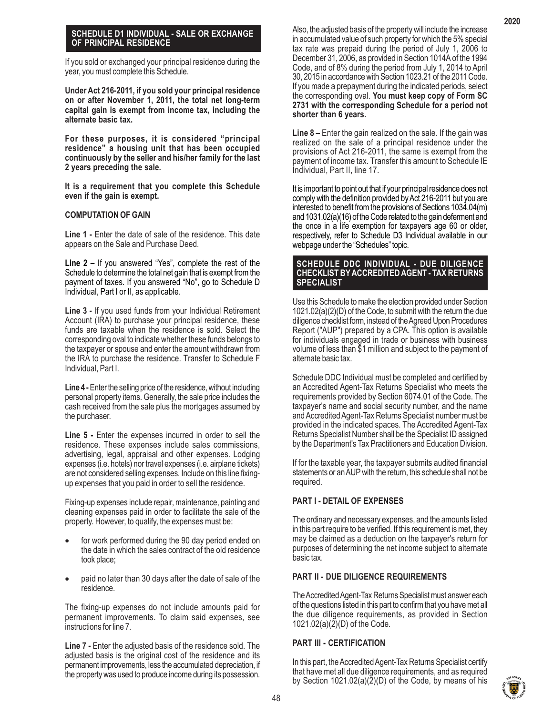#### **SCHEDULE D1 INDIVIDUAL - SALE OR EXCHANGE OF PRINCIPAL RESIDENCE**

If you sold or exchanged your principal residence during the year, you must complete this Schedule.

**Under Act 216-2011, if you sold your principal residence on or after November 1, 2011, the total net long-term capital gain is exempt from income tax, including the alternate basic tax.**

**For these purposes, it is considered "principal residence" a housing unit that has been occupied continuously by the seller and his/her family for the last 2 years preceding the sale.**

**It is a requirement that you complete this Schedule even if the gain is exempt.**

# **COMPUTATION OF GAIN**

Line 1 - Enter the date of sale of the residence. This date appears on the Sale and Purchase Deed.

**Line 2 –** If you answered "Yes", complete the rest of the Schedule to determine the total net gain that is exempt from the payment of taxes. If you answered "No", go to Schedule D Individual, Part I or II, as applicable.

**Line 3 -** If you used funds from your Individual Retirement Account (IRA) to purchase your principal residence, these funds are taxable when the residence is sold. Select the corresponding oval to indicate whether these funds belongs to the taxpayer or spouse and enter the amount withdrawn from the IRA to purchase the residence. Transfer to Schedule F Individual, Part I.

**Line 4 -** Enter the selling price of the residence, without including personal property items. Generally, the sale price includes the cash received from the sale plus the mortgages assumed by the purchaser.

Line 5 - Enter the expenses incurred in order to sell the residence. These expenses include sales commissions, advertising, legal, appraisal and other expenses. Lodging expenses (i.e. hotels) nor travel expenses (i.e. airplane tickets) are not considered selling expenses. Include on this line fixingup expenses that you paid in order to sell the residence.

Fixing-up expenses include repair, maintenance, painting and cleaning expenses paid in order to facilitate the sale of the property. However, to qualify, the expenses must be:

- for work performed during the 90 day period ended on the date in which the sales contract of the old residence took place;
- paid no later than 30 days after the date of sale of the residence.

The fixing-up expenses do not include amounts paid for permanent improvements. To claim said expenses, see instructions for line 7.

**Line 7 -** Enter the adjusted basis of the residence sold. The adjusted basis is the original cost of the residence and its permanent improvements, less the accumulated depreciation, if the property was used to produce income during its possession.

**Line 8 –** Enter the gain realized on the sale. If the gain was realized on the sale of a principal residence under the provisions of Act 216-2011, the same is exempt from the payment of income tax. Transfer this amount to Schedule IE Individual, Part II, line 17.

It is important to point out that if your principal residence does not comply with the definition provided by Act 216-2011 but you are interested to benefit from the provisions of Sections 1034.04(m) and 1031.02(a)(16) of the Code related to the gain deferment and the once in a life exemption for taxpayers age 60 or older, respectively, refer to Schedule D3 Individual available in our webpage under the "Schedules" topic.

# **SCHEDULE DDC INDIVIDUAL - DUE DILIGENCE CHECKLIST BY ACCREDITED AGENT - TAX RETURNS SPECIALIST**

Use this Schedule to make the election provided under Section 1021.02(a)(2)(D) of the Code, to submit with the return the due diligence checklist form, instead of the Agreed Upon Procedures Report ("AUP") prepared by a CPA. This option is available for individuals engaged in trade or business with business volume of less than \$1 million and subject to the payment of alternate basic tax.

Schedule DDC Individual must be completed and certified by an Accredited Agent-Tax Returns Specialist who meets the requirements provided by Section 6074.01 of the Code. The taxpayer's name and social security number, and the name and Accredited Agent-Tax Returns Specialist number must be provided in the indicated spaces. The Accredited Agent-Tax Returns Specialist Number shall be the Specialist ID assigned by the Department's Tax Practitioners and Education Division.

If for the taxable year, the taxpayer submits audited financial statements or an AUP with the return, this schedule shall not be required.

# **PART I - DETAIL OF EXPENSES**

The ordinary and necessary expenses, and the amounts listed in this part require to be verified. If this requirement is met, they may be claimed as a deduction on the taxpayer's return for purposes of determining the net income subject to alternate basic tax.

# **PART II - DUE DILIGENCE REQUIREMENTS**

The Accredited Agent-Tax Returns Specialist must answer each of the questions listed in this part to confirm that you have met all the due diligence requirements, as provided in Section 1021.02(a)(2)(D) of the Code.

# **PART III - CERTIFICATION**

In this part, the Accredited Agent-Tax Returns Specialist certify that have met all due diligence requirements, and as required by Section 1021.02(a)(2)(D) of the Code, by means of his

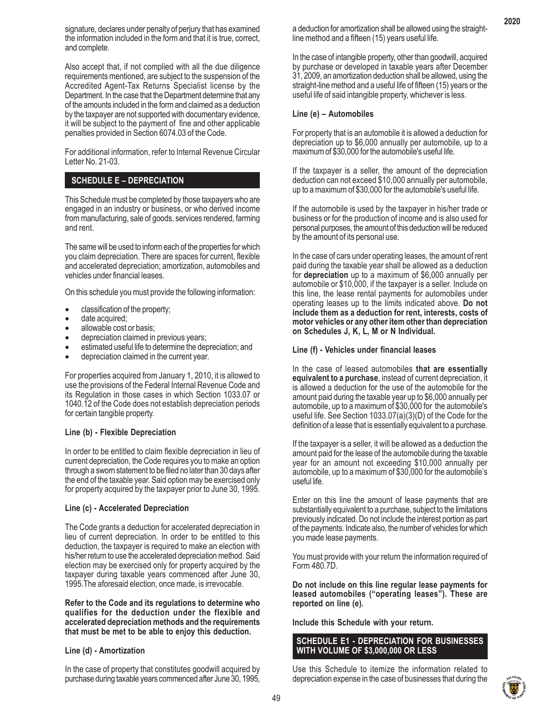signature, declares under penalty of perjury that has examined the information included in the form and that it is true, correct, and complete.

Also accept that, if not complied with all the due diligence requirements mentioned, are subject to the suspension of the Accredited Agent-Tax Returns Specialist license by the Department. In the case that the Department determine that any of the amounts included in the form and claimed as a deduction by the taxpayer are not supported with documentary evidence, it will be subject to the payment of fine and other applicable penalties provided in Section 6074.03 of the Code.

For additional information, refer to Internal Revenue Circular Letter No. 21-03.

# **SCHEDULE E – DEPRECIATION**

This Schedule must be completed by those taxpayers who are engaged in an industry or business, or who derived income from manufacturing, sale of goods, services rendered, farming and rent.

The same will be used to inform each of the properties for which you claim depreciation. There are spaces for current, flexible and accelerated depreciation; amortization, automobiles and vehicles under financial leases.

On this schedule you must provide the following information:

- classification of the property;
- date acquired;
- allowable cost or basis;
- depreciation claimed in previous years;
- estimated useful life to determine the depreciation; and
- depreciation claimed in the current year.

For properties acquired from January 1, 2010, it is allowed to use the provisions of the Federal Internal Revenue Code and its Regulation in those cases in which Section 1033.07 or 1040.12 of the Code does not establish depreciation periods for certain tangible property.

#### **Line (b) - Flexible Depreciation**

In order to be entitled to claim flexible depreciation in lieu of current depreciation, the Code requires you to make an option through a sworn statement to be filed no later than 30 days after the end of the taxable year. Said option may be exercised only for property acquired by the taxpayer prior to June 30, 1995.

#### **Line (c) - Accelerated Depreciation**

The Code grants a deduction for accelerated depreciation in lieu of current depreciation. In order to be entitled to this deduction, the taxpayer is required to make an election with his/her return to use the accelerated depreciation method. Said election may be exercised only for property acquired by the taxpayer during taxable years commenced after June 30, 1995.The aforesaid election, once made, is irrevocable.

**Refer to the Code and its regulations to determine who qualifies for the deduction under the flexible and accelerated depreciation methods and the requirements that must be met to be able to enjoy this deduction.**

#### **Line (d) - Amortization**

In the case of property that constitutes goodwill acquired by purchase during taxable years commenced after June 30, 1995,

a deduction for amortization shall be allowed using the straightline method and a fifteen (15) years useful life.

In the case of intangible property, other than goodwill, acquired by purchase or developed in taxable years after December 31, 2009, an amortization deduction shall be allowed, using the straight-line method and a useful life of fifteen (15) years or the useful life of said intangible property, whichever is less.

#### **Line (e) – Automobiles**

For property that is an automobile it is allowed a deduction for depreciation up to \$6,000 annually per automobile, up to a maximum of \$30,000 for the automobile's useful life.

If the taxpayer is a seller, the amount of the depreciation deduction can not exceed \$10,000 annually per automobile, up to a maximum of \$30,000 for the automobile's useful life.

If the automobile is used by the taxpayer in his/her trade or business or for the production of income and is also used for personal purposes, the amount of this deduction will be reduced by the amount of its personal use.

In the case of cars under operating leases, the amount of rent paid during the taxable year shall be allowed as a deduction for **depreciation** up to a maximum of \$6,000 annually per automobile or \$10,000, if the taxpayer is a seller. Include on this line, the lease rental payments for automobiles under operating leases up to the limits indicated above. **Do not include them as a deduction for rent, interests, costs of motor vehicles or any other item other than depreciation on Schedules J, K, L, M or N Individual.**

#### **Line (f) - Vehicles under financial leases**

In the case of leased automobiles **that are essentially equivalent to a purchase**, instead of current depreciation, it is allowed a deduction for the use of the automobile for the amount paid during the taxable year up to \$6,000 annually per automobile, up to a maximum of \$30,000 for the automobile's useful life. See Section 1033.07(a)(3)(D) of the Code for the definition of a lease that is essentially equivalent to a purchase.

If the taxpayer is a seller, it will be allowed as a deduction the amount paid for the lease of the automobile during the taxable year for an amount not exceeding \$10,000 annually per automobile, up to a maximum of \$30,000 for the automobile's useful life.

Enter on this line the amount of lease payments that are substantially equivalent to a purchase, subject to the limitations previously indicated. Do not include the interest portion as part of the payments. Indicate also, the number of vehicles for which you made lease payments.

You must provide with your return the information required of Form 480.7D.

**Do not include on this line regular lease payments for leased automobiles ("operating leases"). These are reported on line (e).**

**Include this Schedule with your return.**

# **SCHEDULE E1 - DEPRECIATION FOR BUSINESSES WITH VOLUME OF \$3,000,000 OR LESS**

Use this Schedule to itemize the information related to depreciation expense in the case of businesses that during the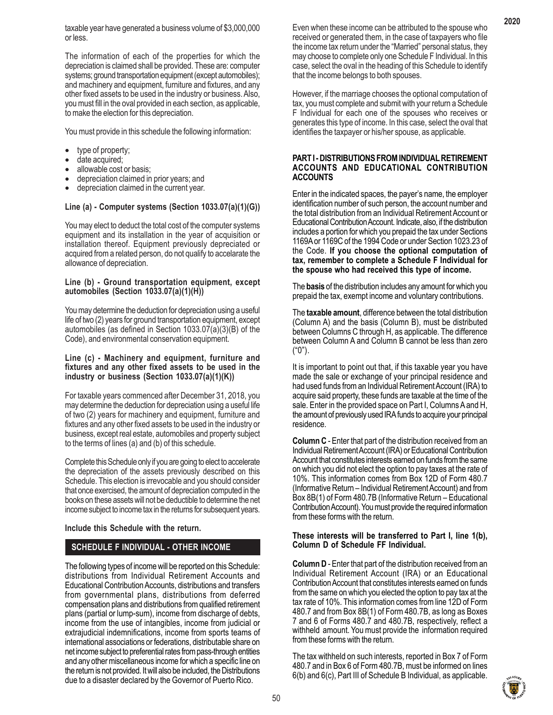The information of each of the properties for which the depreciation is claimed shall be provided. These are: computer systems; ground transportation equipment (except automobiles); and machinery and equipment, furniture and fixtures, and any other fixed assets to be used in the industry or business. Also, you must fill in the oval provided in each section, as applicable, to make the election for this depreciation.

You must provide in this schedule the following information:

- type of property;
- date acquired;
- allowable cost or basis;
- depreciation claimed in prior years; and
- depreciation claimed in the current year.

# **Line (a) - Computer systems (Section 1033.07(a)(1)(G))**

You may elect to deduct the total cost of the computer systems equipment and its installation in the year of acquisition or installation thereof. Equipment previously depreciated or acquired from a related person, do not qualify to accelarate the allowance of depreciation.

### **Line (b) - Ground transportation equipment, except automobiles (Section 1033.07(a)(1)(H))**

You may determine the deduction for depreciation using a useful life of two (2) years for ground transportation equipment, except automobiles (as defined in Section 1033.07(a)(3)(B) of the Code), and environmental conservation equipment.

#### **Line (c) - Machinery and equipment, furniture and fixtures and any other fixed assets to be used in the industry or business (Section 1033.07(a)(1)(K))**

For taxable years commenced after December 31, 2018, you may determine the deduction for depreciation using a useful life of two (2) years for machinery and equipment, furniture and fixtures and any other fixed assets to be used in the industry or business, except real estate, automobiles and property subject to the terms of lines (a) and (b) of this schedule.

Complete this Schedule only if you are going to elect to accelerate the depreciation of the assets previously described on this Schedule. This election is irrevocable and you should consider that once exercised, the amount of depreciation computed in the books on these assets will not be deductible to determine the net income subject to income tax in the returns for subsequent years.

# **Include this Schedule with the return.**

# **SCHEDULE F INDIVIDUAL - OTHER INCOME**

The following types of income will be reported on this Schedule: distributions from Individual Retirement Accounts and Educational Contribution Accounts, distributions and transfers from governmental plans, distributions from deferred compensation plans and distributions from qualified retirement plans (partial or lump-sum), income from discharge of debts, income from the use of intangibles, income from judicial or extrajudicial indemnifications, income from sports teams of international associations or federations, distributable share on net income subject to preferential rates from pass-through entities and any other miscellaneous income for which a specific line on the return is not provided. It will also be included, the Distributions due to a disaster declared by the Governor of Puerto Rico.

Even when these income can be attributed to the spouse who received or generated them, in the case of taxpayers who file the income tax return under the "Married" personal status, they may choose to complete only one Schedule F Individual. In this case, select the oval in the heading of this Schedule to identify that the income belongs to both spouses.

However, if the marriage chooses the optional computation of tax, you must complete and submit with your return a Schedule F Individual for each one of the spouses who receives or generates this type of income. In this case, select the oval that identifies the taxpayer or his/her spouse, as applicable.

### **PART I - DISTRIBUTIONS FROM INDIVIDUAL RETIREMENT ACCOUNTS AND EDUCATIONAL CONTRIBUTION ACCOUNTS**

Enter in the indicated spaces, the payer's name, the employer identification number of such person, the account number and the total distribution from an Individual Retirement Account or Educational Contribution Account. Indicate, also, if the distribution includes a portion for which you prepaid the tax under Sections 1169A or 1169C of the 1994 Code or under Section 1023.23 of the Code. **If you choose the optional computation of tax, remember to complete a Schedule F Individual for the spouse who had received this type of income.**

The **basis** of the distribution includes any amount for which you prepaid the tax, exempt income and voluntary contributions.

The **taxable amount**, difference between the total distribution (Column A) and the basis (Column B), must be distributed between Columns C through H, as applicable. The difference between Column A and Column B cannot be less than zero ("0").

It is important to point out that, if this taxable year you have made the sale or exchange of your principal residence and had used funds from an Individual Retirement Account (IRA) to acquire said property, these funds are taxable at the time of the sale. Enter in the provided space on Part I, Columns A and H, the amount of previously used IRA funds to acquire your principal residence.

**Column C** - Enter that part of the distribution received from an Individual Retirement Account (IRA) or Educational Contribution Account that constitutes interests earned on funds from the same on which you did not elect the option to pay taxes at the rate of 10%. This information comes from Box 12D of Form 480.7 (Informative Return – Individual Retirement Account) and from Box 8B(1) of Form 480.7B (Informative Return – Educational Contribution Account). You must provide the required information from these forms with the return.

# **These interests will be transferred to Part I, line 1(b), Column D of Schedule FF Individual.**

**Column D** - Enter that part of the distribution received from an Individual Retirement Account (IRA) or an Educational Contribution Account that constitutes interests earned on funds from the same on which you elected the option to pay tax at the tax rate of 10%. This information comes from line 12D of Form 480.7 and from Box 8B(1) of Form 480.7B, as long as Boxes 7 and 6 of Forms 480.7 and 480.7B, respectively, reflect a withheld amount. You must provide the information required from these forms with the return.

The tax withheld on such interests, reported in Box 7 of Form 480.7 and in Box 6 of Form 480.7B, must be informed on lines 6(b) and 6(c), Part III of Schedule B Individual, as applicable.



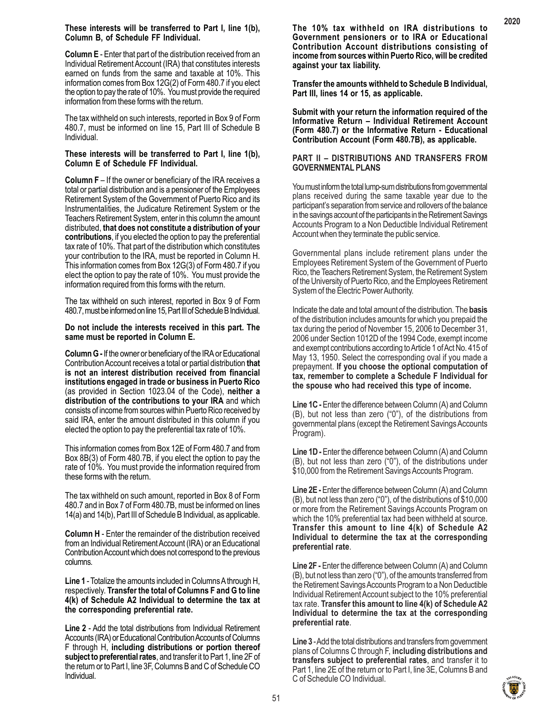**Column E** - Enter that part of the distribution received from an Individual Retirement Account (IRA) that constitutes interests earned on funds from the same and taxable at 10%. This information comes from Box 12G(2) of Form 480.7 if you elect the option to pay the rate of 10%. You must provide the required information from these forms with the return.

The tax withheld on such interests, reported in Box 9 of Form 480.7, must be informed on line 15, Part III of Schedule B Individual.

#### **These interests will be transferred to Part I, line 1(b), Column E of Schedule FF Individual.**

**Column F** – If the owner or beneficiary of the IRA receives a total or partial distribution and is a pensioner of the Employees Retirement System of the Government of Puerto Rico and its Instrumentalities, the Judicature Retirement System or the Teachers Retirement System, enter in this column the amount distributed, **that does not constitute a distribution of your contributions**, if you elected the option to pay the preferential tax rate of 10%. That part of the distribution which constitutes your contribution to the IRA, must be reported in Column H. This information comes from Box 12G(3) of Form 480.7 if you elect the option to pay the rate of 10%. You must provide the information required from this forms with the return.

The tax withheld on such interest, reported in Box 9 of Form 480.7, must be informed on line 15, Part III of Schedule B Individual.

#### **Do not include the interests received in this part. The same must be reported in Column E.**

**Column G -** If the owner or beneficiary of the IRA or Educational Contribution Account receives a total or partial distribution **that is not an interest distribution received from financial institutions engaged in trade or business in Puerto Rico** (as provided in Section 1023.04 of the Code), **neither a distribution of the contributions to your IRA** and which consists of income from sources within Puerto Rico received by said IRA, enter the amount distributed in this column if you elected the option to pay the preferential tax rate of 10%.

This information comes from Box 12E of Form 480.7 and from Box 8B(3) of Form 480.7B, if you elect the option to pay the rate of 10%. You must provide the information required from these forms with the return.

The tax withheld on such amount, reported in Box 8 of Form 480.7 and in Box 7 of Form 480.7B, must be informed on lines 14(a) and 14(b), Part III of Schedule B Individual, as applicable.

**Column H** - Enter the remainder of the distribution received from an Individual Retirement Account (IRA) or an Educational Contribution Account which does not correspond to the previous columns.

**Line 1** - Totalize the amounts included in Columns A through H, respectively. **Transfer the total of Columns F and G to line 4(k) of Schedule A2 Individual to determine the tax at the corresponding preferential rate.**

**Line 2** - Add the total distributions from Individual Retirement Accounts (IRA) or Educational Contribution Accounts of Columns F through H, **including distributions or portion thereof subject to preferential rates**, and transfer it to Part 1, line 2F of the return or to Part I, line 3F, Columns B and C of Schedule CO Individual.

**The 10% tax withheld on IRA distributions to Government pensioners or to IRA or Educational Contribution Account distributions consisting of income from sources within Puerto Rico, will be credited against your tax liability.**

**Transfer the amounts withheld to Schedule B Individual, Part III, lines 14 or 15, as applicable.**

**Submit with your return the information required of the Informative Return – Individual Retirement Account (Form 480.7) or the Informative Return - Educational Contribution Account (Form 480.7B), as applicable.**

# **PART II – DISTRIBUTIONS AND TRANSFERS FROM GOVERNMENTAL PLANS**

You must inform the total lump-sum distributions from governmental plans received during the same taxable year due to the participant's separation from service and rollovers of the balance in the savings account of the participants in the Retirement Savings Accounts Program to a Non Deductible Individual Retirement Account when they terminate the public service.

Governmental plans include retirement plans under the Employees Retirement System of the Government of Puerto Rico, the Teachers Retirement System, the Retirement System of the University of Puerto Rico, and the Employees Retirement System of the Electric Power Authority.

Indicate the date and total amount of the distribution. The **basis** of the distribution includes amounts for which you prepaid the tax during the period of November 15, 2006 to December 31, 2006 under Section 1012D of the 1994 Code, exempt income and exempt contributions according to Article 1 of Act No. 415 of May 13, 1950. Select the corresponding oval if you made a prepayment. **If you choose the optional computation of tax, remember to complete a Schedule F Individual for the spouse who had received this type of income.**

**Line 1C -** Enter the difference between Column (A) and Column (B), but not less than zero ("0"), of the distributions from governmental plans (except the Retirement Savings Accounts Program).

**Line 1D - Enter the difference between Column (A) and Column** (B), but not less than zero ("0"), of the distributions under \$10,000 from the Retirement Savings Accounts Program.

**Line 2E -** Enter the difference between Column (A) and Column (B), but not less than zero ("0"), of the distributions of \$10,000 or more from the Retirement Savings Accounts Program on which the 10% preferential tax had been withheld at source. **Transfer this amount to line 4(k) of Schedule A2 Individual to determine the tax at the corresponding preferential rate**.

**Line 2F -** Enter the difference between Column (A) and Column (B), but not less than zero ("0"), of the amounts transferred from the Retirement Savings Accounts Program to a Non Deductible Individual Retirement Account subject to the 10% preferential tax rate. **Transfer this amount to line 4(k) of Schedule A2 Individual to determine the tax at the corresponding preferential rate**.

**Line 3** - Add the total distributions and transfers from government plans of Columns C through F, **including distributions and transfers subject to preferential rates**, and transfer it to Part 1, line 2E of the return or to Part I, line 3E, Columns B and C of Schedule CO Individual.

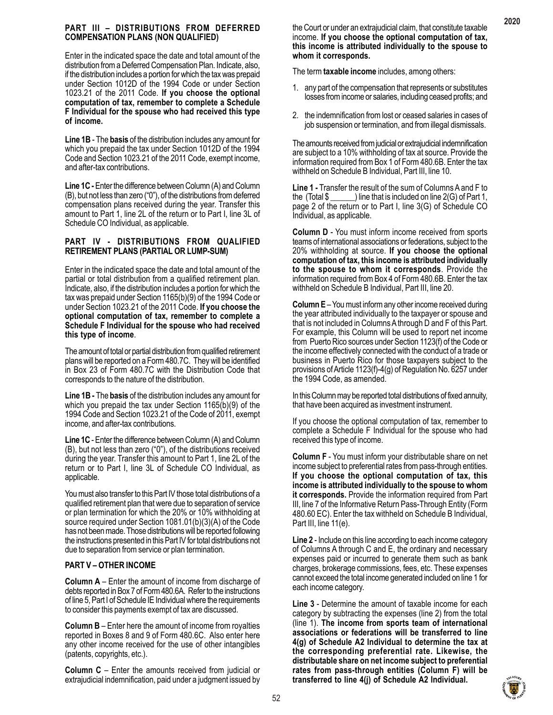# **PART III – DISTRIBUTIONS FROM DEFERRED COMPENSATION PLANS (NON QUALIFIED)**

Enter in the indicated space the date and total amount of the distribution from a Deferred Compensation Plan. Indicate, also, if the distribution includes a portion for which the tax was prepaid under Section 1012D of the 1994 Code or under Section 1023.21 of the 2011 Code. **If you choose the optional computation of tax, remember to complete a Schedule F Individual for the spouse who had received this type of income.**

**Line 1B** - The **basis** of the distribution includes any amount for which you prepaid the tax under Section 1012D of the 1994 Code and Section 1023.21 of the 2011 Code, exempt income, and after-tax contributions.

**Line 1C -** Enter the difference between Column (A) and Column (B), but not less than zero ("0"), of the distributions from deferred compensation plans received during the year. Transfer this amount to Part 1, line 2L of the return or to Part I, line 3L of Schedule CO Individual, as applicable.

# **PART IV - DISTRIBUTIONS FROM QUALIFIED RETIREMENT PLANS (PARTIAL OR LUMP-SUM)**

Enter in the indicated space the date and total amount of the partial or total distribution from a qualified retirement plan. Indicate, also, if the distribution includes a portion for which the tax was prepaid under Section 1165(b)(9) of the 1994 Code or under Section 1023.21 of the 2011 Code. **If you choose the optional computation of tax, remember to complete a Schedule F Individual for the spouse who had received this type of income**.

The amount of total or partial distribution from qualified retirement plans will be reported on a Form 480.7C. They will be identified in Box 23 of Form 480.7C with the Distribution Code that corresponds to the nature of the distribution.

**Line 1B -** The **basis** of the distribution includes any amount for which you prepaid the tax under Section 1165(b)(9) of the 1994 Code and Section 1023.21 of the Code of 2011, exempt income, and after-tax contributions.

**Line 1C** - Enter the difference between Column (A) and Column (B), but not less than zero ("0"), of the distributions received during the year. Transfer this amount to Part 1, line 2L of the return or to Part I, line 3L of Schedule CO Individual, as applicable.

You must also transfer to this Part IV those total distributions of a qualified retirement plan that were due to separation of service or plan termination for which the 20% or 10% withholding at source required under Section 1081.01(b)(3)(A) of the Code has not been made. Those distributions will be reported following the instructions presented in this Part IV for total distributions not due to separation from service or plan termination.

# **PART V – OTHER INCOME**

**Column A** – Enter the amount of income from discharge of debts reported in Box 7 of Form 480.6A. Refer to the instructions of line 5, Part I of Schedule IE Individual where the requirements to consider this payments exempt of tax are discussed.

**Column B** – Enter here the amount of income from royalties reported in Boxes 8 and 9 of Form 480.6C. Also enter here any other income received for the use of other intangibles (patents, copyrights, etc.).

**Column C** – Enter the amounts received from judicial or extrajudicial indemnification, paid under a judgment issued by the Court or under an extrajudicial claim, that constitute taxable income. **If you choose the optional computation of tax, this income is attributed individually to the spouse to whom it corresponds.**

The term **taxable income** includes, among others:

- 1. any part of the compensation that represents or substitutes losses from income or salaries, including ceased profits; and
- 2. the indemnification from lost or ceased salaries in cases of job suspension or termination, and from illegal dismissals.

The amounts received from judicial or extrajudicial indemnification are subject to a 10% withholding of tax at source. Provide the information required from Box 1 of Form 480.6B. Enter the tax withheld on Schedule B Individual, Part III, line 10.

**Line 1 -** Transfer the result of the sum of Columns A and F to the (Total \$ \_\_\_\_\_\_) line that is included on line 2(G) of Part 1, page 2 of the return or to Part I, line 3(G) of Schedule CO Individual, as applicable.

**Column D** - You must inform income received from sports teams of international associations or federations, subject to the 20% withholding at source. **If you choose the optional computation of tax, this income is attributed individually to the spouse to whom it corresponds**. Provide the information required from Box 4 of Form 480.6B. Enter the tax withheld on Schedule B Individual, Part III, line 20.

**Column E** – You must inform any other income received during the year attributed individually to the taxpayer or spouse and that is not included in Columns A through D and F of this Part. For example, this Column will be used to report net income from Puerto Rico sources under Section 1123(f) of the Code or the income effectively connected with the conduct of a trade or business in Puerto Rico for those taxpayers subject to the provisions of Article 1123(f)-4(g) of Regulation No. 6257 under the 1994 Code, as amended.

In this Column may be reported total distributions of fixed annuity, that have been acquired as investment instrument.

If you choose the optional computation of tax, remember to complete a Schedule F Individual for the spouse who had received this type of income.

**Column F** - You must inform your distributable share on net income subject to preferential rates from pass-through entities. **If you choose the optional computation of tax, this income is attributed individually to the spouse to whom it corresponds.** Provide the information required from Part III, line 7 of the Informative Return Pass-Through Entity (Form 480.60 EC). Enter the tax withheld on Schedule B Individual, Part III, line 11(e).

**Line 2** - Include on this line according to each income category of Columns A through C and E, the ordinary and necessary expenses paid or incurred to generate them such as bank charges, brokerage commissions, fees, etc. These expenses cannot exceed the total income generated included on line 1 for each income category.

**Line 3** - Determine the amount of taxable income for each category by subtracting the expenses (line 2) from the total (line 1). **The income from sports team of international associations or federations will be transferred to line 4(g) of Schedule A2 Individual to determine the tax at the corresponding preferential rate. Likewise, the distributable share on net income subject to preferential rates from pass-through entities (Column F) will be transferred to line 4(j) of Schedule A2 Individual.**

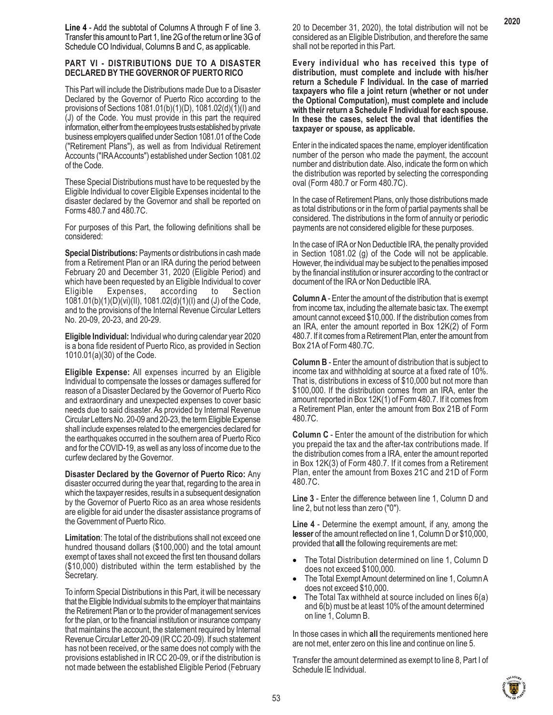**Line 4** - Add the subtotal of Columns A through F of line 3. Transfer this amount to Part 1, line 2G of the return or line 3G of Schedule CO Individual, Columns B and C, as applicable.

#### **PART VI - DISTRIBUTIONS DUE TO A DISASTER DECLARED BY THE GOVERNOR OF PUERTO RICO**

This Part will include the Distributions made Due to a Disaster Declared by the Governor of Puerto Rico according to the provisions of Sections 1081.01(b)(1)(D), 1081.02(d)(1)(I) and (J) of the Code. You must provide in this part the required information, either from the employees trusts established by private business employers qualified under Section 1081.01 of the Code ("Retirement Plans"), as well as from Individual Retirement Accounts ("IRA Accounts") established under Section 1081.02 of the Code.

These Special Distributions must have to be requested by the Eligible Individual to cover Eligible Expenses incidental to the disaster declared by the Governor and shall be reported on Forms 480.7 and 480.7C.

For purposes of this Part, the following definitions shall be considered:

**Special Distributions:** Payments or distributions in cash made from a Retirement Plan or an IRA during the period between February 20 and December 31, 2020 (Eligible Period) and which have been requested by an Eligible Individual to cover Eligible Expenses, according to Section 1081.01(b)(1)(D)(vi)(II), 1081.02(d)(1)(I) and (J) of the Code, and to the provisions of the Internal Revenue Circular Letters No. 20-09, 20-23, and 20-29.

**Eligible Individual:** Individual who during calendar year 2020 is a bona fide resident of Puerto Rico, as provided in Section 1010.01(a)(30) of the Code.

**Eligible Expense:** All expenses incurred by an Eligible Individual to compensate the losses or damages suffered for reason of a Disaster Declared by the Governor of Puerto Rico and extraordinary and unexpected expenses to cover basic needs due to said disaster. As provided by Internal Revenue Circular Letters No. 20-09 and 20-23, the term Eligible Expense shall include expenses related to the emergencies declared for the earthquakes occurred in the southern area of Puerto Rico and for the COVID-19, as well as any loss of income due to the curfew declared by the Governor.

**Disaster Declared by the Governor of Puerto Rico:** Any disaster occurred during the year that, regarding to the area in which the taxpayer resides, results in a subsequent designation by the Governor of Puerto Rico as an area whose residents are eligible for aid under the disaster assistance programs of the Government of Puerto Rico.

**Limitation**: The total of the distributions shall not exceed one hundred thousand dollars (\$100,000) and the total amount exempt of taxes shall not exceed the first ten thousand dollars (\$10,000) distributed within the term established by the Secretary.

To inform Special Distributions in this Part, it will be necessary that the Eligible Individual submits to the employer that maintains the Retirement Plan or to the provider of management services for the plan, or to the financial institution or insurance company that maintains the account, the statement required by Internal Revenue Circular Letter 20-09 (IR CC 20-09). If such statement has not been received, or the same does not comply with the provisions established in IR CC 20-09, or if the distribution is not made between the established Eligible Period (February 20 to December 31, 2020), the total distribution will not be considered as an Eligible Distribution, and therefore the same shall not be reported in this Part.

**Every individual who has received this type of distribution, must complete and include with his/her return a Schedule F Individual. In the case of married taxpayers who file a joint return (whether or not under the Optional Computation), must complete and include with their return a Schedule F Individual for each spouse. In these the cases, select the oval that identifies the taxpayer or spouse, as applicable.**

Enter in the indicated spaces the name, employer identification number of the person who made the payment, the account number and distribution date. Also, indicate the form on which the distribution was reported by selecting the corresponding oval (Form 480.7 or Form 480.7C).

In the case of Retirement Plans, only those distributions made as total distributions or in the form of partial payments shall be considered. The distributions in the form of annuity or periodic payments are not considered eligible for these purposes.

In the case of IRA or Non Deductible IRA, the penalty provided in Section 1081.02 (g) of the Code will not be applicable. However, the individual may be subject to the penalties imposed by the financial institution or insurer according to the contract or document of the IRA or Non Deductible IRA.

**Column A** - Enter the amount of the distribution that is exempt from income tax, including the alternate basic tax. The exempt amount cannot exceed \$10,000. If the distribution comes from an IRA, enter the amount reported in Box 12K(2) of Form 480.7. If it comes from a Retirement Plan, enter the amount from Box 21A of Form 480.7C.

**Column B** - Enter the amount of distribution that is subject to income tax and withholding at source at a fixed rate of 10%. That is, distributions in excess of \$10,000 but not more than \$100,000. If the distribution comes from an IRA, enter the amount reported in Box 12K(1) of Form 480.7. If it comes from a Retirement Plan, enter the amount from Box 21B of Form 480.7C.

**Column C** - Enter the amount of the distribution for which you prepaid the tax and the after-tax contributions made. If the distribution comes from a IRA, enter the amount reported in Box 12K(3) of Form 480.7. If it comes from a Retirement Plan, enter the amount from Boxes 21C and 21D of Form 480.7C.

**Line 3** - Enter the difference between line 1, Column D and line 2, but not less than zero ("0").

**Line 4** - Determine the exempt amount, if any, among the **lesser** of the amount reflected on line 1, Column D or \$10,000, provided that **all** the following requirements are met:

- The Total Distribution determined on line 1, Column D does not exceed \$100,000.
- The Total Exempt Amount determined on line 1, Column A does not exceed \$10,000.
- The Total Tax withheld at source included on lines  $6(a)$ and 6(b) must be at least 10% of the amount determined on line 1, Column B.

In those cases in which **all** the requirements mentioned here are not met, enter zero on this line and continue on line 5.

Transfer the amount determined as exempt to line 8, Part I of Schedule IE Individual.

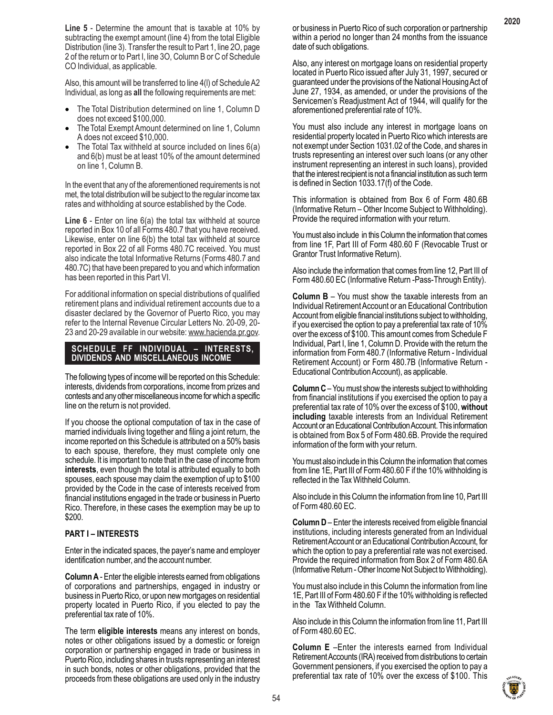**Line 5** - Determine the amount that is taxable at 10% by subtracting the exempt amount (line 4) from the total Eligible Distribution (line 3). Transfer the result to Part 1, line 2O, page 2 of the return or to Part I, line 3O, Column B or C of Schedule CO Individual, as applicable.

Also, this amount will be transferred to line 4(l) of Schedule A2 Individual, as long as **all** the following requirements are met:

- The Total Distribution determined on line 1, Column D does not exceed \$100,000.
- The Total Exempt Amount determined on line 1, Column A does not exceed \$10,000.
- The Total Tax withheld at source included on lines 6(a) and 6(b) must be at least 10% of the amount determined on line 1, Column B.

In the event that any of the aforementioned requirements is not met, the total distribution will be subject to the regular income tax rates and withholding at source established by the Code.

**Line 6** - Enter on line 6(a) the total tax withheld at source reported in Box 10 of all Forms 480.7 that you have received. Likewise, enter on line 6(b) the total tax withheld at source reported in Box 22 of all Forms 480.7C received. You must also indicate the total Informative Returns (Forms 480.7 and 480.7C) that have been prepared to you and which information has been reported in this Part VI.

For additional information on special distributions of qualified retirement plans and individual retirement accounts due to a disaster declared by the Governor of Puerto Rico, you may refer to the Internal Revenue Circular Letters No. 20-09, 20- 23 and 20-29 available in our website: www.hacienda.pr.gov.

**SCHEDULE FF INDIVIDUAL – INTERESTS, DIVIDENDS AND MISCELLANEOUS INCOME**

The following types of income will be reported on this Schedule: interests, dividends from corporations, income from prizes and contests and any other miscellaneous income for which a specific line on the return is not provided.

If you choose the optional computation of tax in the case of married individuals living together and filing a joint return, the income reported on this Schedule is attributed on a 50% basis to each spouse, therefore, they must complete only one schedule. It is important to note that in the case of income from **interests**, even though the total is attributed equally to both spouses, each spouse may claim the exemption of up to \$100 provided by the Code in the case of interests received from financial institutions engaged in the trade or business in Puerto Rico. Therefore, in these cases the exemption may be up to \$200.

# **PART I – INTERESTS**

Enter in the indicated spaces, the payer's name and employer identification number, and the account number.

**Column A** - Enter the eligible interests earned from obligations of corporations and partnerships, engaged in industry or business in Puerto Rico, or upon new mortgages on residential property located in Puerto Rico, if you elected to pay the preferential tax rate of 10%.

The term **eligible interests** means any interest on bonds, notes or other obligations issued by a domestic or foreign corporation or partnership engaged in trade or business in Puerto Rico, including shares in trusts representing an interest in such bonds, notes or other obligations, provided that the proceeds from these obligations are used only in the industry

or business in Puerto Rico of such corporation or partnership within a period no longer than 24 months from the issuance date of such obligations.

Also, any interest on mortgage loans on residential property located in Puerto Rico issued after July 31, 1997, secured or guaranteed under the provisions of the National Housing Act of June 27, 1934, as amended, or under the provisions of the Servicemen's Readjustment Act of 1944, will qualify for the aforementioned preferential rate of 10%.

You must also include any interest in mortgage loans on residential property located in Puerto Rico which interests are not exempt under Section 1031.02 of the Code, and shares in trusts representing an interest over such loans (or any other instrument representing an interest in such loans), provided that the interest recipient is not a financial institution as such term is defined in Section 1033.17(f) of the Code.

This information is obtained from Box 6 of Form 480.6B (Informative Return – Other Income Subject to Withholding). Provide the required information with your return.

You must also include in this Column the information that comes from line 1F, Part III of Form 480.60 F (Revocable Trust or Grantor Trust Informative Return).

Also include the information that comes from line 12, Part III of Form 480.60 EC (Informative Return -Pass-Through Entity).

**Column B** – You must show the taxable interests from an Individual Retirement Account or an Educational Contribution Account from eligible financial institutions subject to withholding, if you exercised the option to pay a preferential tax rate of 10% over the excess of \$100. This amount comes from Schedule F Individual, Part I, line 1, Column D. Provide with the return the information from Form 480.7 (Informative Return - Individual Retirement Account) or Form 480.7B (Informative Return - Educational Contribution Account), as applicable.

**Column C** – You must show the interests subject to withholding from financial institutions if you exercised the option to pay a preferential tax rate of 10% over the excess of \$100, **without including** taxable interests from an Individual Retirement Account or an Educational Contribution Account. This information is obtained from Box 5 of Form 480.6B. Provide the required information of the form with your return.

You must also include in this Column the information that comes from line 1E, Part III of Form 480.60 F if the 10% withholding is reflected in the Tax Withheld Column.

Also include in this Column the information from line 10, Part III of Form 480.60 EC.

**Column D** – Enter the interests received from eligible financial institutions, including interests generated from an Individual Retirement Account or an Educational Contribution Account, for which the option to pay a preferential rate was not exercised. Provide the required information from Box 2 of Form 480.6A (Informative Return - Other Income Not Subject to Withholding).

You must also include in this Column the information from line 1E, Part III of Form 480.60 F if the 10% withholding is reflected in the Tax Withheld Column.

Also include in this Column the information from line 11, Part III of Form 480.60 EC.

**Column E** –Enter the interests earned from Individual Retirement Accounts (IRA) received from distributions to certain Government pensioners, if you exercised the option to pay a preferential tax rate of 10% over the excess of \$100. This

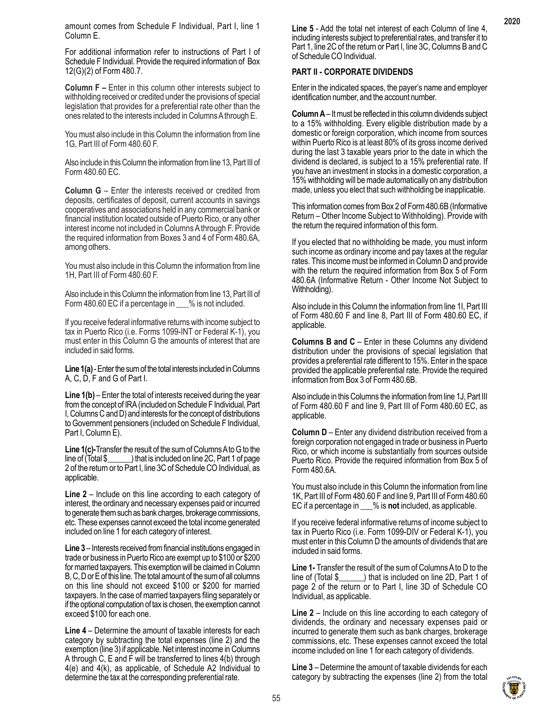For additional information refer to instructions of Part I of Schedule F Individual. Provide the required information of Box 12(G)(2) of Form 480.7.

**Column F –** Enter in this column other interests subject to withholding received or credited under the provisions of special legislation that provides for a preferential rate other than the ones related to the interests included in Columns A through E.

You must also include in this Column the information from line 1G, Part III of Form 480.60 F.

Also include in this Column the information from line 13, Part III of Form 480.60 EC.

**Column G** – Enter the interests received or credited from deposits, certificates of deposit, current accounts in savings cooperatives and associations held in any commercial bank or financial institution located outside of Puerto Rico, or any other interest income not included in Columns A through F. Provide the required information from Boxes 3 and 4 of Form 480.6A, among others.

You must also include in this Column the information from line 1H, Part III of Form 480.60 F.

Also include in this Column the information from line 13, Part III of Form 480.60 EC if a percentage in \_\_\_% is not included.

If you receive federal informative returns with income subject to tax in Puerto Rico (i.e. Forms 1099-INT or Federal K-1), you must enter in this Column G the amounts of interest that are included in said forms.

**Line 1(a)** - Enter the sum of the total interests included in Columns A, C, D, F and G of Part I.

**Line 1(b)** – Enter the total of interests received during the year from the concept of IRA (included on Schedule F Individual, Part I, Columns C and D) and interests for the concept of distributions to Government pensioners (included on Schedule F Individual, Part I, Column E).

**Line 1(c)-**Transfer the result of the sum of Columns A to G to the line of (Total \$\_\_\_\_\_\_) that is included on line 2C, Part 1 of page 2 of the return or to Part I, line 3C of Schedule CO Individual, as applicable.

**Line 2** – Include on this line according to each category of interest, the ordinary and necessary expenses paid or incurred to generate them such as bank charges, brokerage commissions, etc. These expenses cannot exceed the total income generated included on line 1 for each category of interest.

**Line 3** – Interests received from financial institutions engaged in trade or business in Puerto Rico are exempt up to \$100 or \$200 for married taxpayers. This exemption will be claimed in Column B, C, D or E of this line. The total amount of the sum of all columns on this line should not exceed \$100 or \$200 for married taxpayers. In the case of married taxpayers filing separately or if the optional computation of tax is chosen, the exemption cannot exceed \$100 for each one.

**Line 4** – Determine the amount of taxable interests for each category by subtracting the total expenses (line 2) and the exemption (line 3) if applicable. Net interest income in Columns A through C, E and F will be transferred to lines 4(b) through 4(e) and 4(k), as applicable, of Schedule A2 Individual to determine the tax at the corresponding preferential rate.

**Line 5** - Add the total net interest of each Column of line 4, including interests subject to preferential rates, and transfer it to Part 1, line 2C of the return or Part I, line 3C, Columns B and C of Schedule CO Individual.

# **PART II - CORPORATE DIVIDENDS**

Enter in the indicated spaces, the payer's name and employer identification number, and the account number.

**Column A** – It must be reflected in this column dividends subject to a 15% withholding. Every eligible distribution made by a domestic or foreign corporation, which income from sources within Puerto Rico is at least 80% of its gross income derived during the last 3 taxable years prior to the date in which the dividend is declared, is subject to a 15% preferential rate. If you have an investment in stocks in a domestic corporation, a 15% withholding will be made automatically on any distribution made, unless you elect that such withholding be inapplicable.

This information comes from Box 2 of Form 480.6B (Informative Return – Other Income Subject to Withholding). Provide with the return the required information of this form.

If you elected that no withholding be made, you must inform such income as ordinary income and pay taxes at the regular rates. This income must be informed in Column D and provide with the return the required information from Box 5 of Form 480.6A (Informative Return - Other Income Not Subject to Withholding).

Also include in this Column the information from line 1I, Part III of Form 480.60 F and line 8, Part III of Form 480.60 EC, if applicable.

**Columns B and C** – Enter in these Columns any dividend distribution under the provisions of special legislation that provides a preferential rate different to 15%. Enter in the space provided the applicable preferential rate. Provide the required information from Box 3 of Form 480.6B.

Also include in this Columns the information from line 1J, Part III of Form 480.60 F and line 9, Part III of Form 480.60 EC, as applicable.

**Column D** – Enter any dividend distribution received from a foreign corporation not engaged in trade or business in Puerto Rico, or which income is substantially from sources outside Puerto Rico. Provide the required information from Box 5 of Form 480.6A.

You must also include in this Column the information from line 1K, Part III of Form 480.60 F and line 9, Part III of Form 480.60 EC if a percentage in \_\_\_% is **not** included, as applicable.

If you receive federal informative returns of income subject to tax in Puerto Rico (i.e. Form 1099-DIV or Federal K-1), you must enter in this Column D the amounts of dividends that are included in said forms.

**Line 1-** Transfer the result of the sum of Columns A to D to the line of (Total \$\_\_\_\_\_\_) that is included on line 2D, Part 1 of page 2 of the return or to Part I, line 3D of Schedule CO Individual, as applicable.

**Line 2** – Include on this line according to each category of dividends, the ordinary and necessary expenses paid or incurred to generate them such as bank charges, brokerage commissions, etc. These expenses cannot exceed the total income included on line 1 for each category of dividends.

**Line 3** – Determine the amount of taxable dividends for each category by subtracting the expenses (line 2) from the total

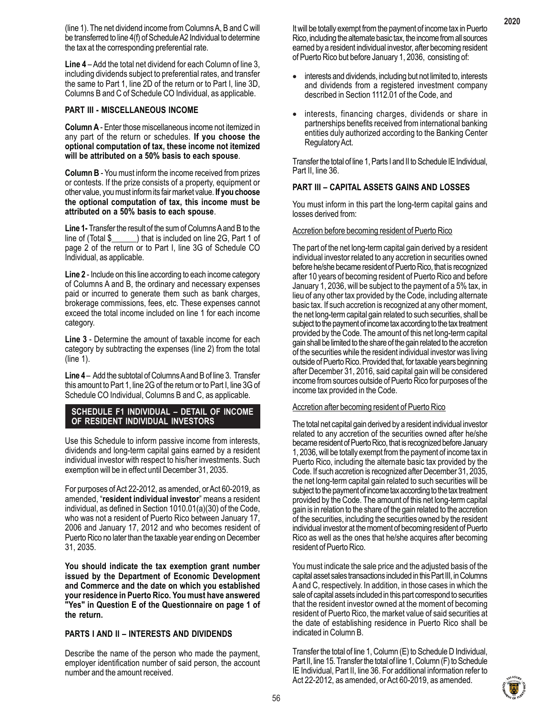(line 1). The net dividend income from Columns A, B and C will be transferred to line 4(f) of Schedule A2 Individual to determine the tax at the corresponding preferential rate.

**Line 4** – Add the total net dividend for each Column of line 3, including dividends subject to preferential rates, and transfer the same to Part 1, line 2D of the return or to Part I, line 3D, Columns B and C of Schedule CO Individual, as applicable.

# **PART III - MISCELLANEOUS INCOME**

**Column A** - Enter those miscellaneous income not itemized in any part of the return or schedules. **If you choose the optional computation of tax, these income not itemized will be attributed on a 50% basis to each spouse**.

**Column B** - You must inform the income received from prizes or contests. If the prize consists of a property, equipment or other value, you must inform its fair market value. **If you choose the optional computation of tax, this income must be attributed on a 50% basis to each spouse**.

Line 1- Transfer the result of the sum of Columns A and B to the line of (Total  $\frac{1}{2}$  ) that is included on line 2G, Part 1 of  $\Box$ ) that is included on line 2G, Part 1 of page 2 of the return or to Part I, line 3G of Schedule CO Individual, as applicable.

**Line 2** - Include on this line according to each income category of Columns A and B, the ordinary and necessary expenses paid or incurred to generate them such as bank charges, brokerage commissions, fees, etc. These expenses cannot exceed the total income included on line 1 for each income category.

**Line 3** - Determine the amount of taxable income for each category by subtracting the expenses (line 2) from the total (line 1).

**Line 4** – Add the subtotal of Columns A and B of line 3. Transfer this amount to Part 1, line 2G of the return or to Part I, line 3G of Schedule CO Individual, Columns B and C, as applicable.

# **SCHEDULE F1 INDIVIDUAL – DETAIL OF INCOME OF RESIDENT INDIVIDUAL INVESTORS**

Use this Schedule to inform passive income from interests, dividends and long-term capital gains earned by a resident individual investor with respect to his/her investments. Such exemption will be in effect until December 31, 2035.

For purposes of Act 22-2012, as amended, or Act 60-2019, as amended, "**resident individual investor**" means a resident individual, as defined in Section 1010.01(a)(30) of the Code, who was not a resident of Puerto Rico between January 17, 2006 and January 17, 2012 and who becomes resident of Puerto Rico no later than the taxable year ending on December 31, 2035.

**You should indicate the tax exemption grant number issued by the Department of Economic Development and Commerce and the date on which you established your residence in Puerto Rico. You must have answered "Yes" in Question E of the Questionnaire on page 1 of the return.**

#### **PARTS I AND II – INTERESTS AND DIVIDENDS**

Describe the name of the person who made the payment, employer identification number of said person, the account number and the amount received.

It will be totally exempt from the payment of income tax in Puerto Rico, including the alternate basic tax, the income from all sources earned by a resident individual investor, after becoming resident of Puerto Rico but before January 1, 2036, consisting of:

- interests and dividends, including but not limited to, interests and dividends from a registered investment company described in Section 1112.01 of the Code, and
- interests, financing charges, dividends or share in partnerships benefits received from international banking entities duly authorized according to the Banking Center Regulatory Act.

Transfer the total of line 1, Parts I and II to Schedule IE Individual, Part II, line 36.

# **PART III – CAPITAL ASSETS GAINS AND LOSSES**

You must inform in this part the long-term capital gains and losses derived from:

#### Accretion before becoming resident of Puerto Rico

The part of the net long-term capital gain derived by a resident individual investor related to any accretion in securities owned before he/she became resident of Puerto Rico, that is recognized after 10 years of becoming resident of Puerto Rico and before January 1, 2036, will be subject to the payment of a 5% tax, in lieu of any other tax provided by the Code, including alternate basic tax. If such accretion is recognized at any other moment, the net long-term capital gain related to such securities, shall be subject to the payment of income tax according to the tax treatment provided by the Code. The amount of this net long-term capital gain shall be limited to the share of the gain related to the accretion of the securities while the resident individual investor was living outside of Puerto Rico. Provided that, for taxable years beginning after December 31, 2016, said capital gain will be considered income from sources outside of Puerto Rico for purposes of the income tax provided in the Code.

#### Accretion after becoming resident of Puerto Rico

The total net capital gain derived by a resident individual investor related to any accretion of the securities owned after he/she became resident of Puerto Rico, that is recognized before January 1, 2036, will be totally exempt from the payment of income tax in Puerto Rico, including the alternate basic tax provided by the Code. If such accretion is recognized after December 31, 2035, the net long-term capital gain related to such securities will be subject to the payment of income tax according to the tax treatment provided by the Code. The amount of this net long-term capital gain is in relation to the share of the gain related to the accretion of the securities, including the securities owned by the resident individual investor at the moment of becoming resident of Puerto Rico as well as the ones that he/she acquires after becoming resident of Puerto Rico.

You must indicate the sale price and the adjusted basis of the capital asset sales transactions included in this Part III, in Columns A and C, respectively. In addition, in those cases in which the sale of capital assets included in this part correspond to securities that the resident investor owned at the moment of becoming resident of Puerto Rico, the market value of said securities at the date of establishing residence in Puerto Rico shall be indicated in Column B.

Transfer the total of line 1, Column (E) to Schedule D Individual, Part II, line 15. Transfer the total of line 1, Column (F) to Schedule IE Individual, Part II, line 36. For additional information refer to Act 22-2012, as amended, or Act 60-2019, as amended.

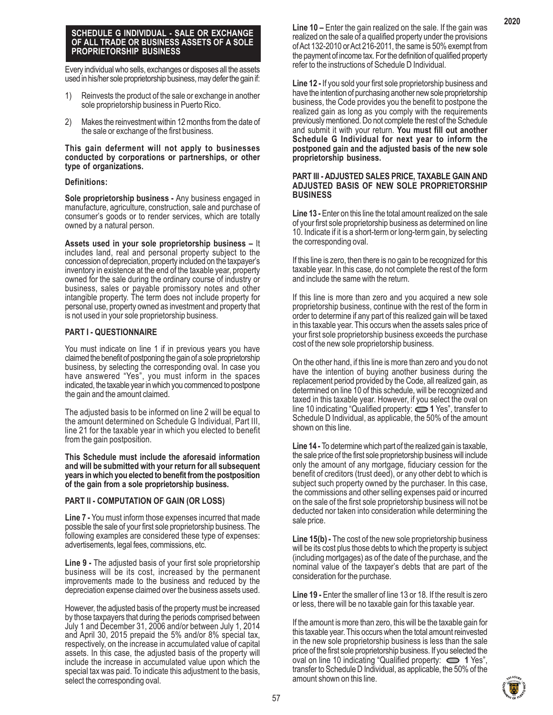### **SCHEDULE G INDIVIDUAL - SALE OR EXCHANGE OF ALL TRADE OR BUSINESS ASSETS OF A SOLE PROPRIETORSHIP BUSINESS**

Every individual who sells, exchanges or disposes all the assets used in his/her sole proprietorship business, may defer the gain if:

- 1) Reinvests the product of the sale or exchange in another sole proprietorship business in Puerto Rico.
- 2) Makes the reinvestment within 12 months from the date of the sale or exchange of the first business.

#### **This gain deferment will not apply to businesses conducted by corporations or partnerships, or other type of organizations.**

# **Definitions:**

**Sole proprietorship business -** Any business engaged in manufacture, agriculture, construction, sale and purchase of consumer's goods or to render services, which are totally owned by a natural person.

**Assets used in your sole proprietorship business –** It includes land, real and personal property subject to the concession of depreciation, property included on the taxpayer's inventory in existence at the end of the taxable year, property owned for the sale during the ordinary course of industry or business, sales or payable promissory notes and other intangible property. The term does not include property for personal use, property owned as investment and property that is not used in your sole proprietorship business.

# **PART I - QUESTIONNAIRE**

You must indicate on line 1 if in previous years you have claimed the benefit of postponing the gain of a sole proprietorship business, by selecting the corresponding oval. In case you have answered "Yes", you must inform in the spaces indicated, the taxable year in which you commenced to postpone the gain and the amount claimed.

The adjusted basis to be informed on line 2 will be equal to the amount determined on Schedule G Individual, Part III, line 21 for the taxable year in which you elected to benefit from the gain postposition.

**This Schedule must include the aforesaid information and will be submitted with your return for all subsequent years in which you elected to benefit from the postposition of the gain from a sole proprietorship business.**

# **PART II - COMPUTATION OF GAIN (OR LOSS)**

**Line 7 -** You must inform those expenses incurred that made possible the sale of your first sole proprietorship business. The following examples are considered these type of expenses: advertisements, legal fees, commissions, etc.

**Line 9 -** The adjusted basis of your first sole proprietorship business will be its cost, increased by the permanent improvements made to the business and reduced by the depreciation expense claimed over the business assets used.

However, the adjusted basis of the property must be increased by those taxpayers that during the periods comprised between July 1 and December 31, 2006 and/or between July 1, 2014 and April 30, 2015 prepaid the 5% and/or 8% special tax, respectively, on the increase in accumulated value of capital assets. In this case, the adjusted basis of the property will include the increase in accumulated value upon which the special tax was paid. To indicate this adjustment to the basis, select the corresponding oval.

**Line 10 –** Enter the gain realized on the sale. If the gain was realized on the sale of a qualified property under the provisions of Act 132-2010 or Act 216-2011, the same is 50% exempt from the payment of income tax. For the definition of qualified property refer to the instructions of Schedule D Individual.

**Line 12 -** If you sold your first sole proprietorship business and have the intention of purchasing another new sole proprietorship business, the Code provides you the benefit to postpone the realized gain as long as you comply with the requirements previously mentioned. Do not complete the rest of the Schedule and submit it with your return. **You must fill out another Schedule G Individual for next year to inform the postponed gain and the adjusted basis of the new sole proprietorship business.**

#### **PART III - ADJUSTED SALES PRICE, TAXABLE GAIN AND ADJUSTED BASIS OF NEW SOLE PROPRIETORSHIP BUSINESS**

**Line 13 -** Enter on this line the total amount realized on the sale of your first sole proprietorship business as determined on line 10. Indicate if it is a short-term or long-term gain, by selecting the corresponding oval.

If this line is zero, then there is no gain to be recognized for this taxable year. In this case, do not complete the rest of the form and include the same with the return.

If this line is more than zero and you acquired a new sole proprietorship business, continue with the rest of the form in order to determine if any part of this realized gain will be taxed in this taxable year. This occurs when the assets sales price of your first sole proprietorship business exceeds the purchase cost of the new sole proprietorship business.

On the other hand, if this line is more than zero and you do not have the intention of buying another business during the replacement period provided by the Code, all realized gain, as determined on line 10 of this schedule, will be recognized and taxed in this taxable year. However, if you select the oval on line 10 indicating "Qualified property: **1** Yes", transfer to Schedule D Individual, as applicable, the 50% of the amount shown on this line.

**Line 14 -** To determine which part of the realized gain is taxable, the sale price of the first sole proprietorship business will include only the amount of any mortgage, fiduciary cession for the benefit of creditors (trust deed), or any other debt to which is subject such property owned by the purchaser. In this case, the commissions and other selling expenses paid or incurred on the sale of the first sole proprietorship business will not be deducted nor taken into consideration while determining the sale price.

**Line 15(b) -** The cost of the new sole proprietorship business will be its cost plus those debts to which the property is subject (including mortgages) as of the date of the purchase, and the nominal value of the taxpayer's debts that are part of the consideration for the purchase.

**Line 19 -** Enter the smaller of line 13 or 18. If the result is zero or less, there will be no taxable gain for this taxable year.

If the amount is more than zero, this will be the taxable gain for this taxable year. This occurs when the total amount reinvested in the new sole proprietorship business is less than the sale price of the first sole proprietorship business. If you selected the oval on line 10 indicating "Qualified property:  $\implies$  1 Yes", transfer to Schedule D Individual, as applicable, the 50% of the amount shown on this line.

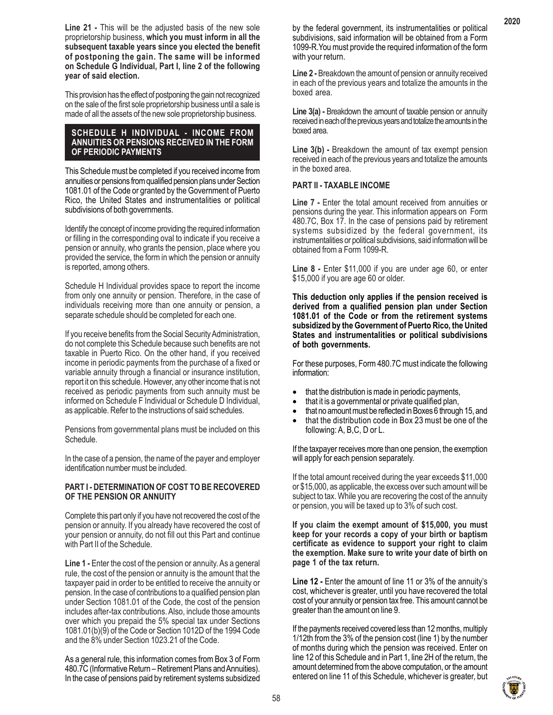**Line 21 -** This will be the adjusted basis of the new sole proprietorship business, **which you must inform in all the subsequent taxable years since you elected the benefit of postponing the gain. The same will be informed on Schedule G Individual, Part I, line 2 of the following year of said election.**

This provision has the effect of postponing the gain not recognized on the sale of the first sole proprietorship business until a sale is made of all the assets of the new sole proprietorship business.

# **SCHEDULE H INDIVIDUAL - INCOME FROM ANNUITIES OR PENSIONS RECEIVED IN THE FORM OF PERIODIC PAYMENTS**

This Schedule must be completed if you received income from annuities or pensions from qualified pension plans under Section 1081.01 of the Code or granted by the Government of Puerto Rico, the United States and instrumentalities or political subdivisions of both governments.

Identify the concept of income providing the required information or filling in the corresponding oval to indicate if you receive a pension or annuity, who grants the pension, place where you provided the service, the form in which the pension or annuity is reported, among others.

Schedule H Individual provides space to report the income from only one annuity or pension. Therefore, in the case of individuals receiving more than one annuity or pension, a separate schedule should be completed for each one.

If you receive benefits from the Social Security Administration, do not complete this Schedule because such benefits are not taxable in Puerto Rico. On the other hand, if you received income in periodic payments from the purchase of a fixed or variable annuity through a financial or insurance institution, report it on this schedule. However, any other income that is not received as periodic payments from such annuity must be informed on Schedule F Individual or Schedule D Individual, as applicable. Refer to the instructions of said schedules.

Pensions from governmental plans must be included on this Schedule.

In the case of a pension, the name of the payer and employer identification number must be included.

# **PART I - DETERMINATION OF COST TO BE RECOVERED OF THE PENSION OR ANNUITY**

Complete this part only if you have not recovered the cost of the pension or annuity. If you already have recovered the cost of your pension or annuity, do not fill out this Part and continue with Part II of the Schedule.

**Line 1 -** Enter the cost of the pension or annuity. As a general rule, the cost of the pension or annuity is the amount that the taxpayer paid in order to be entitled to receive the annuity or pension. In the case of contributions to a qualified pension plan under Section 1081.01 of the Code, the cost of the pension includes after-tax contributions. Also, include those amounts over which you prepaid the 5% special tax under Sections 1081.01(b)(9) of the Code or Section 1012D of the 1994 Code and the 8% under Section 1023.21 of the Code.

As a general rule, this information comes from Box 3 of Form 480.7C (Informative Return – Retirement Plans and Annuities). In the case of pensions paid by retirement systems subsidized

by the federal government, its instrumentalities or political subdivisions, said information will be obtained from a Form 1099-R.You must provide the required information of the form with your return.

**Line 2 -** Breakdown the amount of pension or annuity received in each of the previous years and totalize the amounts in the boxed area.

**Line 3(a) -** Breakdown the amount of taxable pension or annuity received in each of the previous years and totalize the amounts in the boxed area.

**Line 3(b) -** Breakdown the amount of tax exempt pension received in each of the previous years and totalize the amounts in the boxed area.

# **PART II - TAXABLE INCOME**

**Line 7 -** Enter the total amount received from annuities or pensions during the year. This information appears on Form 480.7C, Box 17. In the case of pensions paid by retirement systems subsidized by the federal government, its instrumentalities or political subdivisions, said information will be obtained from a Form 1099-R.

**Line 8 -** Enter \$11,000 if you are under age 60, or enter \$15,000 if you are age 60 or older.

**This deduction only applies if the pension received is derived from a qualified pension plan under Section 1081.01 of the Code or from the retirement systems subsidized by the Government of Puerto Rico, the United States and instrumentalities or political subdivisions of both governments.**

For these purposes, Form 480.7C must indicate the following information:

- that the distribution is made in periodic payments,
- that it is a governmental or private qualified plan,
- that no amount must be reflected in Boxes 6 through 15, and
- that the distribution code in Box 23 must be one of the following: A, B,C, D or L.

If the taxpayer receives more than one pension, the exemption will apply for each pension separately.

If the total amount received during the year exceeds \$11,000 or \$15,000, as applicable, the excess over such amount will be subject to tax. While you are recovering the cost of the annuity or pension, you will be taxed up to 3% of such cost.

**If you claim the exempt amount of \$15,000, you must keep for your records a copy of your birth or baptism certificate as evidence to support your right to claim the exemption. Make sure to write your date of birth on page 1 of the tax return.**

**Line 12 -** Enter the amount of line 11 or 3% of the annuity's cost, whichever is greater, until you have recovered the total cost of your annuity or pension tax free. This amount cannot be greater than the amount on line 9.

If the payments received covered less than 12 months, multiply 1/12th from the 3% of the pension cost (line 1) by the number of months during which the pension was received. Enter on line 12 of this Schedule and in Part 1, line 2H of the return, the amount determined from the above computation, or the amount entered on line 11 of this Schedule, whichever is greater, but

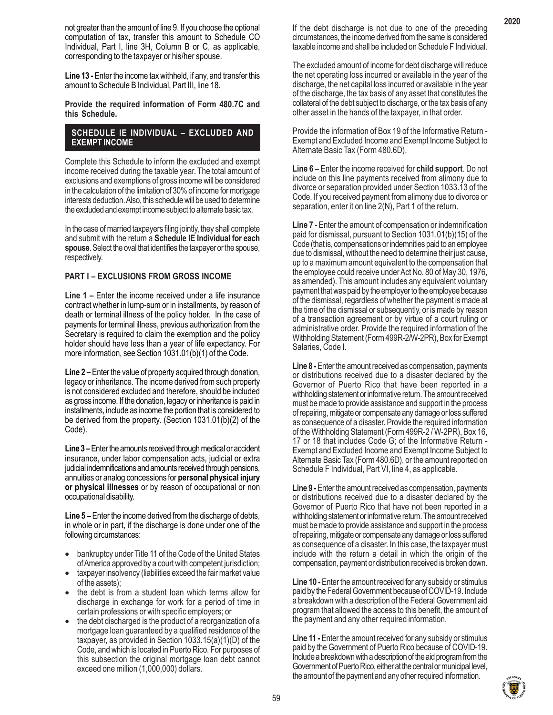not greater than the amount of line 9. If you choose the optional computation of tax, transfer this amount to Schedule CO Individual, Part I, line 3H, Column B or C, as applicable, corresponding to the taxpayer or his/her spouse.

**Line 13 -** Enter the income tax withheld, if any, and transfer this amount to Schedule B Individual, Part III, line 18.

**Provide the required information of Form 480.7C and this Schedule.**

# **SCHEDULE IE INDIVIDUAL – EXCLUDED AND EXEMPT INCOME**

Complete this Schedule to inform the excluded and exempt income received during the taxable year. The total amount of exclusions and exemptions of gross income will be considered in the calculation of the limitation of 30% of income for mortgage interests deduction. Also, this schedule will be used to determine the excluded and exempt income subject to alternate basic tax.

In the case of married taxpayers filing jointly, they shall complete and submit with the return a **Schedule IE Individual for each spouse**. Select the oval that identifies the taxpayer or the spouse, respectively.

# **PART I – EXCLUSIONS FROM GROSS INCOME**

**Line 1 –** Enter the income received under a life insurance contract whether in lump-sum or in installments, by reason of death or terminal illness of the policy holder. In the case of payments for terminal illness, previous authorization from the Secretary is required to claim the exemption and the policy holder should have less than a year of life expectancy. For more information, see Section 1031.01(b)(1) of the Code.

**Line 2 –** Enter the value of property acquired through donation, legacy or inheritance. The income derived from such property is not considered excluded and therefore, should be included as gross income. If the donation, legacy or inheritance is paid in installments, include as income the portion that is considered to be derived from the property. (Section 1031.01(b)(2) of the Code).

**Line 3 –** Enter the amounts received through medical or accident insurance, under labor compensation acts, judicial or extra judicial indemnifications and amounts received through pensions, annuities or analog concessions for **personal physical injury or physical illnesses** or by reason of occupational or non occupational disability.

**Line 5 –** Enter the income derived from the discharge of debts, in whole or in part, if the discharge is done under one of the following circumstances:

- bankruptcy under Title 11 of the Code of the United States of America approved by a court with competent jurisdiction;
- taxpayer insolvency (liabilities exceed the fair market value of the assets);
- the debt is from a student loan which terms allow for discharge in exchange for work for a period of time in certain professions or with specific employers; or
- the debt discharged is the product of a reorganization of a mortgage loan guaranteed by a qualified residence of the taxpayer, as provided in Section 1033.15(a)(1)(D) of the Code, and which is located in Puerto Rico. For purposes of this subsection the original mortgage loan debt cannot exceed one million (1,000,000) dollars.

If the debt discharge is not due to one of the preceding circumstances, the income derived from the same is considered taxable income and shall be included on Schedule F Individual.

The excluded amount of income for debt discharge will reduce the net operating loss incurred or available in the year of the discharge, the net capital loss incurred or available in the year of the discharge, the tax basis of any asset that constitutes the collateral of the debt subject to discharge, or the tax basis of any other asset in the hands of the taxpayer, in that order.

Provide the information of Box 19 of the Informative Return - Exempt and Excluded Income and Exempt Income Subject to Alternate Basic Tax (Form 480.6D).

**Line 6 –** Enter the income received for **child support**. Do not include on this line payments received from alimony due to divorce or separation provided under Section 1033.13 of the Code. If you received payment from alimony due to divorce or separation, enter it on line 2(N), Part 1 of the return.

**Line 7** - Enter the amount of compensation or indemnification paid for dismissal, pursuant to Section 1031.01(b)(15) of the Code (that is, compensations or indemnities paid to an employee due to dismissal, without the need to determine their just cause, up to a maximum amount equivalent to the compensation that the employee could receive under Act No. 80 of May 30, 1976, as amended). This amount includes any equivalent voluntary payment that was paid by the employer to the employee because of the dismissal, regardless of whether the payment is made at the time of the dismissal or subsequently, or is made by reason of a transaction agreement or by virtue of a court ruling or administrative order. Provide the required information of the Withholding Statement (Form 499R-2/W-2PR), Box for Exempt Salaries, Code I.

**Line 8 -** Enter the amount received as compensation, payments or distributions received due to a disaster declared by the Governor of Puerto Rico that have been reported in a withholding statement or informative return. The amount received must be made to provide assistance and support in the process of repairing, mitigate or compensate any damage or loss suffered as consequence of a disaster. Provide the required information of the Withholding Statement (Form 499R-2 / W-2PR), Box 16, 17 or 18 that includes Code G; of the Informative Return - Exempt and Excluded Income and Exempt Income Subject to Alternate Basic Tax (Form 480.6D), or the amount reported on Schedule F Individual, Part VI, line 4, as applicable.

**Line 9 -** Enter the amount received as compensation, payments or distributions received due to a disaster declared by the Governor of Puerto Rico that have not been reported in a withholding statement or informative return. The amount received must be made to provide assistance and support in the process of repairing, mitigate or compensate any damage or loss suffered as consequence of a disaster. In this case, the taxpayer must include with the return a detail in which the origin of the compensation, payment or distribution received is broken down.

**Line 10 -** Enter the amount received for any subsidy or stimulus paid by the Federal Government because of COVID-19. Include a breakdown with a description of the Federal Government aid program that allowed the access to this benefit, the amount of the payment and any other required information.

**Line 11 -** Enter the amount received for any subsidy or stimulus paid by the Government of Puerto Rico because of COVID-19. Include a breakdown with a description of the aid program from the Government of Puerto Rico, either at the central or municipal level, the amount of the payment and any other required information.

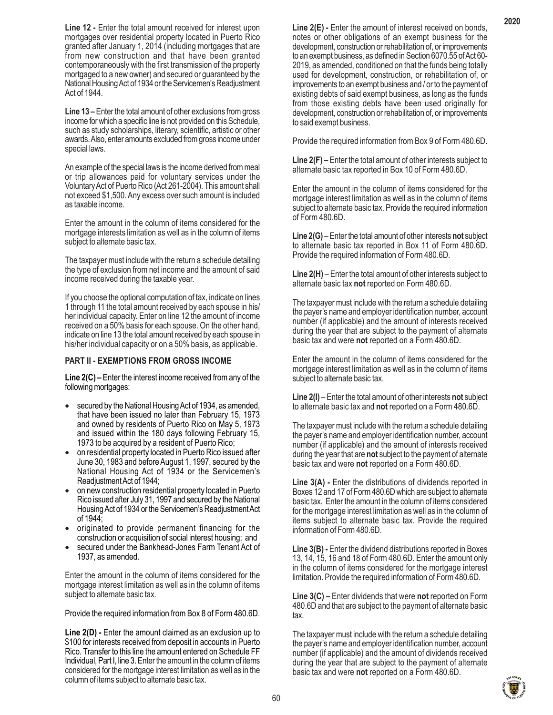**Line 12 - Enter the total amount received for interest upon** mortgages over residential property located in Puerto Rico granted after January 1, 2014 (including mortgages that are from new construction and that have been granted contemporaneously with the first transmission of the property mortgaged to a new owner) and secured or guaranteed by the National Housing Act of 1934 or the Servicemen's Readjustment Act of 1944.

**Line 13 –** Enter the total amount of other exclusions from gross income for which a specific line is not provided on this Schedule, such as study scholarships, literary, scientific, artistic or other awards. Also, enter amounts excluded from gross income under special laws.

An example of the special laws is the income derived from meal or trip allowances paid for voluntary services under the Voluntary Act of Puerto Rico (Act 261-2004). This amount shall not exceed \$1,500. Any excess over such amount is included as taxable income.

Enter the amount in the column of items considered for the mortgage interests limitation as well as in the column of items subject to alternate basic tax.

The taxpayer must include with the return a schedule detailing the type of exclusion from net income and the amount of said income received during the taxable year.

If you choose the optional computation of tax, indicate on lines 1 through 11 the total amount received by each spouse in his/ her individual capacity. Enter on line 12 the amount of income received on a 50% basis for each spouse. On the other hand, indicate on line 13 the total amount received by each spouse in his/her individual capacity or on a 50% basis, as applicable.

#### **PART II - EXEMPTIONS FROM GROSS INCOME**

**Line 2(C) –** Enter the interest income received from any of the following mortgages:

- secured by the National Housing Act of 1934, as amended, that have been issued no later than February 15, 1973 and owned by residents of Puerto Rico on May 5, 1973 and issued within the 180 days following February 15, 1973 to be acquired by a resident of Puerto Rico;
- on residential property located in Puerto Rico issued after June 30, 1983 and before August 1, 1997, secured by the National Housing Act of 1934 or the Servicemen's Readjustment Act of 1944;
- on new construction residential property located in Puerto Rico issued after July 31, 1997 and secured by the National Housing Act of 1934 or the Servicemen's Readjustment Act of 1944;
- originated to provide permanent financing for the construction or acquisition of social interest housing; and
- secured under the Bankhead-Jones Farm Tenant Act of 1937, as amended.

Enter the amount in the column of items considered for the mortgage interest limitation as well as in the column of items subject to alternate basic tax.

Provide the required information from Box 8 of Form 480.6D.

**Line 2(D) -** Enter the amount claimed as an exclusion up to \$100 for interests received from deposit in accounts in Puerto Rico. Transfer to this line the amount entered on Schedule FF Individual, Part I, line 3. Enter the amount in the column of items considered for the mortgage interest limitation as well as in the column of items subject to alternate basic tax.

**Line 2(E) -** Enter the amount of interest received on bonds, notes or other obligations of an exempt business for the development, construction or rehabilitation of, or improvements to an exempt business, as defined in Section 6070.55 of Act 60- 2019, as amended, conditioned on that the funds being totally used for development, construction, or rehabilitation of, or improvements to an exempt business and / or to the payment of existing debts of said exempt business, as long as the funds from those existing debts have been used originally for development, construction or rehabilitation of, or improvements to said exempt business.

Provide the required information from Box 9 of Form 480.6D.

**Line 2(F) –** Enter the total amount of other interests subject to alternate basic tax reported in Box 10 of Form 480.6D.

Enter the amount in the column of items considered for the mortgage interest limitation as well as in the column of items subject to alternate basic tax. Provide the required information of Form 480.6D.

**Line 2(G)** – Enter the total amount of other interests **not** subject to alternate basic tax reported in Box 11 of Form 480.6D. Provide the required information of Form 480.6D.

**Line 2(H)** – Enter the total amount of other interests subject to alternate basic tax **not** reported on Form 480.6D.

The taxpayer must include with the return a schedule detailing the payer's name and employer identification number, account number (if applicable) and the amount of interests received during the year that are subject to the payment of alternate basic tax and were **not** reported on a Form 480.6D.

Enter the amount in the column of items considered for the mortgage interest limitation as well as in the column of items subject to alternate basic tax.

**Line 2(I)** – Enter the total amount of other interests **not** subject to alternate basic tax and **not** reported on a Form 480.6D.

The taxpayer must include with the return a schedule detailing the payer's name and employer identification number, account number (if applicable) and the amount of interests received during the year that are **not** subject to the payment of alternate basic tax and were **not** reported on a Form 480.6D.

**Line 3(A) -** Enter the distributions of dividends reported in Boxes 12 and 17 of Form 480.6D which are subject to alternate basic tax. Enter the amount in the column of items considered for the mortgage interest limitation as well as in the column of items subject to alternate basic tax. Provide the required information of Form 480.6D.

**Line 3(B) -** Enter the dividend distributions reported in Boxes 13, 14, 15, 16 and 18 of Form 480.6D. Enter the amount only in the column of items considered for the mortgage interest limitation. Provide the required information of Form 480.6D.

**Line 3(C) –** Enter dividends that were **not** reported on Form 480.6D and that are subject to the payment of alternate basic tax.

The taxpayer must include with the return a schedule detailing the payer's name and employer identification number, account number (if applicable) and the amount of dividends received during the year that are subject to the payment of alternate basic tax and were **not** reported on a Form 480.6D.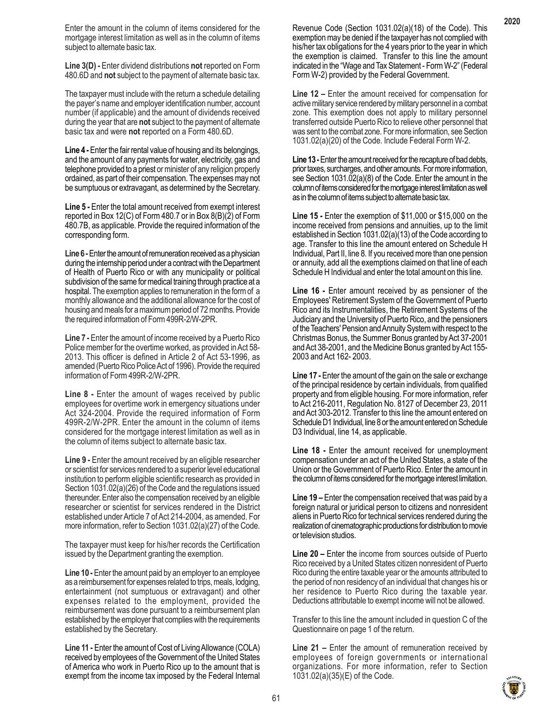Enter the amount in the column of items considered for the mortgage interest limitation as well as in the column of items subject to alternate basic tax.

**Line 3(D) -** Enter dividend distributions **not** reported on Form 480.6D and **not** subject to the payment of alternate basic tax.

The taxpayer must include with the return a schedule detailing the payer's name and employer identification number, account number (if applicable) and the amount of dividends received during the year that are **not** subject to the payment of alternate basic tax and were **not** reported on a Form 480.6D.

**Line 4 -** Enter the fair rental value of housing and its belongings, and the amount of any payments for water, electricity, gas and telephone provided to a priest or minister of any religion properly ordained, as part of their compensation. The expenses may not be sumptuous or extravagant, as determined by the Secretary.

**Line 5 -** Enter the total amount received from exempt interest reported in Box 12(C) of Form 480.7 or in Box 8(B)(2) of Form 480.7B, as applicable. Provide the required information of the corresponding form.

**Line 6 -**Enter the amount of remuneration received as a physician during the internship period under a contract with the Department of Health of Puerto Rico or with any municipality or political subdivision of the same for medical training through practice at a hospital. The exemption applies to remuneration in the form of a monthly allowance and the additional allowance for the cost of housing and meals for a maximum period of 72 months. Provide the required information of Form 499R-2/W-2PR.

**Line 7 -** Enter the amount of income received by a Puerto Rico Police member for the overtime worked, as provided in Act 58- 2013. This officer is defined in Article 2 of Act 53-1996, as amended (Puerto Rico Police Act of 1996). Provide the required information of Form 499R-2/W-2PR.

**Line 8 -** Enter the amount of wages received by public employees for overtime work in emergency situations under Act 324-2004. Provide the required information of Form 499R-2/W-2PR. Enter the amount in the column of items considered for the mortgage interest limitation as well as in the column of items subject to alternate basic tax.

**Line 9 -** Enter the amount received by an eligible researcher or scientist for services rendered to a superior level educational institution to perform eligible scientific research as provided in Section 1031.02(a)(26) of the Code and the regulations issued thereunder. Enter also the compensation received by an eligible researcher or scientist for services rendered in the District established under Article 7 of Act 214-2004, as amended. For more information, refer to Section 1031.02(a)(27) of the Code.

The taxpayer must keep for his/her records the Certification issued by the Department granting the exemption.

**Line 10 -** Enter the amount paid by an employer to an employee as a reimbursement for expenses related to trips, meals, lodging, entertainment (not sumptuous or extravagant) and other expenses related to the employment, provided the reimbursement was done pursuant to a reimbursement plan established by the employer that complies with the requirements established by the Secretary.

**Line 11 -** Enter the amount of Cost of Living Allowance (COLA) received by employees of the Government of the United States of America who work in Puerto Rico up to the amount that is exempt from the income tax imposed by the Federal Internal

Revenue Code (Section 1031.02(a)(18) of the Code). This exemption may be denied if the taxpayer has not complied with his/her tax obligations for the 4 years prior to the year in which the exemption is claimed. Transfer to this line the amount indicated in the "Wage and Tax Statement - Form W-2" (Federal Form W-2) provided by the Federal Government.

**Line 12 –** Enter the amount received for compensation for active military service rendered by military personnel in a combat zone. This exemption does not apply to military personnel transferred outside Puerto Rico to relieve other personnel that was sent to the combat zone. For more information, see Section 1031.02(a)(20) of the Code. Include Federal Form W-2.

Line 13 - Enter the amount received for the recapture of bad debts, prior taxes, surcharges, and other amounts. For more information, see Section 1031.02(a)(8) of the Code. Enter the amount in the column of items considered for the mortgage interest limitation as well as in the column of items subject to alternate basic tax.

**Line 15 -** Enter the exemption of \$11,000 or \$15,000 on the income received from pensions and annuities, up to the limit established in Section 1031.02(a)(13) of the Code according to age. Transfer to this line the amount entered on Schedule H Individual, Part II, line 8. If you received more than one pension or annuity, add all the exemptions claimed on that line of each Schedule H Individual and enter the total amount on this line.

**Line 16 -** Enter amount received by as pensioner of the Employees' Retirement System of the Government of Puerto Rico and its Instrumentalities, the Retirement Systems of the Judiciary and the University of Puerto Rico, and the pensioners of the Teachers' Pension and Annuity System with respect to the Christmas Bonus, the Summer Bonus granted by Act 37-2001 and Act 38-2001, and the Medicine Bonus granted by Act 155- 2003 and Act 162- 2003.

**Line 17 -** Enter the amount of the gain on the sale or exchange of the principal residence by certain individuals, from qualified property and from eligible housing. For more information, refer to Act 216-2011, Regulation No. 8127 of December 23, 2011 and Act 303-2012. Transfer to this line the amount entered on Schedule D1 Individual, line 8 or the amount entered on Schedule D3 Individual, line 14, as applicable.

**Line 18 -** Enter the amount received for unemployment compensation under an act of the United States, a state of the Union or the Government of Puerto Rico. Enter the amount in the column of items considered for the mortgage interest limitation.

**Line 19 –** Enter the compensation received that was paid by a foreign natural or juridical person to citizens and nonresident aliens in Puerto Rico for technical services rendered during the realization of cinematographic productions for distribution to movie or television studios.

**Line 20 –** Enter the income from sources outside of Puerto Rico received by a United States citizen nonresident of Puerto Rico during the entire taxable year or the amounts attributed to the period of non residency of an individual that changes his or her residence to Puerto Rico during the taxable year. Deductions attributable to exempt income will not be allowed.

Transfer to this line the amount included in question C of the Questionnaire on page 1 of the return.

**Line 21 –** Enter the amount of remuneration received by employees of foreign governments or international organizations. For more information, refer to Section 1031.02(a)(35)(E) of the Code.

**2020**

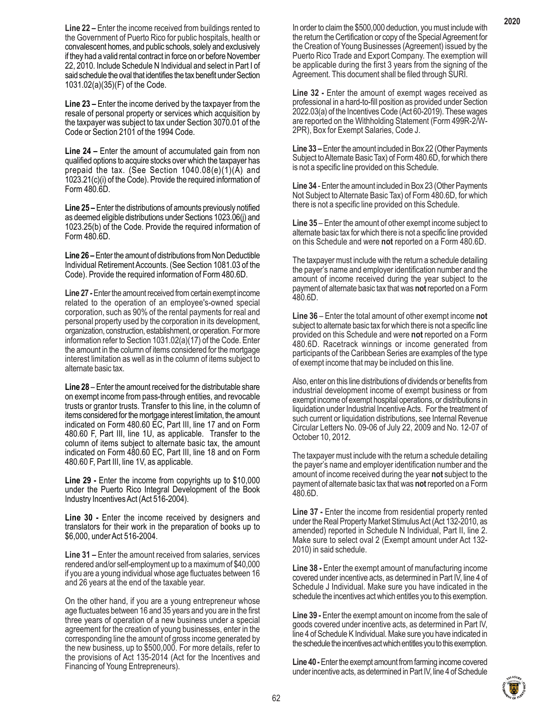**Line 22 –** Enter the income received from buildings rented to the Government of Puerto Rico for public hospitals, health or convalescent homes, and public schools, solely and exclusively if they had a valid rental contract in force on or before November 22, 2010. Include Schedule N Individual and select in Part I of said schedule the oval that identifies the tax benefit under Section 1031.02(a)(35)(F) of the Code.

**Line 23 –** Enter the income derived by the taxpayer from the resale of personal property or services which acquisition by the taxpayer was subject to tax under Section 3070.01 of the Code or Section 2101 of the 1994 Code.

**Line 24 –** Enter the amount of accumulated gain from non qualified options to acquire stocks over which the taxpayer has prepaid the tax. (See Section 1040.08(e)(1)(A) and 1023.21(c)(i) of the Code). Provide the required information of Form 480.6D.

**Line 25 –** Enter the distributions of amounts previously notified as deemed eligible distributions under Sections 1023.06(j) and 1023.25(b) of the Code. Provide the required information of Form 480.6D.

**Line 26 –** Enter the amount of distributions from Non Deductible Individual Retirement Accounts. (See Section 1081.03 of the Code). Provide the required information of Form 480.6D.

**Line 27 -** Enter the amount received from certain exempt income related to the operation of an employee's-owned special corporation, such as 90% of the rental payments for real and personal property used by the corporation in its development, organization, construction, establishment, or operation. For more information refer to Section 1031.02(a)(17) of the Code. Enter the amount in the column of items considered for the mortgage interest limitation as well as in the column of items subject to alternate basic tax.

**Line 28** – Enter the amount received for the distributable share on exempt income from pass-through entities, and revocable trusts or grantor trusts. Transfer to this line, in the column of items considered for the mortgage interest limitation, the amount indicated on Form 480.60 EC, Part III, line 17 and on Form 480.60 F, Part III, line 1U, as applicable. Transfer to the column of items subject to alternate basic tax, the amount indicated on Form 480.60 EC, Part III, line 18 and on Form 480.60 F, Part III, line 1V, as applicable.

**Line 29 -** Enter the income from copyrights up to \$10,000 under the Puerto Rico Integral Development of the Book Industry Incentives Act (Act 516-2004).

**Line 30 -** Enter the income received by designers and translators for their work in the preparation of books up to \$6,000, under Act 516-2004.

**Line 31 –** Enter the amount received from salaries, services rendered and/or self-employment up to a maximum of \$40,000 if you are a young individual whose age fluctuates between 16 and 26 years at the end of the taxable year.

On the other hand, if you are a young entrepreneur whose age fluctuates between 16 and 35 years and you are in the first three years of operation of a new business under a special agreement for the creation of young businesses, enter in the corresponding line the amount of gross income generated by the new business, up to \$500,000. For more details, refer to the provisions of Act 135-2014 (Act for the Incentives and Financing of Young Entrepreneurs).

In order to claim the \$500,000 deduction, you must include with the return the Certification or copy of the Special Agreement for the Creation of Young Businesses (Agreement) issued by the Puerto Rico Trade and Export Company. The exemption will be applicable during the first 3 years from the signing of the Agreement. This document shall be filed through SURI.

**Line 32 -** Enter the amount of exempt wages received as professional in a hard-to-fill position as provided under Section 2022.03(a) of the Incentives Code (Act 60-2019). These wages are reported on the Withholding Statement (Form 499R-2/W-2PR), Box for Exempt Salaries, Code J.

**Line 33 –** Enter the amount included in Box 22 (Other Payments Subject to Alternate Basic Tax) of Form 480.6D, for which there is not a specific line provided on this Schedule.

**Line 34** - Enter the amount included in Box 23 (Other Payments Not Subject to Alternate Basic Tax) of Form 480.6D, for which there is not a specific line provided on this Schedule.

**Line 35** – Enter the amount of other exempt income subject to alternate basic tax for which there is not a specific line provided on this Schedule and were **not** reported on a Form 480.6D.

The taxpayer must include with the return a schedule detailing the payer's name and employer identification number and the amount of income received during the year subject to the payment of alternate basic tax that was **not** reported on a Form 480.6D.

**Line 36** – Enter the total amount of other exempt income **not** subject to alternate basic tax for which there is not a specific line provided on this Schedule and were **not** reported on a Form 480.6D. Racetrack winnings or income generated from participants of the Caribbean Series are examples of the type of exempt income that may be included on this line.

Also, enter on this line distributions of dividends or benefits from industrial development income of exempt business or from exempt income of exempt hospital operations, or distributions in liquidation under Industrial Incentive Acts. For the treatment of such current or liquidation distributions, see Internal Revenue Circular Letters No. 09-06 of July 22, 2009 and No. 12-07 of October 10, 2012.

The taxpayer must include with the return a schedule detailing the payer's name and employer identification number and the amount of income received during the year **not** subject to the payment of alternate basic tax that was **not** reported on a Form 480.6D.

**Line 37 -** Enter the income from residential property rented under the Real Property Market Stimulus Act (Act 132-2010, as amended) reported in Schedule N Individual, Part II, line 2. Make sure to select oval 2 (Exempt amount under Act 132- 2010) in said schedule.

**Line 38 -** Enter the exempt amount of manufacturing income covered under incentive acts, as determined in Part IV, line 4 of Schedule J Individual. Make sure you have indicated in the schedule the incentives act which entitles you to this exemption.

**Line 39 -** Enter the exempt amount on income from the sale of goods covered under incentive acts, as determined in Part IV, line 4 of Schedule K Individual. Make sure you have indicated in the schedule the incentives act which entitles you to this exemption.

**Line 40 -** Enter the exempt amount from farming income covered under incentive acts, as determined in Part IV, line 4 of Schedule

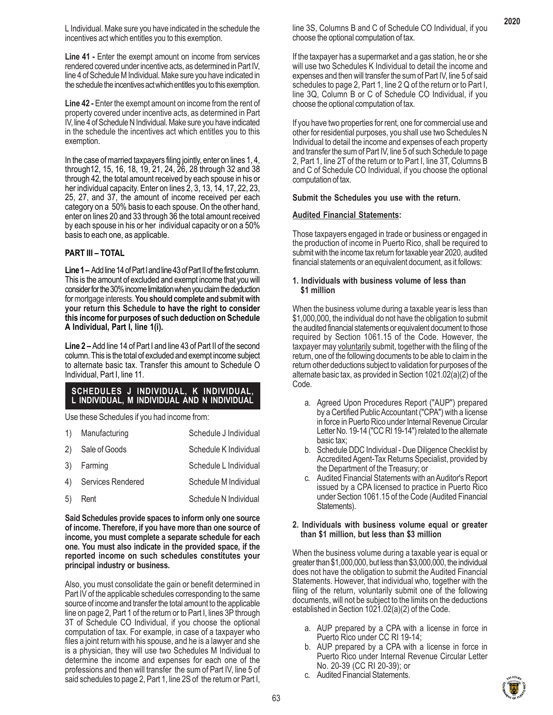L Individual. Make sure you have indicated in the schedule the incentives act which entitles you to this exemption.

**Line 41 -** Enter the exempt amount on income from services rendered covered under incentive acts, as determined in Part IV, line 4 of Schedule M Individual. Make sure you have indicated in the schedule the incentives act which entitles you to this exemption.

**Line 42 -** Enter the exempt amount on income from the rent of property covered under incentive acts, as determined in Part IV, line 4 of Schedule N Individual. Make sure you have indicated in the schedule the incentives act which entitles you to this exemption.

In the case of married taxpayers filing jointly, enter on lines 1, 4, through12, 15, 16, 18, 19, 21, 24, 26, 28 through 32 and 38 through 42, the total amount received by each spouse in his or her individual capacity. Enter on lines 2, 3, 13, 14, 17, 22, 23, 25, 27, and 37, the amount of income received per each category on a 50% basis to each spouse. On the other hand, enter on lines 20 and 33 through 36 the total amount received by each spouse in his or her individual capacity or on a 50% basis to each one, as applicable.

# **PART III – TOTAL**

**Line 1 –** Add line 14 of Part I and line 43 of Part II of the first column. This is the amount of excluded and exempt income that you will consider for the 30% income limitation when you claim the deduction for mortgage interests. **You should complete and submit with your return this Schedule to have the right to consider this income for purposes of such deduction on Schedule A Individual, Part I, line 1(i).**

**Line 2 –** Add line 14 of Part I and line 43 of Part II of the second column. This is the total of excluded and exempt income subject to alternate basic tax. Transfer this amount to Schedule O Individual, Part I, line 11.

# **SCHEDULES J INDIVIDUAL, K INDIVIDUAL, L INDIVIDUAL, M INDIVIDUAL AND N INDIVIDUAL**

Use these Schedules if you had income from:

| 1) | Manufacturing     | Schedule J Individual |
|----|-------------------|-----------------------|
| 2) | Sale of Goods     | Schedule K Individual |
| 3) | Farming           | Schedule L Individual |
| 4) | Services Rendered | Schedule M Individual |
| 5) | Rent              | Schedule N Individual |

**Said Schedules provide spaces to inform only one source of income. Therefore, if you have more than one source of income, you must complete a separate schedule for each one. You must also indicate in the provided space, if the reported income on such schedules constitutes your principal industry or business.**

Also, you must consolidate the gain or benefit determined in Part IV of the applicable schedules corresponding to the same source of income and transfer the total amount to the applicable line on page 2, Part 1 of the return or to Part I, lines 3P through 3T of Schedule CO Individual, if you choose the optional computation of tax. For example, in case of a taxpayer who files a joint return with his spouse, and he is a lawyer and she is a physician, they will use two Schedules M Individual to determine the income and expenses for each one of the professions and then will transfer the sum of Part IV, line 5 of said schedules to page 2, Part 1, line 2S of the return or Part I,

line 3S, Columns B and C of Schedule CO Individual, if you choose the optional computation of tax.

If the taxpayer has a supermarket and a gas station, he or she will use two Schedules K Individual to detail the income and expenses and then will transfer the sum of Part IV, line 5 of said schedules to page 2, Part 1, line 2 Q of the return or to Part I, line 3Q, Column B or C of Schedule CO Individual, if you choose the optional computation of tax.

If you have two properties for rent, one for commercial use and other for residential purposes, you shall use two Schedules N Individual to detail the income and expenses of each property and transfer the sum of Part IV, line 5 of such Schedule to page 2, Part 1, line 2T of the return or to Part I, line 3T, Columns B and C of Schedule CO Individual, if you choose the optional computation of tax.

# **Submit the Schedules you use with the return.**

# **Audited Financial Statements:**

Those taxpayers engaged in trade or business or engaged in the production of income in Puerto Rico, shall be required to submit with the income tax return for taxable year 2020, audited financial statements or an equivalent document, as it follows:

# **1. Individuals with business volume of less than \$1 million**

When the business volume during a taxable year is less than \$1,000,000, the individual do not have the obligation to submit the audited financial statements or equivalent document to those required by Section 1061.15 of the Code. However, the taxpayer may voluntarily submit, together with the filing of the return, one of the following documents to be able to claim in the return other deductions subject to validation for purposes of the alternate basic tax, as provided in Section 1021.02(a)(2) of the Code.

- a. Agreed Upon Procedures Report ("AUP") prepared by a Certified Public Accountant ("CPA") with a license in force in Puerto Rico under Internal Revenue Circular Letter No. 19-14 ("CC RI 19-14") related to the alternate basic tax;
- b. Schedule DDC Individual Due Diligence Checklist by Accredited Agent-Tax Returns Specialist, provided by the Department of the Treasury; or
- c. Audited Financial Statements with an Auditor's Report issued by a CPA licensed to practice in Puerto Rico under Section 1061.15 of the Code (Audited Financial Statements).

#### **2. Individuals with business volume equal or greater than \$1 million, but less than \$3 million**

When the business volume during a taxable year is equal or greater than \$1,000,000, but less than \$3,000,000, the individual does not have the obligation to submit the Audited Financial Statements. However, that individual who, together with the filing of the return, voluntarily submit one of the following documents, will not be subject to the limits on the deductions established in Section 1021.02(a)(2) of the Code.

- a. AUP prepared by a CPA with a license in force in Puerto Rico under CC RI 19-14;
- b. AUP prepared by a CPA with a license in force in Puerto Rico under Internal Revenue Circular Letter No. 20-39 (CC RI 20-39); or
- c. Audited Financial Statements.

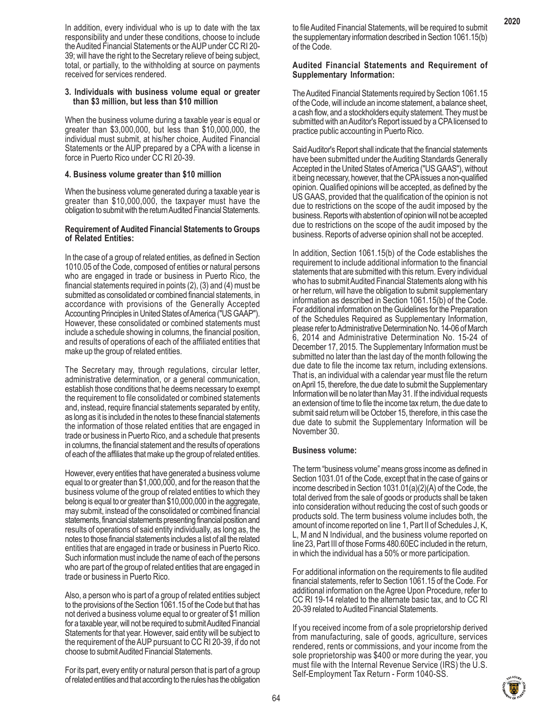In addition, every individual who is up to date with the tax responsibility and under these conditions, choose to include the Audited Financial Statements or the AUP under CC RI 20- 39; will have the right to the Secretary relieve of being subject, total, or partially, to the withholding at source on payments received for services rendered.

#### **3. Individuals with business volume equal or greater than \$3 million, but less than \$10 million**

When the business volume during a taxable year is equal or greater than \$3,000,000, but less than \$10,000,000, the individual must submit, at his/her choice, Audited Financial Statements or the AUP prepared by a CPA with a license in force in Puerto Rico under CC RI 20-39.

# **4. Business volume greater than \$10 million**

When the business volume generated during a taxable year is greater than \$10,000,000, the taxpayer must have the obligation to submit with the return Audited Financial Statements.

#### **Requirement of Audited Financial Statements to Groups of Related Entities:**

In the case of a group of related entities, as defined in Section 1010.05 of the Code, composed of entities or natural persons who are engaged in trade or business in Puerto Rico, the financial statements required in points (2), (3) and (4) must be submitted as consolidated or combined financial statements, in accordance with provisions of the Generally Accepted Accounting Principles in United States of America ("US GAAP"). However, these consolidated or combined statements must include a schedule showing in columns, the financial position, and results of operations of each of the affiliated entities that make up the group of related entities.

The Secretary may, through regulations, circular letter, administrative determination, or a general communication, establish those conditions that he deems necessary to exempt the requirement to file consolidated or combined statements and, instead, require financial statements separated by entity, as long as it is included in the notes to these financial statements the information of those related entities that are engaged in trade or business in Puerto Rico, and a schedule that presents in columns, the financial statement and the results of operations of each of the affiliates that make up the group of related entities.

However, every entities that have generated a business volume equal to or greater than \$1,000,000, and for the reason that the business volume of the group of related entities to which they belong is equal to or greater than \$10,000,000 in the aggregate, may submit, instead of the consolidated or combined financial statements, financial statements presenting financial position and results of operations of said entity individually, as long as, the notes to those financial statements includes a list of all the related entities that are engaged in trade or business in Puerto Rico. Such information must include the name of each of the persons who are part of the group of related entities that are engaged in trade or business in Puerto Rico.

Also, a person who is part of a group of related entities subject to the provisions of the Section 1061.15 of the Code but that has not derived a business volume equal to or greater of \$1 million for a taxable year, will not be required to submit Audited Financial Statements for that year. However, said entity will be subject to the requirement of the AUP pursuant to CC RI 20-39, if do not choose to submit Audited Financial Statements.

For its part, every entity or natural person that is part of a group of related entities and that according to the rules has the obligation

to file Audited Financial Statements, will be required to submit the supplementary information described in Section 1061.15(b) of the Code.

#### **Audited Financial Statements and Requirement of Supplementary Information:**

The Audited Financial Statements required by Section 1061.15 of the Code, will include an income statement, a balance sheet, a cash flow, and a stockholders equity statement. They must be submitted with an Auditor's Report issued by a CPA licensed to practice public accounting in Puerto Rico.

Said Auditor's Report shall indicate that the financial statements have been submitted under the Auditing Standards Generally Accepted in the United States of America ("US GAAS"), without it being necessary, however, that the CPA issues a non-qualified opinion. Qualified opinions will be accepted, as defined by the US GAAS, provided that the qualification of the opinion is not due to restrictions on the scope of the audit imposed by the business. Reports with abstention of opinion will not be accepted due to restrictions on the scope of the audit imposed by the business. Reports of adverse opinion shall not be accepted.

In addition, Section 1061.15(b) of the Code establishes the requirement to include additional information to the financial statements that are submitted with this return. Every individual who has to submit Audited Financial Statements along with his or her return, will have the obligation to submit supplementary information as described in Section 1061.15(b) of the Code. For additional information on the Guidelines for the Preparation of the Schedules Required as Supplementary Information, please refer to Administrative Determination No. 14-06 of March 6, 2014 and Administrative Determination No. 15-24 of December 17, 2015. The Supplementary Information must be submitted no later than the last day of the month following the due date to file the income tax return, including extensions. That is, an individual with a calendar year must file the return on April 15, therefore, the due date to submit the Supplementary Information will be no later than May 31. If the individual requests an extension of time to file the income tax return, the due date to submit said return will be October 15, therefore, in this case the due date to submit the Supplementary Information will be November 30.

# **Business volume:**

The term "business volume" means gross income as defined in Section 1031.01 of the Code, except that in the case of gains or income described in Section 1031.01(a)(2)(A) of the Code, the total derived from the sale of goods or products shall be taken into consideration without reducing the cost of such goods or products sold. The term business volume includes both, the amount of income reported on line 1, Part II of Schedules J, K, L, M and N Individual, and the business volume reported on line 23, Part III of those Forms 480.60EC included in the return, in which the individual has a 50% or more participation.

For additional information on the requirements to file audited financial statements, refer to Section 1061.15 of the Code. For additional information on the Agree Upon Procedure, refer to CC RI 19-14 related to the alternate basic tax, and to CC RI 20-39 related to Audited Financial Statements.

If you received income from of a sole proprietorship derived from manufacturing, sale of goods, agriculture, services rendered, rents or commissions, and your income from the sole proprietorship was \$400 or more during the year, you must file with the Internal Revenue Service (IRS) the U.S. Self-Employment Tax Return - Form 1040-SS.

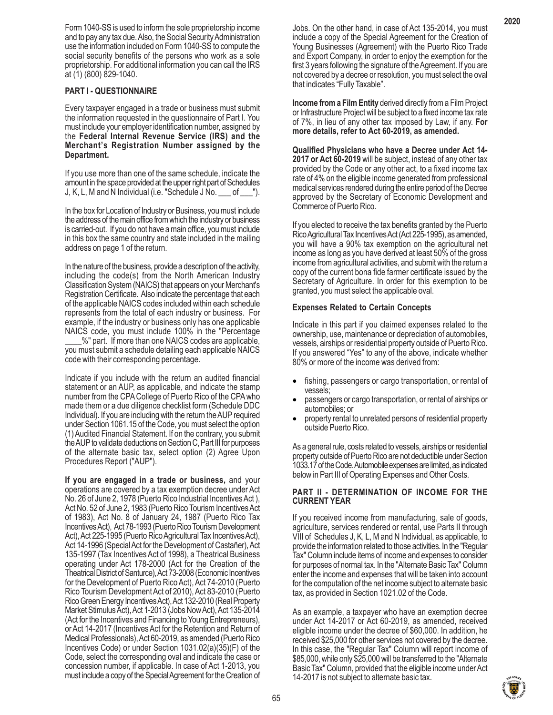Form 1040-SS is used to inform the sole proprietorship income and to pay any tax due. Also, the Social Security Administration use the information included on Form 1040-SS to compute the social security benefits of the persons who work as a sole proprietorship. For additional information you can call the IRS at (1) (800) 829-1040.

# **PART I - QUESTIONNAIRE**

Every taxpayer engaged in a trade or business must submit the information requested in the questionnaire of Part I. You must include your employer identification number, assigned by the **Federal Internal Revenue Service (IRS) and the Merchant's Registration Number assigned by the Department.**

If you use more than one of the same schedule, indicate the amount in the space provided at the upper right part of Schedules J, K, L, M and N Individual (i.e. "Schedule J No. \_\_\_ of \_\_\_").

In the box for Location of Industry or Business, you must include the address of the main office from which the industry or business is carried-out. If you do not have a main office, you must include in this box the same country and state included in the mailing address on page 1 of the return.

In the nature of the business, provide a description of the activity, including the code(s) from the North American Industry Classification System (NAICS) that appears on your Merchant's Registration Certificate. Also indicate the percentage that each of the applicable NAICS codes included within each schedule represents from the total of each industry or business. For example, if the industry or business only has one applicable NAICS code, you must include 100% in the "Percentage

\_\_\_\_%" part. If more than one NAICS codes are applicable, you must submit a schedule detailing each applicable NAICS code with their corresponding percentage.

Indicate if you include with the return an audited financial statement or an AUP, as applicable, and indicate the stamp number from the CPA College of Puerto Rico of the CPA who made them or a due diligence checklist form (Schedule DDC Individual). If you are including with the return the AUP required under Section 1061.15 of the Code, you must select the option (1) Audited Financial Statement. If on the contrary, you submit the AUP to validate deductions on Section C, Part III for purposes of the alternate basic tax, select option (2) Agree Upon Procedures Report ("AUP").

**If you are engaged in a trade or business,** and your operations are covered by a tax exemption decree under Act No. 26 of June 2, 1978 (Puerto Rico Industrial Incentives Act ), Act No. 52 of June 2, 1983 (Puerto Rico Tourism Incentives Act of 1983), Act No. 8 of January 24, 1987 (Puerto Rico Tax Incentives Act), Act 78-1993 (Puerto Rico Tourism Development Act), Act 225-1995 (Puerto Rico Agricultural Tax Incentives Act), Act 14-1996 (Special Act for the Development of Castañer), Act 135-1997 (Tax Incentives Act of 1998), a Theatrical Business operating under Act 178-2000 (Act for the Creation of the Theatrical District of Santurce), Act 73-2008 (Economic Incentives for the Development of Puerto Rico Act), Act 74-2010 (Puerto Rico Tourism Development Act of 2010), Act 83-2010 (Puerto Rico Green Energy Incentives Act), Act 132-2010 (Real Property Market Stimulus Act), Act 1-2013 (Jobs Now Act), Act 135-2014 (Act for the Incentives and Financing to Young Entrepreneurs), or Act 14-2017 (Incentives Act for the Retention and Return of Medical Professionals), Act 60-2019, as amended (Puerto Rico Incentives Code) or under Section 1031.02(a)(35)(F) of the Code, select the corresponding oval and indicate the case or concession number, if applicable. In case of Act 1-2013, you must include a copy of the Special Agreement for the Creation of

Jobs. On the other hand, in case of Act 135-2014, you must include a copy of the Special Agreement for the Creation of Young Businesses (Agreement) with the Puerto Rico Trade and Export Company, in order to enjoy the exemption for the first 3 years following the signature of the Agreement. If you are not covered by a decree or resolution, you must select the oval that indicates "Fully Taxable".

**Income from a Film Entity** derived directly from a Film Project or Infrastructure Project will be subject to a fixed income tax rate of 7%, in lieu of any other tax imposed by Law, if any. **For more details, refer to Act 60-2019, as amended.**

**Qualified Physicians who have a Decree under Act 14- 2017 or Act 60-2019** will be subject, instead of any other tax provided by the Code or any other act, to a fixed income tax rate of 4% on the eligible income generated from professional medical services rendered during the entire period of the Decree approved by the Secretary of Economic Development and Commerce of Puerto Rico.

If you elected to receive the tax benefits granted by the Puerto Rico Agricultural Tax Incentives Act (Act 225-1995), as amended, you will have a 90% tax exemption on the agricultural net income as long as you have derived at least 50% of the gross income from agricultural activities, and submit with the return a copy of the current bona fide farmer certificate issued by the Secretary of Agriculture. In order for this exemption to be granted, you must select the applicable oval.

# **Expenses Related to Certain Concepts**

Indicate in this part if you claimed expenses related to the ownership, use, maintenance or depreciation of automobiles, vessels, airships or residential property outside of Puerto Rico. If you answered "Yes" to any of the above, indicate whether 80% or more of the income was derived from:

- fishing, passengers or cargo transportation, or rental of vessels;
- passengers or cargo transportation, or rental of airships or automobiles; or
- property rental to unrelated persons of residential property outside Puerto Rico.

As a general rule, costs related to vessels, airships or residential property outside of Puerto Rico are not deductible under Section 1033.17 of the Code. Automobile expenses are limited, as indicated below in Part III of Operating Expenses and Other Costs.

# **PART II - DETERMINATION OF INCOME FOR THE CURRENT YEAR**

If you received income from manufacturing, sale of goods, agriculture, services rendered or rental, use Parts II through VIII of Schedules J, K, L, M and N Individual, as applicable, to provide the information related to those activities. In the "Regular Tax" Column include items of income and expenses to consider for purposes of normal tax. In the "Alternate Basic Tax" Column enter the income and expenses that will be taken into account for the computation of the net income subject to alternate basic tax, as provided in Section 1021.02 of the Code.

As an example, a taxpayer who have an exemption decree under Act 14-2017 or Act 60-2019, as amended, received eligible income under the decree of \$60,000. In addition, he received \$25,000 for other services not covered by the decree. In this case, the "Regular Tax" Column will report income of \$85,000, while only \$25,000 will be transferred to the "Alternate Basic Tax" Column, provided that the eligible income under Act 14-2017 is not subject to alternate basic tax.

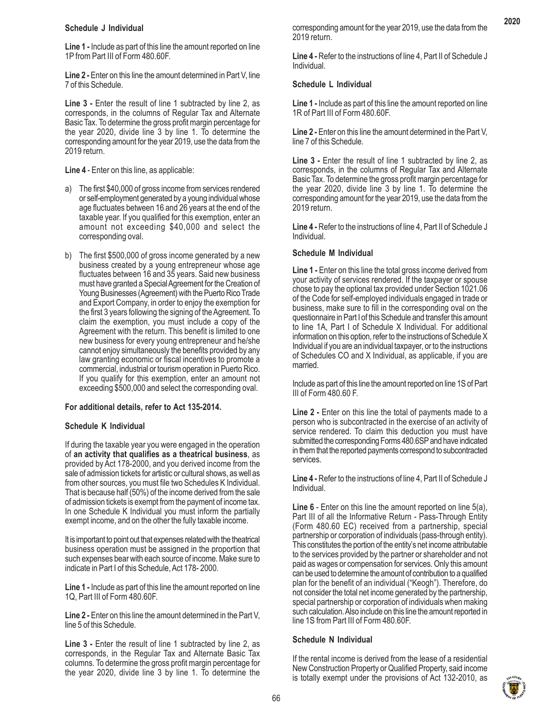# **Schedule J Individual**

**Line 1 -** Include as part of this line the amount reported on line 1P from Part III of Form 480.60F.

**Line 2 -** Enter on this line the amount determined in Part V, line 7 of this Schedule.

**Line 3 -** Enter the result of line 1 subtracted by line 2, as corresponds, in the columns of Regular Tax and Alternate Basic Tax. To determine the gross profit margin percentage for the year 2020, divide line 3 by line 1. To determine the corresponding amount for the year 2019, use the data from the 2019 return.

**Line 4** - Enter on this line, as applicable:

- a) The first \$40,000 of gross income from services rendered or self-employment generated by a young individual whose age fluctuates between 16 and 26 years at the end of the taxable year. If you qualified for this exemption, enter an amount not exceeding \$40,000 and select the corresponding oval.
- b) The first \$500,000 of gross income generated by a new business created by a young entrepreneur whose age fluctuates between 16 and 35 years. Said new business must have granted a Special Agreement for the Creation of Young Businesses (Agreement) with the Puerto Rico Trade and Export Company, in order to enjoy the exemption for the first 3 years following the signing of the Agreement. To claim the exemption, you must include a copy of the Agreement with the return. This benefit is limited to one new business for every young entrepreneur and he/she cannot enjoy simultaneously the benefits provided by any law granting economic or fiscal incentives to promote a commercial, industrial or tourism operation in Puerto Rico. If you qualify for this exemption, enter an amount not exceeding \$500,000 and select the corresponding oval.

# **For additional details, refer to Act 135-2014.**

# **Schedule K Individual**

If during the taxable year you were engaged in the operation of **an activity that qualifies as a theatrical business**, as provided by Act 178-2000, and you derived income from the sale of admission tickets for artistic or cultural shows, as well as from other sources, you must file two Schedules K Individual. That is because half (50%) of the income derived from the sale of admission tickets is exempt from the payment of income tax. In one Schedule K Individual you must inform the partially exempt income, and on the other the fully taxable income.

It is important to point out that expenses related with the theatrical business operation must be assigned in the proportion that such expenses bear with each source of income. Make sure to indicate in Part I of this Schedule, Act 178- 2000.

**Line 1 -** Include as part of this line the amount reported on line 1Q, Part III of Form 480.60F.

Line 2 - Enter on this line the amount determined in the Part V, line 5 of this Schedule.

Line 3 - Enter the result of line 1 subtracted by line 2, as corresponds, in the Regular Tax and Alternate Basic Tax columns. To determine the gross profit margin percentage for the year 2020, divide line 3 by line 1. To determine the

corresponding amount for the year 2019, use the data from the 2019 return.

**Line 4 -** Refer to the instructions of line 4, Part II of Schedule J Individual.

# **Schedule L Individual**

**Line 1 -** Include as part of this line the amount reported on line 1R of Part III of Form 480.60F.

**Line 2 -** Enter on this line the amount determined in the Part V, line 7 of this Schedule.

Line 3 - Enter the result of line 1 subtracted by line 2, as corresponds, in the columns of Regular Tax and Alternate Basic Tax. To determine the gross profit margin percentage for the year 2020, divide line 3 by line 1. To determine the corresponding amount for the year 2019, use the data from the 2019 return.

**Line 4 -** Refer to the instructions of line 4, Part II of Schedule J Individual.

# **Schedule M Individual**

**Line 1 -** Enter on this line the total gross income derived from your activity of services rendered. If the taxpayer or spouse chose to pay the optional tax provided under Section 1021.06 of the Code for self-employed individuals engaged in trade or business, make sure to fill in the corresponding oval on the questionnaire in Part I of this Schedule and transfer this amount to line 1A, Part I of Schedule X Individual. For additional information on this option, refer to the instructions of Schedule X Individual if you are an individual taxpayer, or to the instructions of Schedules CO and X Individual, as applicable, if you are married.

Include as part of this line the amount reported on line 1S of Part III of Form 480.60 F.

Line 2 - Enter on this line the total of payments made to a person who is subcontracted in the exercise of an activity of service rendered. To claim this deduction you must have submitted the corresponding Forms 480.6SP and have indicated in them that the reported payments correspond to subcontracted services.

**Line 4 -** Refer to the instructions of line 4, Part II of Schedule J Individual.

**Line 6** - Enter on this line the amount reported on line 5(a), Part III of all the Informative Return - Pass-Through Entity (Form 480.60 EC) received from a partnership, special partnership or corporation of individuals (pass-through entity). This constitutes the portion of the entity's net income attributable to the services provided by the partner or shareholder and not paid as wages or compensation for services. Only this amount can be used to determine the amount of contribution to a qualified plan for the benefit of an individual ("Keogh"). Therefore, do not consider the total net income generated by the partnership, special partnership or corporation of individuals when making such calculation. Also include on this line the amount reported in line 1S from Part III of Form 480.60F.

# **Schedule N Individual**

If the rental income is derived from the lease of a residential New Construction Property or Qualified Property, said income is totally exempt under the provisions of Act 132-2010, as

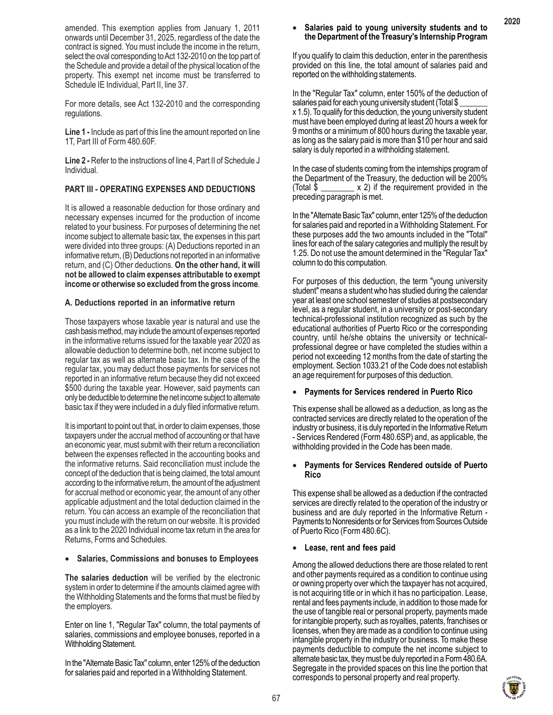amended. This exemption applies from January 1, 2011 onwards until December 31, 2025, regardless of the date the contract is signed. You must include the income in the return, select the oval corresponding to Act 132-2010 on the top part of the Schedule and provide a detail of the physical location of the property. This exempt net income must be transferred to Schedule IE Individual, Part II, line 37.

For more details, see Act 132-2010 and the corresponding regulations.

**Line 1 -** Include as part of this line the amount reported on line 1T, Part III of Form 480.60F.

**Line 2 -** Refer to the instructions of line 4, Part II of Schedule J Individual.

# **PART III - OPERATING EXPENSES AND DEDUCTIONS**

It is allowed a reasonable deduction for those ordinary and necessary expenses incurred for the production of income related to your business. For purposes of determining the net income subject to alternate basic tax, the expenses in this part were divided into three groups: (A) Deductions reported in an informative return, (B) Deductions not reported in an informative return, and (C) Other deductions. **On the other hand, it will not be allowed to claim expenses attributable to exempt income or otherwise so excluded from the gross income**.

# **A. Deductions reported in an informative return**

Those taxpayers whose taxable year is natural and use the cash basis method, may include the amount of expenses reported in the informative returns issued for the taxable year 2020 as allowable deduction to determine both, net income subject to regular tax as well as alternate basic tax. In the case of the regular tax, you may deduct those payments for services not reported in an informative return because they did not exceed \$500 during the taxable year. However, said payments can only be deductible to determine the net income subject to alternate basic tax if they were included in a duly filed informative return.

It is important to point out that, in order to claim expenses, those taxpayers under the accrual method of accounting or that have an economic year, must submit with their return a reconciliation between the expenses reflected in the accounting books and the informative returns. Said reconciliation must include the concept of the deduction that is being claimed, the total amount according to the informative return, the amount of the adjustment for accrual method or economic year, the amount of any other applicable adjustment and the total deduction claimed in the return. You can access an example of the reconciliation that you must include with the return on our website. It is provided as a link to the 2020 Individual income tax return in the area for Returns, Forms and Schedules.

#### • **Salaries, Commissions and bonuses to Employees**

**The salaries deduction** will be verified by the electronic system in order to determine if the amounts claimed agree with the Withholding Statements and the forms that must be filed by the employers.

Enter on line 1, "Regular Tax" column, the total payments of salaries, commissions and employee bonuses, reported in a Withholding Statement.

In the "Alternate Basic Tax" column, enter 125% of the deduction for salaries paid and reported in a Withholding Statement.

### • **Salaries paid to young university students and to the Department of the Treasury's Internship Program**

If you qualify to claim this deduction, enter in the parenthesis provided on this line, the total amount of salaries paid and reported on the withholding statements.

In the "Regular Tax" column, enter 150% of the deduction of salaries paid for each young university student (Total \$ x 1.5). To qualify for this deduction, the young university student must have been employed during at least 20 hours a week for 9 months or a minimum of 800 hours during the taxable year, as long as the salary paid is more than \$10 per hour and said salary is duly reported in a withholding statement.

In the case of students coming from the internships program of the Department of the Treasury, the deduction will be 200% (Total  $\frac{1}{2}$   $\frac{1}{2}$   $\frac{1}{2}$  x 2) if the requirement provided in the preceding paragraph is met.

In the "Alternate Basic Tax" column, enter 125% of the deduction for salaries paid and reported in a Withholding Statement. For these purposes add the two amounts included in the "Total" lines for each of the salary categories and multiply the result by 1.25. Do not use the amount determined in the "Regular Tax" column to do this computation.

For purposes of this deduction, the term "young university student" means a student who has studied during the calendar year at least one school semester of studies at postsecondary level, as a regular student, in a university or post-secondary technical-professional institution recognized as such by the educational authorities of Puerto Rico or the corresponding country, until he/she obtains the university or technicalprofessional degree or have completed the studies within a period not exceeding 12 months from the date of starting the employment. Section 1033.21 of the Code does not establish an age requirement for purposes of this deduction.

#### • **Payments for Services rendered in Puerto Rico**

This expense shall be allowed as a deduction, as long as the contracted services are directly related to the operation of the industry or business, it is duly reported in the Informative Return - Services Rendered (Form 480.6SP) and, as applicable, the withholding provided in the Code has been made.

# • **Payments for Services Rendered outside of Puerto Rico**

This expense shall be allowed as a deduction if the contracted services are directly related to the operation of the industry or business and are duly reported in the Informative Return - Payments to Nonresidents or for Services from Sources Outside of Puerto Rico (Form 480.6C).

#### • **Lease, rent and fees paid**

Among the allowed deductions there are those related to rent and other payments required as a condition to continue using or owning property over which the taxpayer has not acquired, is not acquiring title or in which it has no participation. Lease, rental and fees payments include, in addition to those made for the use of tangible real or personal property, payments made for intangible property, such as royalties, patents, franchises or licenses, when they are made as a condition to continue using intangible property in the industry or business. To make these payments deductible to compute the net income subject to alternate basic tax, they must be duly reported in a Form 480.6A. Segregate in the provided spaces on this line the portion that corresponds to personal property and real property.

**2020**

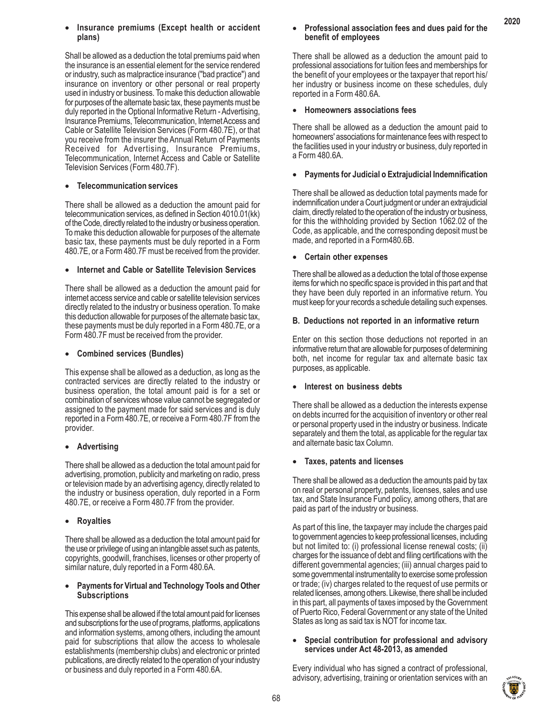# • **Insurance premiums (Except health or accident plans)**

Shall be allowed as a deduction the total premiums paid when the insurance is an essential element for the service rendered or industry, such as malpractice insurance ("bad practice") and insurance on inventory or other personal or real property used in industry or business. To make this deduction allowable for purposes of the alternate basic tax, these payments must be duly reported in the Optional Informative Return - Advertising, Insurance Premiums, Telecommunication, Internet Access and Cable or Satellite Television Services (Form 480.7E), or that you receive from the insurer the Annual Return of Payments Received for Advertising, Insurance Premiums, Telecommunication, Internet Access and Cable or Satellite Television Services (Form 480.7F).

# x **Telecommunication services**

There shall be allowed as a deduction the amount paid for telecommunication services, as defined in Section 4010.01(kk) of the Code, directly related to the industry or business operation. To make this deduction allowable for purposes of the alternate basic tax, these payments must be duly reported in a Form 480.7E, or a Form 480.7F must be received from the provider.

# x **Internet and Cable or Satellite Television Services**

There shall be allowed as a deduction the amount paid for internet access service and cable or satellite television services directly related to the industry or business operation. To make this deduction allowable for purposes of the alternate basic tax, these payments must be duly reported in a Form 480.7E, or a Form 480.7F must be received from the provider.

# x **Combined services (Bundles)**

This expense shall be allowed as a deduction, as long as the contracted services are directly related to the industry or business operation, the total amount paid is for a set or combination of services whose value cannot be segregated or assigned to the payment made for said services and is duly reported in a Form 480.7E, or receive a Form 480.7F from the provider.

# **•** Advertising

There shall be allowed as a deduction the total amount paid for advertising, promotion, publicity and marketing on radio, press or television made by an advertising agency, directly related to the industry or business operation, duly reported in a Form 480.7E, or receive a Form 480.7F from the provider.

# x **Royalties**

There shall be allowed as a deduction the total amount paid for the use or privilege of using an intangible asset such as patents, copyrights, goodwill, franchises, licenses or other property of similar nature, duly reported in a Form 480.6A.

# **Payments for Virtual and Technology Tools and Other Subscriptions**

This expense shall be allowed if the total amount paid for licenses and subscriptions for the use of programs, platforms, applications and information systems, among others, including the amount paid for subscriptions that allow the access to wholesale establishments (membership clubs) and electronic or printed publications, are directly related to the operation of your industry or business and duly reported in a Form 480.6A.

# x **Professional association fees and dues paid for the benefit of employees**

**2020**

There shall be allowed as a deduction the amount paid to professional associations for tuition fees and memberships for the benefit of your employees or the taxpayer that report his/ her industry or business income on these schedules, duly reported in a Form 480.6A.

# x **Homeowners associations fees**

There shall be allowed as a deduction the amount paid to homeowners' associations for maintenance fees with respect to the facilities used in your industry or business, duly reported in a Form 480.6A.

# x **Payments for Judicial o Extrajudicial Indemnification**

There shall be allowed as deduction total payments made for indemnification under a Court judgment or under an extrajudicial claim, directly related to the operation of the industry or business, for this the withholding provided by Section 1062.02 of the Code, as applicable, and the corresponding deposit must be made, and reported in a Form480.6B.

# x **Certain other expenses**

There shall be allowed as a deduction the total of those expense items for which no specific space is provided in this part and that they have been duly reported in an informative return. You must keep for your records a schedule detailing such expenses.

# **B. Deductions not reported in an informative return**

Enter on this section those deductions not reported in an informative return that are allowable for purposes of determining both, net income for regular tax and alternate basic tax purposes, as applicable.

# Interest on business debts

There shall be allowed as a deduction the interests expense on debts incurred for the acquisition of inventory or other real or personal property used in the industry or business. Indicate separately and them the total, as applicable for the regular tax and alternate basic tax Column.

# x **Taxes, patents and licenses**

There shall be allowed as a deduction the amounts paid by tax on real or personal property, patents, licenses, sales and use tax, and State Insurance Fund policy, among others, that are paid as part of the industry or business.

As part of this line, the taxpayer may include the charges paid to government agencies to keep professional licenses, including but not limited to: (i) professional license renewal costs; (ii) charges for the issuance of debt and filing certifications with the different governmental agencies; (iii) annual charges paid to some governmental instrumentality to exercise some profession or trade; (iv) charges related to the request of use permits or related licenses, among others. Likewise, there shall be included in this part, all payments of taxes imposed by the Government of Puerto Rico, Federal Government or any state of the United States as long as said tax is NOT for income tax.

# x **Special contribution for professional and advisory services under Act 48-2013, as amended**

Every individual who has signed a contract of professional, advisory, advertising, training or orientation services with an

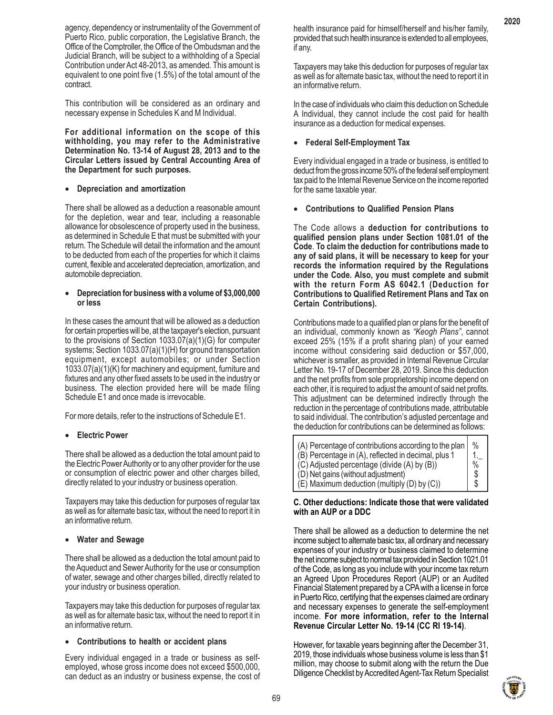agency, dependency or instrumentality of the Government of Puerto Rico, public corporation, the Legislative Branch, the Office of the Comptroller, the Office of the Ombudsman and the Judicial Branch, will be subject to a withholding of a Special Contribution under Act 48-2013, as amended. This amount is equivalent to one point five (1.5%) of the total amount of the contract.

This contribution will be considered as an ordinary and necessary expense in Schedules K and M Individual.

**For additional information on the scope of this withholding, you may refer to the Administrative Determination No. 13-14 of August 28, 2013 and to the Circular Letters issued by Central Accounting Area of the Department for such purposes.**

# x **Depreciation and amortization**

There shall be allowed as a deduction a reasonable amount for the depletion, wear and tear, including a reasonable allowance for obsolescence of property used in the business, as determined in Schedule E that must be submitted with your return. The Schedule will detail the information and the amount to be deducted from each of the properties for which it claims current, flexible and accelerated depreciation, amortization, and automobile depreciation.

#### x **Depreciation for business with a volume of \$3,000,000 or less**

In these cases the amount that will be allowed as a deduction for certain properties will be, at the taxpayer's election, pursuant to the provisions of Section 1033.07(a)(1)(G) for computer systems; Section 1033.07(a)(1)(H) for ground transportation equipment, except automobiles; or under Section 1033.07(a)(1)(K) for machinery and equipment, furniture and fixtures and any other fixed assets to be used in the industry or business. The election provided here will be made filing Schedule E1 and once made is irrevocable.

For more details, refer to the instructions of Schedule E1.

# **•** Electric Power

There shall be allowed as a deduction the total amount paid to the Electric Power Authority or to any other provider for the use or consumption of electric power and other charges billed, directly related to your industry or business operation.

Taxpayers may take this deduction for purposes of regular tax as well as for alternate basic tax, without the need to report it in an informative return.

# x **Water and Sewage**

There shall be allowed as a deduction the total amount paid to the Aqueduct and Sewer Authority for the use or consumption of water, sewage and other charges billed, directly related to your industry or business operation.

Taxpayers may take this deduction for purposes of regular tax as well as for alternate basic tax, without the need to report it in an informative return.

# x **Contributions to health or accident plans**

Every individual engaged in a trade or business as selfemployed, whose gross income does not exceed \$500,000, can deduct as an industry or business expense, the cost of health insurance paid for himself/herself and his/her family, provided that such health insurance is extended to all employees, if any.

Taxpayers may take this deduction for purposes of regular tax as well as for alternate basic tax, without the need to report it in an informative return.

In the case of individuals who claim this deduction on Schedule A Individual, they cannot include the cost paid for health insurance as a deduction for medical expenses.

# x **Federal Self-Employment Tax**

Every individual engaged in a trade or business, is entitled to deduct from the gross income 50% of the federal self employment tax paid to the Internal Revenue Service on the income reported for the same taxable year.

• **Contributions to Qualified Pension Plans**

The Code allows a **deduction for contributions to qualified pension plans under Section 1081.01 of the Code**. **To claim the deduction for contributions made to any of said plans, it will be necessary to keep for your records the information required by the Regulations under the Code. Also, you must complete and submit with the return Form AS 6042.1 (Deduction for Contributions to Qualified Retirement Plans and Tax on Certain Contributions).**

Contributions made to a qualified plan or plans for the benefit of an individual, commonly known as *"Keogh Plans"*, cannot exceed 25% (15% if a profit sharing plan) of your earned income without considering said deduction or \$57,000, whichever is smaller, as provided in Internal Revenue Circular Letter No. 19-17 of December 28, 2019. Since this deduction and the net profits from sole proprietorship income depend on each other, it is required to adjust the amount of said net profits. This adjustment can be determined indirectly through the reduction in the percentage of contributions made, attributable to said individual. The contribution's adjusted percentage and the deduction for contributions can be determined as follows:

| (A) Percentage of contributions according to the plan<br>(B) Percentage in (A), reflected in decimal, plus 1 | $\frac{0}{0}$ |
|--------------------------------------------------------------------------------------------------------------|---------------|
| (C) Adjusted percentage (divide (A) by (B))                                                                  | $\frac{0}{0}$ |
| (D) Net gains (without adjustment)                                                                           | S             |
| $(E)$ Maximum deduction (multiply (D) by $(C)$ )                                                             | \$            |

# **C. Other deductions: Indicate those that were validated with an AUP or a DDC**

There shall be allowed as a deduction to determine the net income subject to alternate basic tax, all ordinary and necessary expenses of your industry or business claimed to determine the net income subject to normal tax provided in Section 1021.01 of the Code, as long as you include with your income tax return an Agreed Upon Procedures Report (AUP) or an Audited Financial Statement prepared by a CPA with a license in force in Puerto Rico, certifying that the expenses claimed are ordinary and necessary expenses to generate the self-employment income. **For more information, refer to the Internal Revenue Circular Letter No. 19-14 (CC RI 19-14)**.

However, for taxable years beginning after the December 31, 2019, those individuals whose business volume is less than \$1 million, may choose to submit along with the return the Due Diligence Checklist by Accredited Agent-Tax Return Specialist

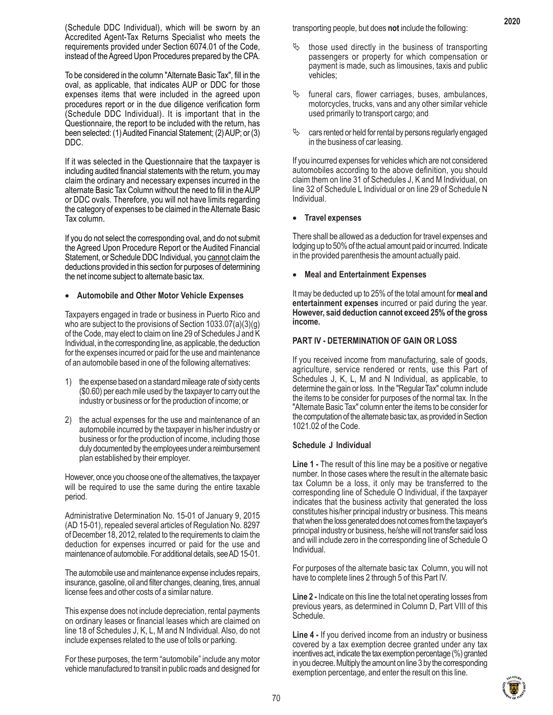(Schedule DDC Individual), which will be sworn by an Accredited Agent-Tax Returns Specialist who meets the requirements provided under Section 6074.01 of the Code, instead of the Agreed Upon Procedures prepared by the CPA.

To be considered in the column "Alternate Basic Tax", fill in the oval, as applicable, that indicates AUP or DDC for those expenses items that were included in the agreed upon procedures report or in the due diligence verification form (Schedule DDC Individual). It is important that in the Questionnaire, the report to be included with the return, has been selected: (1) Audited Financial Statement; (2) AUP; or (3) DDC.

If it was selected in the Questionnaire that the taxpayer is including audited financial statements with the return, you may claim the ordinary and necessary expenses incurred in the alternate Basic Tax Column without the need to fill in the AUP or DDC ovals. Therefore, you will not have limits regarding the category of expenses to be claimed in the Alternate Basic Tax column.

If you do not select the corresponding oval, and do not submit the Agreed Upon Procedure Report or the Audited Financial Statement, or Schedule DDC Individual, you cannot claim the deductions provided in this section for purposes of determining the net income subject to alternate basic tax.

#### x **Automobile and Other Motor Vehicle Expenses**

Taxpayers engaged in trade or business in Puerto Rico and who are subject to the provisions of Section 1033.07(a)(3)(g) of the Code, may elect to claim on line 29 of Schedules J and K Individual, in the corresponding line, as applicable, the deduction for the expenses incurred or paid for the use and maintenance of an automobile based in one of the following alternatives:

- 1) the expense based on a standard mileage rate of sixty cents (\$0.60) per each mile used by the taxpayer to carry out the industry or business or for the production of income; or
- 2) the actual expenses for the use and maintenance of an automobile incurred by the taxpayer in his/her industry or business or for the production of income, including those duly documented by the employees under a reimbursement plan established by their employer.

However, once you choose one of the alternatives, the taxpayer will be required to use the same during the entire taxable period.

Administrative Determination No. 15-01 of January 9, 2015 (AD 15-01), repealed several articles of Regulation No. 8297 of December 18, 2012, related to the requirements to claim the deduction for expenses incurred or paid for the use and maintenance of automobile. For additional details, see AD 15-01.

The automobile use and maintenance expense includes repairs, insurance, gasoline, oil and filter changes, cleaning, tires, annual license fees and other costs of a similar nature.

This expense does not include depreciation, rental payments on ordinary leases or financial leases which are claimed on line 18 of Schedules J, K, L, M and N Individual. Also, do not include expenses related to the use of tolls or parking.

For these purposes, the term "automobile" include any motor vehicle manufactured to transit in public roads and designed for transporting people, but does **not** include the following:

- those used directly in the business of transporting passengers or property for which compensation or payment is made, such as limousines, taxis and public vehicles;
- funeral cars, flower carriages, buses, ambulances, motorcycles, trucks, vans and any other similar vehicle used primarily to transport cargo; and
- $\%$  cars rented or held for rental by persons regularly engaged in the business of car leasing.

If you incurred expenses for vehicles which are not considered automobiles according to the above definition, you should claim them on line 31 of Schedules J, K and M Individual, on line 32 of Schedule L Individual or on line 29 of Schedule N Individual.

#### x **Travel expenses**

There shall be allowed as a deduction for travel expenses and lodging up to 50% of the actual amount paid or incurred. Indicate in the provided parenthesis the amount actually paid.

#### • **Meal and Entertainment Expenses**

It may be deducted up to 25% of the total amount for **meal and entertainment expenses** incurred or paid during the year. **However, said deduction cannot exceed 25% of the gross income.**

#### **PART IV - DETERMINATION OF GAIN OR LOSS**

If you received income from manufacturing, sale of goods, agriculture, service rendered or rents, use this Part of Schedules J, K, L, M and N Individual, as applicable, to determine the gain or loss. In the "Regular Tax" column include the items to be consider for purposes of the normal tax. In the "Alternate Basic Tax" column enter the items to be consider for the computation of the alternate basic tax, as provided in Section 1021.02 of the Code.

#### **Schedule J Individual**

**Line 1 -** The result of this line may be a positive or negative number. In those cases where the result in the alternate basic tax Column be a loss, it only may be transferred to the corresponding line of Schedule O Individual, if the taxpayer indicates that the business activity that generated the loss constitutes his/her principal industry or business. This means that when the loss generated does not comes from the taxpayer's principal industry or business, he/she will not transfer said loss and will include zero in the corresponding line of Schedule O Individual.

For purposes of the alternate basic tax Column, you will not have to complete lines 2 through 5 of this Part IV.

**Line 2 -** Indicate on this line the total net operating losses from previous years, as determined in Column D, Part VIII of this Schedule.

**Line 4 -** If you derived income from an industry or business covered by a tax exemption decree granted under any tax incentives act, indicate the tax exemption percentage (%) granted in you decree. Multiply the amount on line 3 by the corresponding exemption percentage, and enter the result on this line.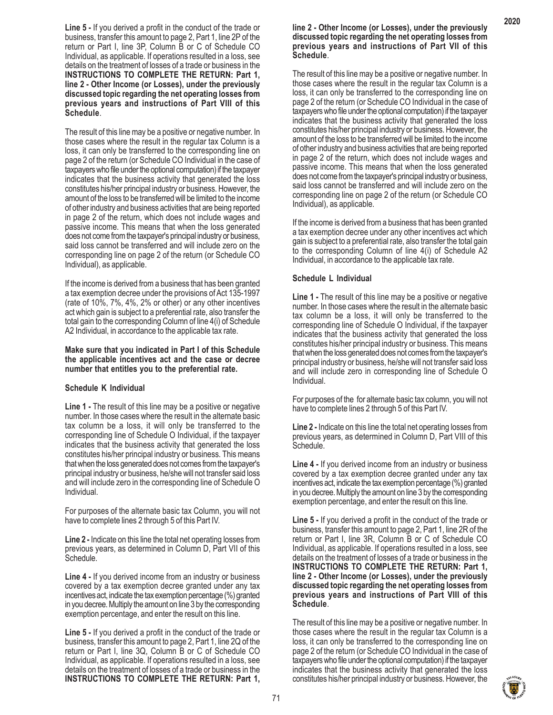**Line 5 -** If you derived a profit in the conduct of the trade or business, transfer this amount to page 2, Part 1, line 2P of the return or Part I, line 3P, Column B or C of Schedule CO Individual, as applicable. If operations resulted in a loss, see details on the treatment of losses of a trade or business in the **INSTRUCTIONS TO COMPLETE THE RETURN: Part 1, line 2 - Other Income (or Losses), under the previously discussed topic regarding the net operating losses from previous years and instructions of Part VIII of this Schedule**.

The result of this line may be a positive or negative number. In those cases where the result in the regular tax Column is a loss, it can only be transferred to the corresponding line on page 2 of the return (or Schedule CO Individual in the case of taxpayers who file under the optional computation) if the taxpayer indicates that the business activity that generated the loss constitutes his/her principal industry or business. However, the amount of the loss to be transferred will be limited to the income of other industry and business activities that are being reported in page 2 of the return, which does not include wages and passive income. This means that when the loss generated does not come from the taxpayer's principal industry or business, said loss cannot be transferred and will include zero on the corresponding line on page 2 of the return (or Schedule CO Individual), as applicable.

If the income is derived from a business that has been granted a tax exemption decree under the provisions of Act 135-1997 (rate of 10%, 7%, 4%, 2% or other) or any other incentives act which gain is subject to a preferential rate, also transfer the total gain to the corresponding Column of line 4(i) of Schedule A2 Individual, in accordance to the applicable tax rate.

**Make sure that you indicated in Part I of this Schedule the applicable incentives act and the case or decree number that entitles you to the preferential rate.**

#### **Schedule K Individual**

**Line 1 -** The result of this line may be a positive or negative number. In those cases where the result in the alternate basic tax column be a loss, it will only be transferred to the corresponding line of Schedule O Individual, if the taxpayer indicates that the business activity that generated the loss constitutes his/her principal industry or business. This means that when the loss generated does not comes from the taxpayer's principal industry or business, he/she will not transfer said loss and will include zero in the corresponding line of Schedule O Individual.

For purposes of the alternate basic tax Column, you will not have to complete lines 2 through 5 of this Part IV.

**Line 2 -** Indicate on this line the total net operating losses from previous years, as determined in Column D, Part VII of this Schedule.

**Line 4 -** If you derived income from an industry or business covered by a tax exemption decree granted under any tax incentives act, indicate the tax exemption percentage (%) granted in you decree. Multiply the amount on line 3 by the corresponding exemption percentage, and enter the result on this line.

**Line 5 -** If you derived a profit in the conduct of the trade or business, transfer this amount to page 2, Part 1, line 2Q of the return or Part I, line 3Q, Column B or C of Schedule CO Individual, as applicable. If operations resulted in a loss, see details on the treatment of losses of a trade or business in the **INSTRUCTIONS TO COMPLETE THE RETURN: Part 1,**

#### **line 2 - Other Income (or Losses), under the previously discussed topic regarding the net operating losses from previous years and instructions of Part VII of this Schedule**.

The result of this line may be a positive or negative number. In those cases where the result in the regular tax Column is a loss, it can only be transferred to the corresponding line on page 2 of the return (or Schedule CO Individual in the case of taxpayers who file under the optional computation) if the taxpayer indicates that the business activity that generated the loss constitutes his/her principal industry or business. However, the amount of the loss to be transferred will be limited to the income of other industry and business activities that are being reported in page 2 of the return, which does not include wages and passive income. This means that when the loss generated does not come from the taxpayer's principal industry or business, said loss cannot be transferred and will include zero on the corresponding line on page 2 of the return (or Schedule CO Individual), as applicable.

If the income is derived from a business that has been granted a tax exemption decree under any other incentives act which gain is subject to a preferential rate, also transfer the total gain to the corresponding Column of line 4(i) of Schedule A2 Individual, in accordance to the applicable tax rate.

#### **Schedule L Individual**

**Line 1 -** The result of this line may be a positive or negative number. In those cases where the result in the alternate basic tax column be a loss, it will only be transferred to the corresponding line of Schedule O Individual, if the taxpayer indicates that the business activity that generated the loss constitutes his/her principal industry or business. This means that when the loss generated does not comes from the taxpayer's principal industry or business, he/she will not transfer said loss and will include zero in corresponding line of Schedule O Individual.

For purposes of the for alternate basic tax column, you will not have to complete lines 2 through 5 of this Part IV.

**Line 2 -** Indicate on this line the total net operating losses from previous years, as determined in Column D, Part VIII of this Schedule.

**Line 4 -** If you derived income from an industry or business covered by a tax exemption decree granted under any tax incentives act, indicate the tax exemption percentage (%) granted in you decree. Multiply the amount on line 3 by the corresponding exemption percentage, and enter the result on this line.

**Line 5 -** If you derived a profit in the conduct of the trade or business, transfer this amount to page 2, Part 1, line 2R of the return or Part I, line 3R, Column B or C of Schedule CO Individual, as applicable. If operations resulted in a loss, see details on the treatment of losses of a trade or business in the **INSTRUCTIONS TO COMPLETE THE RETURN: Part 1, line 2 - Other Income (or Losses), under the previously discussed topic regarding the net operating losses from previous years and instructions of Part VIII of this Schedule**.

The result of this line may be a positive or negative number. In those cases where the result in the regular tax Column is a loss, it can only be transferred to the corresponding line on page 2 of the return (or Schedule CO Individual in the case of taxpayers who file under the optional computation) if the taxpayer indicates that the business activity that generated the loss constitutes his/her principal industry or business. However, the

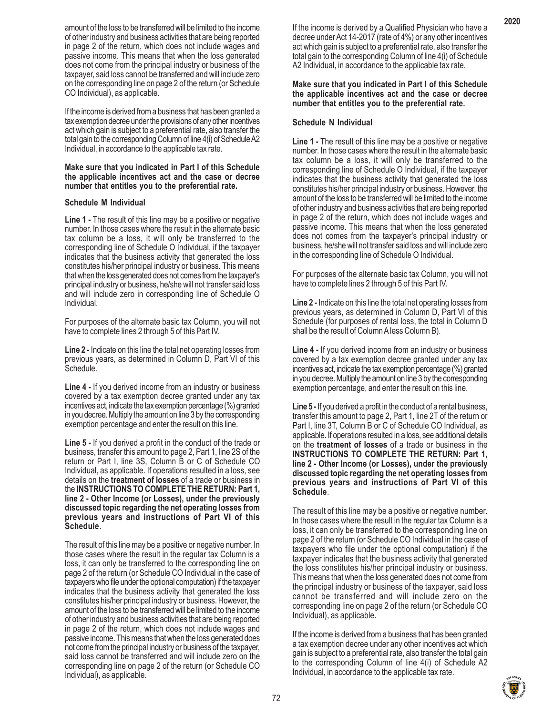amount of the loss to be transferred will be limited to the income of other industry and business activities that are being reported in page 2 of the return, which does not include wages and passive income. This means that when the loss generated does not come from the principal industry or business of the taxpayer, said loss cannot be transferred and will include zero on the corresponding line on page 2 of the return (or Schedule CO Individual), as applicable.

If the income is derived from a business that has been granted a tax exemption decree under the provisions of any other incentives act which gain is subject to a preferential rate, also transfer the total gain to the corresponding Column of line 4(i) of Schedule A2 Individual, in accordance to the applicable tax rate.

#### **Make sure that you indicated in Part I of this Schedule the applicable incentives act and the case or decree number that entitles you to the preferential rate.**

# **Schedule M Individual**

**Line 1 -** The result of this line may be a positive or negative number. In those cases where the result in the alternate basic tax column be a loss, it will only be transferred to the corresponding line of Schedule O Individual, if the taxpayer indicates that the business activity that generated the loss constitutes his/her principal industry or business. This means that when the loss generated does not comes from the taxpayer's principal industry or business, he/she will not transfer said loss and will include zero in corresponding line of Schedule O Individual.

For purposes of the alternate basic tax Column, you will not have to complete lines 2 through 5 of this Part IV.

**Line 2 -** Indicate on this line the total net operating losses from previous years, as determined in Column D, Part VI of this Schedule.

**Line 4 -** If you derived income from an industry or business covered by a tax exemption decree granted under any tax incentives act, indicate the tax exemption percentage (%) granted in you decree. Multiply the amount on line 3 by the corresponding exemption percentage and enter the result on this line.

**Line 5 -** If you derived a profit in the conduct of the trade or business, transfer this amount to page 2, Part 1, line 2S of the return or Part I, line 3S, Column B or C of Schedule CO Individual, as applicable. If operations resulted in a loss, see details on the **treatment of losses** of a trade or business in the **INSTRUCTIONS TO COMPLETE THE RETURN: Part 1, line 2 - Other Income (or Losses), under the previously discussed topic regarding the net operating losses from previous years and instructions of Part VI of this Schedule**.

The result of this line may be a positive or negative number. In those cases where the result in the regular tax Column is a loss, it can only be transferred to the corresponding line on page 2 of the return (or Schedule CO Individual in the case of taxpayers who file under the optional computation) if the taxpayer indicates that the business activity that generated the loss constitutes his/her principal industry or business. However, the amount of the loss to be transferred will be limited to the income of other industry and business activities that are being reported in page 2 of the return, which does not include wages and passive income. This means that when the loss generated does not come from the principal industry or business of the taxpayer, said loss cannot be transferred and will include zero on the corresponding line on page 2 of the return (or Schedule CO Individual), as applicable.

If the income is derived by a Qualified Physician who have a decree under Act 14-2017 (rate of 4%) or any other incentives act which gain is subject to a preferential rate, also transfer the total gain to the corresponding Column of line 4(i) of Schedule A2 Individual, in accordance to the applicable tax rate.

**Make sure that you indicated in Part I of this Schedule the applicable incentives act and the case or decree number that entitles you to the preferential rate.**

### **Schedule N Individual**

**Line 1 -** The result of this line may be a positive or negative number. In those cases where the result in the alternate basic tax column be a loss, it will only be transferred to the corresponding line of Schedule O Individual, if the taxpayer indicates that the business activity that generated the loss constitutes his/her principal industry or business. However, the amount of the loss to be transferred will be limited to the income of other industry and business activities that are being reported in page 2 of the return, which does not include wages and passive income. This means that when the loss generated does not comes from the taxpayer's principal industry or business, he/she will not transfer said loss and will include zero in the corresponding line of Schedule O Individual.

For purposes of the alternate basic tax Column, you will not have to complete lines 2 through 5 of this Part IV.

**Line 2 -** Indicate on this line the total net operating losses from previous years, as determined in Column D, Part VI of this Schedule (for purposes of rental loss, the total in Column D shall be the result of Column A less Column B).

**Line 4 -** If you derived income from an industry or business covered by a tax exemption decree granted under any tax incentives act, indicate the tax exemption percentage (%) granted in you decree. Multiply the amount on line 3 by the corresponding exemption percentage, and enter the result on this line.

**Line 5 -** If you derived a profit in the conduct of a rental business, transfer this amount to page 2, Part 1, line 2T of the return or Part I, line 3T, Column B or C of Schedule CO Individual, as applicable. If operations resulted in a loss, see additional details on the **treatment of losses** of a trade or business in the **INSTRUCTIONS TO COMPLETE THE RETURN: Part 1, line 2 - Other Income (or Losses), under the previously discussed topic regarding the net operating losses from previous years and instructions of Part VI of this Schedule**.

The result of this line may be a positive or negative number. In those cases where the result in the regular tax Column is a loss, it can only be transferred to the corresponding line on page 2 of the return (or Schedule CO Individual in the case of taxpayers who file under the optional computation) if the taxpayer indicates that the business activity that generated the loss constitutes his/her principal industry or business. This means that when the loss generated does not come from the principal industry or business of the taxpayer, said loss cannot be transferred and will include zero on the corresponding line on page 2 of the return (or Schedule CO Individual), as applicable.

If the income is derived from a business that has been granted a tax exemption decree under any other incentives act which gain is subject to a preferential rate, also transfer the total gain to the corresponding Column of line 4(i) of Schedule A2 Individual, in accordance to the applicable tax rate.

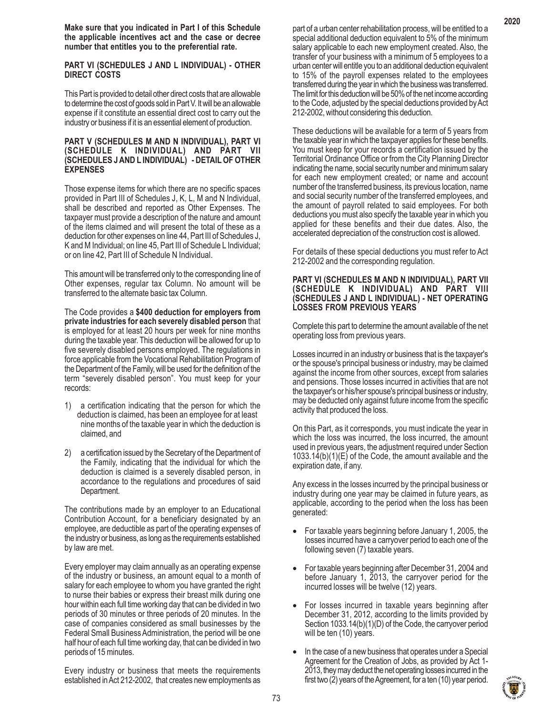**Make sure that you indicated in Part I of this Schedule the applicable incentives act and the case or decree number that entitles you to the preferential rate.**

#### **PART VI (SCHEDULES J AND L INDIVIDUAL) - OTHER DIRECT COSTS**

This Part is provided to detail other direct costs that are allowable to determine the cost of goods sold in Part V. It will be an allowable expense if it constitute an essential direct cost to carry out the industry or business if it is an essential element of production.

#### **PART V (SCHEDULES M AND N INDIVIDUAL), PART VI (SCHEDULE K INDIVIDUAL) AND PART VII (SCHEDULES J AND L INDIVIDUAL) - DETAIL OF OTHER EXPENSES**

Those expense items for which there are no specific spaces provided in Part III of Schedules J, K, L, M and N Individual, shall be described and reported as Other Expenses. The taxpayer must provide a description of the nature and amount of the items claimed and will present the total of these as a deduction for other expenses on line 44, Part III of Schedules J, K and M Individual; on line 45, Part III of Schedule L Individual; or on line 42, Part III of Schedule N Individual.

This amount will be transferred only to the corresponding line of Other expenses, regular tax Column. No amount will be transferred to the alternate basic tax Column.

The Code provides a **\$400 deduction for employers from private industries for each severely disabled person** that is employed for at least 20 hours per week for nine months during the taxable year. This deduction will be allowed for up to five severely disabled persons employed. The regulations in force applicable from the Vocational Rehabilitation Program of the Department of the Family, will be used for the definition of the term "severely disabled person". You must keep for your records:

- 1) a certification indicating that the person for which the deduction is claimed, has been an employee for at least nine months of the taxable year in which the deduction is claimed, and
- 2) a certification issued by the Secretary of the Department of the Family, indicating that the individual for which the deduction is claimed is a severely disabled person, in accordance to the regulations and procedures of said Department.

The contributions made by an employer to an Educational Contribution Account, for a beneficiary designated by an employee, are deductible as part of the operating expenses of the industry or business, as long as the requirements established by law are met.

Every employer may claim annually as an operating expense of the industry or business, an amount equal to a month of salary for each employee to whom you have granted the right to nurse their babies or express their breast milk during one hour within each full time working day that can be divided in two periods of 30 minutes or three periods of 20 minutes. In the case of companies considered as small businesses by the Federal Small Business Administration, the period will be one half hour of each full time working day, that can be divided in two periods of 15 minutes.

Every industry or business that meets the requirements established in Act 212-2002, that creates new employments as part of a urban center rehabilitation process, will be entitled to a special additional deduction equivalent to 5% of the minimum salary applicable to each new employment created. Also, the transfer of your business with a minimum of 5 employees to a urban center will entitle you to an additional deduction equivalent to 15% of the payroll expenses related to the employees transferred during the year in which the business was transferred. The limit for this deduction will be 50% of the net income according to the Code, adjusted by the special deductions provided by Act 212-2002, without considering this deduction.

These deductions will be available for a term of 5 years from the taxable year in which the taxpayer applies for these benefits. You must keep for your records a certification issued by the Territorial Ordinance Office or from the City Planning Director indicating the name, social security number and minimum salary for each new employment created; or name and account number of the transferred business, its previous location, name and social security number of the transferred employees, and the amount of payroll related to said employees. For both deductions you must also specify the taxable year in which you applied for these benefits and their due dates. Also, the accelerated depreciation of the construction cost is allowed.

For details of these special deductions you must refer to Act 212-2002 and the corresponding regulation.

#### **PART VI (SCHEDULES M AND N INDIVIDUAL), PART VII (SCHEDULE K INDIVIDUAL) AND PART VIII (SCHEDULES J AND L INDIVIDUAL) - NET OPERATING LOSSES FROM PREVIOUS YEARS**

Complete this part to determine the amount available of the net operating loss from previous years.

Losses incurred in an industry or business that is the taxpayer's or the spouse's principal business or industry, may be claimed against the income from other sources, except from salaries and pensions. Those losses incurred in activities that are not the taxpayer's or his/her spouse's principal business or industry, may be deducted only against future income from the specific activity that produced the loss.

On this Part, as it corresponds, you must indicate the year in which the loss was incurred, the loss incurred, the amount used in previous years, the adjustment required under Section 1033.14(b)(1)(E) of the Code, the amount available and the expiration date, if any.

Any excess in the losses incurred by the principal business or industry during one year may be claimed in future years, as applicable, according to the period when the loss has been generated:

- For taxable years beginning before January 1, 2005, the losses incurred have a carryover period to each one of the following seven (7) taxable years.
- For taxable years beginning after December 31, 2004 and before January 1, 2013, the carryover period for the incurred losses will be twelve (12) years.
- For losses incurred in taxable years beginning after December 31, 2012, according to the limits provided by Section 1033.14(b)(1)(D) of the Code, the carryover period will be ten (10) years.
- In the case of a new business that operates under a Special Agreement for the Creation of Jobs, as provided by Act 1- 2013, they may deduct the net operating losses incurred in the first two (2) years of the Agreement, for a ten (10) year period.



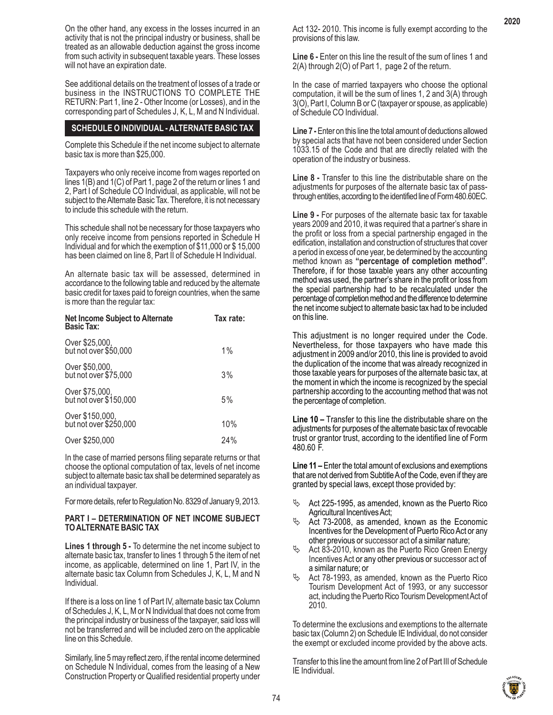See additional details on the treatment of losses of a trade or business in the INSTRUCTIONS TO COMPLETE THE RETURN: Part 1, line 2 - Other Income (or Losses), and in the corresponding part of Schedules J, K, L, M and N Individual.

## **SCHEDULE O INDIVIDUAL - ALTERNATE BASIC TAX**

Complete this Schedule if the net income subject to alternate basic tax is more than \$25,000.

Taxpayers who only receive income from wages reported on lines 1(B) and 1(C) of Part 1, page 2 of the return or lines 1 and 2, Part I of Schedule CO Individual, as applicable, will not be subject to the Alternate Basic Tax. Therefore, it is not necessary to include this schedule with the return.

This schedule shall not be necessary for those taxpayers who only receive income from pensions reported in Schedule H Individual and for which the exemption of \$11,000 or \$ 15,000 has been claimed on line 8, Part II of Schedule H Individual.

An alternate basic tax will be assessed, determined in accordance to the following table and reduced by the alternate basic credit for taxes paid to foreign countries, when the same is more than the regular tax:

| <b>Net Income Subject to Alternate</b><br><b>Basic Tax:</b> | Tax rate: |
|-------------------------------------------------------------|-----------|
| Over \$25,000,<br>but not over \$50,000                     | $1\%$     |
| Over \$50,000,<br>but not over \$75,000                     | 3%        |
| Over \$75,000,<br>but not over \$150,000                    | 5%        |
| Over \$150,000,<br>but not over \$250,000                   | 10%       |
| Over \$250,000                                              | 24%       |

In the case of married persons filing separate returns or that choose the optional computation of tax, levels of net income subject to alternate basic tax shall be determined separately as an individual taxpayer.

For more details, refer to Regulation No. 8329 of January 9, 2013.

## **PART I – DETERMINATION OF NET INCOME SUBJECT TO ALTERNATE BASIC TAX**

**Lines 1 through 5 -** To determine the net income subject to alternate basic tax, transfer to lines 1 through 5 the item of net income, as applicable, determined on line 1, Part IV, in the alternate basic tax Column from Schedules J, K, L, M and N Individual.

If there is a loss on line 1 of Part IV, alternate basic tax Column of Schedules J, K, L, M or N Individual that does not come from the principal industry or business of the taxpayer, said loss will not be transferred and will be included zero on the applicable line on this Schedule.

Similarly, line 5 may reflect zero, if the rental income determined on Schedule N Individual, comes from the leasing of a New Construction Property or Qualified residential property under **Line 6 -** Enter on this line the result of the sum of lines 1 and 2(A) through 2(O) of Part 1, page 2 of the return.

In the case of married taxpayers who choose the optional computation, it will be the sum of lines 1, 2 and 3(A) through 3(O), Part I, Column B or C (taxpayer or spouse, as applicable) of Schedule CO Individual.

**Line 7 -** Enter on this line the total amount of deductions allowed by special acts that have not been considered under Section 1033.15 of the Code and that are directly related with the operation of the industry or business.

**Line 8 -** Transfer to this line the distributable share on the adjustments for purposes of the alternate basic tax of passthrough entities, according to the identified line of Form 480.60EC.

**Line 9 -** For purposes of the alternate basic tax for taxable years 2009 and 2010, it was required that a partner's share in the profit or loss from a special partnership engaged in the edification, installation and construction of structures that cover a period in excess of one year, be determined by the accounting method known as **"percentage of completion method"**. Therefore, if for those taxable years any other accounting method was used, the partner's share in the profit or loss from the special partnership had to be recalculated under the percentage of completion method and the difference to determine the net income subject to alternate basic tax had to be included on this line.

This adjustment is no longer required under the Code. Nevertheless, for those taxpayers who have made this adjustment in 2009 and/or 2010, this line is provided to avoid the duplication of the income that was already recognized in those taxable years for purposes of the alternate basic tax, at the moment in which the income is recognized by the special partnership according to the accounting method that was not the percentage of completion.

**Line 10 –** Transfer to this line the distributable share on the adjustments for purposes of the alternate basic tax of revocable trust or grantor trust, according to the identified line of Form 480.60 F.

**Line 11 –** Enter the total amount of exclusions and exemptions that are not derived from Subtitle A of the Code, even if they are granted by special laws, except those provided by:

- $\%$  Act 225-1995, as amended, known as the Puerto Rico Agricultural Incentives Act;
- Act 73-2008, as amended, known as the Economic Incentives for the Development of Puerto Rico Act or any other previous or successor act of a similar nature;
- Act 83-2010, known as the Puerto Rico Green Energy Incentives Act or any other previous or successor act of a similar nature; or
- Act 78-1993, as amended, known as the Puerto Rico Tourism Development Act of 1993, or any successor act, including the Puerto Rico Tourism Development Act of 2010.

To determine the exclusions and exemptions to the alternate basic tax (Column 2) on Schedule IE Individual, do not consider the exempt or excluded income provided by the above acts.

Transfer to this line the amount from line 2 of Part III of Schedule IE Individual.

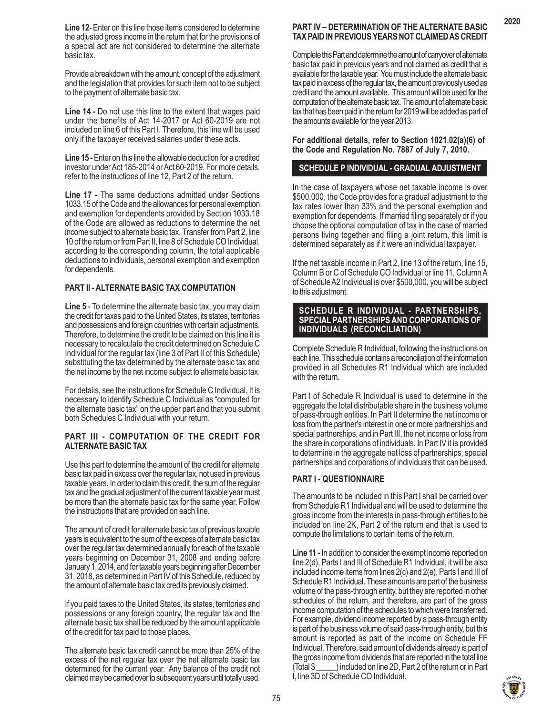**Line 12**- Enter on this line those items considered to determine the adjusted gross income in the return that for the provisions of a special act are not considered to determine the alternate basic tax.

Provide a breakdown with the amount, concept of the adjustment and the legislation that provides for such item not to be subject to the payment of alternate basic tax.

**Line 14 -** Do not use this line to the extent that wages paid under the benefits of Act 14-2017 or Act 60-2019 are not included on line 6 of this Part I. Therefore, this line will be used only if the taxpayer received salaries under these acts.

**Line 15 -** Enter on this line the allowable deduction for a credited investor under Act 185-2014 or Act 60-2019. For more details, refer to the instructions of line 12, Part 2 of the return.

**Line 17 -** The same deductions admitted under Sections 1033.15 of the Code and the allowances for personal exemption and exemption for dependents provided by Section 1033.18 of the Code are allowed as reductions to determine the net income subject to alternate basic tax. Transfer from Part 2, line 10 of the return or from Part II, line 8 of Schedule CO Individual, according to the corresponding column, the total applicable deductions to individuals, personal exemption and exemption for dependents.

# **PART II - ALTERNATE BASIC TAX COMPUTATION**

**Line 5** - To determine the alternate basic tax, you may claim the credit for taxes paid to the United States, its states, territories and possessions and foreign countries with certain adjustments. Therefore, to determine the credit to be claimed on this line it is necessary to recalculate the credit determined on Schedule C Individual for the regular tax (line 3 of Part II of this Schedule) substituting the tax determined by the alternate basic tax and the net income by the net income subject to alternate basic tax.

For details, see the instructions for Schedule C Individual. It is necessary to identify Schedule C Individual as "computed for the alternate basic tax" on the upper part and that you submit both Schedules C Individual with your return.

#### **PART III - COMPUTATION OF THE CREDIT FOR ALTERNATE BASIC TAX**

Use this part to determine the amount of the credit for alternate basic tax paid in excess over the regular tax, not used in previous taxable years. In order to claim this credit, the sum of the regular tax and the gradual adjustment of the current taxable year must be more than the alternate basic tax for the same year. Follow the instructions that are provided on each line.

The amount of credit for alternate basic tax of previous taxable years is equivalent to the sum of the excess of alternate basic tax over the regular tax determined annually for each of the taxable years beginning on December 31, 2008 and ending before January 1, 2014, and for taxable years beginning after December 31, 2018, as determined in Part IV of this Schedule, reduced by the amount of alternate basic tax credits previously claimed.

If you paid taxes to the United States, its states, territories and possessions or any foreign country, the regular tax and the alternate basic tax shall be reduced by the amount applicable of the credit for tax paid to those places.

The alternate basic tax credit cannot be more than 25% of the excess of the net regular tax over the net alternate basic tax determined for the current year. Any balance of the credit not claimed may be carried over to subsequent years until totally used.

# **PART IV – DETERMINATION OF THE ALTERNATE BASIC TAX PAID IN PREVIOUS YEARS NOT CLAIMED AS CREDIT**

Complete this Part and determine the amount of carryover of alternate basic tax paid in previous years and not claimed as credit that is available for the taxable year. You must include the alternate basic tax paid in excess of the regular tax, the amount previously used as credit and the amount available. This amount will be used for the computation of the alternate basic tax. The amount of alternate basic tax that has been paid in the return for 2019 will be added as part of the amounts available for the year 2013.

#### **For additional details, refer to Section 1021.02(a)(6) of the Code and Regulation No. 7887 of July 7, 2010.**

## **SCHEDULE P INDIVIDUAL - GRADUAL ADJUSTMENT**

In the case of taxpayers whose net taxable income is over \$500,000, the Code provides for a gradual adjustment to the tax rates lower than 33% and the personal exemption and exemption for dependents. If married filing separately or if you choose the optional computation of tax in the case of married persons living together and filing a joint return, this limit is determined separately as if it were an individual taxpayer.

If the net taxable income in Part 2, line 13 of the return, line 15, Column B or C of Schedule CO Individual or line 11, Column A of Schedule A2 Individual is over \$500,000, you will be subject to this adjustment.

#### **SCHEDULE R INDIVIDUAL - PARTNERSHIPS, SPECIAL PARTNERSHIPS AND CORPORATIONS OF INDIVIDUALS (RECONCILIATION)**

Complete Schedule R Individual, following the instructions on each line. This schedule contains a reconciliation of the information provided in all Schedules R1 Individual which are included with the return.

Part I of Schedule R Individual is used to determine in the aggregate the total distributable share in the business volume of pass-through entities. In Part II determine the net income or loss from the partner's interest in one or more partnerships and special partnerships, and in Part III, the net income or loss from the share in corporations of individuals. In Part IV it is provided to determine in the aggregate net loss of partnerships, special partnerships and corporations of individuals that can be used.

## **PART I - QUESTIONNAIRE**

The amounts to be included in this Part I shall be carried over from Schedule R1 Individual and will be used to determine the gross income from the interests in pass-through entities to be included on line 2K, Part 2 of the return and that is used to compute the limitations to certain items of the return.

**Line 11 -** In addition to consider the exempt income reported on line 2(d), Parts I and III of Schedule R1 Individual, it will be also included income items from lines 2(c) and 2(e), Parts I and III of Schedule R1 Individual. These amounts are part of the business volume of the pass-through entity, but they are reported in other schedules of the return, and therefore, are part of the gross income computation of the schedules to which were transferred. For example, dividend income reported by a pass-through entity is part of the business volume of said pass-through entity, but this amount is reported as part of the income on Schedule FF Individual. Therefore, said amount of dividends already is part of the gross income from dividends that are reported in the total line (Total \$ \_\_\_\_\_) included on line 2D, Part 2 of the return or in Part I, line 3D of Schedule CO Individual.



75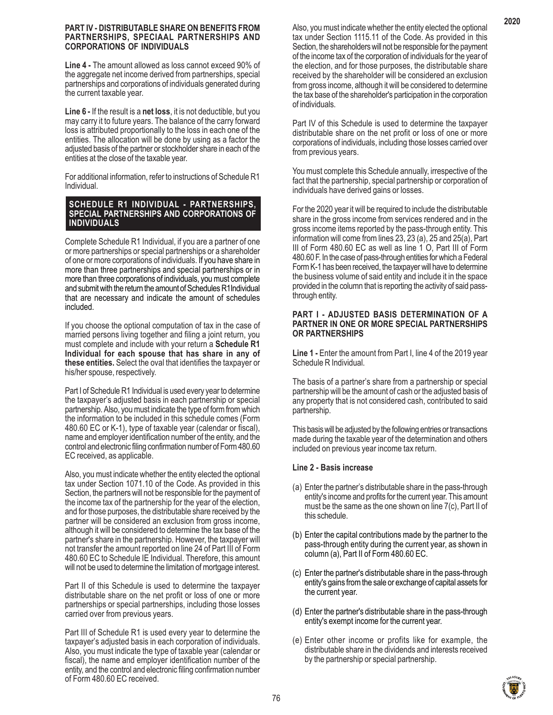#### **PART IV - DISTRIBUTABLE SHARE ON BENEFITS FROM PARTNERSHIPS, SPECIAAL PARTNERSHIPS AND CORPORATIONS OF INDIVIDUALS**

**Line 4 -** The amount allowed as loss cannot exceed 90% of the aggregate net income derived from partnerships, special partnerships and corporations of individuals generated during the current taxable year.

**Line 6 -** If the result is a **net loss**, it is not deductible, but you may carry it to future years. The balance of the carry forward loss is attributed proportionally to the loss in each one of the entities. The allocation will be done by using as a factor the adjusted basis of the partner or stockholder share in each of the entities at the close of the taxable year.

For additional information, refer to instructions of Schedule R1 Individual.

## **SCHEDULE R1 INDIVIDUAL - PARTNERSHIPS, SPECIAL PARTNERSHIPS AND CORPORATIONS OF INDIVIDUALS**

Complete Schedule R1 Individual, if you are a partner of one or more partnerships or special partnerships or a shareholder of one or more corporations of individuals. If you have share in more than three partnerships and special partnerships or in more than three corporations of individuals, you must complete and submit with the return the amount of Schedules R1Individual that are necessary and indicate the amount of schedules included.

If you choose the optional computation of tax in the case of married persons living together and filing a joint return, you must complete and include with your return a **Schedule R1 Individual for each spouse that has share in any of these entities.** Select the oval that identifies the taxpayer or his/her spouse, respectively.

Part I of Schedule R1 Individual is used every year to determine the taxpayer's adjusted basis in each partnership or special partnership. Also, you must indicate the type of form from which the information to be included in this schedule comes (Form 480.60 EC or K-1), type of taxable year (calendar or fiscal), name and employer identification number of the entity, and the control and electronic filing confirmation number of Form 480.60 EC received, as applicable.

Also, you must indicate whether the entity elected the optional tax under Section 1071.10 of the Code. As provided in this Section, the partners will not be responsible for the payment of the income tax of the partnership for the year of the election, and for those purposes, the distributable share received by the partner will be considered an exclusion from gross income, although it will be considered to determine the tax base of the partner's share in the partnership. However, the taxpayer will not transfer the amount reported on line 24 of Part III of Form 480.60 EC to Schedule IE Individual. Therefore, this amount will not be used to determine the limitation of mortgage interest.

Part II of this Schedule is used to determine the taxpayer distributable share on the net profit or loss of one or more partnerships or special partnerships, including those losses carried over from previous years.

Part III of Schedule R1 is used every year to determine the taxpayer's adjusted basis in each corporation of individuals. Also, you must indicate the type of taxable year (calendar or fiscal), the name and employer identification number of the entity, and the control and electronic filing confirmation number of Form 480.60 EC received.

Also, you must indicate whether the entity elected the optional tax under Section 1115.11 of the Code. As provided in this Section, the shareholders will not be responsible for the payment of the income tax of the corporation of individuals for the year of the election, and for those purposes, the distributable share received by the shareholder will be considered an exclusion from gross income, although it will be considered to determine the tax base of the shareholder's participation in the corporation of individuals.

Part IV of this Schedule is used to determine the taxpayer distributable share on the net profit or loss of one or more corporations of individuals, including those losses carried over from previous years.

You must complete this Schedule annually, irrespective of the fact that the partnership, special partnership or corporation of individuals have derived gains or losses.

For the 2020 year it will be required to include the distributable share in the gross income from services rendered and in the gross income items reported by the pass-through entity. This information will come from lines 23, 23 (a), 25 and 25(a), Part III of Form 480.60 EC as well as line 1 O, Part III of Form 480.60 F. In the case of pass-through entities for which a Federal Form K-1 has been received, the taxpayer will have to determine the business volume of said entity and include it in the space provided in the column that is reporting the activity of said passthrough entity.

## **PART I - ADJUSTED BASIS DETERMINATION OF A PARTNER IN ONE OR MORE SPECIAL PARTNERSHIPS OR PARTNERSHIPS**

**Line 1 -** Enter the amount from Part I, line 4 of the 2019 year Schedule R Individual.

The basis of a partner's share from a partnership or special partnership will be the amount of cash or the adjusted basis of any property that is not considered cash, contributed to said partnership.

This basis will be adjusted by the following entries or transactions made during the taxable year of the determination and others included on previous year income tax return.

# **Line 2 - Basis increase**

- (a) Enter the partner's distributable share in the pass-through entity's income and profits for the current year. This amount must be the same as the one shown on line 7(c), Part II of this schedule.
- (b) Enter the capital contributions made by the partner to the pass-through entity during the current year, as shown in column (a), Part II of Form 480.60 EC.
- (c) Enter the partner's distributable share in the pass-through entity's gains from the sale or exchange of capital assets for the current year.
- (d) Enter the partner's distributable share in the pass-through entity's exempt income for the current year.
- (e) Enter other income or profits like for example, the distributable share in the dividends and interests received by the partnership or special partnership.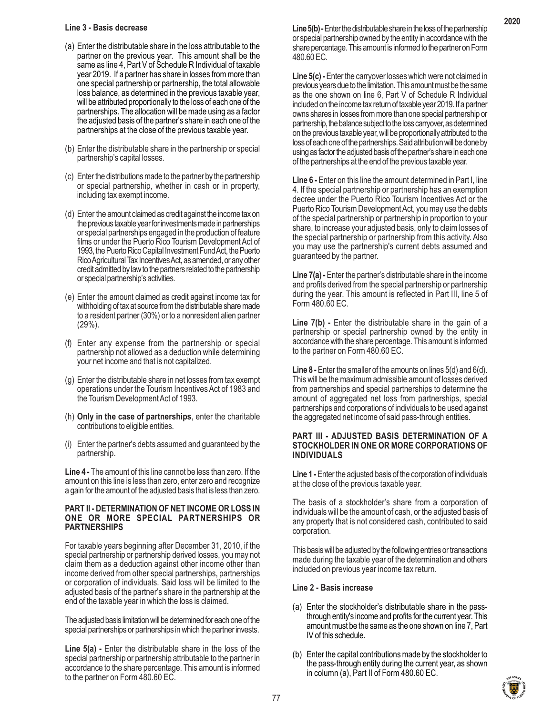## **Line 3 - Basis decrease**

- (a) Enter the distributable share in the loss attributable to the partner on the previous year. This amount shall be the same as line 4, Part V of Schedule R Individual of taxable year 2019. If a partner has share in losses from more than one special partnership or partnership, the total allowable loss balance, as determined in the previous taxable year, will be attributed proportionally to the loss of each one of the partnerships. The allocation will be made using as a factor the adjusted basis of the partner's share in each one of the partnerships at the close of the previous taxable year.
- (b) Enter the distributable share in the partnership or special partnership's capital losses.
- (c) Enter the distributions made to the partner by the partnership or special partnership, whether in cash or in property, including tax exempt income.
- (d) Enter the amount claimed as credit against the income tax on the previous taxable year for investments made in partnerships or special partnerships engaged in the production of feature films or under the Puerto Rico Tourism Development Act of 1993, the Puerto Rico Capital Investment Fund Act, the Puerto Rico Agricultural Tax Incentives Act, as amended, or any other credit admitted by law to the partners related to the partnership or special partnership's activities.
- (e) Enter the amount claimed as credit against income tax for withholding of tax at source from the distributable share made to a resident partner (30%) or to a nonresident alien partner (29%).
- (f) Enter any expense from the partnership or special partnership not allowed as a deduction while determining your net income and that is not capitalized.
- (g) Enter the distributable share in net losses from tax exempt operations under the Tourism Incentives Act of 1983 and the Tourism Development Act of 1993.
- (h) **Only in the case of partnerships**, enter the charitable contributions to eligible entities.
- (i) Enter the partner's debts assumed and guaranteed by the partnership.

**Line 4 -** The amount of this line cannot be less than zero. If the amount on this line is less than zero, enter zero and recognize a gain for the amount of the adjusted basis that is less than zero.

## **PART II - DETERMINATION OF NET INCOME OR LOSS IN ONE OR MORE SPECIAL PARTNERSHIPS OR PARTNERSHIPS**

For taxable years beginning after December 31, 2010, if the special partnership or partnership derived losses, you may not claim them as a deduction against other income other than income derived from other special partnerships, partnerships or corporation of individuals. Said loss will be limited to the adjusted basis of the partner's share in the partnership at the end of the taxable year in which the loss is claimed.

The adjusted basis limitation will be determined for each one of the special partnerships or partnerships in which the partner invests.

**Line 5(a)** - Enter the distributable share in the loss of the special partnership or partnership attributable to the partner in accordance to the share percentage. This amount is informed to the partner on Form 480.60 EC.

Line 5(b) - Enter the distributable share in the loss of the partnership or special partnership owned by the entity in accordance with the share percentage. This amount is informed to the partner on Form 480.60 EC.

Line 5(c) - Enter the carryover losses which were not claimed in previous years due to the limitation. This amount must be the same as the one shown on line 6, Part V of Schedule R Individual included on the income tax return of taxable year 2019. If a partner owns shares in losses from more than one special partnership or partnership, the balance subject to the loss carryover, as determined on the previous taxable year, will be proportionally attributed to the loss of each one of the partnerships. Said attribution will be done by using as factor the adjusted basis of the partner's share in each one of the partnerships at the end of the previous taxable year.

**Line 6 -** Enter on this line the amount determined in Part I, line 4. If the special partnership or partnership has an exemption decree under the Puerto Rico Tourism Incentives Act or the Puerto Rico Tourism Development Act, you may use the debts of the special partnership or partnership in proportion to your share, to increase your adjusted basis, only to claim losses of the special partnership or partnership from this activity. Also you may use the partnership's current debts assumed and guaranteed by the partner.

**Line 7(a) -** Enter the partner's distributable share in the income and profits derived from the special partnership or partnership during the year. This amount is reflected in Part III, line 5 of Form 480.60 EC.

**Line 7(b) -** Enter the distributable share in the gain of a partnership or special partnership owned by the entity in accordance with the share percentage. This amount is informed to the partner on Form 480.60 EC.

**Line 8 -** Enter the smaller of the amounts on lines 5(d) and 6(d). This will be the maximum admissible amount of losses derived from partnerships and special partnerships to determine the amount of aggregated net loss from partnerships, special partnerships and corporations of individuals to be used against the aggregated net income of said pass-through entities.

## **PART III - ADJUSTED BASIS DETERMINATION OF A STOCKHOLDER IN ONE OR MORE CORPORATIONS OF INDIVIDUALS**

**Line 1 -** Enter the adjusted basis of the corporation of individuals at the close of the previous taxable year.

The basis of a stockholder's share from a corporation of individuals will be the amount of cash, or the adjusted basis of any property that is not considered cash, contributed to said corporation.

This basis will be adjusted by the following entries or transactions made during the taxable year of the determination and others included on previous year income tax return.

# **Line 2 - Basis increase**

- (a) Enter the stockholder's distributable share in the passthrough entity's income and profits for the current year. This amount must be the same as the one shown on line 7, Part IV of this schedule.
- (b) Enter the capital contributions made by the stockholder to the pass-through entity during the current year, as shown in column (a), Part II of Form 480.60 EC.

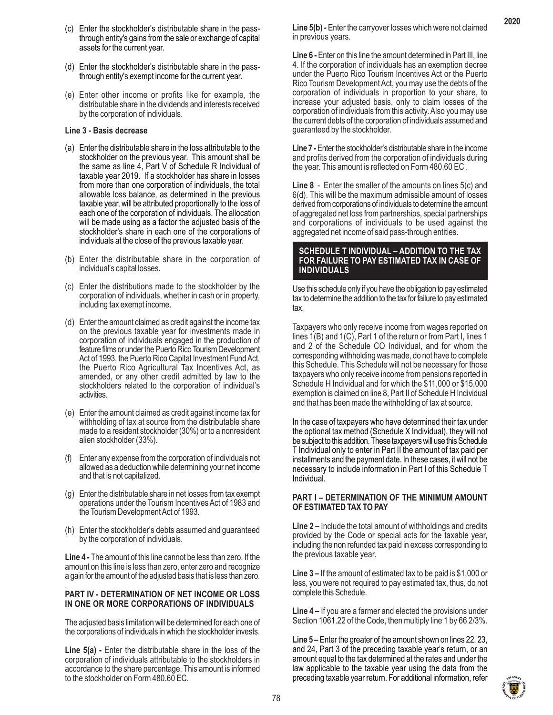- (c) Enter the stockholder's distributable share in the passthrough entity's gains from the sale or exchange of capital assets for the current year.
- (d) Enter the stockholder's distributable share in the passthrough entity's exempt income for the current year.
- (e) Enter other income or profits like for example, the distributable share in the dividends and interests received by the corporation of individuals.

## **Line 3 - Basis decrease**

- (a) Enter the distributable share in the loss attributable to the stockholder on the previous year. This amount shall be the same as line 4, Part V of Schedule R Individual of taxable year 2019. If a stockholder has share in losses from more than one corporation of individuals, the total allowable loss balance, as determined in the previous taxable year, will be attributed proportionally to the loss of each one of the corporation of individuals. The allocation will be made using as a factor the adjusted basis of the stockholder's share in each one of the corporations of individuals at the close of the previous taxable year.
- (b) Enter the distributable share in the corporation of individual's capital losses.
- (c) Enter the distributions made to the stockholder by the corporation of individuals, whether in cash or in property, including tax exempt income.
- (d) Enter the amount claimed as credit against the income tax on the previous taxable year for investments made in corporation of individuals engaged in the production of feature films or under the Puerto Rico Tourism Development Act of 1993, the Puerto Rico Capital Investment Fund Act, the Puerto Rico Agricultural Tax Incentives Act, as amended, or any other credit admitted by law to the stockholders related to the corporation of individual's activities.
- (e) Enter the amount claimed as credit against income tax for withholding of tax at source from the distributable share made to a resident stockholder (30%) or to a nonresident alien stockholder (33%).
- (f) Enter any expense from the corporation of individuals not allowed as a deduction while determining your net income and that is not capitalized.
- (g) Enter the distributable share in net losses from tax exempt operations under the Tourism Incentives Act of 1983 and the Tourism Development Act of 1993.
- (h) Enter the stockholder's debts assumed and guaranteed by the corporation of individuals.

**Line 4 -** The amount of this line cannot be less than zero. If the amount on this line is less than zero, enter zero and recognize a gain for the amount of the adjusted basis that is less than zero.

#### . **PART IV - DETERMINATION OF NET INCOME OR LOSS IN ONE OR MORE CORPORATIONS OF INDIVIDUALS**

The adjusted basis limitation will be determined for each one of the corporations of individuals in which the stockholder invests.

Line 5(a) - Enter the distributable share in the loss of the corporation of individuals attributable to the stockholders in accordance to the share percentage. This amount is informed to the stockholder on Form 480.60 EC.

Line 5(b) - Enter the carryover losses which were not claimed in previous years.

**2020**

**Line 6 -** Enter on this line the amount determined in Part III, line 4. If the corporation of individuals has an exemption decree under the Puerto Rico Tourism Incentives Act or the Puerto Rico Tourism Development Act, you may use the debts of the corporation of individuals in proportion to your share, to increase your adjusted basis, only to claim losses of the corporation of individuals from this activity. Also you may use the current debts of the corporation of individuals assumed and guaranteed by the stockholder.

**Line 7 -** Enter the stockholder's distributable share in the income and profits derived from the corporation of individuals during the year. This amount is reflected on Form 480.60 EC .

**Line 8** - Enter the smaller of the amounts on lines 5(c) and 6(d). This will be the maximum admissible amount of losses derived from corporations of individuals to determine the amount of aggregated net loss from partnerships, special partnerships and corporations of individuals to be used against the aggregated net income of said pass-through entities.

## **SCHEDULE T INDIVIDUAL – ADDITION TO THE TAX FOR FAILURE TO PAY ESTIMATED TAX IN CASE OF INDIVIDUALS**

Use this schedule only if you have the obligation to pay estimated tax to determine the addition to the tax for failure to pay estimated tax.

Taxpayers who only receive income from wages reported on lines 1(B) and 1(C), Part 1 of the return or from Part I, lines 1 and 2 of the Schedule CO Individual, and for whom the corresponding withholding was made, do not have to complete this Schedule. This Schedule will not be necessary for those taxpayers who only receive income from pensions reported in Schedule H Individual and for which the \$11,000 or \$15,000 exemption is claimed on line 8, Part II of Schedule H Individual and that has been made the withholding of tax at source.

In the case of taxpayers who have determined their tax under the optional tax method (Schedule X Individual), they will not be subject to this addition. These taxpayers will use this Schedule T Individual only to enter in Part II the amount of tax paid per installments and the payment date. In these cases, it will not be necessary to include information in Part I of this Schedule T Individual.

## **PART I – DETERMINATION OF THE MINIMUM AMOUNT OF ESTIMATED TAX TO PAY**

**Line 2 –** Include the total amount of withholdings and credits provided by the Code or special acts for the taxable year, including the non refunded tax paid in excess corresponding to the previous taxable year.

**Line 3 –** If the amount of estimated tax to be paid is \$1,000 or less, you were not required to pay estimated tax, thus, do not complete this Schedule.

**Line 4 –** If you are a farmer and elected the provisions under Section 1061.22 of the Code, then multiply line 1 by 66 2/3%.

**Line 5 –** Enter the greater of the amount shown on lines 22, 23, and 24, Part 3 of the preceding taxable year's return, or an amount equal to the tax determined at the rates and under the law applicable to the taxable year using the data from the preceding taxable year return. For additional information, refer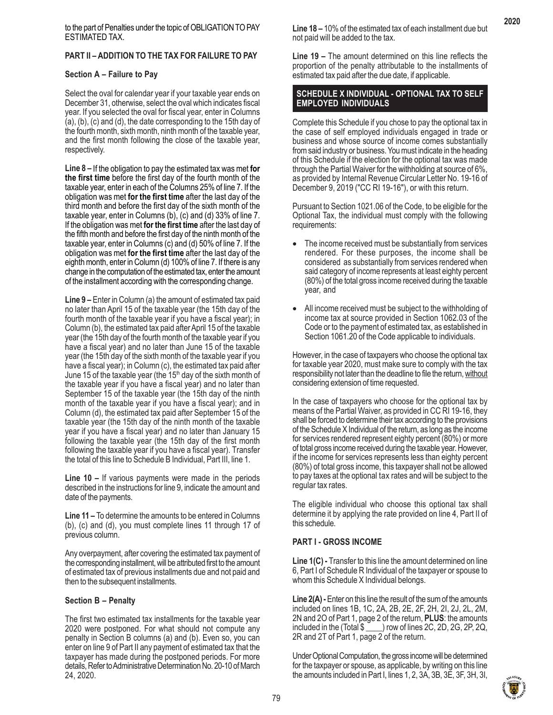to the part of Penalties under the topic of OBLIGATION TO PAY ESTIMATED TAX.

# **PART II – ADDITION TO THE TAX FOR FAILURE TO PAY**

## **Section A – Failure to Pay**

Select the oval for calendar year if your taxable year ends on December 31, otherwise, select the oval which indicates fiscal year. If you selected the oval for fiscal year, enter in Columns (a), (b), (c) and (d), the date corresponding to the 15th day of the fourth month, sixth month, ninth month of the taxable year, and the first month following the close of the taxable year, respectively.

**Line 8 –** If the obligation to pay the estimated tax was met **for the first time** before the first day of the fourth month of the taxable year, enter in each of the Columns 25% of line 7. If the obligation was met **for the first time** after the last day of the third month and before the first day of the sixth month of the taxable year, enter in Columns (b), (c) and (d) 33% of line 7. If the obligation was met **for the first time** after the last day of the fifth month and before the first day of the ninth month of the taxable year, enter in Columns (c) and (d) 50% of line 7. If the obligation was met **for the first time** after the last day of the eighth month, enter in Column (d) 100% of line 7. If there is any change in the computation of the estimated tax, enter the amount of the installment according with the corresponding change.

**Line 9 –** Enter in Column (a) the amount of estimated tax paid no later than April 15 of the taxable year (the 15th day of the fourth month of the taxable year if you have a fiscal year); in Column (b), the estimated tax paid after April 15 of the taxable year (the 15th day of the fourth month of the taxable year if you have a fiscal year) and no later than June 15 of the taxable year (the 15th day of the sixth month of the taxable year if you have a fiscal year); in Column (c), the estimated tax paid after June 15 of the taxable year (the 15<sup>th</sup> day of the sixth month of the taxable year if you have a fiscal year) and no later than September 15 of the taxable year (the 15th day of the ninth month of the taxable year if you have a fiscal year); and in Column (d), the estimated tax paid after September 15 of the taxable year (the 15th day of the ninth month of the taxable year if you have a fiscal year) and no later than January 15 following the taxable year (the 15th day of the first month following the taxable year if you have a fiscal year). Transfer the total of this line to Schedule B Individual, Part III, line 1.

**Line 10 –** If various payments were made in the periods described in the instructions for line 9, indicate the amount and date of the payments.

**Line 11 –** To determine the amounts to be entered in Columns (b), (c) and (d), you must complete lines 11 through 17 of previous column.

Any overpayment, after covering the estimated tax payment of the corresponding installment, will be attributed first to the amount of estimated tax of previous installments due and not paid and then to the subsequent installments.

## **Section B – Penalty**

The first two estimated tax installments for the taxable year 2020 were postponed. For what should not compute any penalty in Section B columns (a) and (b). Even so, you can enter on line 9 of Part II any payment of estimated tax that the taxpayer has made during the postponed periods. For more details, Refer to Administrative Determination No. 20-10 of March 24, 2020.

**Line 18 –** 10% of the estimated tax of each installment due but not paid will be added to the tax.

**Line 19 –** The amount determined on this line reflects the proportion of the penalty attributable to the installments of estimated tax paid after the due date, if applicable.

## **SCHEDULE X INDIVIDUAL - OPTIONAL TAX TO SELF EMPLOYED INDIVIDUALS**

Complete this Schedule if you chose to pay the optional tax in the case of self employed individuals engaged in trade or business and whose source of income comes substantially from said industry or business. You must indicate in the heading of this Schedule if the election for the optional tax was made through the Partial Waiver for the withholding at source of 6%, as provided by Internal Revenue Circular Letter No. 19-16 of December 9, 2019 ("CC RI 19-16"), or with this return.

Pursuant to Section 1021.06 of the Code, to be eligible for the Optional Tax, the individual must comply with the following requirements:

- The income received must be substantially from services rendered. For these purposes, the income shall be considered as substantially from services rendered when said category of income represents at least eighty percent (80%) of the total gross income received during the taxable year, and
- All income received must be subject to the withholding of income tax at source provided in Section 1062.03 of the Code or to the payment of estimated tax, as established in Section 1061.20 of the Code applicable to individuals.

However, in the case of taxpayers who choose the optional tax for taxable year 2020, must make sure to comply with the tax responsibility not later than the deadline to file the return, without considering extension of time requested.

In the case of taxpayers who choose for the optional tax by means of the Partial Waiver, as provided in CC RI 19-16, they shall be forced to determine their tax according to the provisions of the Schedule X Individual of the return, as long as the income for services rendered represent eighty percent (80%) or more of total gross income received during the taxable year. However, if the income for services represents less than eighty percent (80%) of total gross income, this taxpayer shall not be allowed to pay taxes at the optional tax rates and will be subject to the regular tax rates.

The eligible individual who choose this optional tax shall determine it by applying the rate provided on line 4, Part II of this schedule.

# **PART I - GROSS INCOME**

**Line 1(C) -** Transfer to this line the amount determined on line 6, Part I of Schedule R Individual of the taxpayer or spouse to whom this Schedule X Individual belongs.

**Line 2(A) -** Enter on this line the result of the sum of the amounts included on lines 1B, 1C, 2A, 2B, 2E, 2F, 2H, 2I, 2J, 2L, 2M, 2N and 2O of Part 1, page 2 of the return, **PLUS**: the amounts included in the (Total \$ \_\_\_\_) row of lines 2C, 2D, 2G, 2P, 2Q, 2R and 2T of Part 1, page 2 of the return.

Under Optional Computation, the gross income will be determined for the taxpayer or spouse, as applicable, by writing on this line the amounts included in Part I, lines 1, 2, 3A, 3B, 3E, 3F, 3H, 3I,

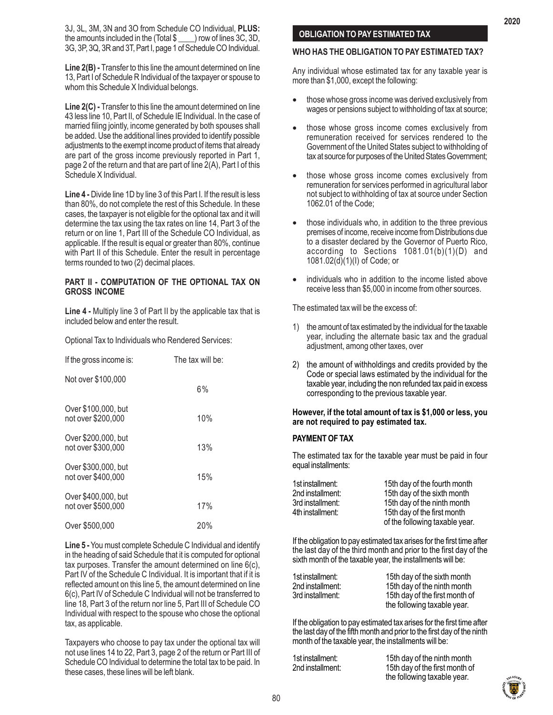3J, 3L, 3M, 3N and 3O from Schedule CO Individual, **PLUS:** the amounts included in the (Total \$ \_\_\_\_) row of lines 3C, 3D, 3G, 3P, 3Q, 3R and 3T, Part I, page 1 of Schedule CO Individual.

**Line 2(B) -** Transfer to this line the amount determined on line 13, Part I of Schedule R Individual of the taxpayer or spouse to whom this Schedule X Individual belongs.

**Line 2(C) -** Transfer to this line the amount determined on line 43 less line 10, Part II, of Schedule IE Individual. In the case of married filing jointly, income generated by both spouses shall be added. Use the additional lines provided to identify possible adjustments to the exempt income product of items that already are part of the gross income previously reported in Part 1, page 2 of the return and that are part of line 2(A), Part I of this Schedule X Individual.

**Line 4 -** Divide line 1D by line 3 of this Part I. If the result is less than 80%, do not complete the rest of this Schedule. In these cases, the taxpayer is not eligible for the optional tax and it will determine the tax using the tax rates on line 14, Part 3 of the return or on line 1, Part III of the Schedule CO Individual, as applicable. If the result is equal or greater than 80%, continue with Part II of this Schedule. Enter the result in percentage terms rounded to two (2) decimal places.

## **PART II - COMPUTATION OF THE OPTIONAL TAX ON GROSS INCOME**

**Line 4 -** Multiply line 3 of Part II by the applicable tax that is included below and enter the result.

| If the gross income is:                   | The tax will be: |
|-------------------------------------------|------------------|
| Not over \$100,000                        | 6%               |
| Over \$100,000, but<br>not over \$200,000 | 10%              |
| Over \$200,000, but<br>not over \$300,000 | 13%              |
| Over \$300,000, but<br>not over \$400,000 | 15%              |
| Over \$400,000, but<br>not over \$500,000 | 17%              |
| Over \$500,000                            | 20%              |

Optional Tax to Individuals who Rendered Services:

**Line 5 -** You must complete Schedule C Individual and identify in the heading of said Schedule that it is computed for optional tax purposes. Transfer the amount determined on line 6(c), Part IV of the Schedule C Individual. It is important that if it is reflected amount on this line 5, the amount determined on line 6(c), Part IV of Schedule C Individual will not be transferred to line 18, Part 3 of the return nor line 5, Part III of Schedule CO Individual with respect to the spouse who chose the optional tax, as applicable.

Taxpayers who choose to pay tax under the optional tax will not use lines 14 to 22, Part 3, page 2 of the return or Part III of Schedule CO Individual to determine the total tax to be paid. In these cases, these lines will be left blank.

# **OBLIGATION TO PAY ESTIMATED TAX**

## **WHO HAS THE OBLIGATION TO PAY ESTIMATED TAX?**

Any individual whose estimated tax for any taxable year is more than \$1,000, except the following:

- those whose gross income was derived exclusively from wages or pensions subject to withholding of tax at source;
- those whose gross income comes exclusively from remuneration received for services rendered to the Government of the United States subject to withholding of tax at source for purposes of the United States Government;
- those whose gross income comes exclusively from remuneration for services performed in agricultural labor not subject to withholding of tax at source under Section 1062.01 of the Code;
- those individuals who, in addition to the three previous premises of income, receive income from Distributions due to a disaster declared by the Governor of Puerto Rico, according to Sections 1081.01(b)(1)(D) and 1081.02(d)(1)(I) of Code; or
- individuals who in addition to the income listed above receive less than \$5,000 in income from other sources.

The estimated tax will be the excess of:

- 1) the amount of tax estimated by the individual for the taxable year, including the alternate basic tax and the gradual adjustment, among other taxes, over
- 2) the amount of withholdings and credits provided by the Code or special laws estimated by the individual for the taxable year, including the non refunded tax paid in excess corresponding to the previous taxable year.

## **However, if the total amount of tax is \$1,000 or less, you are not required to pay estimated tax.**

# **PAYMENT OF TAX**

The estimated tax for the taxable year must be paid in four equal installments:

| 1st installment: | 15th day of the fourth month   |
|------------------|--------------------------------|
| 2nd installment: | 15th day of the sixth month    |
| 3rd installment: | 15th day of the ninth month    |
| 4th installment: | 15th day of the first month    |
|                  | of the following taxable year. |

If the obligation to pay estimated tax arises for the first time after the last day of the third month and prior to the first day of the sixth month of the taxable year, the installments will be:

| 1st installment: | 15th day of the sixth month    |
|------------------|--------------------------------|
| 2nd installment: | 15th day of the ninth month    |
| 3rd installment: | 15th day of the first month of |
|                  | the following taxable year.    |

If the obligation to pay estimated tax arises for the first time after the last day of the fifth month and prior to the first day of the ninth month of the taxable year, the installments will be:

| 1st installment: | 15th day of the ninth month    |
|------------------|--------------------------------|
| 2nd installment: | 15th day of the first month of |
|                  | the following taxable year.    |

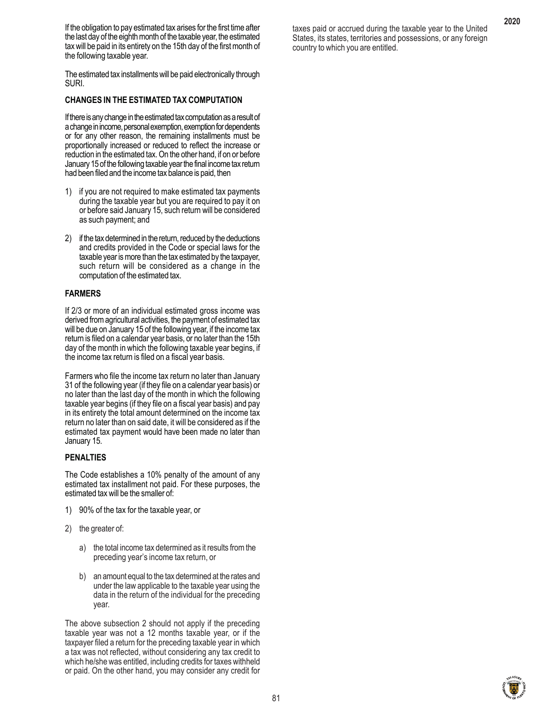If the obligation to pay estimated tax arises for the first time after the last day of the eighth month of the taxable year, the estimated tax will be paid in its entirety on the 15th day of the first month of the following taxable year.

The estimated tax installments will be paid electronically through SURI.

## **CHANGES IN THE ESTIMATED TAX COMPUTATION**

If there is any change in the estimated tax computation as a result of a change in income, personal exemption, exemption for dependents or for any other reason, the remaining installments must be proportionally increased or reduced to reflect the increase or reduction in the estimated tax. On the other hand, if on or before January 15 of the following taxable year the final income tax return had been filed and the income tax balance is paid, then

- 1) if you are not required to make estimated tax payments during the taxable year but you are required to pay it on or before said January 15, such return will be considered as such payment; and
- 2) if the tax determined in the return, reduced by the deductions and credits provided in the Code or special laws for the taxable year is more than the tax estimated by the taxpayer, such return will be considered as a change in the computation of the estimated tax.

## **FARMERS**

If 2/3 or more of an individual estimated gross income was derived from agricultural activities, the payment of estimated tax will be due on January 15 of the following year, if the income tax return is filed on a calendar year basis, or no later than the 15th day of the month in which the following taxable year begins, if the income tax return is filed on a fiscal year basis.

Farmers who file the income tax return no later than January 31 of the following year (if they file on a calendar year basis) or no later than the last day of the month in which the following taxable year begins (if they file on a fiscal year basis) and pay in its entirety the total amount determined on the income tax return no later than on said date, it will be considered as if the estimated tax payment would have been made no later than January 15.

#### **PENALTIES**

The Code establishes a 10% penalty of the amount of any estimated tax installment not paid. For these purposes, the estimated tax will be the smaller of:

- 1) 90% of the tax for the taxable year, or
- 2) the greater of:
	- a) the total income tax determined as it results from the preceding year's income tax return, or
	- b) an amount equal to the tax determined at the rates and under the law applicable to the taxable year using the data in the return of the individual for the preceding year.

The above subsection 2 should not apply if the preceding taxable year was not a 12 months taxable year, or if the taxpayer filed a return for the preceding taxable year in which a tax was not reflected, without considering any tax credit to which he/she was entitled, including credits for taxes withheld or paid. On the other hand, you may consider any credit for taxes paid or accrued during the taxable year to the United States, its states, territories and possessions, or any foreign country to which you are entitled.

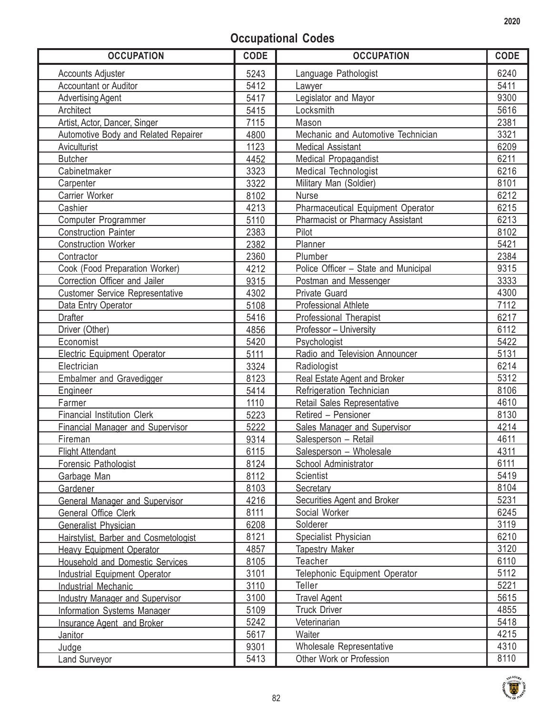# **Occupational Codes**

|                                                                                    | <b>CODE</b> |
|------------------------------------------------------------------------------------|-------------|
| 5243<br>Language Pathologist<br><b>Accounts Adjuster</b>                           | 6240        |
| 5412<br>Accountant or Auditor<br>Lawyer                                            | 5411        |
| Legislator and Mayor<br>5417<br><b>Advertising Agent</b>                           | 9300        |
| Locksmith<br>Architect<br>5415                                                     | 5616        |
| Artist, Actor, Dancer, Singer<br>7115<br>Mason                                     | 2381        |
| Automotive Body and Related Repairer<br>4800<br>Mechanic and Automotive Technician | 3321        |
| 1123<br>Aviculturist<br><b>Medical Assistant</b>                                   | 6209        |
| <b>Butcher</b><br>4452<br>Medical Propagandist                                     | 6211        |
| Cabinetmaker<br>3323<br>Medical Technologist                                       | 6216        |
| 3322<br>Military Man (Soldier)<br>Carpenter                                        | 8101        |
| Carrier Worker<br>8102<br>Nurse                                                    | 6212        |
| Cashier<br>4213<br>Pharmaceutical Equipment Operator                               | 6215        |
| Pharmacist or Pharmacy Assistant<br>Computer Programmer<br>5110                    | 6213        |
| <b>Construction Painter</b><br>2383<br>Pilot                                       | 8102        |
| 2382<br>Planner<br><b>Construction Worker</b>                                      | 5421        |
| Plumber<br>Contractor<br>2360                                                      | 2384        |
| Cook (Food Preparation Worker)<br>4212<br>Police Officer - State and Municipal     | 9315        |
| Correction Officer and Jailer<br>9315<br>Postman and Messenger                     | 3333        |
| <b>Customer Service Representative</b><br>4302<br><b>Private Guard</b>             | 4300        |
| 5108<br><b>Professional Athlete</b><br>Data Entry Operator                         | 7112        |
| <b>Drafter</b><br>5416<br><b>Professional Therapist</b>                            | 6217        |
| Driver (Other)<br>4856<br>Professor - University                                   | 6112        |
| Economist<br>5420<br>Psychologist                                                  | 5422        |
| 5111<br><b>Electric Equipment Operator</b><br>Radio and Television Announcer       | 5131        |
| Electrician<br>3324<br>Radiologist                                                 | 6214        |
| <b>Embalmer and Gravedigger</b><br>8123<br>Real Estate Agent and Broker            | 5312        |
| 5414<br>Refrigeration Technician<br>Engineer                                       | 8106        |
| Retail Sales Representative<br>Farmer<br>1110                                      | 4610        |
| <b>Financial Institution Clerk</b><br>5223<br>Retired - Pensioner                  | 8130        |
| <b>Financial Manager and Supervisor</b><br>5222<br>Sales Manager and Supervisor    | 4214        |
| Salesperson - Retail<br>Fireman<br>9314                                            | 4611        |
| 6115<br>Salesperson - Wholesale<br><b>Flight Attendant</b>                         | 4311        |
| 8124<br>School Administrator<br>Forensic Pathologist                               | 6111        |
| 8112<br>Scientist<br>Garbage Man                                                   | 5419        |
| 8103<br><b>Secretary</b><br>Gardener                                               | 8104        |
| 4216<br>Securities Agent and Broker<br><b>General Manager and Supervisor</b>       | 5231        |
| 8111<br>Social Worker<br>General Office Clerk                                      | 6245        |
| 6208<br>Solderer<br><b>Generalist Physician</b>                                    | 3119        |
| 8121<br>Specialist Physician<br>Hairstylist, Barber and Cosmetologist              | 6210        |
| 4857<br><b>Tapestry Maker</b><br><b>Heavy Equipment Operator</b>                   | 3120        |
| Teacher<br><b>Household and Domestic Services</b><br>8105                          | 6110        |
| 3101<br>Telephonic Equipment Operator<br><b>Industrial Equipment Operator</b>      | 5112        |
| 3110<br><b>Teller</b><br><b>Industrial Mechanic</b>                                | 5221        |
| 3100<br><b>Travel Agent</b><br><b>Industry Manager and Supervisor</b>              | 5615        |
| 5109<br><b>Truck Driver</b><br><b>Information Systems Manager</b>                  | 4855        |
| 5242<br>Veterinarian<br><b>Insurance Agent and Broker</b>                          | 5418        |
| 5617<br>Waiter<br>Janitor                                                          | 4215        |
| 9301<br>Wholesale Representative<br>Judge                                          | 4310        |
| 5413<br>Other Work or Profession<br><b>Land Surveyor</b>                           | 8110        |

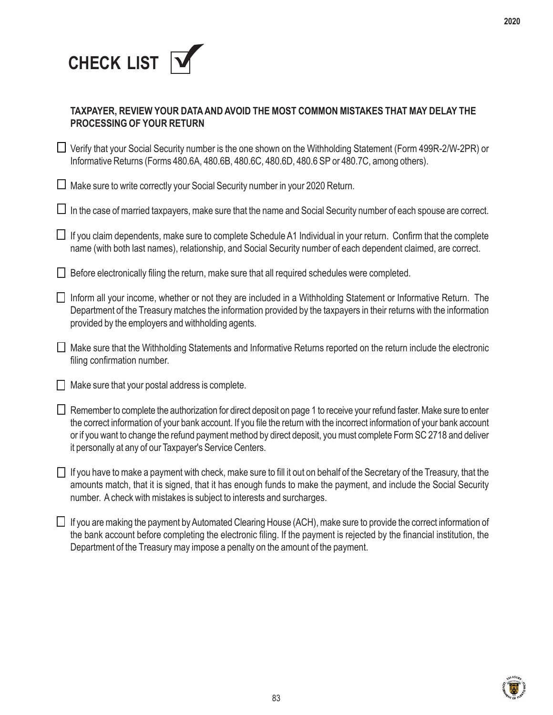

| TAXPAYER, REVIEW YOUR DATA AND AVOID THE MOST COMMON MISTAKES THAT MAY DELAY THE |
|----------------------------------------------------------------------------------|
| <b>PROCESSING OF YOUR RETURN</b>                                                 |

■ Verify that your Social Security number is the one shown on the Withholding Statement (Form 499R-2/W-2PR) or Informative Returns (Forms 480.6A, 480.6B, 480.6C, 480.6D, 480.6 SP or 480.7C, among others).

 $\Box$  Make sure to write correctly your Social Security number in your 2020 Return.

 $\Box$  In the case of married taxpayers, make sure that the name and Social Security number of each spouse are correct.

 $\Box$  If you claim dependents, make sure to complete Schedule A1 Individual in your return. Confirm that the complete name (with both last names), relationship, and Social Security number of each dependent claimed, are correct.

 $\Box$  Before electronically filing the return, make sure that all required schedules were completed.

- Inform all your income, whether or not they are included in a Withholding Statement or Informative Return. The Department of the Treasury matches the information provided by the taxpayers in their returns with the information provided by the employers and withholding agents.
- Make sure that the Withholding Statements and Informative Returns reported on the return include the electronic filing confirmation number.
- $\Box$  Make sure that your postal address is complete.
- $\Box$  Remember to complete the authorization for direct deposit on page 1 to receive your refund faster. Make sure to enter the correct information of your bank account. If you file the return with the incorrect information of your bank account or if you want to change the refund payment method by direct deposit, you must complete Form SC 2718 and deliver it personally at any of our Taxpayer's Service Centers.
- $\Box$  If you have to make a payment with check, make sure to fill it out on behalf of the Secretary of the Treasury, that the amounts match, that it is signed, that it has enough funds to make the payment, and include the Social Security number. A check with mistakes is subject to interests and surcharges.
- $\Box$  If you are making the payment by Automated Clearing House (ACH), make sure to provide the correct information of the bank account before completing the electronic filing. If the payment is rejected by the financial institution, the Department of the Treasury may impose a penalty on the amount of the payment.